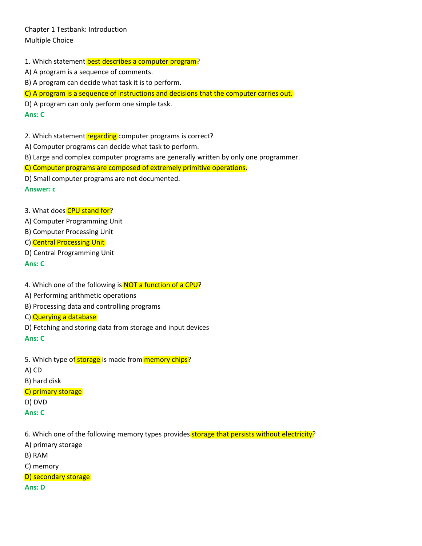Chapter 1 Testbank: Introduction Multiple Choice

1. Which statement best describes a computer program?

A) A program is a sequence of comments.

B) A program can decide what task it is to perform.

C) A program is a sequence of instructions and decisions that the computer carries out.

D) A program can only perform one simple task.

#### **Ans: C**

2. Which statement regarding computer programs is correct?

A) Computer programs can decide what task to perform.

B) Large and complex computer programs are generally written by only one programmer.

C) Computer programs are composed of extremely primitive operations.

D) Small computer programs are not documented.

#### **Answer: c**

3. What does CPU stand for?

A) Computer Programming Unit

B) Computer Processing Unit

C) Central Processing Unit

D) Central Programming Unit

**Ans: C**

4. Which one of the following is **NOT a function of a CPU?** 

A) Performing arithmetic operations

B) Processing data and controlling programs

C) Querying a database

D) Fetching and storing data from storage and input devices

**Ans: C**

- 5. Which type of storage is made from memory chips?
- A) CD

B) hard disk

C) primary storage

D) DVD

**Ans: C**

6. Which one of the following memory types provides storage that persists without electricity?

A) primary storage

B) RAM

C) memory

D) secondary storage

**Ans: D**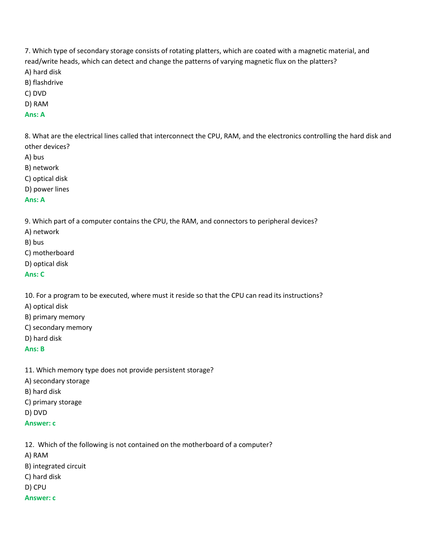7. Which type of secondary storage consists of rotating platters, which are coated with a magnetic material, and read/write heads, which can detect and change the patterns of varying magnetic flux on the platters? A) hard disk

- B) flashdrive
- C) DVD
- D) RAM
- **Ans: A**

8. What are the electrical lines called that interconnect the CPU, RAM, and the electronics controlling the hard disk and other devices?

- A) bus
- B) network
- C) optical disk
- D) power lines

#### **Ans: A**

9. Which part of a computer contains the CPU, the RAM, and connectors to peripheral devices?

- A) network
- B) bus
- C) motherboard
- D) optical disk

#### **Ans: C**

10. For a program to be executed, where must it reside so that the CPU can read its instructions?

- A) optical disk
- B) primary memory
- C) secondary memory
- D) hard disk

## **Ans: B**

- 11. Which memory type does not provide persistent storage?
- A) secondary storage
- B) hard disk
- C) primary storage
- D) DVD
- **Answer: c**

12. Which of the following is not contained on the motherboard of a computer? A) RAM B) integrated circuit C) hard disk D) CPU **Answer: c**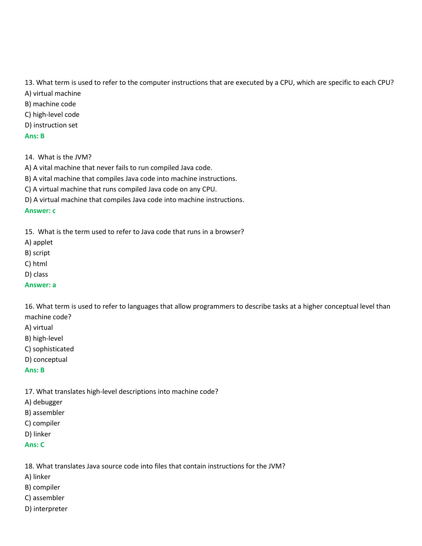13. What term is used to refer to the computer instructions that are executed by a CPU, which are specific to each CPU?

- A) virtual machine
- B) machine code
- C) high-level code
- D) instruction set

# **Ans: B**

14. What is the JVM?

- A) A vital machine that never fails to run compiled Java code.
- B) A vital machine that compiles Java code into machine instructions.

C) A virtual machine that runs compiled Java code on any CPU.

D) A virtual machine that compiles Java code into machine instructions.

# **Answer: c**

15. What is the term used to refer to Java code that runs in a browser?

- A) applet
- B) script
- C) html
- D) class

## **Answer: a**

16. What term is used to refer to languages that allow programmers to describe tasks at a higher conceptual level than machine code?

- A) virtual
- B) high-level
- C) sophisticated
- D) conceptual

## **Ans: B**

17. What translates high-level descriptions into machine code?

- A) debugger
- B) assembler
- C) compiler
- D) linker
- **Ans: C**

18. What translates Java source code into files that contain instructions for the JVM?

- A) linker
- B) compiler
- C) assembler
- D) interpreter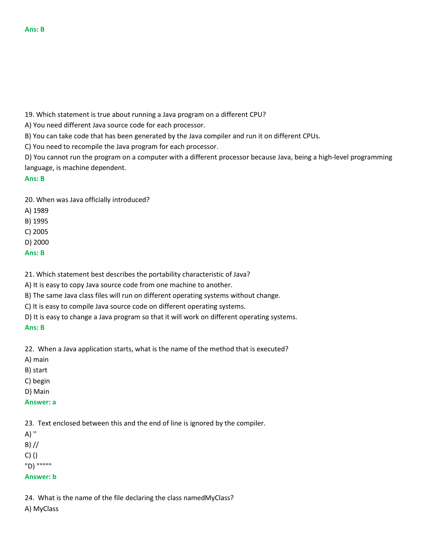19. Which statement is true about running a Java program on a different CPU?

A) You need different Java source code for each processor.

B) You can take code that has been generated by the Java compiler and run it on different CPUs.

C) You need to recompile the Java program for each processor.

D) You cannot run the program on a computer with a different processor because Java, being a high-level programming language, is machine dependent.

## **Ans: B**

20. When was Java officially introduced?

A) 1989

B) 1995

C) 2005

D) 2000

**Ans: B**

21. Which statement best describes the portability characteristic of Java?

A) It is easy to copy Java source code from one machine to another.

B) The same Java class files will run on different operating systems without change.

C) It is easy to compile Java source code on different operating systems.

D) It is easy to change a Java program so that it will work on different operating systems. **Ans: B**

22. When a Java application starts, what is the name of the method that is executed?

A) main

B) start

C) begin

D) Main

**Answer: a**

23. Text enclosed between this and the end of line is ignored by the compiler.

A) ''  $B)$  //

 $C)$  ()

"D) """""

## **Answer: b**

24. What is the name of the file declaring the class namedMyClass?

A) MyClass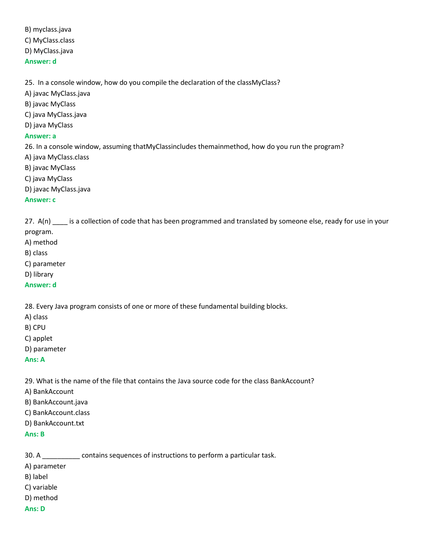B) myclass.java C) MyClass.class D) MyClass.java **Answer: d**

25. In a console window, how do you compile the declaration of the classMyClass?

- A) javac MyClass.java
- B) javac MyClass
- C) java MyClass.java
- D) java MyClass

#### **Answer: a**

26. In a console window, assuming thatMyClassincludes themainmethod, how do you run the program?

- A) java MyClass.class
- B) javac MyClass
- C) java MyClass
- D) javac MyClass.java

#### **Answer: c**

27. A(n) is a collection of code that has been programmed and translated by someone else, ready for use in your program.

- A) method
- B) class
- C) parameter
- D) library
- **Answer: d**

28. Every Java program consists of one or more of these fundamental building blocks.

- A) class
- B) CPU
- C) applet
- D) parameter

#### **Ans: A**

29. What is the name of the file that contains the Java source code for the class BankAccount?

- A) BankAccount
- B) BankAccount.java
- C) BankAccount.class
- D) BankAccount.txt

## **Ans: B**

30. A \_\_\_\_\_\_\_\_\_\_ contains sequences of instructions to perform a particular task.

A) parameter

- B) label
- C) variable
- D) method

#### **Ans: D**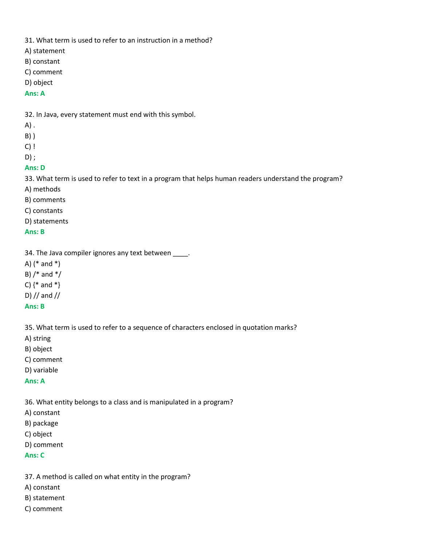31. What term is used to refer to an instruction in a method?

- A) statement
- B) constant
- C) comment
- D) object

## **Ans: A**

32. In Java, every statement must end with this symbol.

- A) .
- B) )
- C) !
- D) ;

# **Ans: D**

33. What term is used to refer to text in a program that helps human readers understand the program?

- A) methods
- B) comments
- C) constants
- D) statements

# **Ans: B**

34. The Java compiler ignores any text between \_\_\_\_.

- A) (\* and \*)
- B)  $/*$  and  $*/$
- C)  $\{*\}$  and  $*\}$
- D) // and //

# **Ans: B**

35. What term is used to refer to a sequence of characters enclosed in quotation marks?

- A) string
- B) object
- C) comment
- D) variable

# **Ans: A**

36. What entity belongs to a class and is manipulated in a program?

- A) constant
- B) package
- C) object
- D) comment
- **Ans: C**
- 37. A method is called on what entity in the program?
- A) constant
- B) statement
- C) comment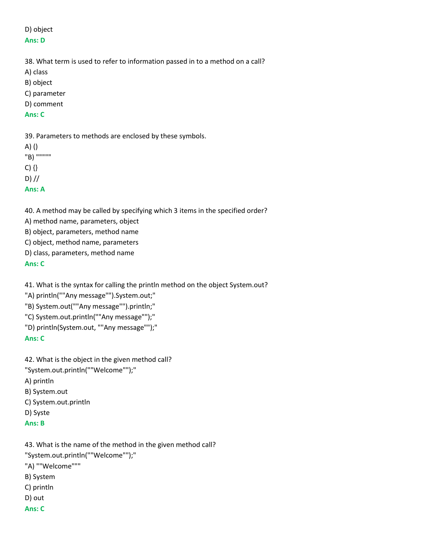## D) object **Ans: D**

38. What term is used to refer to information passed in to a method on a call?

- A) class
- B) object
- C) parameter
- D) comment

# **Ans: C**

39. Parameters to methods are enclosed by these symbols.

A) () "B) """""  $C)$  {}  $D$ ) // **Ans: A**

40. A method may be called by specifying which 3 items in the specified order?

A) method name, parameters, object

B) object, parameters, method name

C) object, method name, parameters

D) class, parameters, method name

**Ans: C**

41. What is the syntax for calling the println method on the object System.out?

"A) println(""Any message"").System.out;"

- "B) System.out(""Any message"").println;"
- "C) System.out.println(""Any message"");"
- "D) println(System.out, ""Any message"");"

# **Ans: C**

- 42. What is the object in the given method call?
- "System.out.println(""Welcome"");"

A) println

- B) System.out
- C) System.out.println
- D) Syste
- **Ans: B**
- 43. What is the name of the method in the given method call? "System.out.println(""Welcome"");" "A) ""Welcome""" B) System C) println D) out
- **Ans: C**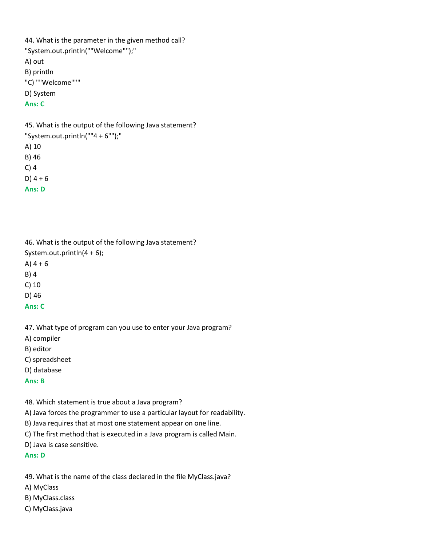```
44. What is the parameter in the given method call?
"System.out.println(""Welcome"");"
A) out
B) println
"C) ""Welcome"""
D) System
Ans: C
```
45. What is the output of the following Java statement? "System.out.println(""4 + 6"");" A) 10 B) 46 C) 4  $D$ ) 4 + 6 **Ans: D**

46. What is the output of the following Java statement? System.out.println(4 + 6); A)  $4 + 6$ 

B) 4

C) 10

D) 46

**Ans: C**

47. What type of program can you use to enter your Java program?

A) compiler

B) editor

C) spreadsheet

D) database

**Ans: B**

48. Which statement is true about a Java program?

A) Java forces the programmer to use a particular layout for readability.

B) Java requires that at most one statement appear on one line.

C) The first method that is executed in a Java program is called Main.

D) Java is case sensitive.

**Ans: D**

49. What is the name of the class declared in the file MyClass.java?

A) MyClass

B) MyClass.class

C) MyClass.java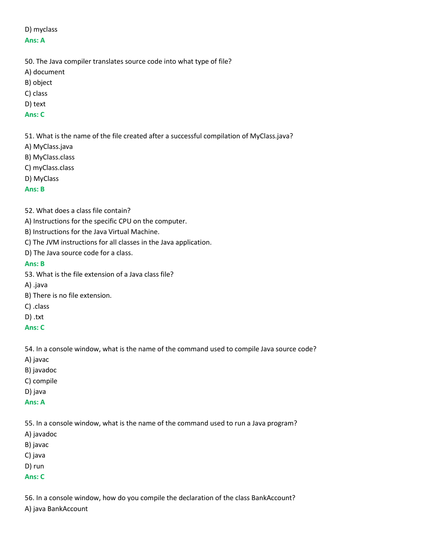# D) myclass

- 50. The Java compiler translates source code into what type of file?
- A) document
- B) object
- C) class
- D) text
- **Ans: C**

51. What is the name of the file created after a successful compilation of MyClass.java?

- A) MyClass.java
- B) MyClass.class
- C) myClass.class
- D) MyClass

## **Ans: B**

- 52. What does a class file contain?
- A) Instructions for the specific CPU on the computer.
- B) Instructions for the Java Virtual Machine.
- C) The JVM instructions for all classes in the Java application.
- D) The Java source code for a class.

## **Ans: B**

- 53. What is the file extension of a Java class file?
- A) .java
- B) There is no file extension.
- C) .class
- D) .txt
- **Ans: C**

54. In a console window, what is the name of the command used to compile Java source code?

- A) javac
- B) javadoc
- C) compile
- D) java
- **Ans: A**

55. In a console window, what is the name of the command used to run a Java program?

- A) javadoc
- B) javac
- C) java
- D) run
- **Ans: C**

56. In a console window, how do you compile the declaration of the class BankAccount?

A) java BankAccount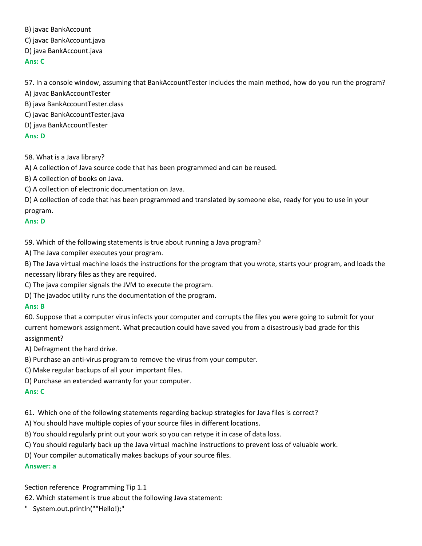B) javac BankAccount

C) javac BankAccount.java

D) java BankAccount.java

**Ans: C**

57. In a console window, assuming that BankAccountTester includes the main method, how do you run the program?

A) javac BankAccountTester

B) java BankAccountTester.class

C) javac BankAccountTester.java

D) java BankAccountTester

# **Ans: D**

58. What is a Java library?

A) A collection of Java source code that has been programmed and can be reused.

B) A collection of books on Java.

C) A collection of electronic documentation on Java.

D) A collection of code that has been programmed and translated by someone else, ready for you to use in your program.

# **Ans: D**

59. Which of the following statements is true about running a Java program?

A) The Java compiler executes your program.

B) The Java virtual machine loads the instructions for the program that you wrote, starts your program, and loads the necessary library files as they are required.

C) The java compiler signals the JVM to execute the program.

D) The javadoc utility runs the documentation of the program.

# **Ans: B**

60. Suppose that a computer virus infects your computer and corrupts the files you were going to submit for your current homework assignment. What precaution could have saved you from a disastrously bad grade for this assignment?

A) Defragment the hard drive.

B) Purchase an anti-virus program to remove the virus from your computer.

C) Make regular backups of all your important files.

D) Purchase an extended warranty for your computer.

# **Ans: C**

61. Which one of the following statements regarding backup strategies for Java files is correct?

A) You should have multiple copies of your source files in different locations.

B) You should regularly print out your work so you can retype it in case of data loss.

C) You should regularly back up the Java virtual machine instructions to prevent loss of valuable work.

D) Your compiler automatically makes backups of your source files.

# **Answer: a**

Section reference Programming Tip 1.1

62. Which statement is true about the following Java statement:

" System.out.println(""Hello!);"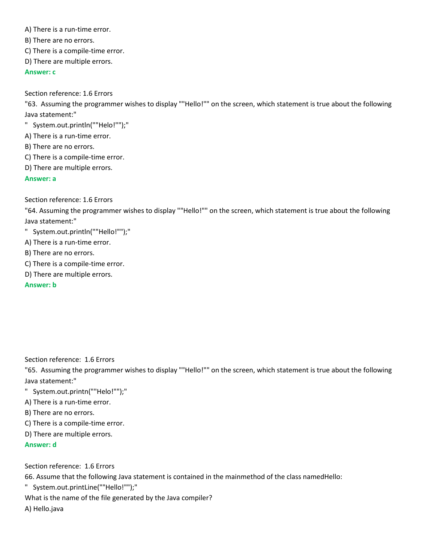A) There is a run-time error.

B) There are no errors.

C) There is a compile-time error.

D) There are multiple errors.

**Answer: c**

Section reference: 1.6 Errors

"63. Assuming the programmer wishes to display ""Hello!"" on the screen, which statement is true about the following Java statement:"

" System.out.println(""Helo!"");"

A) There is a run-time error.

B) There are no errors.

C) There is a compile-time error.

D) There are multiple errors.

**Answer: a**

Section reference: 1.6 Errors

"64. Assuming the programmer wishes to display ""Hello!"" on the screen, which statement is true about the following Java statement:"

" System.out.println(""Hello!"");"

A) There is a run-time error.

B) There are no errors.

C) There is a compile-time error.

D) There are multiple errors.

**Answer: b**

Section reference: 1.6 Errors

"65. Assuming the programmer wishes to display ""Hello!"" on the screen, which statement is true about the following Java statement:"

" System.out.printn(""Helo!"");"

A) There is a run-time error.

B) There are no errors.

C) There is a compile-time error.

D) There are multiple errors.

**Answer: d**

Section reference: 1.6 Errors

66. Assume that the following Java statement is contained in the mainmethod of the class namedHello:

" System.out.printLine(""Hello!"");"

What is the name of the file generated by the Java compiler?

A) Hello.java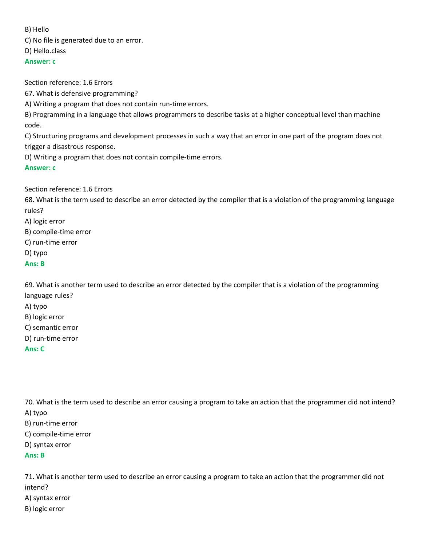#### B) Hello

C) No file is generated due to an error.

D) Hello.class

## **Answer: c**

Section reference: 1.6 Errors

67. What is defensive programming?

A) Writing a program that does not contain run-time errors.

B) Programming in a language that allows programmers to describe tasks at a higher conceptual level than machine code.

C) Structuring programs and development processes in such a way that an error in one part of the program does not trigger a disastrous response.

D) Writing a program that does not contain compile-time errors.

# **Answer: c**

Section reference: 1.6 Errors

68. What is the term used to describe an error detected by the compiler that is a violation of the programming language rules?

A) logic error

B) compile-time error

C) run-time error

D) typo

# **Ans: B**

69. What is another term used to describe an error detected by the compiler that is a violation of the programming language rules?

A) typo

B) logic error

C) semantic error

D) run-time error

**Ans: C**

70. What is the term used to describe an error causing a program to take an action that the programmer did not intend? A) typo

B) run-time error

C) compile-time error

D) syntax error

**Ans: B**

71. What is another term used to describe an error causing a program to take an action that the programmer did not intend? A) syntax error B) logic error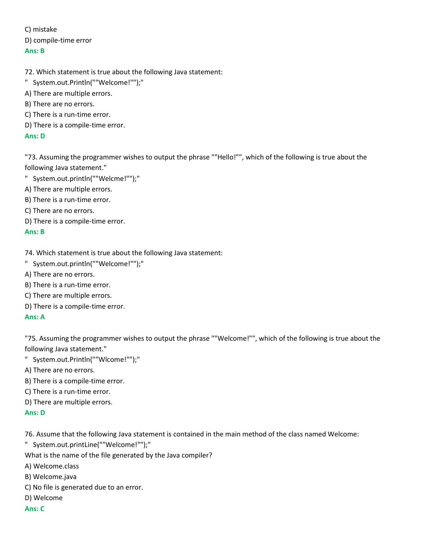C) mistake D) compile-time error

## **Ans: B**

- 72. Which statement is true about the following Java statement:
- " System.out.Println(""Welcome!"");"
- A) There are multiple errors.
- B) There are no errors.
- C) There is a run-time error.
- D) There is a compile-time error.

## **Ans: D**

"73. Assuming the programmer wishes to output the phrase ""Hello!"", which of the following is true about the following Java statement."

- " System.out.println(""Welcme!"");"
- A) There are multiple errors.
- B) There is a run-time error.
- C) There are no errors.
- D) There is a compile-time error.

#### **Ans: B**

- 74. Which statement is true about the following Java statement:
- " System.out.println(""Welcome!"");"
- A) There are no errors.
- B) There is a run-time error.
- C) There are multiple errors.
- D) There is a compile-time error.

## **Ans: A**

"75. Assuming the programmer wishes to output the phrase ""Welcome!"", which of the following is true about the following Java statement."

- " System.out.Println(""Wlcome!"");"
- A) There are no errors.
- B) There is a compile-time error.
- C) There is a run-time error.
- D) There are multiple errors.

#### **Ans: D**

76. Assume that the following Java statement is contained in the main method of the class named Welcome:

- " System.out.printLine(""Welcome!"");"
- What is the name of the file generated by the Java compiler?
- A) Welcome.class
- B) Welcome.java
- C) No file is generated due to an error.
- D) Welcome

# **Ans: C**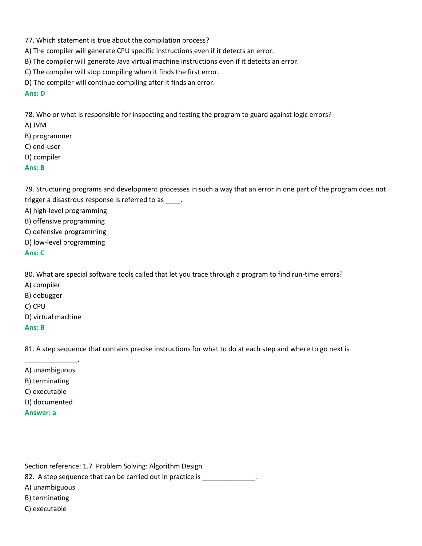- 77. Which statement is true about the compilation process?
- A) The compiler will generate CPU specific instructions even if it detects an error.
- B) The compiler will generate Java virtual machine instructions even if it detects an error.
- C) The compiler will stop compiling when it finds the first error.
- D) The compiler will continue compiling after it finds an error.

## **Ans: D**

78. Who or what is responsible for inspecting and testing the program to guard against logic errors?

- A) JVM
- B) programmer
- C) end-user
- D) compiler

## **Ans: B**

79. Structuring programs and development processes in such a way that an error in one part of the program does not trigger a disastrous response is referred to as \_\_\_\_.

A) high-level programming

- B) offensive programming
- C) defensive programming
- D) low-level programming

#### **Ans: C**

80. What are special software tools called that let you trace through a program to find run-time errors?

- A) compiler
- B) debugger
- C) CPU
- D) virtual machine

#### **Ans: B**

81. A step sequence that contains precise instructions for what to do at each step and where to go next is

- \_\_\_\_\_\_\_\_\_\_\_\_\_\_. A) unambiguous
- B) terminating
- C) executable
- D) documented
- **Answer: a**

Section reference: 1.7 Problem Solving: Algorithm Design 82. A step sequence that can be carried out in practice is \_\_\_\_\_\_\_\_\_\_\_\_\_\_. A) unambiguous B) terminating C) executable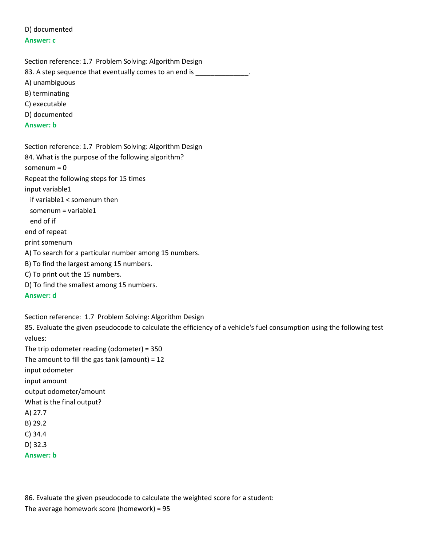D) documented **Answer: c**

Section reference: 1.7 Problem Solving: Algorithm Design 83. A step sequence that eventually comes to an end is \_\_\_\_\_\_\_\_\_\_\_\_\_\_\_\_\_\_\_\_\_\_\_\_\_ A) unambiguous B) terminating C) executable D) documented **Answer: b**

Section reference: 1.7 Problem Solving: Algorithm Design 84. What is the purpose of the following algorithm? somenum = 0 Repeat the following steps for 15 times input variable1 if variable1 < somenum then somenum = variable1 end of if end of repeat print somenum A) To search for a particular number among 15 numbers. B) To find the largest among 15 numbers. C) To print out the 15 numbers. D) To find the smallest among 15 numbers. **Answer: d** Section reference: 1.7 Problem Solving: Algorithm Design

85. Evaluate the given pseudocode to calculate the efficiency of a vehicle's fuel consumption using the following test values: The trip odometer reading (odometer) = 350 The amount to fill the gas tank (amount) =  $12$ input odometer input amount output odometer/amount What is the final output? A) 27.7 B) 29.2 C) 34.4 D) 32.3 **Answer: b**

86. Evaluate the given pseudocode to calculate the weighted score for a student: The average homework score (homework) = 95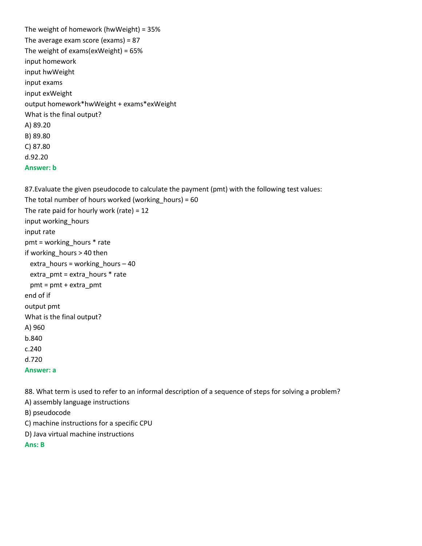```
The weight of homework (hwWeight) = 35%
The average exam score (exams) = 87
The weight of exams(exWeight) = 65%
input homework
input hwWeight
input exams
input exWeight
output homework*hwWeight + exams*exWeight
What is the final output?
A) 89.20
B) 89.80
C) 87.80
d.92.20
Answer: b
```
87.Evaluate the given pseudocode to calculate the payment (pmt) with the following test values:

The total number of hours worked (working hours) =  $60$ The rate paid for hourly work (rate) =  $12$ input working\_hours input rate pmt = working\_hours \* rate if working\_hours > 40 then extra\_hours = working\_hours – 40 extra  $pm = extra$  hours  $*$  rate pmt = pmt + extra\_pmt end of if output pmt What is the final output? A) 960 b.840 c.240 d.720 **Answer: a**

88. What term is used to refer to an informal description of a sequence of steps for solving a problem?

A) assembly language instructions

B) pseudocode

C) machine instructions for a specific CPU

D) Java virtual machine instructions

**Ans: B**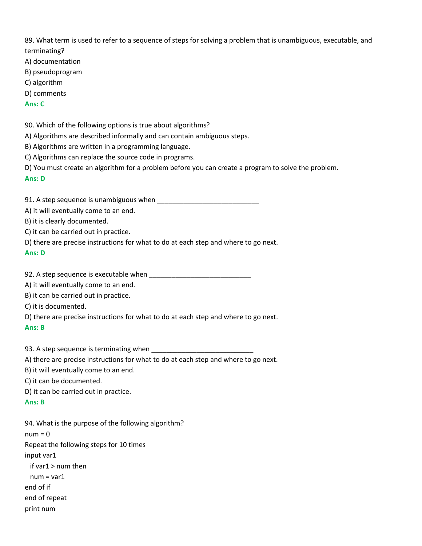89. What term is used to refer to a sequence of steps for solving a problem that is unambiguous, executable, and terminating?

- A) documentation
- B) pseudoprogram
- C) algorithm
- D) comments

## **Ans: C**

90. Which of the following options is true about algorithms?

- A) Algorithms are described informally and can contain ambiguous steps.
- B) Algorithms are written in a programming language.
- C) Algorithms can replace the source code in programs.
- D) You must create an algorithm for a problem before you can create a program to solve the problem.

## **Ans: D**

91. A step sequence is unambiguous when \_\_\_\_\_\_\_\_\_\_\_\_\_\_\_\_\_\_\_\_\_\_\_\_\_\_\_

A) it will eventually come to an end.

B) it is clearly documented.

C) it can be carried out in practice.

D) there are precise instructions for what to do at each step and where to go next.

#### **Ans: D**

92. A step sequence is executable when \_\_\_\_\_\_\_\_\_\_\_\_\_\_\_\_\_\_\_\_\_\_\_\_\_\_\_

A) it will eventually come to an end.

B) it can be carried out in practice.

C) it is documented.

D) there are precise instructions for what to do at each step and where to go next.

#### **Ans: B**

93. A step sequence is terminating when

A) there are precise instructions for what to do at each step and where to go next.

B) it will eventually come to an end.

C) it can be documented.

D) it can be carried out in practice.

# **Ans: B**

94. What is the purpose of the following algorithm?  $num = 0$ Repeat the following steps for 10 times input var1 if var1 > num then num = var1 end of if end of repeat print num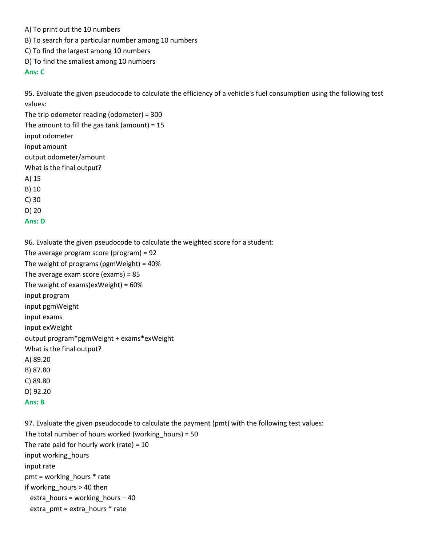- A) To print out the 10 numbers
- B) To search for a particular number among 10 numbers
- C) To find the largest among 10 numbers
- D) To find the smallest among 10 numbers

## **Ans: C**

95. Evaluate the given pseudocode to calculate the efficiency of a vehicle's fuel consumption using the following test values:

The trip odometer reading (odometer) = 300 The amount to fill the gas tank (amount) = 15 input odometer input amount output odometer/amount What is the final output? A) 15 B) 10 C) 30 D) 20 **Ans: D**

96. Evaluate the given pseudocode to calculate the weighted score for a student:

The average program score (program) = 92 The weight of programs (pgmWeight) = 40% The average exam score (exams) = 85 The weight of exams(exWeight) = 60% input program input pgmWeight input exams input exWeight output program\*pgmWeight + exams\*exWeight What is the final output? A) 89.20 B) 87.80 C) 89.80 D) 92.20 **Ans: B**

97. Evaluate the given pseudocode to calculate the payment (pmt) with the following test values: The total number of hours worked (working hours) =  $50$ The rate paid for hourly work (rate) =  $10$ input working\_hours input rate pmt = working\_hours \* rate if working\_hours > 40 then extra\_hours = working\_hours  $-40$ extra  $pm = extra$  hours  $*$  rate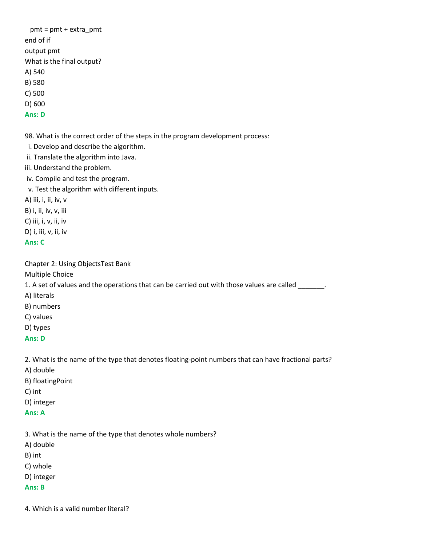pmt = pmt + extra\_pmt end of if output pmt What is the final output? A) 540 B) 580 C) 500 D) 600 **Ans: D**

98. What is the correct order of the steps in the program development process:

i. Develop and describe the algorithm.

ii. Translate the algorithm into Java.

iii. Understand the problem.

iv. Compile and test the program.

v. Test the algorithm with different inputs.

A) iii, i, ii, iv, v

B) i, ii, iv, v, iii

C) iii, i, v, ii, iv

D) i, iii, v, ii, iv

**Ans: C**

Chapter 2: Using ObjectsTest Bank

Multiple Choice

1. A set of values and the operations that can be carried out with those values are called \_\_\_\_\_\_\_\_.

- A) literals
- B) numbers
- C) values
- D) types

## **Ans: D**

2. What is the name of the type that denotes floating-point numbers that can have fractional parts?

- A) double
- B) floatingPoint
- C) int
- D) integer
- **Ans: A**

3. What is the name of the type that denotes whole numbers?

A) double

B) int

- C) whole
- D) integer

## **Ans: B**

4. Which is a valid number literal?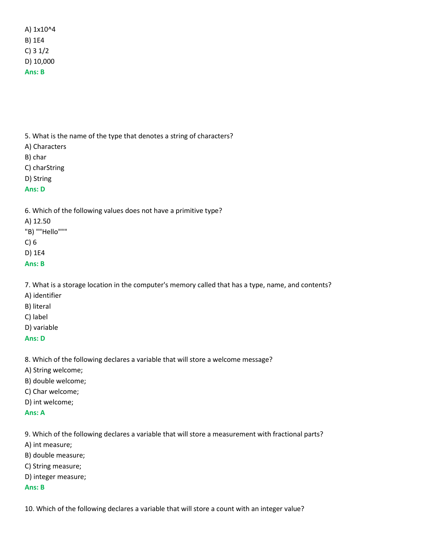A) 1x10^4 B) 1E4 C) 3 1/2 D) 10,000 **Ans: B**

5. What is the name of the type that denotes a string of characters?

- A) Characters
- B) char
- C) charString
- D) String

## **Ans: D**

6. Which of the following values does not have a primitive type?

A) 12.50

"B) ""Hello"""

C) 6

D) 1E4

**Ans: B**

7. What is a storage location in the computer's memory called that has a type, name, and contents?

- A) identifier
- B) literal
- C) label
- D) variable

## **Ans: D**

8. Which of the following declares a variable that will store a welcome message?

- A) String welcome;
- B) double welcome;
- C) Char welcome;
- D) int welcome;
- **Ans: A**

9. Which of the following declares a variable that will store a measurement with fractional parts?

- A) int measure;
- B) double measure;
- C) String measure;
- D) integer measure;

#### **Ans: B**

10. Which of the following declares a variable that will store a count with an integer value?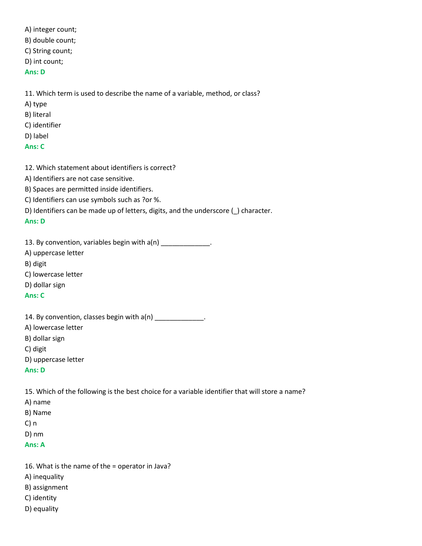A) integer count; B) double count; C) String count; D) int count;

## **Ans: D**

11. Which term is used to describe the name of a variable, method, or class?

- A) type
- B) literal
- C) identifier
- D) label
- **Ans: C**
- 12. Which statement about identifiers is correct?
- A) Identifiers are not case sensitive.
- B) Spaces are permitted inside identifiers.
- C) Identifiers can use symbols such as ?or %.
- D) Identifiers can be made up of letters, digits, and the underscore (\_) character.

## **Ans: D**

13. By convention, variables begin with a(n) \_\_\_\_\_\_\_\_\_\_\_\_\_\_.

- A) uppercase letter
- B) digit
- C) lowercase letter
- D) dollar sign

## **Ans: C**

|  |  | 14. By convention, classes begin with $a(n)$ |  |
|--|--|----------------------------------------------|--|
|--|--|----------------------------------------------|--|

- A) lowercase letter
- B) dollar sign
- C) digit
- D) uppercase letter

#### **Ans: D**

15. Which of the following is the best choice for a variable identifier that will store a name?

- A) name
- B) Name
- C) n
- D) nm
- **Ans: A**
- 16. What is the name of the = operator in Java?
- A) inequality
- B) assignment
- C) identity
- D) equality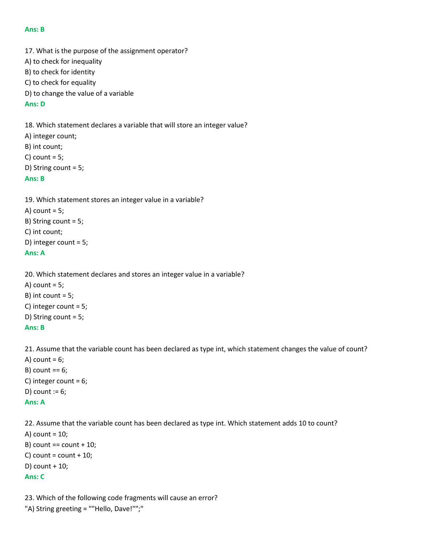#### **Ans: B**

17. What is the purpose of the assignment operator? A) to check for inequality B) to check for identity C) to check for equality D) to change the value of a variable

#### **Ans: D**

18. Which statement declares a variable that will store an integer value? A) integer count; B) int count; C) count  $= 5$ ; D) String count = 5;

## **Ans: B**

```
19. Which statement stores an integer value in a variable?
A) count = 5;
B) String count = 5;
C) int count;
D) integer count = 5;
Ans: A
```

```
20. Which statement declares and stores an integer value in a variable?
```

```
A) count = 5;
B) int count = 5;
C) integer count = 5;
D) String count = 5;
Ans: B
```
21. Assume that the variable count has been declared as type int, which statement changes the value of count?

A) count  $= 6$ ;  $B)$  count == 6; C) integer count = 6; D) count  $:= 6;$ **Ans: A**

22. Assume that the variable count has been declared as type int. Which statement adds 10 to count? A) count  $= 10$ ; B) count  $==$  count  $+10$ ; C) count =  $count + 10$ ; D) count + 10;

#### **Ans: C**

```
23. Which of the following code fragments will cause an error?
"A) String greeting = ""Hello, Dave!"";"
```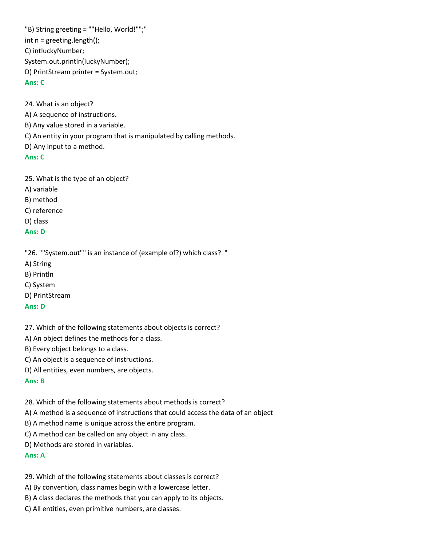"B) String greeting = ""Hello, World!"";" int n = greeting.length(); C) intluckyNumber; System.out.println(luckyNumber); D) PrintStream printer = System.out;

## **Ans: C**

24. What is an object?

A) A sequence of instructions.

B) Any value stored in a variable.

C) An entity in your program that is manipulated by calling methods.

D) Any input to a method.

#### **Ans: C**

25. What is the type of an object?

A) variable

B) method

C) reference

D) class

#### **Ans: D**

"26. ""System.out"" is an instance of (example of?) which class? "

A) String

B) Println

C) System

D) PrintStream

## **Ans: D**

27. Which of the following statements about objects is correct?

A) An object defines the methods for a class.

B) Every object belongs to a class.

C) An object is a sequence of instructions.

D) All entities, even numbers, are objects.

#### **Ans: B**

28. Which of the following statements about methods is correct?

A) A method is a sequence of instructions that could access the data of an object

B) A method name is unique across the entire program.

C) A method can be called on any object in any class.

D) Methods are stored in variables.

#### **Ans: A**

29. Which of the following statements about classes is correct?

A) By convention, class names begin with a lowercase letter.

B) A class declares the methods that you can apply to its objects.

C) All entities, even primitive numbers, are classes.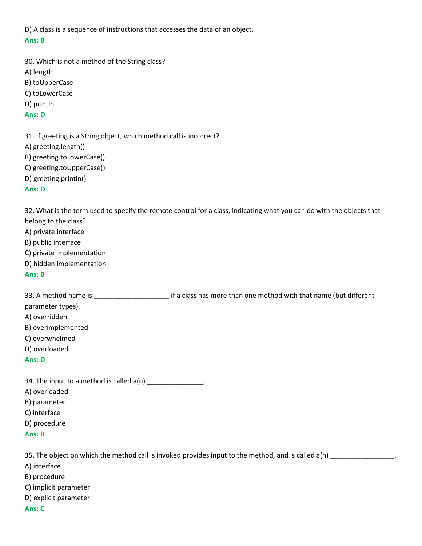D) A class is a sequence of instructions that accesses the data of an object. **Ans: B**

30. Which is not a method of the String class? A) length B) toUpperCase C) toLowerCase D) println **Ans: D**

31. If greeting is a String object, which method call is incorrect? A) greeting.length() B) greeting.toLowerCase() C) greeting.toUpperCase() D) greeting.println() **Ans: D**

32. What is the term used to specify the remote control for a class, indicating what you can do with the objects that belong to the class?

- A) private interface
- B) public interface
- C) private implementation
- D) hidden implementation
- **Ans: B**

33. A method name is \_\_\_\_\_\_\_\_\_\_\_\_\_\_\_\_\_\_\_\_ if a class has more than one method with that name (but different parameter types).

- A) overridden
- B) overimplemented
- C) overwhelmed
- D) overloaded
- **Ans: D**

34. The input to a method is called  $a(n)$  \_\_\_\_\_\_\_\_\_\_\_\_\_\_.

- A) overloaded
- B) parameter
- C) interface
- D) procedure

```
Ans: B
```
35. The object on which the method call is invoked provides input to the method, and is called a(n)

A) interface

- B) procedure
- C) implicit parameter
- D) explicit parameter

## **Ans: C**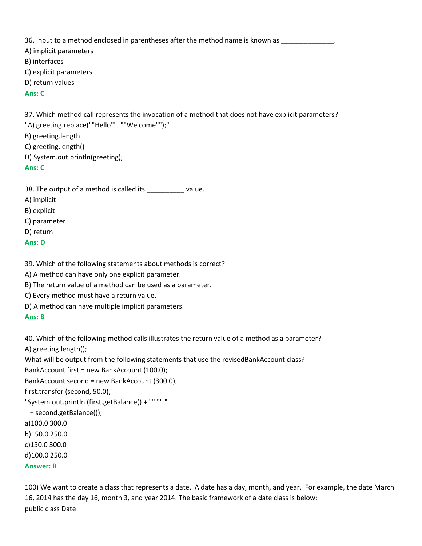36. Input to a method enclosed in parentheses after the method name is known as

A) implicit parameters

B) interfaces

C) explicit parameters

D) return values

## **Ans: C**

37. Which method call represents the invocation of a method that does not have explicit parameters?

"A) greeting.replace(""Hello"", ""Welcome"");"

B) greeting.length

C) greeting.length()

D) System.out.println(greeting);

**Ans: C**

38. The output of a method is called its \_\_\_\_\_\_\_\_\_\_ value.

A) implicit

B) explicit

C) parameter

D) return

**Ans: D**

39. Which of the following statements about methods is correct?

A) A method can have only one explicit parameter.

B) The return value of a method can be used as a parameter.

C) Every method must have a return value.

D) A method can have multiple implicit parameters.

## **Ans: B**

40. Which of the following method calls illustrates the return value of a method as a parameter? A) greeting.length();

What will be output from the following statements that use the revisedBankAccount class?

BankAccount first = new BankAccount (100.0);

```
BankAccount second = new BankAccount (300.0);
```
first.transfer (second, 50.0);

"System.out.println (first.getBalance() + "" "" "

+ second.getBalance());

a)100.0 300.0

b)150.0 250.0

c)150.0 300.0

d)100.0 250.0

**Answer: B**

100) We want to create a class that represents a date. A date has a day, month, and year. For example, the date March 16, 2014 has the day 16, month 3, and year 2014. The basic framework of a date class is below: public class Date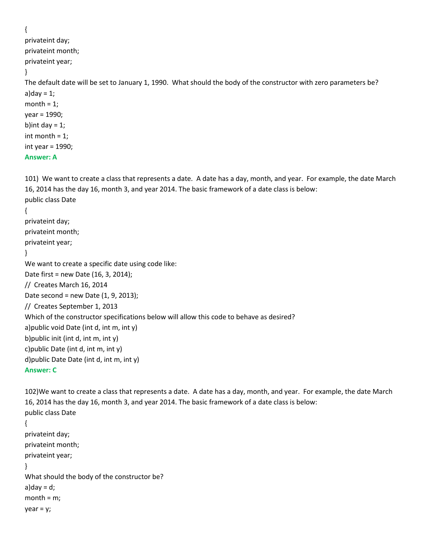```
{
privateint day;
privateint month;
privateint year;
}
The default date will be set to January 1, 1990. What should the body of the constructor with zero parameters be?
a)day = 1;
month = 1;
year = 1990;
b)int day = 1;
int month = 1;
int year = 1990;
Answer: A
101) We want to create a class that represents a date. A date has a day, month, and year. For example, the date March 
16, 2014 has the day 16, month 3, and year 2014. The basic framework of a date class is below:
public class Date 
{
```

```
privateint day;
```

```
privateint month;
privateint year;
```

```
}
```
We want to create a specific date using code like: Date first = new Date (16, 3, 2014);

```
// Creates March 16, 2014
```
Date second = new Date (1, 9, 2013);

```
// Creates September 1, 2013
```
Which of the constructor specifications below will allow this code to behave as desired?

a)public void Date (int d, int m, int y)

```
b)public init (int d, int m, int y)
```

```
c)public Date (int d, int m, int y)
```

```
d)public Date Date (int d, int m, int y)
```

```
Answer: C
```
102)We want to create a class that represents a date. A date has a day, month, and year. For example, the date March 16, 2014 has the day 16, month 3, and year 2014. The basic framework of a date class is below: public class Date

```
{
```

```
privateint day;
privateint month;
privateint year;
}
What should the body of the constructor be?
a)day = d;
month = m;
year = y;
```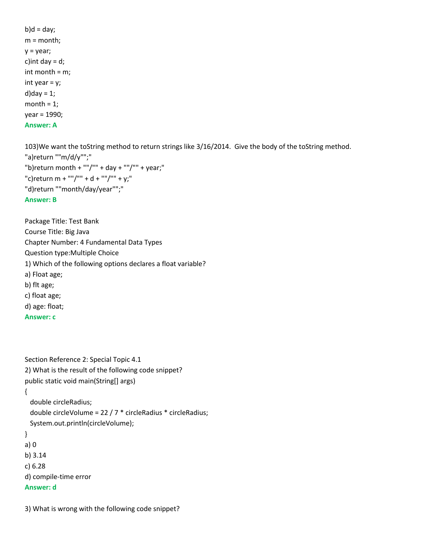$b)$ d = day; m = month;  $y = year;$ c) int day  $= d$ ; int month = m; int year  $= y;$  $d)$ day = 1; month  $= 1$ ; year = 1990; **Answer: A**

103)We want the toString method to return strings like 3/16/2014. Give the body of the toString method. "a)return ""m/d/y"";" "b)return month + ""/"" + day + ""/"" + year;" "c)return m + ""/"" + d + ""/"" + y;" "d)return ""month/day/year"";" **Answer: B**

Package Title: Test Bank Course Title: Big Java Chapter Number: 4 Fundamental Data Types Question type:Multiple Choice 1) Which of the following options declares a float variable? a) Float age; b) flt age; c) float age; d) age: float; **Answer: c**

Section Reference 2: Special Topic 4.1 2) What is the result of the following code snippet? public static void main(String[] args)

{

```
 double circleRadius;
  double circleVolume = 22 / 7 * circleRadius * circleRadius;
  System.out.println(circleVolume);
}
a) 0
b) 3.14
```

```
c) 6.28
```

```
d) compile-time error
```
# **Answer: d**

3) What is wrong with the following code snippet?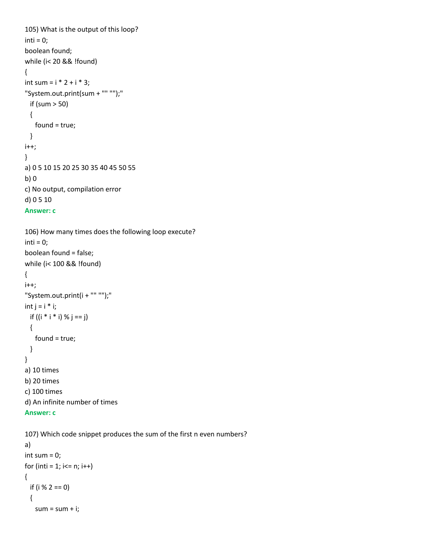```
105) What is the output of this loop?
inti = 0;
boolean found;
while (i< 20 && !found) 
{
int sum = i * 2 + i * 3;
"System.out.print(sum + "" "");"
  if (sum > 50)
  {
    found = true;
  }
i++;
}
a) 0 5 10 15 20 25 30 35 40 45 50 55
b) 0
c) No output, compilation error
d) 0 5 10
Answer: c
```

```
106) How many times does the following loop execute?
inti = 0;boolean found = false; 
while (i< 100 && !found)
{
i++;
"System.out.print(i + "" "");"
int j = i * i;if ((i * i * i) % j == j) {
    found = true;
  }
}
a) 10 times
b) 20 times
c) 100 times
d) An infinite number of times
```

```
Answer: c
```

```
107) Which code snippet produces the sum of the first n even numbers?
a) 
int sum = 0;
for (inti = 1; i < = n; i++){
  if (i % 2 == 0)
  {
   sum = sum + i;
```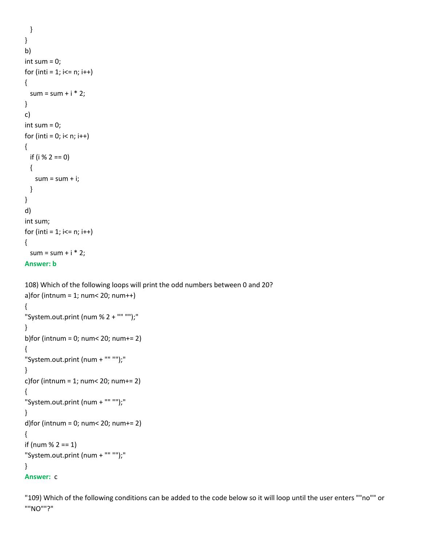```
 }
}
b) 
int sum = 0;
for (inti = 1; i \le n; i++){
 sum = sum + i * 2;}
c) 
int sum = 0;
for (inti = 0; i < n; i++){
  if (i % 2 == 0)
  {
   sum = sum + i; }
}
d) 
int sum;
for (inti = 1; i \le n; i++){
 sum = sum + i * 2;Answer: b
```
108) Which of the following loops will print the odd numbers between 0 and 20? a)for (intnum =  $1$ ; num<  $20$ ; num++) { "System.out.print (num % 2 + "" "");" } b)for (intnum = 0; num< 20; num+= 2) { "System.out.print (num + "" "");" } c)for (intnum = 1; num < 20; num + = 2) { "System.out.print (num + "" "");" } d)for (intnum = 0; num < 20; num + = 2) { if (num  $% 2 == 1$ ) "System.out.print (num + "" "");" } **Answer:** c

"109) Which of the following conditions can be added to the code below so it will loop until the user enters ""no"" or ""NO""?"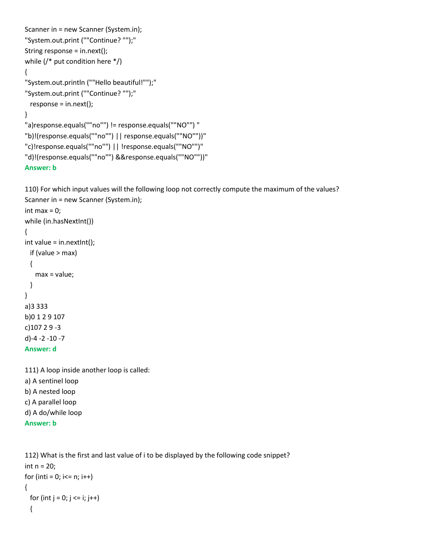```
Scanner in = new Scanner (System.in);
"System.out.print (""Continue? "");"
String response = in.next();
while (/* put condition here */)
{
"System.out.println (""Hello beautiful!"");"
"System.out.print (""Continue? "");"
  response = in.next();
}
"a)response.equals(""no"") != response.equals(""NO"") "
"b)!(response.equals(""no"") || response.equals(""NO""))"
"c)!response.equals(""no"") || !response.equals(""NO"")"
"d)!(response.equals(""no"") &&response.equals(""NO""))"
Answer: b
```
110) For which input values will the following loop not correctly compute the maximum of the values? Scanner in = new Scanner (System.in);

```
int max = 0;
while (in.hasNextInt())
{
int value = in.nextInt();
  if (value > max)
  {
    max = value;
  }
}
a)3 333
b)0 1 2 9 107
c)107 2 9 -3
d)-4 -2 -10 -7
Answer: d
```
111) A loop inside another loop is called: a) A sentinel loop b) A nested loop c) A parallel loop d) A do/while loop **Answer: b**

```
112) What is the first and last value of i to be displayed by the following code snippet?
int n = 20;
for (inti = 0; i \le n; i \leftrightarrow j{
  for (int j = 0; j \le i; j++) {
```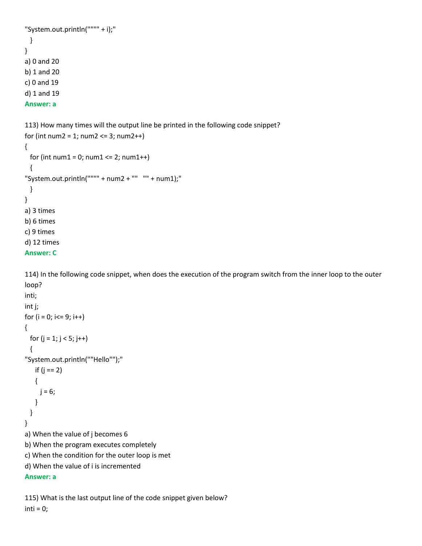```
"System.out.println("""" + i);"
  }
}
a) 0 and 20
b) 1 and 20
c) 0 and 19
d) 1 and 19
Answer: a
113) How many times will the output line be printed in the following code snippet?
for (int num2 = 1; num2 \le 3; num2++)
{
 for (int num1 = 0; num1 \le 2; num1++)
```

```
d) 12 times
Answer: C
```
a) 3 times b) 6 times c) 9 times

{

 } }

114) In the following code snippet, when does the execution of the program switch from the inner loop to the outer loop?

```
inti;
int j;
for (i = 0; i < = 9; i++){
 for (j = 1; j < 5; j++) {
"System.out.println(""Hello"");"
    if (j == 2) 
    {
    j = 6; }
  }
}
a) When the value of j becomes 6
b) When the program executes completely
c) When the condition for the outer loop is met
d) When the value of i is incremented
Answer: a
```
"System.out.println("""" + num2 + ""  $"$ " + num1);"

```
115) What is the last output line of the code snippet given below?
inti = 0;
```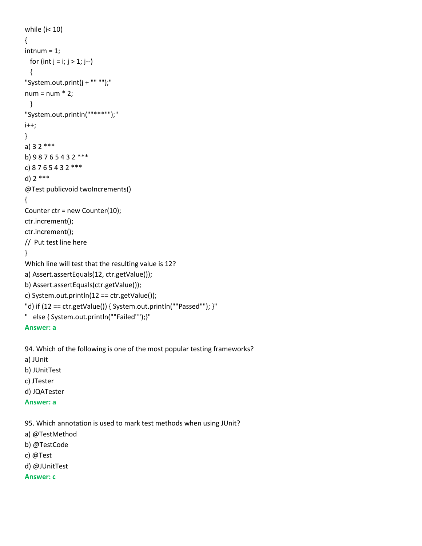```
while (i< 10)
{
intnum = 1;for (int j = i; j > 1; j - j {
"System.out.print(j + "" "");"
num = num * 2; }
"System.out.println(""***"");"
i++;
}
a) 3 2 ***
b) 9 8 7 6 5 4 3 2 ***
c) 8 7 6 5 4 3 2 ***
d) 2 ***
@Test publicvoid twoIncrements() 
{
Counter ctr = new Counter(10);
ctr.increment();
ctr.increment();
// Put test line here
}
Which line will test that the resulting value is 12?
a) Assert.assertEquals(12, ctr.getValue());
b) Assert.assertEquals(ctr.getValue());
c) System.out.println(12 == ctr.getValue());
"d) if (12 == ctr.getValue()) { System.out.println(""Passed""); }"
" else { System.out.println(""Failed"");}"
Answer: a
94. Which of the following is one of the most popular testing frameworks?
```
a) JUnit b) JUnitTest

- c) JTester
- d) JQATester

```
Answer: a
```
95. Which annotation is used to mark test methods when using JUnit?

- a) @TestMethod
- b) @TestCode
- c) @Test
- d) @JUnitTest
- **Answer: c**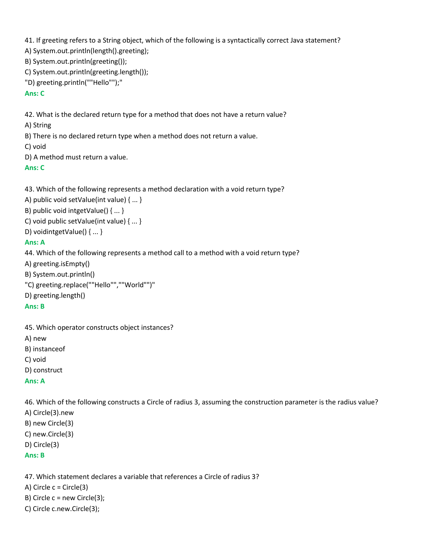41. If greeting refers to a String object, which of the following is a syntactically correct Java statement?

- A) System.out.println(length().greeting);
- B) System.out.println(greeting());
- C) System.out.println(greeting.length());
- "D) greeting.println(""Hello"");"

## **Ans: C**

42. What is the declared return type for a method that does not have a return value?

A) String

- B) There is no declared return type when a method does not return a value.
- C) void
- D) A method must return a value.

# **Ans: C**

43. Which of the following represents a method declaration with a void return type?

A) public void setValue(int value) { ... }

B) public void intgetValue() { ... }

- C) void public setValue(int value) { ... }
- D) voidintgetValue() { ... }

# **Ans: A**

- 44. Which of the following represents a method call to a method with a void return type?
- A) greeting.isEmpty()
- B) System.out.println()
- "C) greeting.replace(""Hello"",""World"")"
- D) greeting.length()

## **Ans: B**

45. Which operator constructs object instances?

A) new

- B) instanceof
- C) void
- D) construct

## **Ans: A**

46. Which of the following constructs a Circle of radius 3, assuming the construction parameter is the radius value?

A) Circle(3).new B) new Circle(3) C) new.Circle(3) D) Circle(3) **Ans: B**

47. Which statement declares a variable that references a Circle of radius 3?

A) Circle  $c =$  Circle(3)

- B) Circle  $c = new$  Circle(3);
- C) Circle c.new.Circle(3);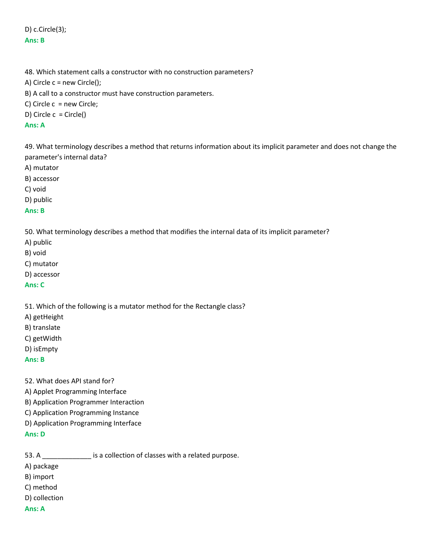D) c.Circle(3); **Ans: B**

48. Which statement calls a constructor with no construction parameters? A) Circle c = new Circle(); B) A call to a constructor must have construction parameters. C) Circle c = new Circle; D) Circle c = Circle()

## **Ans: A**

49. What terminology describes a method that returns information about its implicit parameter and does not change the parameter's internal data?

A) mutator

B) accessor

C) void

D) public

#### **Ans: B**

50. What terminology describes a method that modifies the internal data of its implicit parameter?

- A) public
- B) void
- C) mutator
- D) accessor

#### **Ans: C**

51. Which of the following is a mutator method for the Rectangle class?

- A) getHeight
- B) translate
- C) getWidth
- D) isEmpty

#### **Ans: B**

- 52. What does API stand for?
- A) Applet Programming Interface
- B) Application Programmer Interaction
- C) Application Programming Instance
- D) Application Programming Interface

## **Ans: D**

53. A **Exercise A** is a collection of classes with a related purpose.

A) package

- B) import
- C) method
- D) collection

## **Ans: A**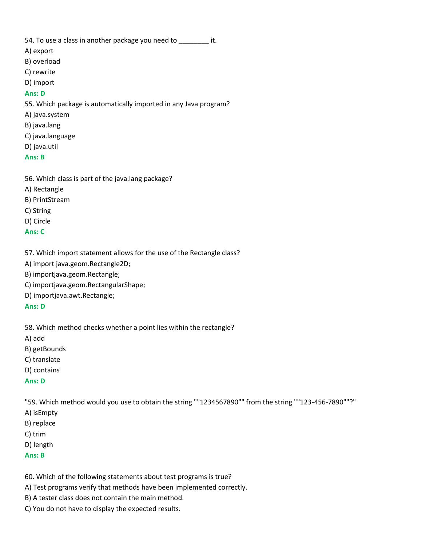54. To use a class in another package you need to  $\qquad \qquad$  it.

- A) export
- B) overload
- C) rewrite
- D) import

## **Ans: D**

- 55. Which package is automatically imported in any Java program?
- A) java.system
- B) java.lang
- C) java.language
- D) java.util

## **Ans: B**

- 56. Which class is part of the java.lang package?
- A) Rectangle
- B) PrintStream
- C) String
- D) Circle

## **Ans: C**

57. Which import statement allows for the use of the Rectangle class?

A) import java.geom.Rectangle2D;

B) importjava.geom.Rectangle;

- C) importjava.geom.RectangularShape;
- D) importjava.awt.Rectangle;

#### **Ans: D**

58. Which method checks whether a point lies within the rectangle?

- A) add
- B) getBounds
- C) translate
- D) contains

## **Ans: D**

"59. Which method would you use to obtain the string ""1234567890"" from the string ""123-456-7890""?"

- A) isEmpty
- B) replace
- C) trim
- D) length

# **Ans: B**

60. Which of the following statements about test programs is true?

- A) Test programs verify that methods have been implemented correctly.
- B) A tester class does not contain the main method.
- C) You do not have to display the expected results.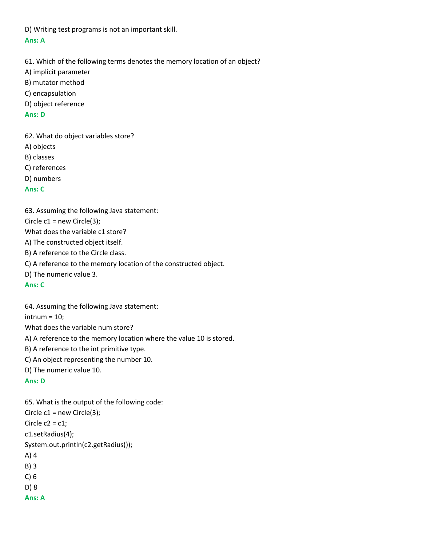D) Writing test programs is not an important skill. **Ans: A**

61. Which of the following terms denotes the memory location of an object? A) implicit parameter B) mutator method C) encapsulation D) object reference

#### **Ans: D**

62. What do object variables store?

A) objects

B) classes

C) references

D) numbers

## **Ans: C**

63. Assuming the following Java statement:

Circle c1 = new Circle(3);

What does the variable c1 store?

A) The constructed object itself.

B) A reference to the Circle class.

C) A reference to the memory location of the constructed object.

D) The numeric value 3.

## **Ans: C**

64. Assuming the following Java statement:

 $intnum = 10;$ 

What does the variable num store?

A) A reference to the memory location where the value 10 is stored.

B) A reference to the int primitive type.

C) An object representing the number 10.

D) The numeric value 10.

## **Ans: D**

65. What is the output of the following code: Circle  $c1$  = new Circle(3); Circle  $c2 = c1$ ; c1.setRadius(4); System.out.println(c2.getRadius()); A) 4 B) 3 C) 6 D) 8 **Ans: A**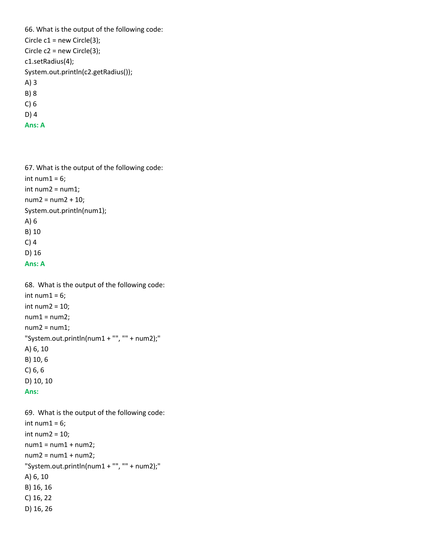66. What is the output of the following code: Circle c1 = new Circle(3); Circle c2 = new Circle(3); c1.setRadius(4); System.out.println(c2.getRadius()); A) 3 B) 8 C) 6 D) 4 **Ans: A**

67. What is the output of the following code: int num $1 = 6$ ; int num2 = num1; num2 = num2 + 10; System.out.println(num1); A) 6 B) 10 C) 4 D) 16 **Ans: A**

68. What is the output of the following code: int num $1 = 6$ ; int num $2 = 10$ ;  $num1 = num2;$  $num2 = num1;$ "System.out.println(num1 + "", "" + num2);" A) 6, 10 B) 10, 6 C) 6, 6 D) 10, 10 **Ans:** 

69. What is the output of the following code: int num $1 = 6$ ; int num2 = 10;  $num1 = num1 + num2;$  $num2 = num1 + num2;$ "System.out.println(num1 + "", "" + num2);" A) 6, 10 B) 16, 16 C) 16, 22 D) 16, 26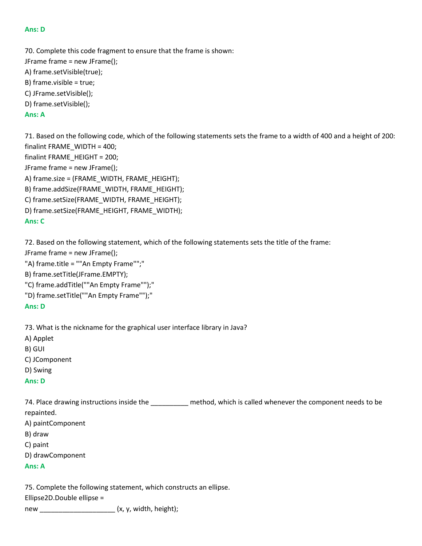### **Ans: D**

70. Complete this code fragment to ensure that the frame is shown: JFrame frame = new JFrame(); A) frame.setVisible(true); B) frame.visible = true; C) JFrame.setVisible(); D) frame.setVisible(); **Ans: A**

71. Based on the following code, which of the following statements sets the frame to a width of 400 and a height of 200: finalint FRAME\_WIDTH = 400; finalint FRAME\_HEIGHT = 200; JFrame frame = new JFrame(); A) frame.size = (FRAME\_WIDTH, FRAME\_HEIGHT); B) frame.addSize(FRAME\_WIDTH, FRAME\_HEIGHT); C) frame.setSize(FRAME\_WIDTH, FRAME\_HEIGHT); D) frame.setSize(FRAME\_HEIGHT, FRAME\_WIDTH); **Ans: C**

72. Based on the following statement, which of the following statements sets the title of the frame:

JFrame frame = new JFrame();

"A) frame.title = ""An Empty Frame"";"

B) frame.setTitle(JFrame.EMPTY);

"C) frame.addTitle(""An Empty Frame"");"

"D) frame.setTitle(""An Empty Frame"");"

#### **Ans: D**

73. What is the nickname for the graphical user interface library in Java?

A) Applet

B) GUI

C) JComponent

D) Swing

**Ans: D**

74. Place drawing instructions inside the electromagnetic method, which is called whenever the component needs to be repainted.

A) paintComponent

B) draw

C) paint

D) drawComponent

#### **Ans: A**

75. Complete the following statement, which constructs an ellipse.

Ellipse2D.Double ellipse =

new  $(x, y, width, height);$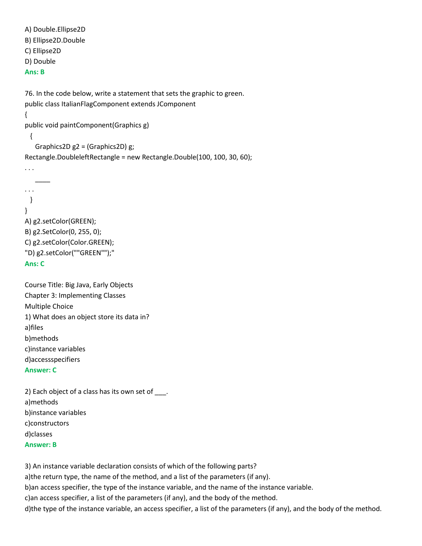```
A) Double.Ellipse2D
B) Ellipse2D.Double
C) Ellipse2D
D) Double
Ans: B
76. In the code below, write a statement that sets the graphic to green.
public class ItalianFlagComponent extends JComponent
{
public void paintComponent(Graphics g)
  {
    Graphics2D g2 = (Graphics2D) g;
Rectangle.DoubleleftRectangle = new Rectangle.Double(100, 100, 30, 60);
. . .
\overline{\phantom{a}}. . .
  }
}
A) g2.setColor(GREEN);
B) g2.SetColor(0, 255, 0);
C) g2.setColor(Color.GREEN);
"D) g2.setColor(""GREEN"");"
Ans: C
```
Course Title: Big Java, Early Objects Chapter 3: Implementing Classes Multiple Choice 1) What does an object store its data in? a)files b)methods c)instance variables d)accessspecifiers **Answer: C**

2) Each object of a class has its own set of \_\_\_\_. a)methods b)instance variables c)constructors d)classes **Answer: B**

3) An instance variable declaration consists of which of the following parts? a)the return type, the name of the method, and a list of the parameters (if any). b)an access specifier, the type of the instance variable, and the name of the instance variable. c)an access specifier, a list of the parameters (if any), and the body of the method. d)the type of the instance variable, an access specifier, a list of the parameters (if any), and the body of the method.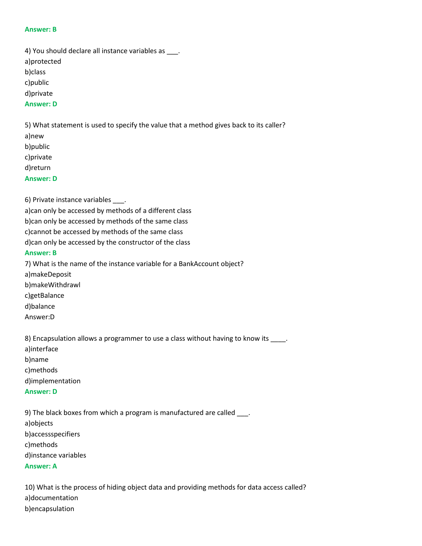#### **Answer: B**

4) You should declare all instance variables as \_\_\_. a)protected b)class c)public d)private **Answer: D**

5) What statement is used to specify the value that a method gives back to its caller?

a)new b)public

c)private

d)return

**Answer: D**

6) Private instance variables .

a)can only be accessed by methods of a different class b)can only be accessed by methods of the same class c)cannot be accessed by methods of the same class d)can only be accessed by the constructor of the class **Answer: B**

7) What is the name of the instance variable for a BankAccount object? a)makeDeposit b)makeWithdrawl c)getBalance d)balance Answer:D

8) Encapsulation allows a programmer to use a class without having to know its \_\_\_\_. a)interface b)name c)methods d)implementation **Answer: D**

9) The black boxes from which a program is manufactured are called \_\_\_\_. a)objects b)accessspecifiers c)methods d)instance variables **Answer: A**

10) What is the process of hiding object data and providing methods for data access called? a)documentation b)encapsulation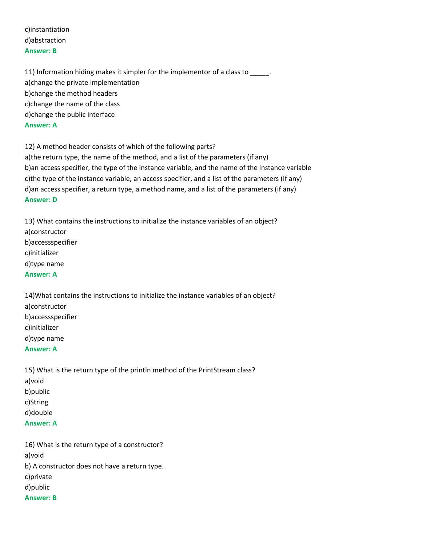c)instantiation d)abstraction **Answer: B**

11) Information hiding makes it simpler for the implementor of a class to \_\_\_\_\_. a)change the private implementation b)change the method headers c)change the name of the class d)change the public interface **Answer: A**

12) A method header consists of which of the following parts? a)the return type, the name of the method, and a list of the parameters (if any) b)an access specifier, the type of the instance variable, and the name of the instance variable c)the type of the instance variable, an access specifier, and a list of the parameters (if any) d)an access specifier, a return type, a method name, and a list of the parameters (if any) **Answer: D**

13) What contains the instructions to initialize the instance variables of an object? a)constructor b)accessspecifier c)initializer d)type name **Answer: A**

14)What contains the instructions to initialize the instance variables of an object? a)constructor b)accessspecifier c)initializer d)type name **Answer: A**

15) What is the return type of the println method of the PrintStream class? a)void b)public c)String d)double **Answer: A**

16) What is the return type of a constructor? a)void b) A constructor does not have a return type. c)private d)public **Answer: B**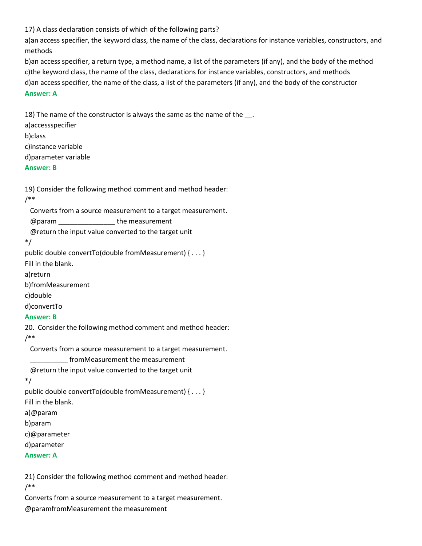17) A class declaration consists of which of the following parts?

a)an access specifier, the keyword class, the name of the class, declarations for instance variables, constructors, and methods

b)an access specifier, a return type, a method name, a list of the parameters (if any), and the body of the method c)the keyword class, the name of the class, declarations for instance variables, constructors, and methods d)an access specifier, the name of the class, a list of the parameters (if any), and the body of the constructor **Answer: A**

18) The name of the constructor is always the same as the name of the \_\_. a)accessspecifier b)class c)instance variable d)parameter variable **Answer: B**

19) Consider the following method comment and method header:

```
/**
```
Converts from a source measurement to a target measurement.

@param \_\_\_\_\_\_\_\_\_\_\_\_\_\_\_ the measurement

@return the input value converted to the target unit

\*/

public double convertTo(double fromMeasurement) { . . . }

Fill in the blank.

a)return

b)fromMeasurement

c)double

d)convertTo

#### **Answer: B**

20. Consider the following method comment and method header:

/\*\*

Converts from a source measurement to a target measurement.

\_\_\_\_\_\_\_\_\_\_ fromMeasurement the measurement

@return the input value converted to the target unit

\*/

public double convertTo(double fromMeasurement) { . . . } Fill in the blank.

a)@param

b)param

c)@parameter

d)parameter

**Answer: A**

21) Consider the following method comment and method header: /\*\*

Converts from a source measurement to a target measurement. @paramfromMeasurement the measurement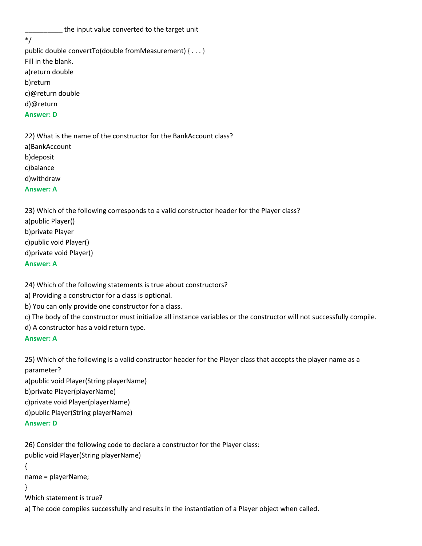\_\_\_\_\_\_\_\_\_\_ the input value converted to the target unit

\*/

public double convertTo(double fromMeasurement) { . . . } Fill in the blank. a)return double b)return c)@return double d)@return **Answer: D**

22) What is the name of the constructor for the BankAccount class? a)BankAccount b)deposit c)balance d)withdraw **Answer: A**

23) Which of the following corresponds to a valid constructor header for the Player class? a)public Player() b)private Player c)public void Player() d)private void Player()

**Answer: A**

24) Which of the following statements is true about constructors?

a) Providing a constructor for a class is optional.

- b) You can only provide one constructor for a class.
- c) The body of the constructor must initialize all instance variables or the constructor will not successfully compile.
- d) A constructor has a void return type.

### **Answer: A**

25) Which of the following is a valid constructor header for the Player class that accepts the player name as a parameter? a)public void Player(String playerName) b)private Player(playerName) c)private void Player(playerName) d)public Player(String playerName)

```
Answer: D
```
26) Consider the following code to declare a constructor for the Player class: public void Player(String playerName)

{

name = playerName;

}

Which statement is true?

a) The code compiles successfully and results in the instantiation of a Player object when called.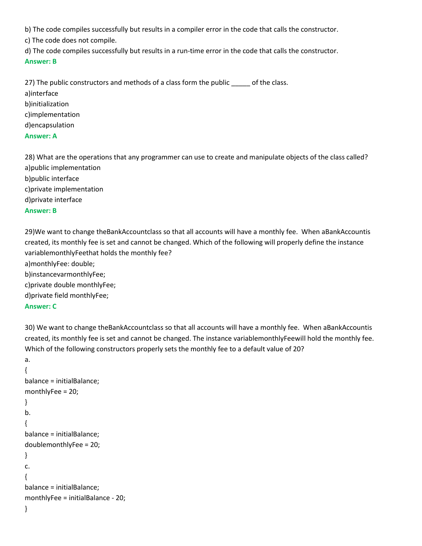b) The code compiles successfully but results in a compiler error in the code that calls the constructor.

c) The code does not compile.

d) The code compiles successfully but results in a run-time error in the code that calls the constructor. **Answer: B**

27) The public constructors and methods of a class form the public \_\_\_\_\_ of the class. a)interface b)initialization c)implementation d)encapsulation **Answer: A**

28) What are the operations that any programmer can use to create and manipulate objects of the class called? a)public implementation b)public interface c)private implementation d)private interface **Answer: B**

29)We want to change theBankAccountclass so that all accounts will have a monthly fee. When aBankAccountis created, its monthly fee is set and cannot be changed. Which of the following will properly define the instance variablemonthlyFeethat holds the monthly fee? a)monthlyFee: double; b)instancevarmonthlyFee; c)private double monthlyFee; d)private field monthlyFee; **Answer: C**

30) We want to change theBankAccountclass so that all accounts will have a monthly fee. When aBankAccountis created, its monthly fee is set and cannot be changed. The instance variablemonthlyFeewill hold the monthly fee. Which of the following constructors properly sets the monthly fee to a default value of 20?

```
a.
{
balance = initialBalance;
monthlyFee = 20;
}
b.
{
balance = initialBalance;
doublemonthlyFee = 20;
}
c.
{
balance = initialBalance;
monthlyFee = initialBalance - 20;
}
```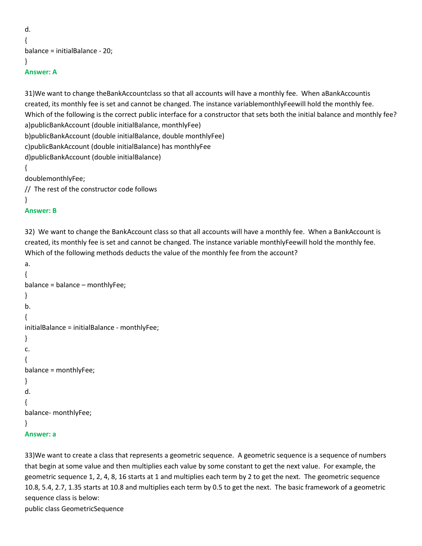```
d.
{
balance = initialBalance - 20;
}
Answer: A
```
31)We want to change theBankAccountclass so that all accounts will have a monthly fee. When aBankAccountis created, its monthly fee is set and cannot be changed. The instance variablemonthlyFeewill hold the monthly fee. Which of the following is the correct public interface for a constructor that sets both the initial balance and monthly fee? a)publicBankAccount (double initialBalance, monthlyFee) b)publicBankAccount (double initialBalance, double monthlyFee) c)publicBankAccount (double initialBalance) has monthlyFee d)publicBankAccount (double initialBalance) { doublemonthlyFee; // The rest of the constructor code follows

}

### **Answer: B**

32) We want to change the BankAccount class so that all accounts will have a monthly fee. When a BankAccount is created, its monthly fee is set and cannot be changed. The instance variable monthlyFeewill hold the monthly fee. Which of the following methods deducts the value of the monthly fee from the account?

```
a.
{
balance = balance – monthlyFee;
}
b.
{
initialBalance = initialBalance - monthlyFee;
}
c.
{
balance = monthlyFee;
}
d.
{
balance- monthlyFee;
}
Answer: a
```
33)We want to create a class that represents a geometric sequence. A geometric sequence is a sequence of numbers that begin at some value and then multiplies each value by some constant to get the next value. For example, the geometric sequence 1, 2, 4, 8, 16 starts at 1 and multiplies each term by 2 to get the next. The geometric sequence 10.8, 5.4, 2.7, 1.35 starts at 10.8 and multiplies each term by 0.5 to get the next. The basic framework of a geometric sequence class is below: public class GeometricSequence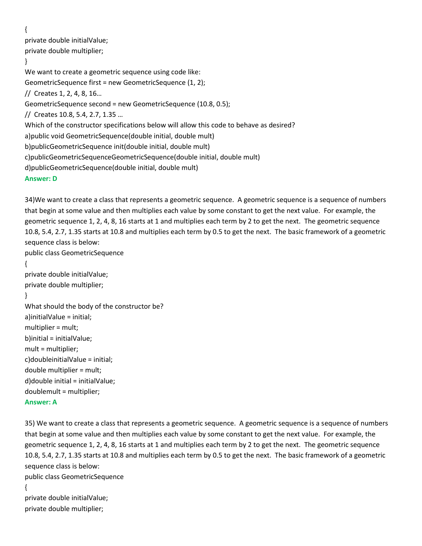{

private double initialValue;

private double multiplier;

```
}
```
We want to create a geometric sequence using code like: GeometricSequence first = new GeometricSequence (1, 2); // Creates 1, 2, 4, 8, 16… GeometricSequence second = new GeometricSequence (10.8, 0.5); // Creates 10.8, 5.4, 2.7, 1.35 … Which of the constructor specifications below will allow this code to behave as desired? a)public void GeometricSequence(double initial, double mult) b)publicGeometricSequence init(double initial, double mult) c)publicGeometricSequenceGeometricSequence(double initial, double mult) d)publicGeometricSequence(double initial, double mult) **Answer: D**

34)We want to create a class that represents a geometric sequence. A geometric sequence is a sequence of numbers that begin at some value and then multiplies each value by some constant to get the next value. For example, the geometric sequence 1, 2, 4, 8, 16 starts at 1 and multiplies each term by 2 to get the next. The geometric sequence 10.8, 5.4, 2.7, 1.35 starts at 10.8 and multiplies each term by 0.5 to get the next. The basic framework of a geometric sequence class is below: public class GeometricSequence

```
{
```
private double initialValue; private double multiplier;

```
}
```
What should the body of the constructor be? a)initialValue = initial; multiplier = mult; b)initial = initialValue; mult = multiplier; c)doubleinitialValue = initial; double multiplier = mult; d)double initial = initialValue; doublemult = multiplier; **Answer: A**

35) We want to create a class that represents a geometric sequence. A geometric sequence is a sequence of numbers that begin at some value and then multiplies each value by some constant to get the next value. For example, the geometric sequence 1, 2, 4, 8, 16 starts at 1 and multiplies each term by 2 to get the next. The geometric sequence 10.8, 5.4, 2.7, 1.35 starts at 10.8 and multiplies each term by 0.5 to get the next. The basic framework of a geometric sequence class is below:

public class GeometricSequence {

private double initialValue; private double multiplier;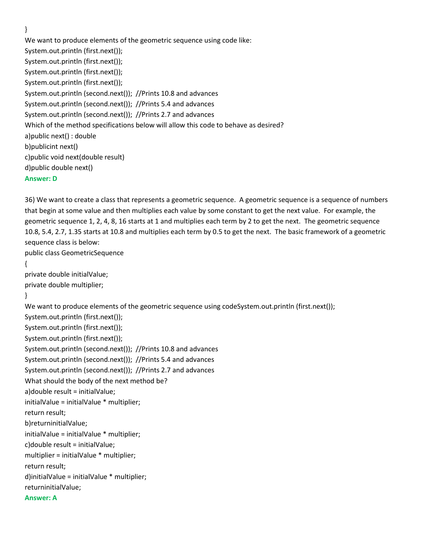}

We want to produce elements of the geometric sequence using code like: System.out.println (first.next()); System.out.println (first.next()); System.out.println (first.next()); System.out.println (first.next()); System.out.println (second.next()); //Prints 10.8 and advances System.out.println (second.next()); //Prints 5.4 and advances System.out.println (second.next()); //Prints 2.7 and advances Which of the method specifications below will allow this code to behave as desired? a)public next() : double b)publicint next() c)public void next(double result) d)public double next() **Answer: D**

36) We want to create a class that represents a geometric sequence. A geometric sequence is a sequence of numbers that begin at some value and then multiplies each value by some constant to get the next value. For example, the geometric sequence 1, 2, 4, 8, 16 starts at 1 and multiplies each term by 2 to get the next. The geometric sequence 10.8, 5.4, 2.7, 1.35 starts at 10.8 and multiplies each term by 0.5 to get the next. The basic framework of a geometric sequence class is below:

public class GeometricSequence

```
{
```
private double initialValue; private double multiplier;

```
}
```
We want to produce elements of the geometric sequence using codeSystem.out.println (first.next()); System.out.println (first.next()); System.out.println (first.next()); System.out.println (first.next()); System.out.println (second.next()); //Prints 10.8 and advances System.out.println (second.next()); //Prints 5.4 and advances System.out.println (second.next()); //Prints 2.7 and advances What should the body of the next method be? a)double result = initialValue; initialValue = initialValue \* multiplier; return result; b)returninitialValue; initialValue = initialValue \* multiplier; c)double result = initialValue; multiplier = initialValue \* multiplier; return result; d)initialValue = initialValue \* multiplier; returninitialValue; **Answer: A**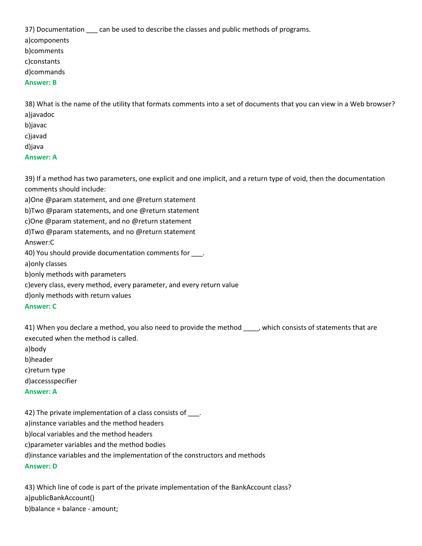37) Documentation \_\_\_ can be used to describe the classes and public methods of programs.

a)components

b)comments

c)constants

d)commands

### **Answer: B**

38) What is the name of the utility that formats comments into a set of documents that you can view in a Web browser? a)javadoc

- b)javac
- c)javad

d)java

# **Answer: A**

39) If a method has two parameters, one explicit and one implicit, and a return type of void, then the documentation comments should include:

a)One @param statement, and one @return statement

b)Two @param statements, and one @return statement

c)One @param statement, and no @return statement

d)Two @param statements, and no @return statement

Answer:C

40) You should provide documentation comments for \_\_\_\_.

a)only classes

b)only methods with parameters

c)every class, every method, every parameter, and every return value

d)only methods with return values

### **Answer: C**

41) When you declare a method, you also need to provide the method , which consists of statements that are executed when the method is called.

a)body b)header

c)return type

d)accessspecifier

### **Answer: A**

42) The private implementation of a class consists of \_\_\_. a)instance variables and the method headers b)local variables and the method headers c)parameter variables and the method bodies d)instance variables and the implementation of the constructors and methods **Answer: D**

43) Which line of code is part of the private implementation of the BankAccount class? a)publicBankAccount() b)balance = balance - amount;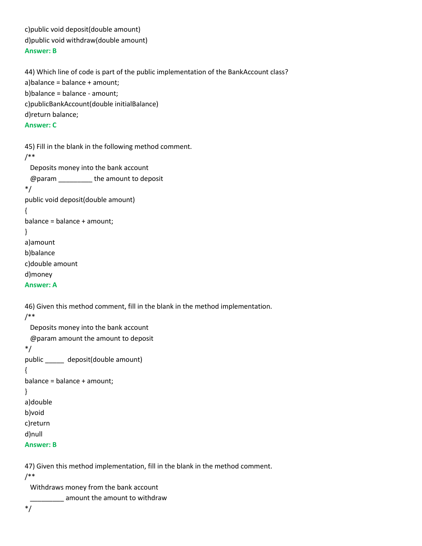c)public void deposit(double amount) d)public void withdraw(double amount) **Answer: B**

# 44) Which line of code is part of the public implementation of the BankAccount class? a)balance = balance + amount; b)balance = balance - amount; c)publicBankAccount(double initialBalance) d)return balance; **Answer: C**

```
45) Fill in the blank in the following method comment.
/**
  Deposits money into the bank account
  @param _________ the amount to deposit
*/
public void deposit(double amount)
{
balance = balance + amount;
}
a)amount
b)balance
c)double amount
d)money
Answer: A
46) Given this method comment, fill in the blank in the method implementation.
/**
  Deposits money into the bank account
  @param amount the amount to deposit
*/
public _____ deposit(double amount)
{
balance = balance + amount;
```

```
}
a)double
b)void
c)return
d)null
```

```
Answer: B
```
47) Given this method implementation, fill in the blank in the method comment. /\*\*

Withdraws money from the bank account

\_\_\_\_\_\_\_\_\_ amount the amount to withdraw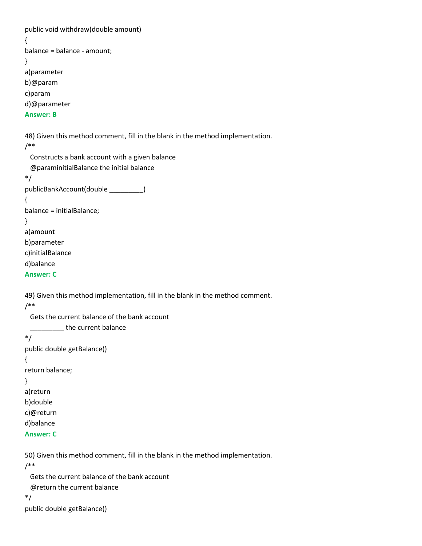public void withdraw(double amount) { balance = balance - amount; } a)parameter b)@param c)param d)@parameter **Answer: B** 48) Given this method comment, fill in the blank in the method implementation. /\*\* Constructs a bank account with a given balance @paraminitialBalance the initial balance \*/ publicBankAccount(double \_\_\_\_\_\_\_\_\_) { balance = initialBalance; } a)amount b)parameter c)initialBalance d)balance **Answer: C**

49) Given this method implementation, fill in the blank in the method comment. /\*\*

 Gets the current balance of the bank account \_\_\_\_\_\_\_\_\_ the current balance \*/ public double getBalance() { return balance; } a)return b)double c)@return d)balance **Answer: C**

50) Given this method comment, fill in the blank in the method implementation. /\*\*

 Gets the current balance of the bank account @return the current balance \*/ public double getBalance()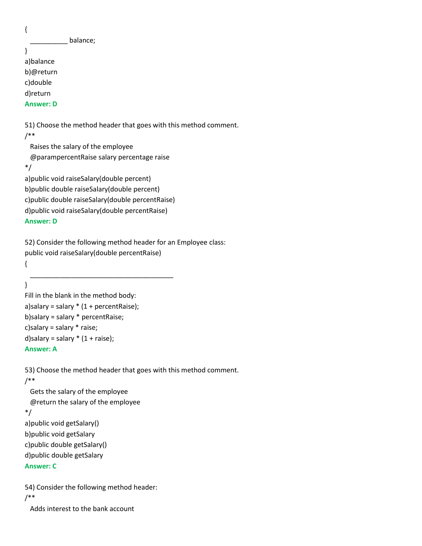{

\_\_\_\_\_\_\_\_\_\_ balance;

```
}
a)balance
b)@return
c)double
d)return
```
**Answer: D**

51) Choose the method header that goes with this method comment. /\*\*

 Raises the salary of the employee @parampercentRaise salary percentage raise \*/

a)public void raiseSalary(double percent) b)public double raiseSalary(double percent) c)public double raiseSalary(double percentRaise) d)public void raiseSalary(double percentRaise)

#### **Answer: D**

52) Consider the following method header for an Employee class: public void raiseSalary(double percentRaise)

{ \_\_\_\_\_\_\_\_\_\_\_\_\_\_\_\_\_\_\_\_\_\_\_\_\_\_\_\_\_\_\_\_\_\_\_\_\_\_

```
}
Fill in the blank in the method body:
a)salary = salary *(1 + \text{percent}Raise);
b)salary = salary * percentRaise;
c)salary = salary * raise;
d)salary = salary *(1 + \text{raise});
Answer: A
```
53) Choose the method header that goes with this method comment. /\*\*

 Gets the salary of the employee @return the salary of the employee \*/ a)public void getSalary() b)public void getSalary c)public double getSalary() d)public double getSalary **Answer: C**

54) Consider the following method header: /\*\*

Adds interest to the bank account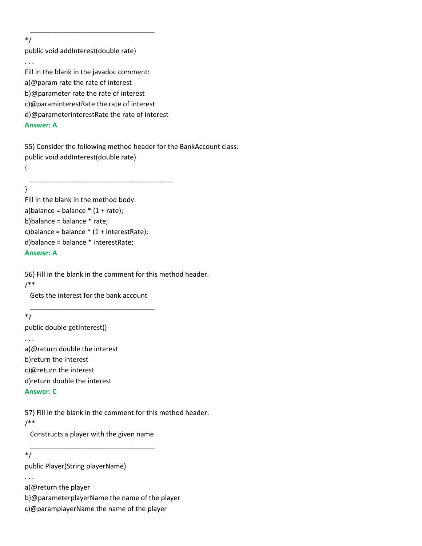\*/

public void addInterest(double rate)

. . .

Fill in the blank in the javadoc comment:

 $\overline{\phantom{a}}$  , where the contract of the contract of the contract of the contract of the contract of the contract of the contract of the contract of the contract of the contract of the contract of the contract of the contr

a)@param rate the rate of interest

b)@parameter rate the rate of interest

c)@paraminterestRate the rate of interest

d)@parameterinterestRate the rate of interest

### **Answer: A**

55) Consider the following method header for the BankAccount class: public void addInterest(double rate)

{

\_\_\_\_\_\_\_\_\_\_\_\_\_\_\_\_\_\_\_\_\_\_\_\_\_\_\_\_\_\_\_\_\_\_\_\_\_\_

### }

Fill in the blank in the method body. a)balance = balance  $*(1 + rate)$ ; b)balance = balance \* rate; c)balance = balance  $*(1 + interestRate)$ ; d)balance = balance \* interestRate; **Answer: A**

56) Fill in the blank in the comment for this method header.

### /\*\*

 Gets the interest for the bank account \_\_\_\_\_\_\_\_\_\_\_\_\_\_\_\_\_\_\_\_\_\_\_\_\_\_\_\_\_\_\_\_\_

# \*/

public double getInterest()

#### . . .

a)@return double the interest b)return the interest c)@return the interest

d)return double the interest

### **Answer: C**

57) Fill in the blank in the comment for this method header.

### /\*\*

 Constructs a player with the given name \_\_\_\_\_\_\_\_\_\_\_\_\_\_\_\_\_\_\_\_\_\_\_\_\_\_\_\_\_\_\_\_\_

### \*/

public Player(String playerName)

. . .

a)@return the player

b)@parameterplayerName the name of the player

c)@paramplayerName the name of the player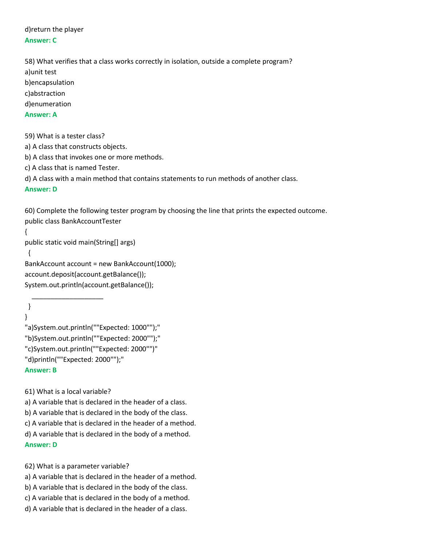d)return the player **Answer: C**

58) What verifies that a class works correctly in isolation, outside a complete program? a)unit test b)encapsulation c)abstraction d)enumeration **Answer: A**

59) What is a tester class?

a) A class that constructs objects.

b) A class that invokes one or more methods.

c) A class that is named Tester.

d) A class with a main method that contains statements to run methods of another class.

#### **Answer: D**

}

60) Complete the following tester program by choosing the line that prints the expected outcome. public class BankAccountTester

```
{
public static void main(String[] args)
 {
BankAccount account = new BankAccount(1000);
account.deposit(account.getBalance());
System.out.println(account.getBalance());
```
} "a)System.out.println(""Expected: 1000"");" "b)System.out.println(""Expected: 2000"");" "c)System.out.println(""Expected: 2000"")" "d)println(""Expected: 2000"");" **Answer: B**

61) What is a local variable?

 $\overline{\phantom{a}}$  , and the set of the set of the set of the set of the set of the set of the set of the set of the set of the set of the set of the set of the set of the set of the set of the set of the set of the set of the s

a) A variable that is declared in the header of a class.

b) A variable that is declared in the body of the class.

c) A variable that is declared in the header of a method.

d) A variable that is declared in the body of a method.

**Answer: D**

62) What is a parameter variable?

- a) A variable that is declared in the header of a method.
- b) A variable that is declared in the body of the class.
- c) A variable that is declared in the body of a method.
- d) A variable that is declared in the header of a class.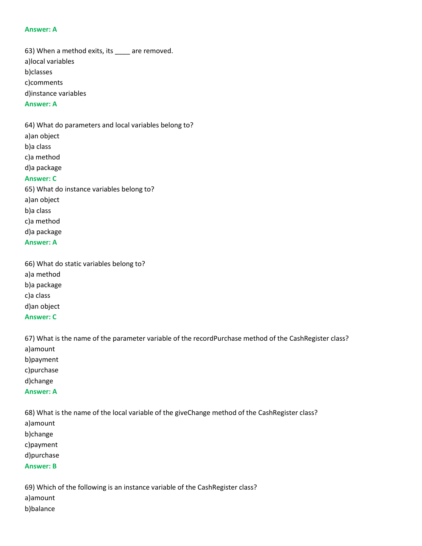#### **Answer: A**

63) When a method exits, its \_\_\_\_ are removed. a)local variables b)classes c)comments d)instance variables

#### **Answer: A**

64) What do parameters and local variables belong to? a)an object b)a class c)a method d)a package **Answer: C** 65) What do instance variables belong to? a)an object b)a class

c)a method d)a package

#### **Answer: A**

66) What do static variables belong to? a)a method b)a package c)a class d)an object **Answer: C**

67) What is the name of the parameter variable of the recordPurchase method of the CashRegister class? a)amount b)payment c)purchase d)change **Answer: A**

68) What is the name of the local variable of the giveChange method of the CashRegister class? a)amount b)change c)payment d)purchase **Answer: B**

69) Which of the following is an instance variable of the CashRegister class? a)amount b)balance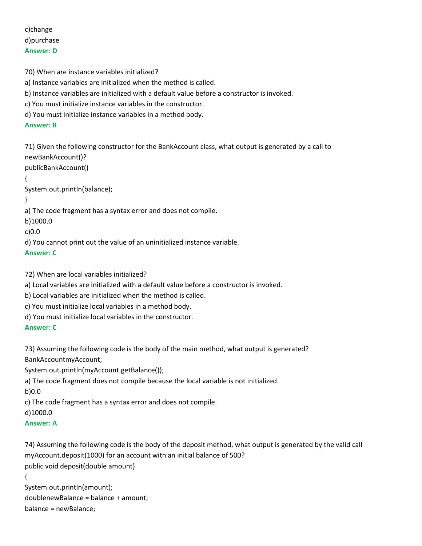c)change d)purchase **Answer: D**

70) When are instance variables initialized? a) Instance variables are initialized when the method is called. b) Instance variables are initialized with a default value before a constructor is invoked. c) You must initialize instance variables in the constructor. d) You must initialize instance variables in a method body. **Answer: B** 71) Given the following constructor for the BankAccount class, what output is generated by a call to newBankAccount()? publicBankAccount() { System.out.println(balance); } a) The code fragment has a syntax error and does not compile. b)1000.0 c)0.0 d) You cannot print out the value of an uninitialized instance variable. **Answer: C**

72) When are local variables initialized?

a) Local variables are initialized with a default value before a constructor is invoked.

b) Local variables are initialized when the method is called.

c) You must initialize local variables in a method body.

d) You must initialize local variables in the constructor.

**Answer: C**

73) Assuming the following code is the body of the main method, what output is generated? BankAccountmyAccount;

System.out.println(myAccount.getBalance());

a) The code fragment does not compile because the local variable is not initialized.

b)0.0

c) The code fragment has a syntax error and does not compile.

d)1000.0

#### **Answer: A**

74) Assuming the following code is the body of the deposit method, what output is generated by the valid call myAccount.deposit(1000) for an account with an initial balance of 500? public void deposit(double amount) {

System.out.println(amount); doublenewBalance = balance + amount; balance = newBalance;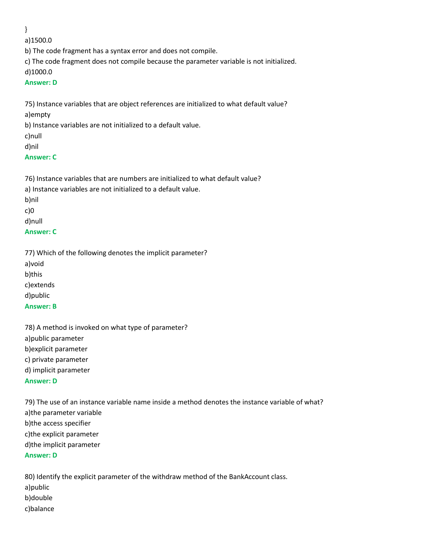}

a)1500.0

b) The code fragment has a syntax error and does not compile.

c) The code fragment does not compile because the parameter variable is not initialized.

d)1000.0

### **Answer: D**

75) Instance variables that are object references are initialized to what default value? a)empty

b) Instance variables are not initialized to a default value.

c)null

d)nil

# **Answer: C**

76) Instance variables that are numbers are initialized to what default value? a) Instance variables are not initialized to a default value. b)nil c)0

d)null

# **Answer: C**

77) Which of the following denotes the implicit parameter?

a)void b)this c)extends

d)public

**Answer: B**

78) A method is invoked on what type of parameter? a)public parameter b)explicit parameter c) private parameter d) implicit parameter **Answer: D**

79) The use of an instance variable name inside a method denotes the instance variable of what? a)the parameter variable b)the access specifier c)the explicit parameter d)the implicit parameter **Answer: D**

80) Identify the explicit parameter of the withdraw method of the BankAccount class. a)public b)double c)balance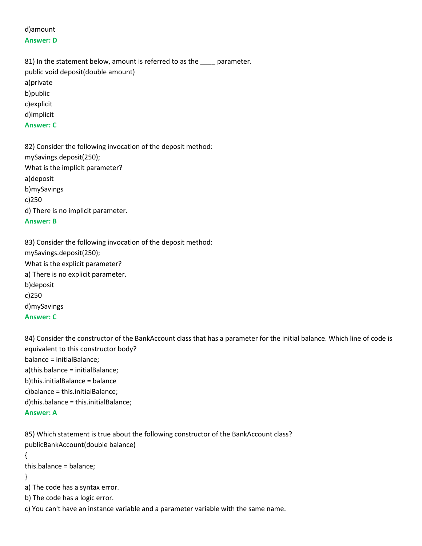# d)amount **Answer: D**

81) In the statement below, amount is referred to as the \_\_\_\_ parameter. public void deposit(double amount) a)private b)public c)explicit d)implicit **Answer: C**

82) Consider the following invocation of the deposit method: mySavings.deposit(250); What is the implicit parameter? a)deposit b)mySavings c)250 d) There is no implicit parameter. **Answer: B**

83) Consider the following invocation of the deposit method: mySavings.deposit(250); What is the explicit parameter? a) There is no explicit parameter. b)deposit c)250 d)mySavings **Answer: C**

84) Consider the constructor of the BankAccount class that has a parameter for the initial balance. Which line of code is equivalent to this constructor body? balance = initialBalance; a)this.balance = initialBalance; b)this.initialBalance = balance c)balance = this.initialBalance; d)this.balance = this.initialBalance;

### **Answer: A**

85) Which statement is true about the following constructor of the BankAccount class? publicBankAccount(double balance) { this.balance = balance; } a) The code has a syntax error. b) The code has a logic error.

c) You can't have an instance variable and a parameter variable with the same name.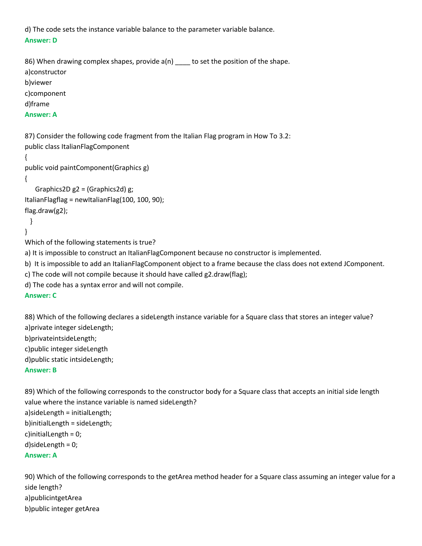d) The code sets the instance variable balance to the parameter variable balance. **Answer: D**

86) When drawing complex shapes, provide a(n) \_\_\_\_ to set the position of the shape. a)constructor b)viewer c)component d)frame **Answer: A** 87) Consider the following code fragment from the Italian Flag program in How To 3.2: public class ItalianFlagComponent

{ public void paintComponent(Graphics g) { Graphics2D g2 = (Graphics2d) g; ItalianFlagflag = newItalianFlag(100, 100, 90); flag.draw(g2); } } Which of the following statements is true? a) It is impossible to construct an ItalianFlagComponent because no constructor is implemented. b) It is impossible to add an ItalianFlagComponent object to a frame because the class does not extend JComponent. c) The code will not compile because it should have called g2.draw(flag); d) The code has a syntax error and will not compile. **Answer: C**

88) Which of the following declares a sideLength instance variable for a Square class that stores an integer value? a)private integer sideLength;

b)privateintsideLength;

c)public integer sideLength

d)public static intsideLength;

#### **Answer: B**

89) Which of the following corresponds to the constructor body for a Square class that accepts an initial side length value where the instance variable is named sideLength? a)sideLength = initialLength; b)initialLength = sideLength; c)initialLength = 0; d)sideLength = 0; **Answer: A**

90) Which of the following corresponds to the getArea method header for a Square class assuming an integer value for a side length? a)publicintgetArea b)public integer getArea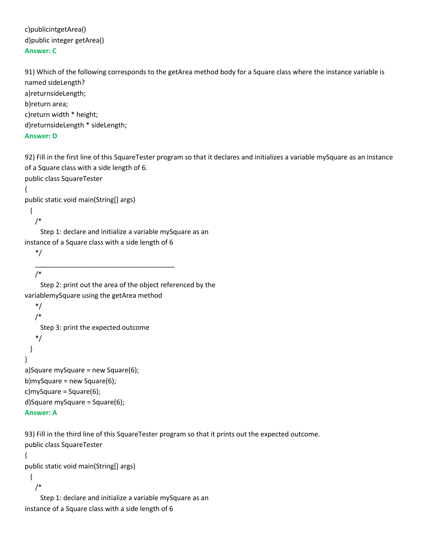c)publicintgetArea() d)public integer getArea() **Answer: C**

91) Which of the following corresponds to the getArea method body for a Square class where the instance variable is named sideLength? a)returnsideLength; b)return area; c)return width \* height; d)returnsideLength \* sideLength;

#### **Answer: D**

92) Fill in the first line of this SquareTester program so that it declares and initializes a variable mySquare as an instance of a Square class with a side length of 6.

public class SquareTester

{

public static void main(String[] args)

```
 {
```
/\*

 Step 1: declare and initialize a variable mySquare as an instance of a Square class with a side length of 6

\_\_\_\_\_\_\_\_\_\_\_\_\_\_\_\_\_\_\_\_\_\_\_\_\_\_\_\_\_\_\_\_\_\_\_\_\_

\*/

/\*

 Step 2: print out the area of the object referenced by the variablemySquare using the getArea method

```
 */
    /* 
     Step 3: print the expected outcome
    */
  }
}
a)Square mySquare = new Square(6);
b)mySquare = new Square(6);
c)mySquare = Square(6);
d)Square mySquare = Square(6);
```
### **Answer: A**

93) Fill in the third line of this SquareTester program so that it prints out the expected outcome. public class SquareTester

```
{
```
public static void main(String[] args)

 { /\*

 Step 1: declare and initialize a variable mySquare as an instance of a Square class with a side length of 6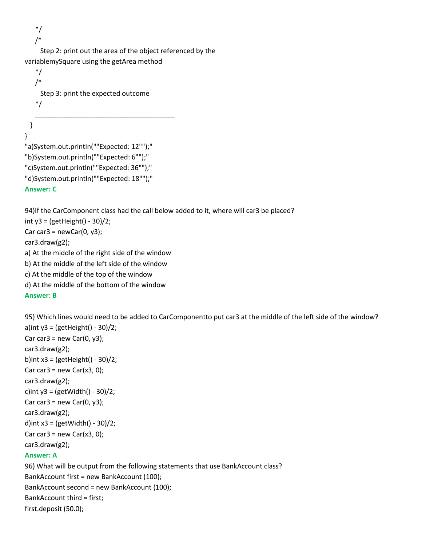\*/ /\*

 Step 2: print out the area of the object referenced by the variablemySquare using the getArea method

```
 */
    /* 
     Step 3: print the expected outcome
    */
 _____________________________________
  }
}
"a)System.out.println(""Expected: 12"");"
"b)System.out.println(""Expected: 6"");"
"c)System.out.println(""Expected: 36"");"
"d)System.out.println(""Expected: 18"");"
```
### **Answer: C**

94)If the CarComponent class had the call below added to it, where will car3 be placed? int  $y3 = (getHeight() - 30)/2;$ Car car $3$  = newCar $(0, y3)$ ; car3.draw(g2); a) At the middle of the right side of the window b) At the middle of the left side of the window c) At the middle of the top of the window d) At the middle of the bottom of the window

#### **Answer: B**

95) Which lines would need to be added to CarComponentto put car3 at the middle of the left side of the window? a)int  $y3 = (getHeight() - 30)/2;$ Car car $3$  = new Car $(0, y3)$ ; car3.draw(g2); b)int  $x3 = (getHeight() - 30)/2;$ Car car3 = new Car $(x3, 0)$ ; car3.draw(g2); c)int  $y3 = (getWidth() - 30)/2;$ Car car $3$  = new Car $(0, y3)$ ; car3.draw(g2); d)int  $x3 = (getWidth() - 30)/2;$ Car car $3$  = new Car $(x3, 0)$ ; car3.draw(g2); **Answer: A** 96) What will be output from the following statements that use BankAccount class? BankAccount first = new BankAccount (100); BankAccount second = new BankAccount (100); BankAccount third = first;

first.deposit (50.0);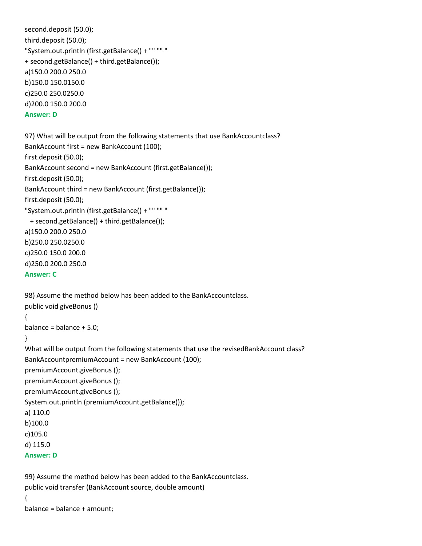```
second.deposit (50.0);
third.deposit (50.0);
"System.out.println (first.getBalance() + "" "" "
+ second.getBalance() + third.getBalance());
a)150.0 200.0 250.0
b)150.0 150.0150.0
c)250.0 250.0250.0
d)200.0 150.0 200.0
Answer: D
```

```
97) What will be output from the following statements that use BankAccountclass?
BankAccount first = new BankAccount (100);
first.deposit (50.0);
BankAccount second = new BankAccount (first.getBalance());
first.deposit (50.0);
BankAccount third = new BankAccount (first.getBalance());
first.deposit (50.0);
"System.out.println (first.getBalance() + "" "" "
  + second.getBalance() + third.getBalance());
a)150.0 200.0 250.0
b)250.0 250.0250.0
c)250.0 150.0 200.0
d)250.0 200.0 250.0
Answer: C
```

```
98) Assume the method below has been added to the BankAccountclass.
public void giveBonus ()
```

```
{
```

```
balance = balance + 5.0;
```

```
}
```

```
What will be output from the following statements that use the revisedBankAccount class?
BankAccountpremiumAccount = new BankAccount (100);
premiumAccount.giveBonus ();
premiumAccount.giveBonus ();
premiumAccount.giveBonus ();
System.out.println (premiumAccount.getBalance());
a) 110.0
b)100.0
c)105.0
d) 115.0
Answer: D
```

```
99) Assume the method below has been added to the BankAccountclass.
public void transfer (BankAccount source, double amount)
{
balance = balance + amount;
```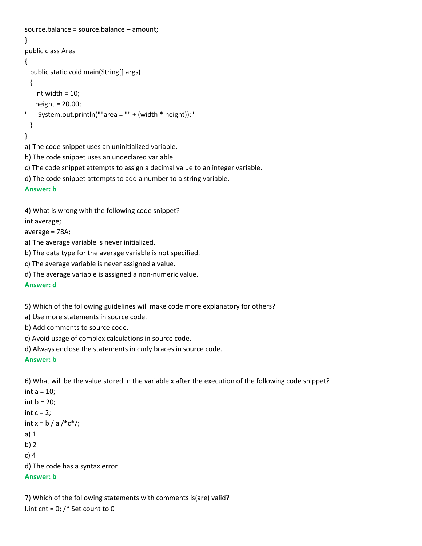```
source.balance = source.balance – amount;
}
public class Area 
{
  public static void main(String[] args)
  {
    int width = 10;
    height = 20.00;
" System.out.println(""area = "" + (width * height));"
  }
}
a) The code snippet uses an uninitialized variable.
b) The code snippet uses an undeclared variable.
c) The code snippet attempts to assign a decimal value to an integer variable.
```
d) The code snippet attempts to add a number to a string variable.

```
Answer: b
```
4) What is wrong with the following code snippet?

int average;

average = 78A;

a) The average variable is never initialized.

b) The data type for the average variable is not specified.

c) The average variable is never assigned a value.

d) The average variable is assigned a non-numeric value.

**Answer: d**

5) Which of the following guidelines will make code more explanatory for others?

a) Use more statements in source code.

b) Add comments to source code.

c) Avoid usage of complex calculations in source code.

d) Always enclose the statements in curly braces in source code.

#### **Answer: b**

6) What will be the value stored in the variable x after the execution of the following code snippet?

```
int a = 10:
int b = 20;
int c = 2;
int x = b / a /*c*/;
a) 1
b) 2
c) 4
d) The code has a syntax error
Answer: b
```
7) Which of the following statements with comments is(are) valid? I.int cnt =  $0$ ; /\* Set count to 0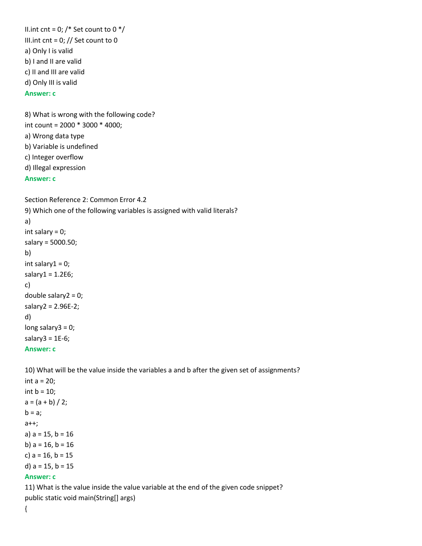II.int cnt = 0;  $/*$  Set count to 0  $*/$ III.int cnt =  $0$ ; // Set count to 0 a) Only I is valid b) I and II are valid c) II and III are valid d) Only III is valid **Answer: c**

8) What is wrong with the following code? int count = 2000 \* 3000 \* 4000; a) Wrong data type b) Variable is undefined c) Integer overflow d) Illegal expression

#### **Answer: c**

```
Section Reference 2: Common Error 4.2
9) Which one of the following variables is assigned with valid literals?
a) 
int salary = 0; 
salary = 5000.50;
b) 
int salary1 = 0;
salary1 = 1.2E6;
c) 
double salary2 = 0; 
salary2 = 2.96E-2;
d) 
long salary3 = 0;
salary3 = 1E-6;Answer: c
```
10) What will be the value inside the variables a and b after the given set of assignments?

```
int a = 20;
int b = 10;
a = (a + b) / 2;b = a;
a++;
a) a = 15, b = 16b) a = 16, b = 16c) a = 16, b = 15d) a = 15, b = 15Answer: c
11) What is the value inside the value variable at the end of the given code snippet?
```
public static void main(String[] args)

{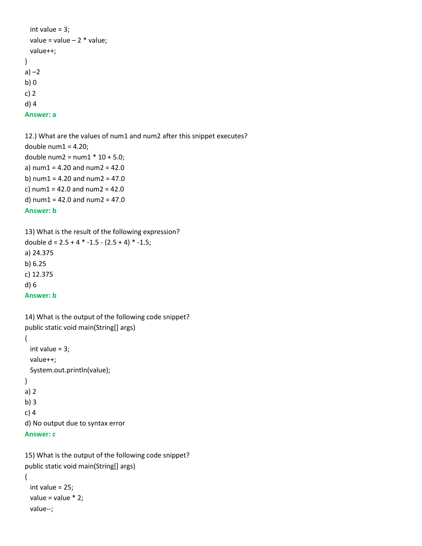```
int value = 3;
 value = value -2 * value;
  value++;
}
a) -2b) 0
c) 2
d) 4
Answer: a
```
12.) What are the values of num1 and num2 after this snippet executes? double num $1 = 4.20$ ; double num2 =  $num1 * 10 + 5.0$ ; a) num $1 = 4.20$  and num $2 = 42.0$ b) num $1 = 4.20$  and num $2 = 47.0$ c) num $1 = 42.0$  and num $2 = 42.0$ d) num $1 = 42.0$  and num $2 = 47.0$ **Answer: b**

13) What is the result of the following expression? double d =  $2.5 + 4 * -1.5 - (2.5 + 4) * -1.5$ ; a) 24.375 b) 6.25 c) 12.375 d) 6 **Answer: b**

```
14) What is the output of the following code snippet?
public static void main(String[] args)
{
  int value = 3;
  value++;
  System.out.println(value); 
}
a) 2
b) 3
c) 4
d) No output due to syntax error
Answer: c
```
15) What is the output of the following code snippet? public static void main(String[] args)

```
{
  int value = 25;
 value = value * 2; value--;
```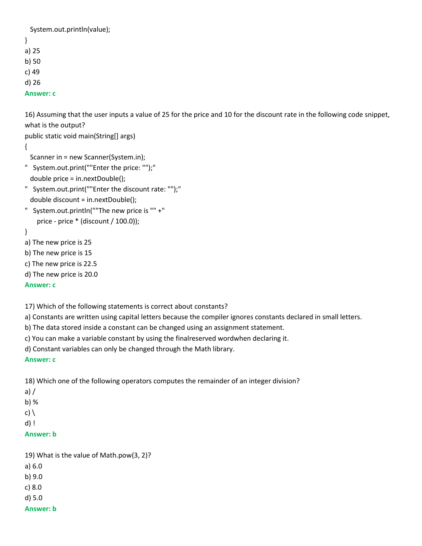System.out.println(value); } a) 25 b) 50

- c) 49
- d) 26

**Answer: c**

16) Assuming that the user inputs a value of 25 for the price and 10 for the discount rate in the following code snippet, what is the output?

public static void main(String[] args)

{

Scanner in = new Scanner(System.in);

- " System.out.print(""Enter the price: "");" double price = in.nextDouble();
- " System.out.print(""Enter the discount rate: "");" double discount = in.nextDouble();
- " System.out.println(""The new price is "" +" price - price \* (discount / 100.0));
- }

a) The new price is 25

b) The new price is 15

c) The new price is 22.5

d) The new price is 20.0

### **Answer: c**

17) Which of the following statements is correct about constants?

a) Constants are written using capital letters because the compiler ignores constants declared in small letters.

b) The data stored inside a constant can be changed using an assignment statement.

c) You can make a variable constant by using the finalreserved wordwhen declaring it.

d) Constant variables can only be changed through the Math library.

### **Answer: c**

18) Which one of the following operators computes the remainder of an integer division?

- a) /
- b) %
- c)  $\setminus$
- d) !

# **Answer: b**

19) What is the value of Math.pow(3, 2)? a) 6.0 b) 9.0 c) 8.0 d) 5.0

#### **Answer: b**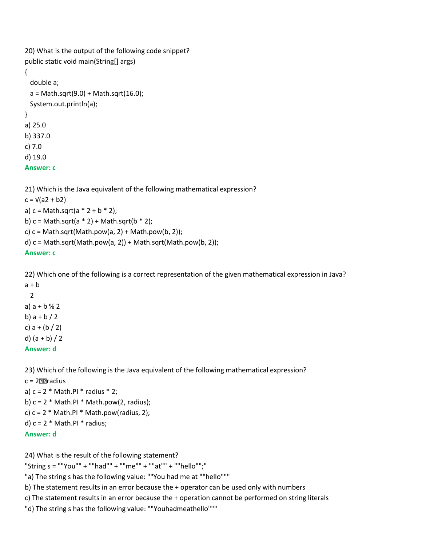```
20) What is the output of the following code snippet?
public static void main(String[] args)
{
  double a;
 a = Math.sqrt(9.0) + Math.sqrt(16.0); System.out.println(a); 
}
a) 25.0
b) 337.0
c) 7.0
d) 19.0
Answer: c
```

```
21) Which is the Java equivalent of the following mathematical expression?
c = \sqrt{a^2 + b^2}a) c = Math.sqrt(a * 2 + b * 2);b) c = Math.sqrt(a * 2) + Math.sqrt(b * 2);c) c = Math.sqrt(Math.pow(a, 2) + Math.pow(b, 2));d) c = Math.sqrt(Math.pow(a, 2)) + Math.sqrt(Math.pow(b, 2));Answer: c
```
22) Which one of the following is a correct representation of the given mathematical expression in Java?  $a + b$ 

 2 a)  $a + b$  % 2 b)  $a + b / 2$ c)  $a + (b / 2)$ d)  $(a + b) / 2$ **Answer: d**

23) Which of the following is the Java equivalent of the following mathematical expression? c = 2 radius a)  $c = 2$  \* Math.PI \* radius \* 2; b)  $c = 2$  \* Math.PI \* Math.pow(2, radius); c)  $c = 2$  \* Math.PI \* Math.pow(radius, 2); d)  $c = 2$  \* Math.PI \* radius; **Answer: d**

24) What is the result of the following statement?

"String  $s =$  ""You"" + ""had"" + ""me"" + ""at"" + ""hello"";"

"a) The string s has the following value: ""You had me at ""hello"""

b) The statement results in an error because the + operator can be used only with numbers

c) The statement results in an error because the + operation cannot be performed on string literals

"d) The string s has the following value: ""Youhadmeathello"""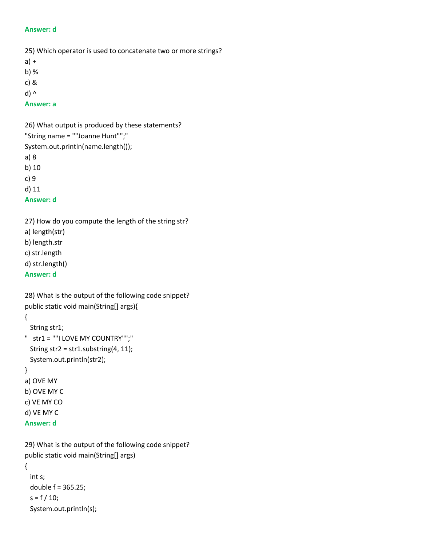#### **Answer: d**

25) Which operator is used to concatenate two or more strings?

- a) +
- b) %
- c) &
- d) ^

#### **Answer: a**

26) What output is produced by these statements? "String name = ""Joanne Hunt"";" System.out.println(name.length()); a) 8 b) 10 c) 9 d) 11 **Answer: d**

27) How do you compute the length of the string str?

a) length(str)

b) length.str

c) str.length

d) str.length()

**Answer: d**

```
28) What is the output of the following code snippet?
public static void main(String[] args){
{
  String str1;
" str1 = ""I LOVE MY COUNTRY"";"
  String str2 = str1.substring(4, 11);
  System.out.println(str2); 
}
a) OVE MY
b) OVE MY C
c) VE MY CO
d) VE MY C
```

```
Answer: d
```

```
29) What is the output of the following code snippet? 
public static void main(String[] args)
{
  int s;
  double f = 365.25;
 s = f / 10;
  System.out.println(s);
```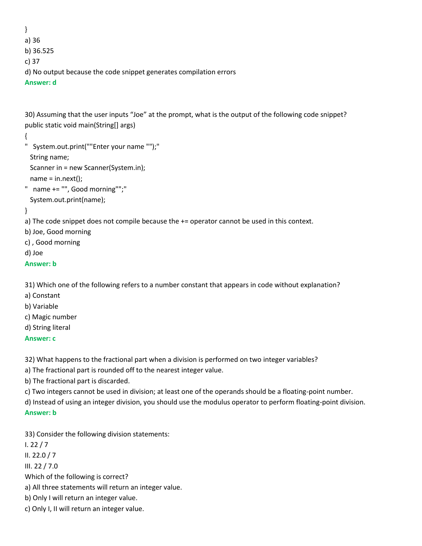} a) 36 b) 36.525 c) 37 d) No output because the code snippet generates compilation errors **Answer: d**

30) Assuming that the user inputs "Joe" at the prompt, what is the output of the following code snippet? public static void main(String[] args)

```
{
```
" System.out.print(""Enter your name "");"

String name;

Scanner in = new Scanner(System.in);

 $name = in.next();$ 

```
" name += "", Good morning"";"
  System.out.print(name);
```
}

a) The code snippet does not compile because the  $+=$  operator cannot be used in this context.

b) Joe, Good morning

c) , Good morning

d) Joe

```
Answer: b
```
31) Which one of the following refers to a number constant that appears in code without explanation?

a) Constant

b) Variable

c) Magic number

d) String literal

**Answer: c**

32) What happens to the fractional part when a division is performed on two integer variables?

a) The fractional part is rounded off to the nearest integer value.

b) The fractional part is discarded.

c) Two integers cannot be used in division; at least one of the operands should be a floating-point number.

d) Instead of using an integer division, you should use the modulus operator to perform floating-point division. **Answer: b**

33) Consider the following division statements:

I. 22 / 7 II. 22.0 / 7 III. 22 / 7.0 Which of the following is correct? a) All three statements will return an integer value. b) Only I will return an integer value. c) Only I, II will return an integer value.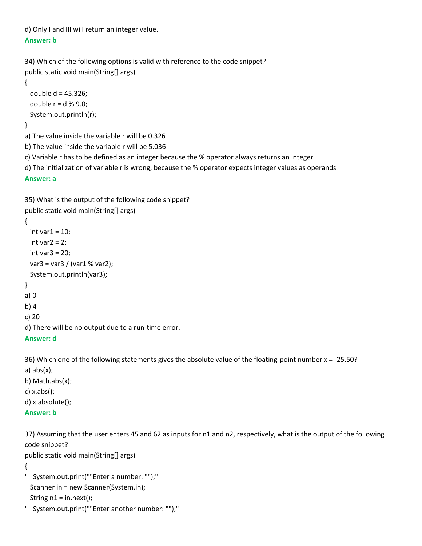d) Only I and III will return an integer value. **Answer: b**

```
34) Which of the following options is valid with reference to the code snippet?
public static void main(String[] args)
{
 double d = 45.326;
 double r = d \times 9.0;
  System.out.println(r);
}
a) The value inside the variable r will be 0.326
b) The value inside the variable r will be 5.036
c) Variable r has to be defined as an integer because the % operator always returns an integer
```
d) The initialization of variable r is wrong, because the % operator expects integer values as operands

#### **Answer: a**

```
35) What is the output of the following code snippet?
public static void main(String[] args)
{
 int var1 = 10;
 int var2 = 2;
  int var3 = 20;
  var3 = var3 / (var1 % var2);
  System.out.println(var3);
}
a) 0
b) 4
c) 20
d) There will be no output due to a run-time error.
Answer: d
```

```
36) Which one of the following statements gives the absolute value of the floating-point number x = -25.50?
a) abs(x);
b) Math.abs(x);
```

```
c) x.abs();
```

```
d) x.absolute();
```

```
Answer: b
```
37) Assuming that the user enters 45 and 62 as inputs for n1 and n2, respectively, what is the output of the following code snippet?

```
public static void main(String[] args)
```

```
{
```

```
" System.out.print(""Enter a number: "");"
  Scanner in = new Scanner(System.in);
 String n1 = in.next();
```

```
" System.out.print(""Enter another number: "");"
```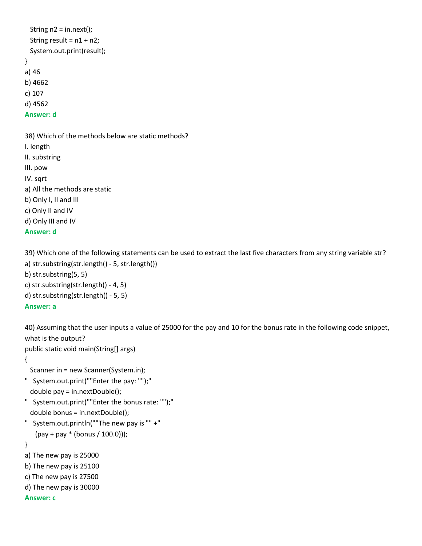```
String n2 = in.next();
 String result = n1 + n2;
  System.out.print(result); 
}
a) 46
b) 4662
c) 107
d) 4562
Answer: d
```
38) Which of the methods below are static methods? I. length II. substring III. pow IV. sqrt a) All the methods are static b) Only I, II and III c) Only II and IV d) Only III and IV **Answer: d**

39) Which one of the following statements can be used to extract the last five characters from any string variable str? a) str.substring(str.length() - 5, str.length())

b) str.substring(5, 5) c) str.substring(str.length() - 4, 5) d) str.substring(str.length() - 5, 5) **Answer: a**

40) Assuming that the user inputs a value of 25000 for the pay and 10 for the bonus rate in the following code snippet, what is the output?

public static void main(String[] args)

{

Scanner in = new Scanner(System.in);

- " System.out.print(""Enter the pay: "");" double pay = in.nextDouble();
- " System.out.print(""Enter the bonus rate: "");" double bonus = in.nextDouble();
- " System.out.println(""The new pay is "" +" (pay + pay \* (bonus / 100.0)));

### }

- a) The new pay is 25000
- b) The new pay is 25100
- c) The new pay is 27500
- d) The new pay is 30000

### **Answer: c**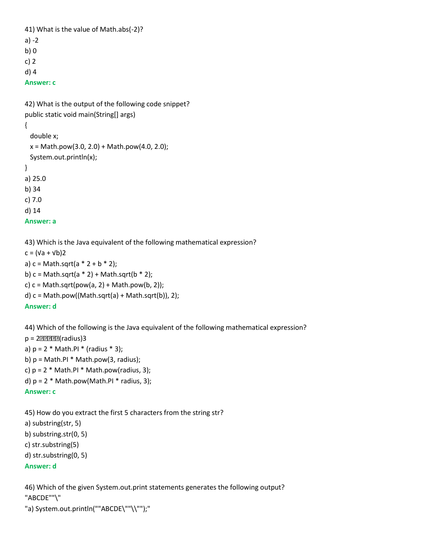```
41) What is the value of Math.abs(-2)?
a) -2
b) 0
c) 2
d) 4
Answer: c
```

```
42) What is the output of the following code snippet?
public static void main(String[] args)
{
  double x;
 x = Math.pow(3.0, 2.0) + Math.pow(4.0, 2.0); System.out.println(x); 
}
a) 25.0
b) 34
c) 7.0
d) 14
Answer: a
```
43) Which is the Java equivalent of the following mathematical expression?

 $c = (Va + Vb)2$ a)  $c = Math.sqrt(a * 2 + b * 2);$ b)  $c = Math.sqrt(a * 2) + Math.sqrt(b * 2);$ c)  $c = Math.sqrt(pow(a, 2) + Math.pow(b, 2));$ d)  $c = Math.pow((Math.sqrt(a) + Math.sqrt(b)), 2);$ **Answer: d**

44) Which of the following is the Java equivalent of the following mathematical expression?  $p = 2$  ???????? (radius) 3 a)  $p = 2 * Math.PI * (radius * 3);$ b)  $p = Math.PI * Math.pow(3, radius);$ c)  $p = 2$  \* Math.PI \* Math.pow(radius, 3); d)  $p = 2$  \* Math.pow(Math.PI \* radius, 3); **Answer: c**

45) How do you extract the first 5 characters from the string str? a) substring(str, 5) b) substring.str(0, 5) c) str.substring(5) d) str.substring(0, 5) **Answer: d**

46) Which of the given System.out.print statements generates the following output? "ABCDE""\" "a) System.out.println(""ABCDE\""\\"");"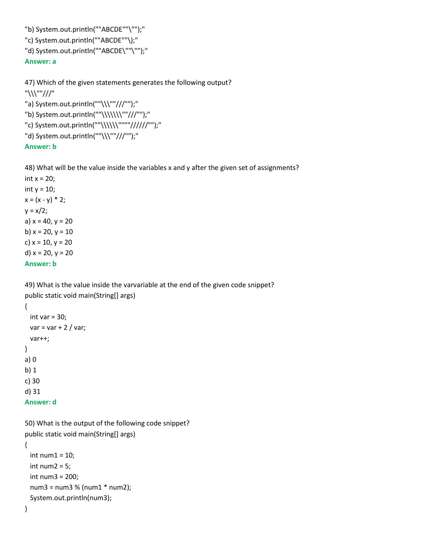"b) System.out.println(""ABCDE""\"");" "c) System.out.println(""ABCDE""\);" "d) System.out.println(""ABCDE\""\"");" **Answer: a**

47) Which of the given statements generates the following output? "\\\""///" "a) System.out.println(""\\\""///"");" "b) System.out.println(""\\\\\\\""///"");" "c) System.out.println(""\\\\\\""""//////"");" "d) System.out.println(""\\\""///"");"

### **Answer: b**

48) What will be the value inside the variables x and y after the given set of assignments?

int  $x = 20$ ; int  $y = 10$ ;  $x = (x - y) * 2;$  $y = x/2$ ; a)  $x = 40$ ,  $y = 20$ b)  $x = 20$ ,  $y = 10$ c)  $x = 10$ ,  $y = 20$ d)  $x = 20$ ,  $y = 20$ **Answer: b**

49) What is the value inside the varvariable at the end of the given code snippet? public static void main(String[] args)

```
{
 int var = 30;
 var = var + 2 / var; var++; 
}
a) 0
b) 1
c) 30
d) 31
Answer: d
```
50) What is the output of the following code snippet? public static void main(String[] args) {  $int num1 = 10$ ; int num $2 = 5$ ; int num3 = 200; num3 = num3 % (num1 \* num2); System.out.println(num3); }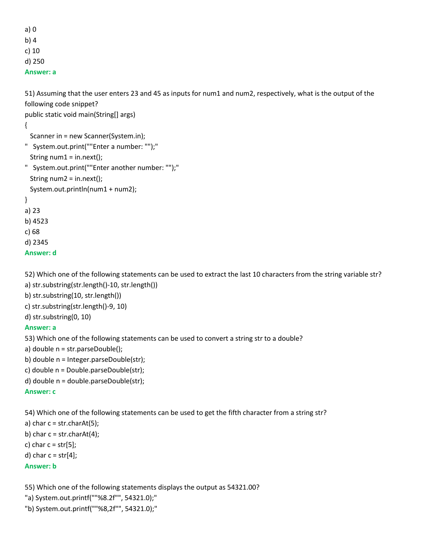a) 0 b) 4

c) 10

d) 250

**Answer: a**

51) Assuming that the user enters 23 and 45 as inputs for num1 and num2, respectively, what is the output of the following code snippet?

public static void main(String[] args)

{

- Scanner in = new Scanner(System.in);
- " System.out.print(""Enter a number: "");"
- String  $num1 = in.next()$ ;
- " System.out.print(""Enter another number: "");" String num2 = in.next(); System.out.println(num1 + num2);

}

a) 23 b) 4523

c) 68

d) 2345

```
Answer: d
```
52) Which one of the following statements can be used to extract the last 10 characters from the string variable str?

- a) str.substring(str.length()-10, str.length())
- b) str.substring(10, str.length())
- c) str.substring(str.length()-9, 10)
- d) str.substring(0, 10)

# **Answer: a**

53) Which one of the following statements can be used to convert a string str to a double?

- a) double n = str.parseDouble();
- b) double n = Integer.parseDouble(str);
- c) double n = Double.parseDouble(str);
- d) double n = double.parseDouble(str);

# **Answer: c**

54) Which one of the following statements can be used to get the fifth character from a string str?

a) char  $c = str.charAt(5)$ ;

- b) char  $c = str.charAt(4)$ ;
- c) char  $c = str[5]$ ;
- d) char  $c = str[4]$ ;

# **Answer: b**

55) Which one of the following statements displays the output as 54321.00?

- "a) System.out.printf(""%8.2f"", 54321.0);"
- "b) System.out.printf(""%8,2f"", 54321.0);"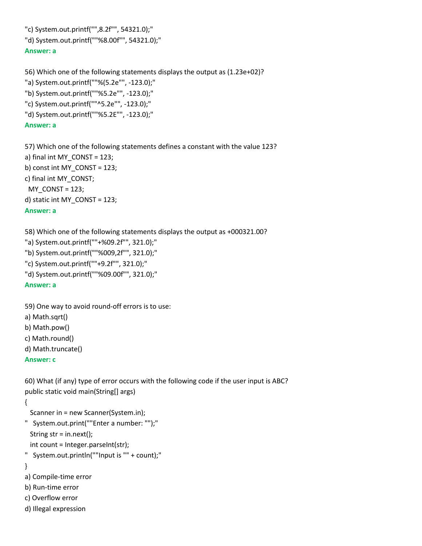"c) System.out.printf("",8.2f"", 54321.0);"

```
"d) System.out.printf(""%8.00f"", 54321.0);"
```
## **Answer: a**

56) Which one of the following statements displays the output as (1.23e+02)? "a) System.out.printf(""%(5.2e"", -123.0);"

- "b) System.out.printf(""%5.2e"", -123.0);"
- "c) System.out.printf(""^5.2e"", -123.0);"
- "d) System.out.printf(""%5.2E"", -123.0);"

## **Answer: a**

57) Which one of the following statements defines a constant with the value 123? a) final int MY\_CONST = 123; b) const int MY\_CONST = 123; c) final int MY\_CONST; MY\_CONST = 123; d) static int MY\_CONST = 123; **Answer: a**

58) Which one of the following statements displays the output as +000321.00?

- "a) System.out.printf(""+%09.2f"", 321.0);"
- "b) System.out.printf(""%009,2f"", 321.0);"
- "c) System.out.printf(""+9.2f"", 321.0);"
- "d) System.out.printf(""%09.00f"", 321.0);"

## **Answer: a**

59) One way to avoid round-off errors is to use:

- a) Math.sqrt()
- b) Math.pow()
- c) Math.round()
- d) Math.truncate()

## **Answer: c**

60) What (if any) type of error occurs with the following code if the user input is ABC? public static void main(String[] args)

## {

Scanner in = new Scanner(System.in);

```
" System.out.print(""Enter a number: "");"
  String str = in.next();
```

```
int count = Integer.parseInt(str);
```

```
" System.out.println(""Input is "" + count);"
```
## }

- a) Compile-time error
- b) Run-time error
- c) Overflow error
- d) Illegal expression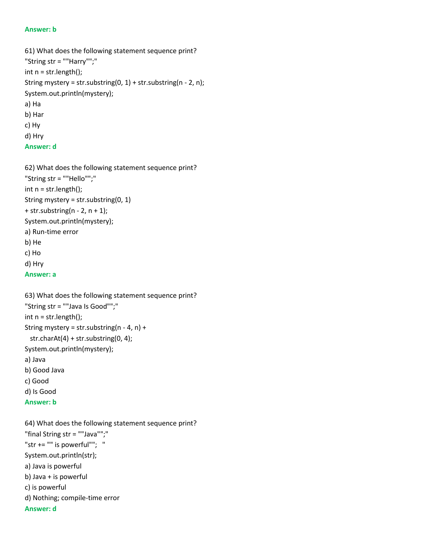```
61) What does the following statement sequence print?
"String str = ""Harry"";"
int n = str.length();
String mystery = str.substring(0, 1) + str.substring(n - 2, n);
System.out.println(mystery);
a) Ha
b) Har
c) Hy
d) Hry
```

```
Answer: d
```
62) What does the following statement sequence print? "String str = ""Hello"";" int n = str.length(); String mystery = str.substring(0, 1)  $+$  str.substring(n - 2, n + 1); System.out.println(mystery); a) Run-time error b) He c) Ho d) Hry **Answer: a**

```
63) What does the following statement sequence print?
"String str = ""Java Is Good"";"
int n = str.length();
String mystery = str.substring(n - 4, n) +
  str.charAt(4) + str.substring(0, 4);
System.out.println(mystery);
a) Java 
b) Good Java
c) Good
d) Is Good
Answer: b
```

```
64) What does the following statement sequence print?
"final String str = ""Java"";"
"str += "" is powerful""; "
System.out.println(str);
a) Java is powerful
b) Java + is powerful
c) is powerful
d) Nothing; compile-time error
Answer: d
```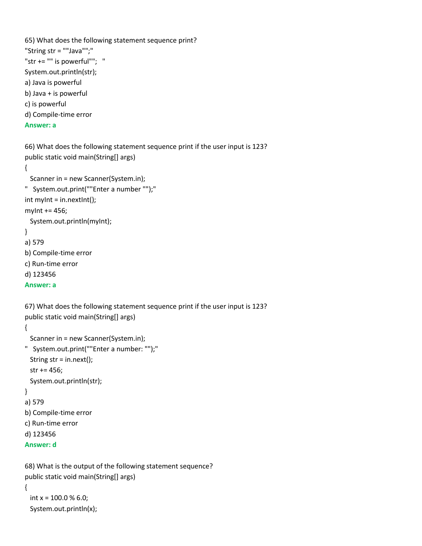```
65) What does the following statement sequence print?
"String str = ""Java"";"
"str += "" is powerful""; "
System.out.println(str);
a) Java is powerful
b) Java + is powerful
c) is powerful
d) Compile-time error
Answer: a
```
66) What does the following statement sequence print if the user input is 123? public static void main(String[] args)

{

```
 Scanner in = new Scanner(System.in);
" System.out.print(""Enter a number "");"
int myInt = in.nextInt();
myInt += 456; 
  System.out.println(myInt);
}
a) 579
b) Compile-time error
c) Run-time error
d) 123456
Answer: a
```
67) What does the following statement sequence print if the user input is 123? public static void main(String[] args) { Scanner in = new Scanner(System.in); " System.out.print(""Enter a number: "");" String str = in.next();

```
 str += 456;
```

```
 System.out.println(str);
```

```
}
```

```
a) 579
b) Compile-time error
```

```
c) Run-time error
```

```
d) 123456
```

```
Answer: d
```
68) What is the output of the following statement sequence? public static void main(String[] args) { int  $x = 100.0 % 6.0;$ System.out.println(x);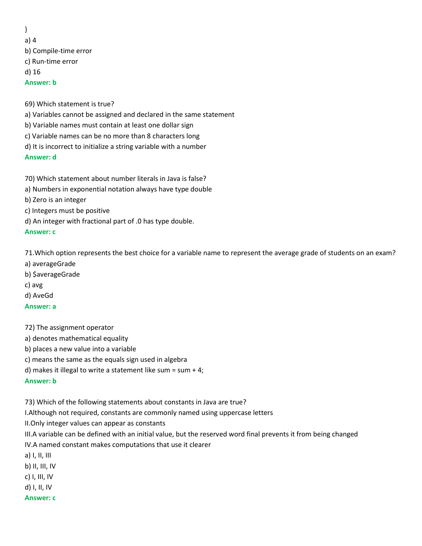} a) 4 b) Compile-time error c) Run-time error d) 16 **Answer: b**

69) Which statement is true?

- a) Variables cannot be assigned and declared in the same statement
- b) Variable names must contain at least one dollar sign
- c) Variable names can be no more than 8 characters long
- d) It is incorrect to initialize a string variable with a number

## **Answer: d**

70) Which statement about number literals in Java is false?

- a) Numbers in exponential notation always have type double
- b) Zero is an integer
- c) Integers must be positive
- d) An integer with fractional part of .0 has type double.

### **Answer: c**

71.Which option represents the best choice for a variable name to represent the average grade of students on an exam?

- a) averageGrade
- b) \$averageGrade
- c) avg
- d) AveGd

## **Answer: a**

72) The assignment operator

- a) denotes mathematical equality
- b) places a new value into a variable
- c) means the same as the equals sign used in algebra
- d) makes it illegal to write a statement like sum = sum + 4;

## **Answer: b**

73) Which of the following statements about constants in Java are true?

I.Although not required, constants are commonly named using uppercase letters

II.Only integer values can appear as constants

III.A variable can be defined with an initial value, but the reserved word final prevents it from being changed

IV.A named constant makes computations that use it clearer

a) I, II, III

b) II, III, IV

c) I, III, IV

d) I, II, IV

## **Answer: c**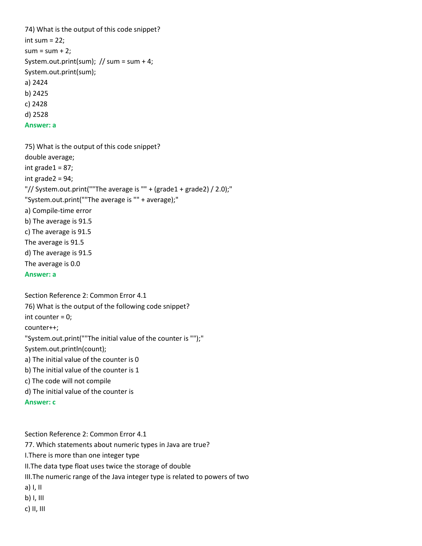74) What is the output of this code snippet? int sum  $= 22$ ;  $sum = sum + 2$ : System.out.print(sum); // sum = sum + 4; System.out.print(sum); a) 2424 b) 2425 c) 2428 d) 2528 **Answer: a**

75) What is the output of this code snippet? double average; int grade $1 = 87$ ; int grade2 = 94; "// System.out.print(""The average is "" + (grade1 + grade2) / 2.0);" "System.out.print(""The average is "" + average);" a) Compile-time error b) The average is 91.5 c) The average is 91.5 The average is 91.5 d) The average is 91.5 The average is 0.0 **Answer: a**

Section Reference 2: Common Error 4.1 76) What is the output of the following code snippet? int counter = 0; counter++; "System.out.print(""The initial value of the counter is "");" System.out.println(count); a) The initial value of the counter is 0 b) The initial value of the counter is 1 c) The code will not compile d) The initial value of the counter is **Answer: c**

Section Reference 2: Common Error 4.1 77. Which statements about numeric types in Java are true? I.There is more than one integer type II.The data type float uses twice the storage of double III.The numeric range of the Java integer type is related to powers of two a) I, II b) I, III c) II, III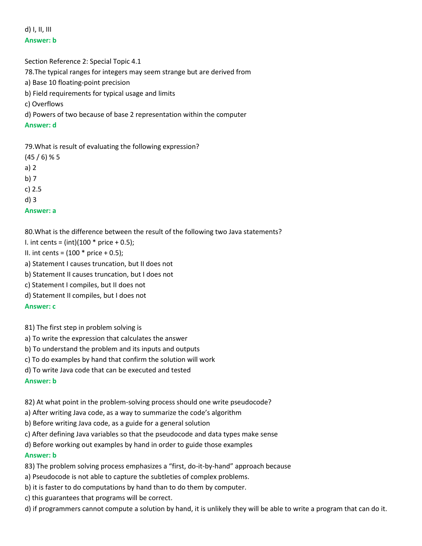d) I, II, III **Answer: b**

Section Reference 2: Special Topic 4.1 78.The typical ranges for integers may seem strange but are derived from a) Base 10 floating-point precision b) Field requirements for typical usage and limits c) Overflows d) Powers of two because of base 2 representation within the computer **Answer: d**

79.What is result of evaluating the following expression?

 $(45/6)$  % 5 a) 2 b) 7 c) 2.5 d) 3 **Answer: a**

80.What is the difference between the result of the following two Java statements?

I. int cents =  $(int)(100 * price + 0.5);$ 

II. int cents =  $(100 * price + 0.5)$ ;

a) Statement I causes truncation, but II does not

b) Statement II causes truncation, but I does not

c) Statement I compiles, but II does not

d) Statement II compiles, but I does not

**Answer: c**

81) The first step in problem solving is

a) To write the expression that calculates the answer

b) To understand the problem and its inputs and outputs

c) To do examples by hand that confirm the solution will work

d) To write Java code that can be executed and tested

**Answer: b**

82) At what point in the problem-solving process should one write pseudocode?

a) After writing Java code, as a way to summarize the code's algorithm

b) Before writing Java code, as a guide for a general solution

c) After defining Java variables so that the pseudocode and data types make sense

d) Before working out examples by hand in order to guide those examples

## **Answer: b**

83) The problem solving process emphasizes a "first, do-it-by-hand" approach because

- a) Pseudocode is not able to capture the subtleties of complex problems.
- b) it is faster to do computations by hand than to do them by computer.
- c) this guarantees that programs will be correct.
- d) if programmers cannot compute a solution by hand, it is unlikely they will be able to write a program that can do it.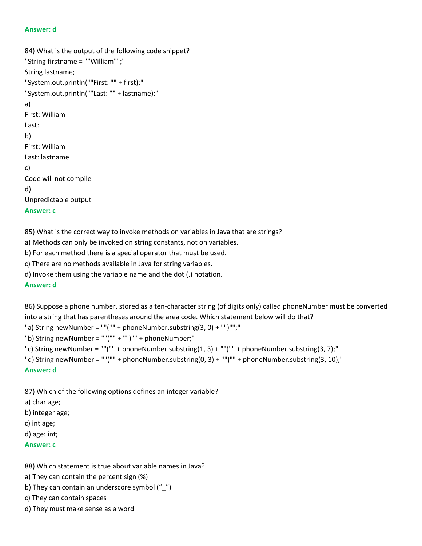#### **Answer: d**

```
84) What is the output of the following code snippet?
"String firstname = ""William"";"
String lastname;
"System.out.println(""First: "" + first);"
"System.out.println(""Last: "" + lastname);"
a) 
First: William
Last: 
b) 
First: William
Last: lastname
c) 
Code will not compile
d) 
Unpredictable output
Answer: c
```
85) What is the correct way to invoke methods on variables in Java that are strings?

a) Methods can only be invoked on string constants, not on variables.

b) For each method there is a special operator that must be used.

c) There are no methods available in Java for string variables.

d) Invoke them using the variable name and the dot (.) notation.

#### **Answer: d**

86) Suppose a phone number, stored as a ten-character string (of digits only) called phoneNumber must be converted into a string that has parentheses around the area code. Which statement below will do that?

"a) String newNumber = ""("" + phoneNumber.substring(3, 0) + "")"";"

"b) String newNumber = ""("" + "")"" + phoneNumber;"

```
"c) String newNumber = ""("" + phoneNumber.substring(1, 3) + "")"" + phoneNumber.substring(3, 7);"
```

```
"d) String newNumber = ""("" + phoneNumber.substring(0, 3) + "")"" + phoneNumber.substring(3, 10);"
```
#### **Answer: d**

87) Which of the following options defines an integer variable?

a) char age;

b) integer age;

c) int age;

d) age: int;

#### **Answer: c**

88) Which statement is true about variable names in Java?

a) They can contain the percent sign (%)

- b) They can contain an underscore symbol ("\_")
- c) They can contain spaces
- d) They must make sense as a word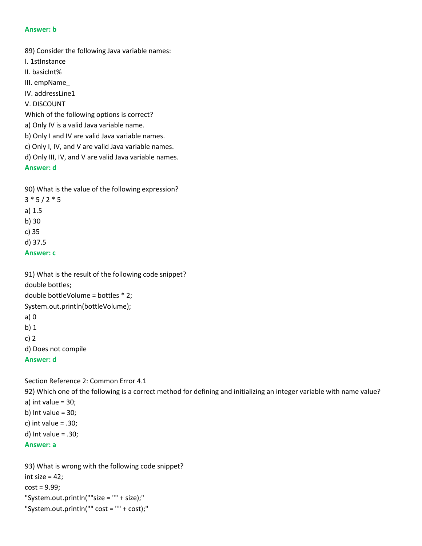89) Consider the following Java variable names:

- I. 1stInstance
- II. basicInt%
- III. empName\_

IV. addressLine1

V. DISCOUNT

Which of the following options is correct?

- a) Only IV is a valid Java variable name.
- b) Only I and IV are valid Java variable names.
- c) Only I, IV, and V are valid Java variable names.
- d) Only III, IV, and V are valid Java variable names.

**Answer: d**

90) What is the value of the following expression?

- $3 * 5 / 2 * 5$
- a) 1.5
- b) 30
- c) 35
- d) 37.5

## **Answer: c**

91) What is the result of the following code snippet?

double bottles;

double bottleVolume = bottles \* 2;

System.out.println(bottleVolume);

- a) 0
- b) 1
- c) 2

d) Does not compile

```
Answer: d
```
Section Reference 2: Common Error 4.1

92) Which one of the following is a correct method for defining and initializing an integer variable with name value? a) int value  $= 30$ ; b) Int value =  $30;$ c) int value  $= .30;$ d) Int value = .30; **Answer: a**

93) What is wrong with the following code snippet? int size  $= 42$ ;  $cost = 9.99$ ; "System.out.println(""size = "" + size);" "System.out.println("" cost = "" + cost);"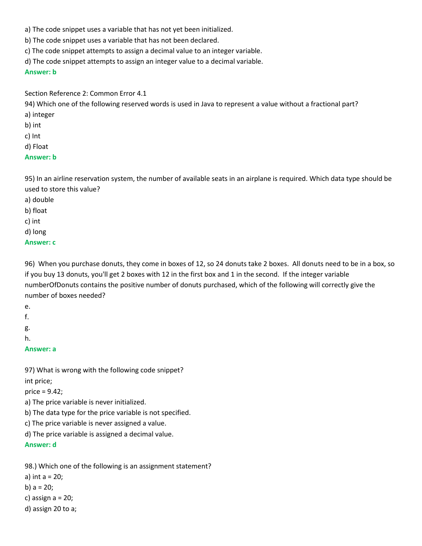- a) The code snippet uses a variable that has not yet been initialized.
- b) The code snippet uses a variable that has not been declared.
- c) The code snippet attempts to assign a decimal value to an integer variable.
- d) The code snippet attempts to assign an integer value to a decimal variable.

Section Reference 2: Common Error 4.1

94) Which one of the following reserved words is used in Java to represent a value without a fractional part? a) integer

- b) int
- c) Int
- d) Float

## **Answer: b**

95) In an airline reservation system, the number of available seats in an airplane is required. Which data type should be used to store this value?

- a) double
- b) float
- c) int
- d) long

## **Answer: c**

96) When you purchase donuts, they come in boxes of 12, so 24 donuts take 2 boxes. All donuts need to be in a box, so if you buy 13 donuts, you'll get 2 boxes with 12 in the first box and 1 in the second. If the integer variable numberOfDonuts contains the positive number of donuts purchased, which of the following will correctly give the number of boxes needed?

- e.
- f.
- g.
- h.
- **Answer: a**

97) What is wrong with the following code snippet? int price;

price = 9.42;

a) The price variable is never initialized.

b) The data type for the price variable is not specified.

c) The price variable is never assigned a value.

d) The price variable is assigned a decimal value.

**Answer: d**

98.) Which one of the following is an assignment statement?

- a) int a = 20;
- b) a = 20;
- c) assign  $a = 20$ ;
- d) assign 20 to a;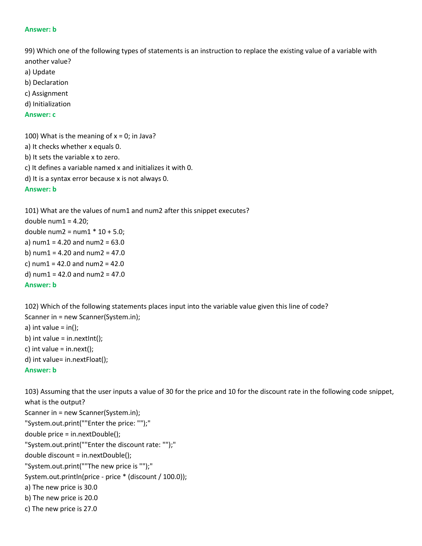99) Which one of the following types of statements is an instruction to replace the existing value of a variable with another value?

- a) Update
- b) Declaration
- c) Assignment
- d) Initialization

### **Answer: c**

100) What is the meaning of  $x = 0$ ; in Java?

- a) It checks whether x equals 0.
- b) It sets the variable x to zero.
- c) It defines a variable named x and initializes it with 0.
- d) It is a syntax error because x is not always 0.

## **Answer: b**

101) What are the values of num1 and num2 after this snippet executes? double num $1 = 4.20$ ; double num2 =  $num1 * 10 + 5.0$ ; a) num $1 = 4.20$  and num $2 = 63.0$ b) num $1 = 4.20$  and num $2 = 47.0$ c) num $1 = 42.0$  and num $2 = 42.0$ d) num $1 = 42.0$  and num $2 = 47.0$ **Answer: b**

102) Which of the following statements places input into the variable value given this line of code? Scanner in = new Scanner(System.in); a) int value =  $in()$ ; b) int value = in.nextlnt(); c) int value =  $in.next()$ ; d) int value= in.nextFloat();

## **Answer: b**

103) Assuming that the user inputs a value of 30 for the price and 10 for the discount rate in the following code snippet, what is the output? Scanner in = new Scanner(System.in); "System.out.print(""Enter the price: "");" double price = in.nextDouble(); "System.out.print(""Enter the discount rate: "");" double discount = in.nextDouble(); "System.out.print(""The new price is "");" System.out.println(price - price \* (discount / 100.0)); a) The new price is 30.0 b) The new price is 20.0 c) The new price is 27.0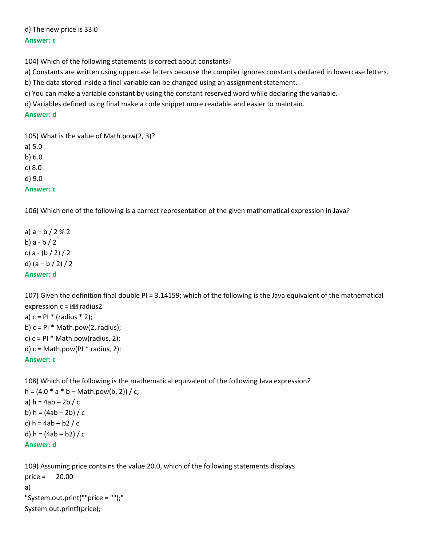d) The new price is 33.0 **Answer: c**

104) Which of the following statements is correct about constants?

a) Constants are written using uppercase letters because the compiler ignores constants declared in lowercase letters.

b) The data stored inside a final variable can be changed using an assignment statement.

c) You can make a variable constant by using the constant reserved word while declaring the variable.

d) Variables defined using final make a code snippet more readable and easier to maintain.

### **Answer: d**

105) What is the value of Math.pow(2, 3)?

a) 5.0 b) 6.0 c) 8.0 d) 9.0 **Answer: c**

106) Which one of the following is a correct representation of the given mathematical expression in Java?

a)  $a - b / 2 % 2$ b) a - b / 2 c) a - (b / 2) / 2 d) (a – b / 2) / 2 **Answer: d**

107) Given the definition final double PI = 3.14159; which of the following is the Java equivalent of the mathematical expression  $c = \boxed{22}$  radius2 a)  $c = PI * (radius * 2);$ b)  $c = PI * Math.pow(2, radius);$ c)  $c = PI * Math.pow(radius, 2);$ d)  $c = Math.pow(Pl * radius, 2);$ 

**Answer: c**

108) Which of the following is the mathematical equivalent of the following Java expression? h =  $(4.0 * a * b - Math.pow(b, 2)) / c$ ; a)  $h = 4ab - 2b / c$ b)  $h = (4ab - 2b) / c$ c) h = 4ab – b2 / c d)  $h = (4ab - b2) / c$ 

```
Answer: d
```
109) Assuming price contains the value 20.0, which of the following statements displays price = 20.00 a) "System.out.print(""price = "");" System.out.printf(price);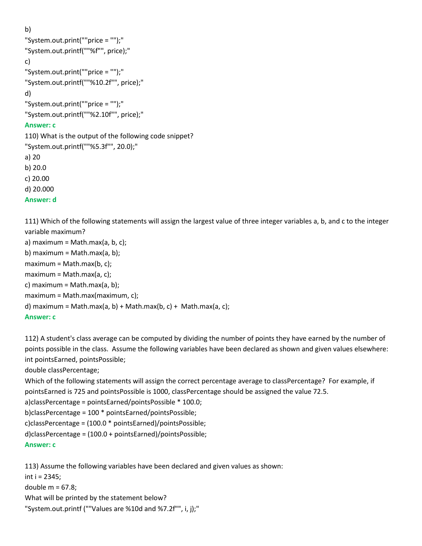b)

```
"System.out.print(""price = "");"
"System.out.printf(""%f"", price);"
c) 
"System.out.print(""price = "");"
"System.out.printf(""%10.2f"", price);"
d) 
"System.out.print(""price = "");"
"System.out.printf(""%2.10f"", price);"
```
### **Answer: c**

110) What is the output of the following code snippet? "System.out.printf(""%5.3f"", 20.0);" a) 20 b) 20.0 c) 20.00 d) 20.000 **Answer: d**

111) Which of the following statements will assign the largest value of three integer variables a, b, and c to the integer variable maximum?

```
a) maximum = Math.max(a, b, c);b) maximum = Math.max(a, b);
maximum = Math.max(b, c);maximum = Math.max(a, c);
c) maximum = Math.max(a, b);
maximum = Math.max(maximum, c);
d) maximum = Math.max(a, b) + Math.max(b, c) + Math.max(a, c);
Answer: c
```
112) A student's class average can be computed by dividing the number of points they have earned by the number of points possible in the class. Assume the following variables have been declared as shown and given values elsewhere: int pointsEarned, pointsPossible;

double classPercentage;

```
Which of the following statements will assign the correct percentage average to classPercentage? For example, if 
pointsEarned is 725 and pointsPossible is 1000, classPercentage should be assigned the value 72.5.
a)classPercentage = pointsEarned/pointsPossible * 100.0;
b)classPercentage = 100 * pointsEarned/pointsPossible;
c)classPercentage = (100.0 * pointsEarned)/pointsPossible;
d)classPercentage = (100.0 + pointsEarned)/pointsPossible;
Answer: c
```
113) Assume the following variables have been declared and given values as shown: int i = 2345; double  $m = 67.8$ ; What will be printed by the statement below? "System.out.printf (""Values are %10d and %7.2f"", i, j);"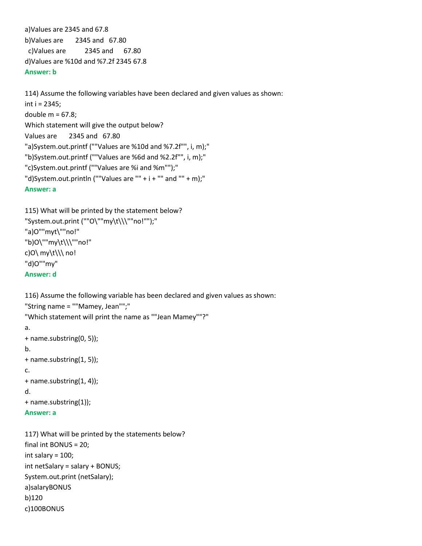a)Values are 2345 and 67.8 b)Values are 2345 and 67.80 c)Values are 2345 and 67.80 d)Values are %10d and %7.2f 2345 67.8 **Answer: b**

114) Assume the following variables have been declared and given values as shown: int i = 2345; double  $m = 67.8$ ; Which statement will give the output below? Values are 2345 and 67.80 "a)System.out.printf (""Values are %10d and %7.2f"", i, m);" "b)System.out.printf (""Values are %6d and %2.2f"", i, m);" "c)System.out.printf (""Values are %i and %m"");" "d)System.out.println (""Values are "" +  $i$  + "" and "" + m);" **Answer: a**

```
115) What will be printed by the statement below?
"System.out.print (""O\""my\t\\\""no!"");"
"a)O""myt\""no!"
"b)O\""my\t\\\""no!"
c)O\ my\t\\\ no!
"d)O""my"
Answer: d
```
int salary = 100;

a)salaryBONUS

c)100BONUS

b)120

int netSalary = salary + BONUS; System.out.print (netSalary);

```
116) Assume the following variable has been declared and given values as shown:
"String name = ""Mamey, Jean"";"
"Which statement will print the name as ""Jean Mamey""?"
a.
+ name.substring(0, 5));
b.
+ name.substring(1, 5));
c.
+ name.substring(1, 4));
d.
+ name.substring(1));
Answer: a
117) What will be printed by the statements below?
final int BONUS = 20;
```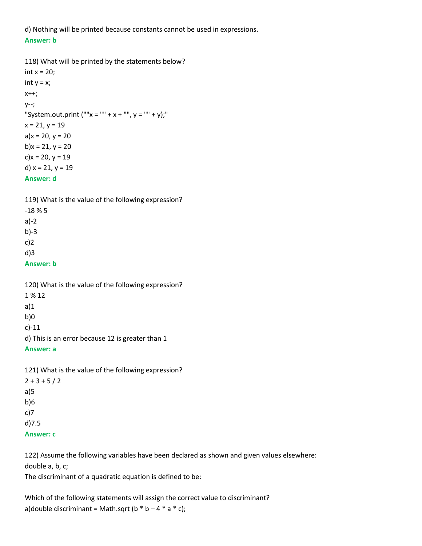d) Nothing will be printed because constants cannot be used in expressions. **Answer: b**

```
118) What will be printed by the statements below?
int x = 20;
int y = x;
x++;
y--;
"System.out.print (""x = "" + x + "", y = "" + y);"
x = 21, y = 19a)x = 20, y = 20b)x = 21, y = 20c)x = 20, y = 19
d) x = 21, y = 19Answer: d
```

| 119) What is the value of the following expression? |
|-----------------------------------------------------|
| $-18\%5$                                            |
| $a)-2$                                              |
| $b$ )-3                                             |
| $c$ )2                                              |
| $d$ )3                                              |
| Answer: b                                           |
|                                                     |

| 120) What is the value of the following expression? |
|-----------------------------------------------------|
| 1 % 12                                              |
| a)1                                                 |
| b)0                                                 |
| $c$ )-11                                            |
| d) This is an error because 12 is greater than 1    |
| Answer: a                                           |
|                                                     |
|                                                     |

121) What is the value of the following expression?  $2 + 3 + 5 / 2$ a)5 b)6 c)7 d)7.5 **Answer: c**

122) Assume the following variables have been declared as shown and given values elsewhere: double a, b, c;

The discriminant of a quadratic equation is defined to be:

Which of the following statements will assign the correct value to discriminant? a)double discriminant = Math.sqrt ( $b * b - 4 * a * c$ );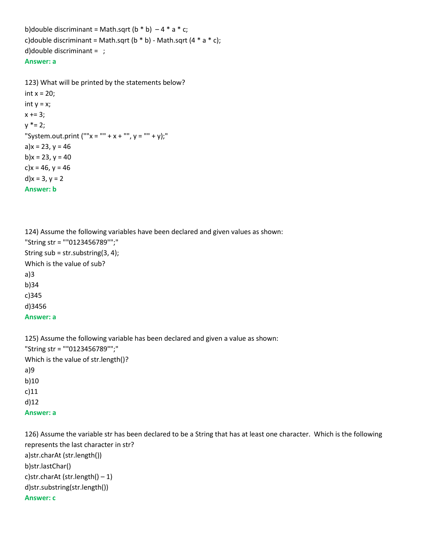b)double discriminant = Math.sqrt ( $b * b$ ) – 4  $* a * c$ ; c)double discriminant = Math.sqrt (b  $*$  b) - Math.sqrt (4  $*$  a  $*$  c); d)double discriminant = ;

## **Answer: a**

123) What will be printed by the statements below? int  $x = 20$ ; int  $y = x$ ;  $x == 3$ ;  $y * = 2;$ "System.out.print (""x = "" + x + "", y = "" + y);" a) $x = 23$ ,  $y = 46$ b) $x = 23$ ,  $y = 40$ c) $x = 46$ ,  $y = 46$ d) $x = 3, y = 2$ **Answer: b**

124) Assume the following variables have been declared and given values as shown: "String str = ""0123456789"";" String sub = str.substring(3, 4); Which is the value of sub? a)3 b)34 c)345 d)3456 **Answer: a**

125) Assume the following variable has been declared and given a value as shown: "String str = ""0123456789"";" Which is the value of str.length()? a)9 b)10 c)11 d)12 **Answer: a**

126) Assume the variable str has been declared to be a String that has at least one character. Which is the following represents the last character in str? a)str.charAt (str.length()) b)str.lastChar() c)str.charAt (str.length()  $-1$ ) d)str.substring(str.length()) **Answer: c**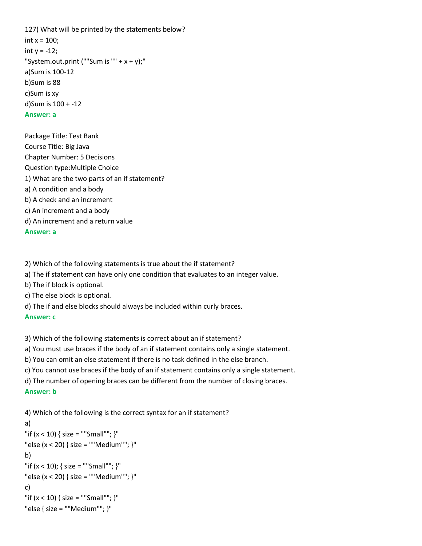127) What will be printed by the statements below? int  $x = 100$ : int y = -12; "System.out.print (""Sum is "" +  $x$  +  $y$ );" a)Sum is 100-12 b)Sum is 88 c)Sum is xy d)Sum is 100 + -12 **Answer: a**

Package Title: Test Bank Course Title: Big Java Chapter Number: 5 Decisions Question type:Multiple Choice 1) What are the two parts of an if statement? a) A condition and a body b) A check and an increment c) An increment and a body d) An increment and a return value

**Answer: a**

2) Which of the following statements is true about the if statement?

a) The if statement can have only one condition that evaluates to an integer value.

b) The if block is optional.

c) The else block is optional.

d) The if and else blocks should always be included within curly braces.

**Answer: c**

3) Which of the following statements is correct about an if statement?

a) You must use braces if the body of an if statement contains only a single statement.

b) You can omit an else statement if there is no task defined in the else branch.

c) You cannot use braces if the body of an if statement contains only a single statement.

d) The number of opening braces can be different from the number of closing braces.

#### **Answer: b**

4) Which of the following is the correct syntax for an if statement?

```
a) 
"if (x < 10) { size = ""Small""; }"
"else (x < 20) { size = ""Medium""; }"
b) 
"if (x < 10); { size = ""Small""; }"
"else (x < 20) { size = ""Medium""; }"
c) 
"if (x < 10) { size = ""Small""; }"
"else { size = ""Medium""; }"
```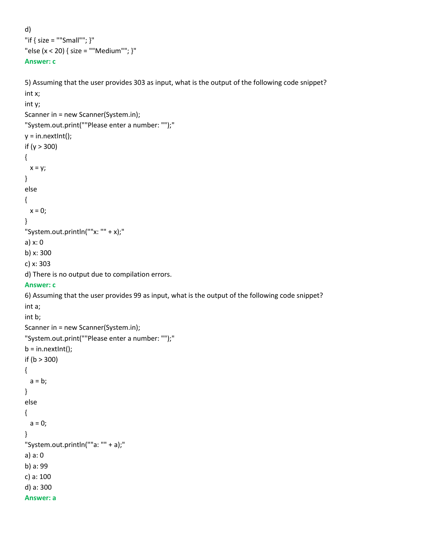```
d) 
"if { size = ""Small""; }"
"else (x < 20) { size = ""Medium""; }"
Answer: c
```

```
5) Assuming that the user provides 303 as input, what is the output of the following code snippet?
int x; 
int y;
Scanner in = new Scanner(System.in);
"System.out.print(""Please enter a number: "");"
y = in.nextInt();if (y > 300) 
{ 
 x = y;}
else 
{ 
 x = 0;
}
"System.out.println(""x: "" + x);"
a) x: 0
b) x: 300
c) x: 303
d) There is no output due to compilation errors.
Answer: c
6) Assuming that the user provides 99 as input, what is the output of the following code snippet?
int a;
int b;
Scanner in = new Scanner(System.in);
"System.out.print(""Please enter a number: "");"
b = in.nextInt();if (b > 300) 
{ 
 a = b;
}
else 
{ 
 a = 0;}
"System.out.println(""a: "" + a);"
a) a: 0
b) a: 99
c) a: 100
d) a: 300
Answer: a
```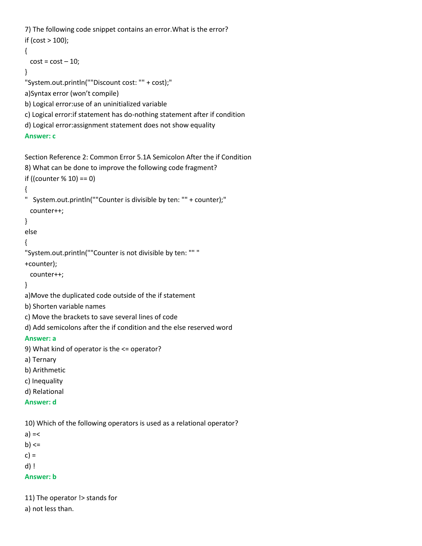7) The following code snippet contains an error.What is the error? if (cost > 100); {  $cost = cost - 10;$ } "System.out.println(""Discount cost: "" + cost);" a)Syntax error (won't compile) b) Logical error:use of an uninitialized variable c) Logical error:if statement has do-nothing statement after if condition d) Logical error:assignment statement does not show equality

```
Answer: c
```

```
Section Reference 2: Common Error 5.1A Semicolon After the if Condition
8) What can be done to improve the following code fragment?
if ((counter % 10) == 0)
{
" System.out.println(""Counter is divisible by ten: "" + counter);"
  counter++;
}
else
{
"System.out.println(""Counter is not divisible by ten: "" "
+counter);
  counter++;
}
a)Move the duplicated code outside of the if statement
b) Shorten variable names
```

```
c) Move the brackets to save several lines of code
```

```
d) Add semicolons after the if condition and the else reserved word
```

```
Answer: a
```

```
9) What kind of operator is the <= operator?
```

```
a) Ternary
```

```
b) Arithmetic
```

```
c) Inequality
```

```
d) Relational
```

```
Answer: d
```
10) Which of the following operators is used as a relational operator?

```
a) = <
```
 $b)$  <=

 $c) =$ 

```
d) !
```
**Answer: b**

11) The operator !> stands for

a) not less than.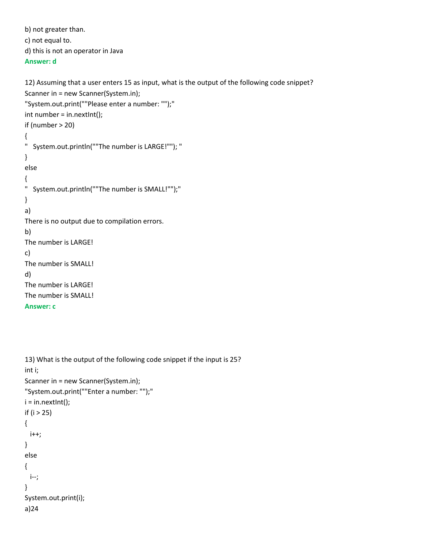```
b) not greater than.
c) not equal to.
d) this is not an operator in Java
```
## **Answer: d**

```
12) Assuming that a user enters 15 as input, what is the output of the following code snippet?
Scanner in = new Scanner(System.in);
"System.out.print(""Please enter a number: "");"
int number = in.nextInt();
if (number > 20) 
{ 
" System.out.println(""The number is LARGE!""); "
} 
else 
{ 
" System.out.println(""The number is SMALL!"");"
} 
a) 
There is no output due to compilation errors.
b) 
The number is LARGE!
c) 
The number is SMALL!
d) 
The number is LARGE!
The number is SMALL!
Answer: c
```

```
13) What is the output of the following code snippet if the input is 25?
int i;
Scanner in = new Scanner(System.in);
"System.out.print(""Enter a number: "");"
i = in.nextInt();if (i > 25) 
{
  i++;
} 
else 
{ 
  i--; 
} 
System.out.print(i);
a)24
```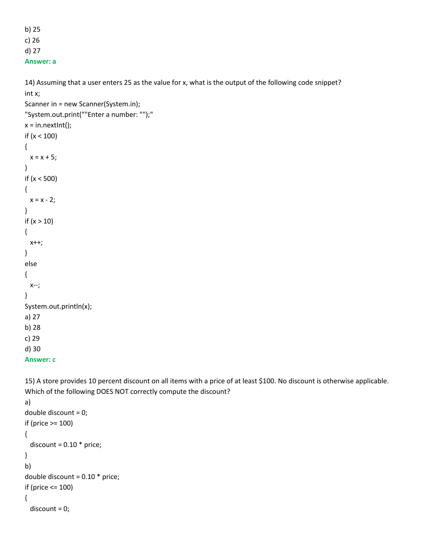b) 25 c) 26

d) 27

**Answer: a**

14) Assuming that a user enters 25 as the value for x, what is the output of the following code snippet? int x;

```
Scanner in = new Scanner(System.in);
"System.out.print(""Enter a number: "");"
x = in.nextInt();if (x < 100) 
{ 
 x = x + 5;}
if (x < 500) 
{ 
 x = x - 2;}
if (x > 10){ 
  x++; 
}
else 
{ 
  x--; 
}
System.out.println(x);
a) 27
b) 28
c) 29
d) 30
```

```
Answer: c
```
15) A store provides 10 percent discount on all items with a price of at least \$100. No discount is otherwise applicable. Which of the following DOES NOT correctly compute the discount?

```
a) 
double discount = 0;
if (price >= 100)
{
 discount = 0.10 * price;
}
b) 
double discount = 0.10 * price;
if (price <= 100) 
{
  discount = 0;
```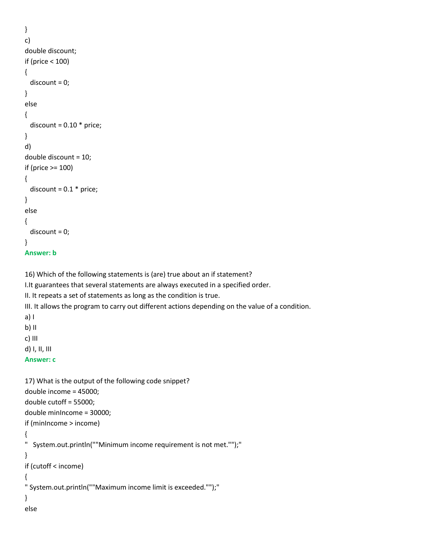```
}
c) 
double discount; 
if (price < 100)
{ 
   discount = 0;
}
else 
{ 
  discount = 0.10 * price;
}
d) 
double discount = 10;
if (price >= 100)
{
  discount = 0.1 * price;
}
else
{
  discount = 0;
}
Answer: b
```
16) Which of the following statements is (are) true about an if statement?

I.It guarantees that several statements are always executed in a specified order.

II. It repeats a set of statements as long as the condition is true.

III. It allows the program to carry out different actions depending on the value of a condition.

a) I  $b)$  II

c) III

d) I, II, III

```
Answer: c
```

```
17) What is the output of the following code snippet?
double income = 45000;
double cutoff = 55000;
double minIncome = 30000; 
if (minIncome > income) 
{ 
" System.out.println(""Minimum income requirement is not met."");"
} 
if (cutoff < income) 
{ 
" System.out.println(""Maximum income limit is exceeded."");"
} 
else
```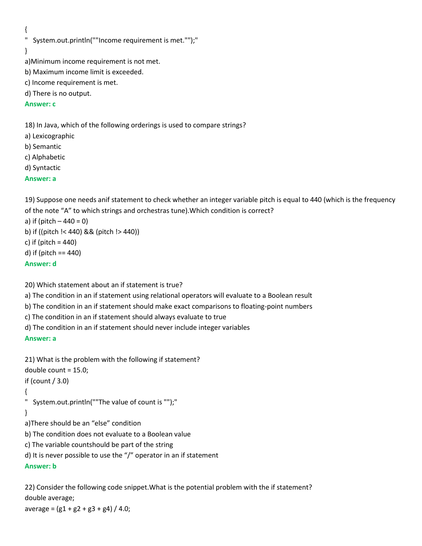{

```
" System.out.println(""Income requirement is met."");"
```
}

```
a)Minimum income requirement is not met.
```

```
b) Maximum income limit is exceeded.
```

```
c) Income requirement is met.
```
d) There is no output.

## **Answer: c**

18) In Java, which of the following orderings is used to compare strings?

- a) Lexicographic
- b) Semantic
- c) Alphabetic
- d) Syntactic

## **Answer: a**

19) Suppose one needs anif statement to check whether an integer variable pitch is equal to 440 (which is the frequency of the note "A" to which strings and orchestras tune).Which condition is correct?

a) if (pitch  $-440 = 0$ ) b) if ((pitch !< 440) && (pitch !> 440)) c) if (pitch  $= 440$ ) d) if (pitch == 440) **Answer: d**

20) Which statement about an if statement is true?

a) The condition in an if statement using relational operators will evaluate to a Boolean result

b) The condition in an if statement should make exact comparisons to floating-point numbers

c) The condition in an if statement should always evaluate to true

d) The condition in an if statement should never include integer variables

## **Answer: a**

```
21) What is the problem with the following if statement?
double count = 15.0;
if (count / 3.0) 
{
" System.out.println(""The value of count is "");"
}
a)There should be an "else" condition
b) The condition does not evaluate to a Boolean value
c) The variable countshould be part of the string
d) It is never possible to use the "/" operator in an if statement
Answer: b
```
22) Consider the following code snippet.What is the potential problem with the if statement? double average; average =  $(g1 + g2 + g3 + g4) / 4.0$ ;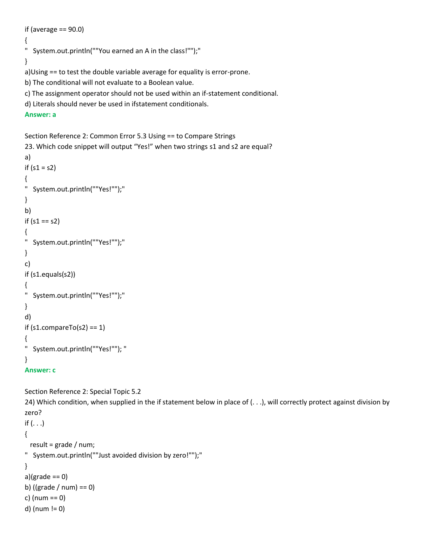```
if (average == 90.0)
{
" System.out.println(""You earned an A in the class!"");"
}
a)Using == to test the double variable average for equality is error-prone.
b) The conditional will not evaluate to a Boolean value.
c) The assignment operator should not be used within an if-statement conditional.
```
d) Literals should never be used in ifstatement conditionals.

```
Answer: a
```

```
Section Reference 2: Common Error 5.3 Using == to Compare Strings
23. Which code snippet will output "Yes!" when two strings s1 and s2 are equal?
a) 
if (s1 = s2){ 
" System.out.println(""Yes!"");"
}
b) 
if (s1 == s2) 
{ 
" System.out.println(""Yes!"");"
}
c) 
if (s1.equals(s2)) 
{ 
" System.out.println(""Yes!"");"
}
d) 
if (s1.compareTo(s2) == 1){ 
" System.out.println(""Yes!""); "
}
```

```
Answer: c
```
Section Reference 2: Special Topic 5.2

24) Which condition, when supplied in the if statement below in place of (. . .), will correctly protect against division by zero? if  $( \ldots )$ { result = grade / num; " System.out.println(""Just avoided division by zero!"");" } a) $(\text{grade} == 0)$ b) ((grade / num) == 0) c) (num == 0)

```
d) (num != 0)
```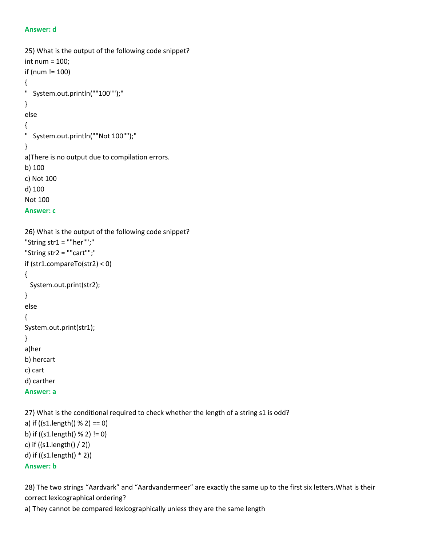#### **Answer: d**

```
25) What is the output of the following code snippet?
int num = 100;
if (num != 100)
{
" System.out.println(""100"");"
}
else
{
" System.out.println(""Not 100"");"
}
a)There is no output due to compilation errors.
b) 100
c) Not 100
d) 100
Not 100
Answer: c
26) What is the output of the following code snippet?
"String str1 = ""her"";"
"String str2 = ""cart"";"
if (str1.compareTo(str2) < 0)
{
  System.out.print(str2);
}
else
{
System.out.print(str1);
}
a)her
b) hercart
c) cart
d) carther
Answer: a
```
27) What is the conditional required to check whether the length of a string s1 is odd? a) if ((s1.length() % 2) == 0) b) if  $((s1.length() % 2) != 0)$ c) if ((s1.length() / 2)) d) if ((s1.length() \* 2)) **Answer: b**

28) The two strings "Aardvark" and "Aardvandermeer" are exactly the same up to the first six letters.What is their correct lexicographical ordering?

```
a) They cannot be compared lexicographically unless they are the same length
```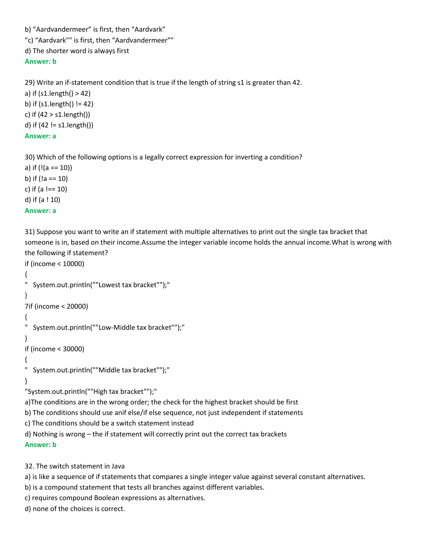b) "Aardvandermeer" is first, then "Aardvark"

"c) "Aardvark"" is first, then "Aardvandermeer""

d) The shorter word is always first

**Answer: b**

29) Write an if-statement condition that is true if the length of string s1 is greater than 42. a) if (s1.length() > 42) b) if (s1.length() != 42)

c) if  $(42 > s1.length)$ d) if (42 != s1.length())

```
Answer: a
```
30) Which of the following options is a legally correct expression for inverting a condition?

a) if  $(l(a == 10))$ b) if (!a == 10) c) if (a !== 10) d) if (a ! 10) **Answer: a**

31) Suppose you want to write an if statement with multiple alternatives to print out the single tax bracket that someone is in, based on their income.Assume the integer variable income holds the annual income.What is wrong with the following if statement?

```
if (income < 10000)
{
" System.out.println(""Lowest tax bracket"");"
}
7if (income < 20000)
{
" System.out.println(""Low-Middle tax bracket"");"
}
if (income < 30000)
{
" System.out.println(""Middle tax bracket"");"
}
"System.out.println(""High tax bracket"");"
a)The conditions are in the wrong order; the check for the highest bracket should be first
b) The conditions should use anif else/if else sequence, not just independent if statements
c) The conditions should be a switch statement instead
d) Nothing is wrong – the if statement will correctly print out the correct tax brackets
Answer: b
```
32. The switch statement in Java

a) is like a sequence of if statements that compares a single integer value against several constant alternatives.

b) is a compound statement that tests all branches against different variables.

c) requires compound Boolean expressions as alternatives.

```
d) none of the choices is correct.
```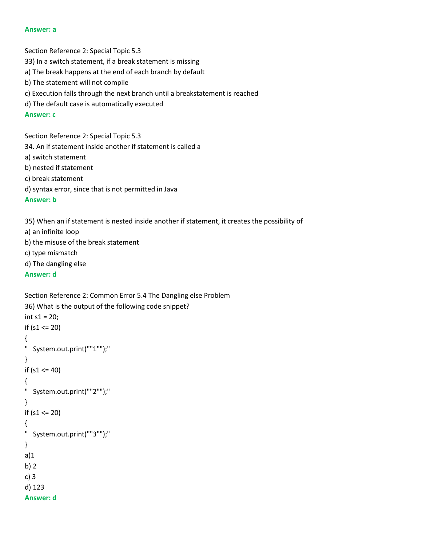#### **Answer: a**

Section Reference 2: Special Topic 5.3 33) In a switch statement, if a break statement is missing a) The break happens at the end of each branch by default b) The statement will not compile c) Execution falls through the next branch until a breakstatement is reached d) The default case is automatically executed **Answer: c** Section Reference 2: Special Topic 5.3

34. An if statement inside another if statement is called a a) switch statement b) nested if statement c) break statement d) syntax error, since that is not permitted in Java **Answer: b**

35) When an if statement is nested inside another if statement, it creates the possibility of a) an infinite loop b) the misuse of the break statement c) type mismatch d) The dangling else

**Answer: d**

d) 123 **Answer: d**

```
Section Reference 2: Common Error 5.4 The Dangling else Problem
36) What is the output of the following code snippet?
int s1 = 20;if (s1 <= 20)
{
" System.out.print(""1"");"
}
if (s1 \le 40){
" System.out.print(""2"");"
}
if (s1 <= 20)
{
" System.out.print(""3"");"
}
a)1
b) 2
c) 3
```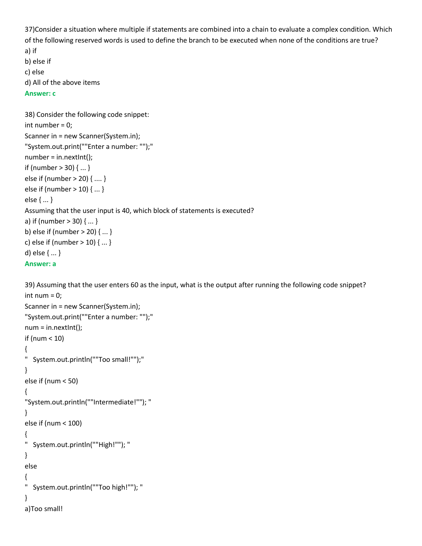37)Consider a situation where multiple if statements are combined into a chain to evaluate a complex condition. Which of the following reserved words is used to define the branch to be executed when none of the conditions are true? a) if b) else if

```
c) else
```
d) All of the above items

```
Answer: c
```

```
38) Consider the following code snippet:
int number = 0;
Scanner in = new Scanner(System.in);
"System.out.print(""Enter a number: "");"
number = in.nextInt();
if (number > 30) { ... }
else if (number > 20) { .... }
else if (number > 10) { ... }
else { ... }
Assuming that the user input is 40, which block of statements is executed?
a) if (number > 30) { ... }
b) else if (number > 20) { ... }
c) else if (number > 10) { ... }
d) else { ... }
Answer: a
```
39) Assuming that the user enters 60 as the input, what is the output after running the following code snippet? int num  $= 0$ ;

```
Scanner in = new Scanner(System.in);
"System.out.print(""Enter a number: "");"
num = in.nextInt();if (num < 10) 
{
" System.out.println(""Too small!"");"
}
else if (num < 50) 
{ 
"System.out.println(""Intermediate!""); "
}
else if (num < 100) 
{ 
" System.out.println(""High!""); "
}
else 
{ 
" System.out.println(""Too high!""); "
}
a)Too small!
```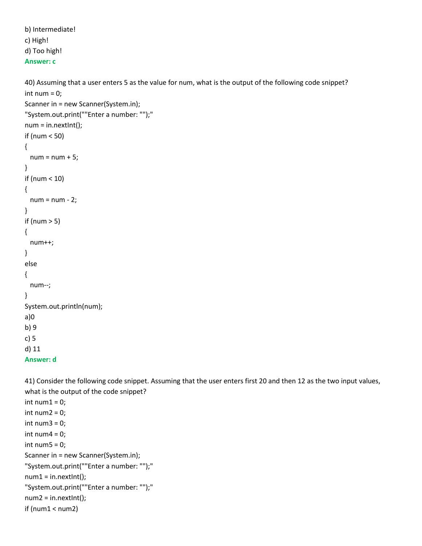```
b) Intermediate!
c) High!
d) Too high!
```
## **Answer: c**

40) Assuming that a user enters 5 as the value for num, what is the output of the following code snippet? int num  $= 0$ ;

```
Scanner in = new Scanner(System.in);
"System.out.print(""Enter a number: "");"
num = in.nextInt();if (num < 50) 
{ 
 num = num + 5;}
if (num < 10) 
{ 
  num = num - 2; 
}
if (num > 5)
{ 
  num++; 
}
else 
{ 
  num--; 
}
System.out.println(num);
a)0
b) 9
c) 5
d) 11
```

```
Answer: d
```
41) Consider the following code snippet. Assuming that the user enters first 20 and then 12 as the two input values, what is the output of the code snippet?

```
int num1 = 0;
int num2 = 0;
int num3 = 0;
int num4 = 0;
int num5 = 0;
Scanner in = new Scanner(System.in);
"System.out.print(""Enter a number: "");"
num1 = in.nextInt();"System.out.print(""Enter a number: "");"
num2 = in.nextInt();if (num1 < num2)
```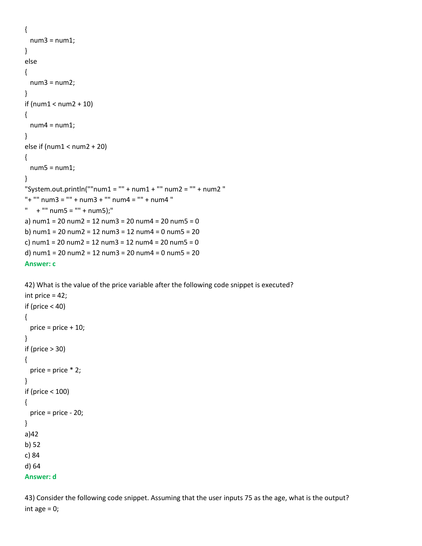```
{ 
 num3 = num1;} 
else 
{ 
  num3 = num2; 
} 
if (num1 < num2 + 10) 
{ 
 num4 = num1;} 
else if (num1 < num2 + 20) 
{ 
  num5 = num1; 
} 
"System.out.println(""num1 = "" + num1 + "" num2 = "" + num2 "
"+ "" num3 = "" + num3 + "" num4 = "" + num4 "
" + "" num5 = "" + num5;"
a) num1 = 20 num2 = 12 num3 = 20 num4 = 20 num5 = 0b) num1 = 20 num2 = 12 num3 = 12 num4 = 0 num5 = 20
c) num1 = 20 num2 = 12 num3 = 12 num4 = 20 num5 = 0d) num1 = 20 num2 = 12 num3 = 20 num4 = 0 num5 = 20Answer: c
```

```
42) What is the value of the price variable after the following code snippet is executed?
int price = 42;
if (price < 40)
{ 
  price = price + 10;
}
if (price > 30) 
{ 
   price = price * 2; 
}
if (price < 100) 
{ 
  price = price - 20; 
}
a)42
b) 52
c) 84
d) 64
```

```
Answer: d
```
43) Consider the following code snippet. Assuming that the user inputs 75 as the age, what is the output? int age  $= 0$ ;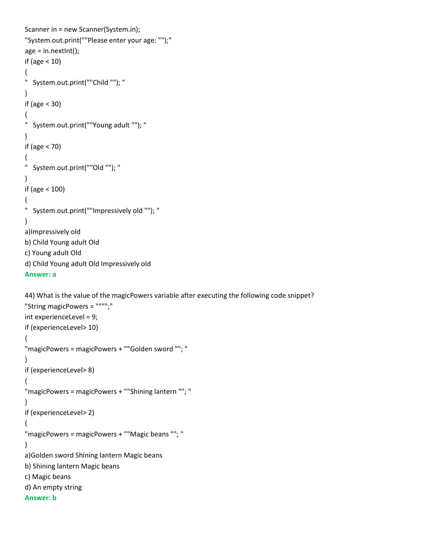```
Scanner in = new Scanner(System.in);
"System.out.print(""Please enter your age: "");"
age = in.nextInt();if (age < 10) 
{ 
" System.out.print(""Child ""); "
}
if (age < 30) 
{ 
" System.out.print(""Young adult ""); "
}
if (age < 70) 
{ 
" System.out.print(""Old ""); "
}
if (age < 100)
{
" System.out.print(""Impressively old ""); "
}
a)Impressively old
b) Child Young adult Old
c) Young adult Old
d) Child Young adult Old Impressively old
Answer: a
44) What is the value of the magicPowers variable after executing the following code snippet?
"String magicPowers = """";"
int experienceLevel = 9;
if (experienceLevel> 10) 
{ 
"magicPowers = magicPowers + ""Golden sword ""; "
}
if (experienceLevel> 8) 
{ 
"magicPowers = magicPowers + ""Shining lantern ""; "
```
} if (experienceLevel> 2)

{

"magicPowers = magicPowers + ""Magic beans ""; " }

a)Golden sword Shining lantern Magic beans

b) Shining lantern Magic beans

c) Magic beans

d) An empty string

**Answer: b**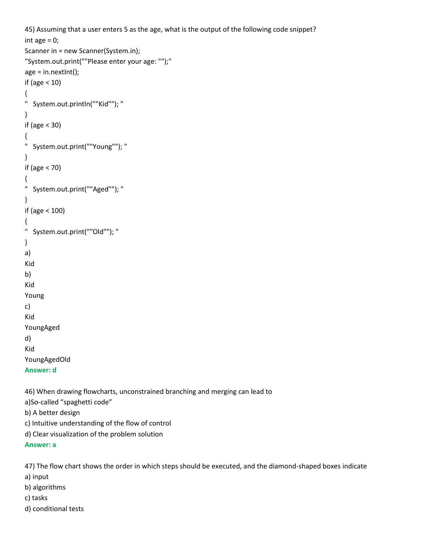```
45) Assuming that a user enters 5 as the age, what is the output of the following code snippet?
int age = 0;
Scanner in = new Scanner(System.in);
"System.out.print(""Please enter your age: "");"
age = in.nextInt();if (age < 10) 
{ 
" System.out.println(""Kid""); "
}
if (age < 30) 
{ 
" System.out.print(""Young""); "
}
if (age < 70) 
{ 
" System.out.print(""Aged""); "
}
if (age < 100) 
{ 
" System.out.print(""Old""); "
}
a)
Kid
b) 
Kid
Young
c) 
Kid
YoungAged
d) 
Kid
YoungAgedOld
Answer: d
46) When drawing flowcharts, unconstrained branching and merging can lead to 
a)So-called "spaghetti code"
```
b) A better design

c) Intuitive understanding of the flow of control

d) Clear visualization of the problem solution

**Answer: a**

47) The flow chart shows the order in which steps should be executed, and the diamond-shaped boxes indicate a) input b) algorithms

c) tasks

d) conditional tests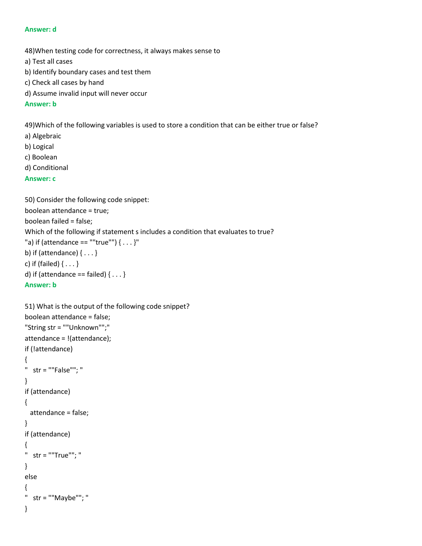#### **Answer: d**

48)When testing code for correctness, it always makes sense to

- a) Test all cases
- b) Identify boundary cases and test them
- c) Check all cases by hand
- d) Assume invalid input will never occur

### **Answer: b**

49)Which of the following variables is used to store a condition that can be either true or false?

- a) Algebraic
- b) Logical
- c) Boolean
- d) Conditional

## **Answer: c**

```
50) Consider the following code snippet:
boolean attendance = true;
boolean failed = false;
Which of the following if statement s includes a condition that evaluates to true?
"a) if (attendance == ""true"") { \dots }"
b) if (attendance) { . . . }
c) if (failed) { . . . }
d) if (attendance == failed) \{ \ldots \}Answer: b
```

```
51) What is the output of the following code snippet?
boolean attendance = false;
"String str = ""Unknown"";"
attendance = !(attendance);
if (!attendance) 
{ 
" str = ""False""; "
} 
if (attendance) 
{ 
  attendance = false; 
} 
if (attendance) 
{ 
" str = ""True""; "
} 
else 
{ 
" str = ""Maybe""; "
}
```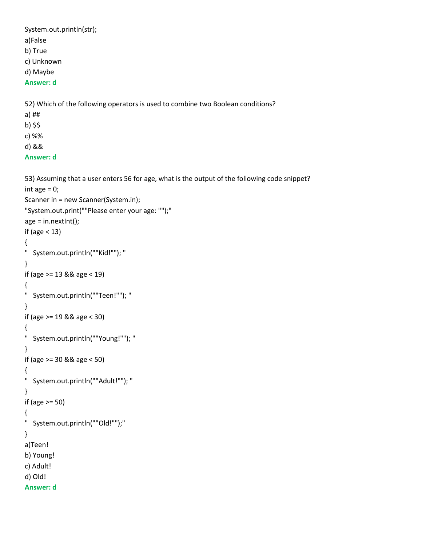System.out.println(str);

a)False

b) True

c) Unknown

d) Maybe

# **Answer: d**

52) Which of the following operators is used to combine two Boolean conditions?

- a) ##
- b) \$\$

c) %%

d) &&

# **Answer: d**

53) Assuming that a user enters 56 for age, what is the output of the following code snippet?

```
int age = 0;
Scanner in = new Scanner(System.in);
"System.out.print(""Please enter your age: "");"
age = in.nextInt();if (age < 13) 
{ 
" System.out.println(""Kid!""); "
} 
if (age >= 13 && age < 19) 
{ 
" System.out.println(""Teen!""); "
} 
if (age >= 19 && age < 30) 
{ 
" System.out.println(""Young!""); "
} 
if (age >= 30 && age < 50) 
{ 
" System.out.println(""Adult!""); "
} 
if (age >= 50) 
{ 
" System.out.println(""Old!"");"
}
a)Teen!
b) Young!
c) Adult!
d) Old!
```
**Answer: d**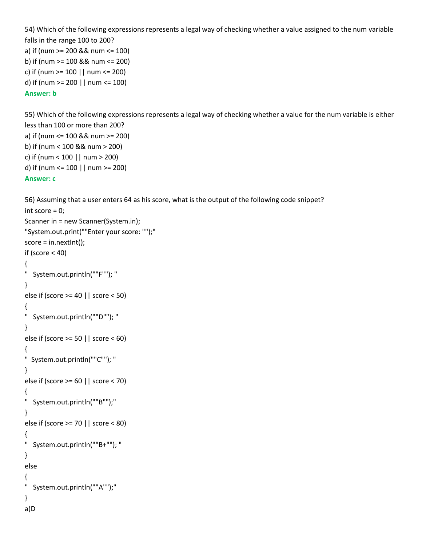```
54) Which of the following expressions represents a legal way of checking whether a value assigned to the num variable 
falls in the range 100 to 200?
a) if (num >= 200 && num <= 100)
b) if (num >= 100 && num <= 200)
c) if (num >= 100 || num <= 200)
```
d) if (num >= 200 || num <= 100)

## **Answer: b**

55) Which of the following expressions represents a legal way of checking whether a value for the num variable is either less than 100 or more than 200? a) if (num <= 100 && num >= 200) b) if (num < 100 && num > 200) c) if (num < 100 || num > 200)

d) if (num <= 100 || num >= 200)

```
Answer: c
```
} a)D

```
56) Assuming that a user enters 64 as his score, what is the output of the following code snippet?
int score = 0;
Scanner in = new Scanner(System.in);
"System.out.print(""Enter your score: "");"
score = in.nextInt();
if (score < 40)
{
" System.out.println(""F""); "
} 
else if (score >= 40 || score < 50) 
{ 
" System.out.println(""D""); "
} 
else if (score >= 50 || score < 60) 
{ 
" System.out.println(""C""); "
} 
else if (score >= 60 || score < 70) 
{ 
" System.out.println(""B"");"
} 
else if (score >= 70 || score < 80) 
{ 
" System.out.println(""B+""); "
} 
else 
{ 
" System.out.println(""A"");"
```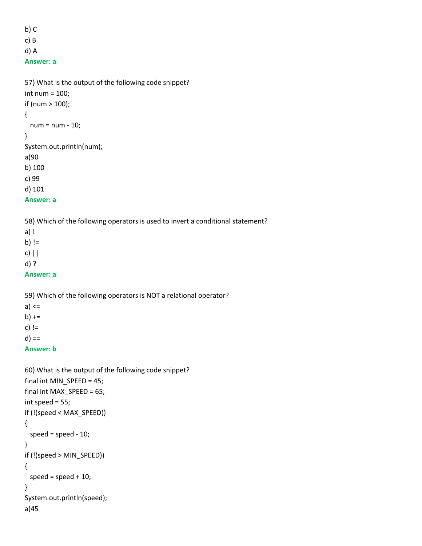b) C c) B d) A **Answer: a**

```
57) What is the output of the following code snippet?
int num = 100; 
if (num > 100); 
{ 
  num = num - 10; 
} 
System.out.println(num);
a)90
b) 100
c) 99
d) 101
```
**Answer: a**

58) Which of the following operators is used to invert a conditional statement?

a) ! b) !=

c) ||

d) ?

**Answer: a**

59) Which of the following operators is NOT a relational operator?

a) <=

 $b)$  += c)  $!=$ 

 $d) ==$ 

**Answer: b**

```
60) What is the output of the following code snippet?
final int MIN_SPEED = 45;
final int MAX_SPEED = 65; 
int speed = 55; 
if (!(speed < MAX_SPEED)) 
{ 
  speed = speed - 10; 
} 
if (!(speed > MIN_SPEED)) 
{ 
  speed = speed + 10; 
} 
System.out.println(speed);
a)45
```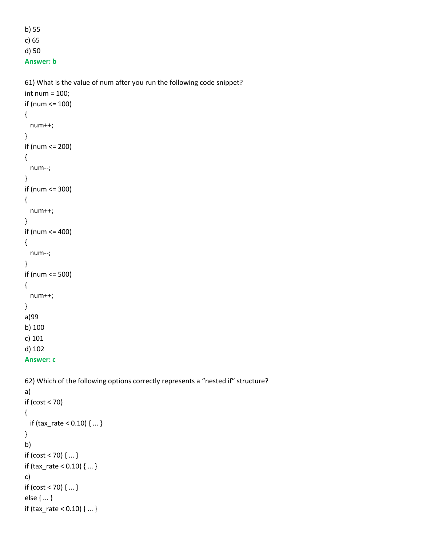b) 55 c) 65 d) 50 **Answer: b**

61) What is the value of num after you run the following code snippet? int num = 100; if (num <= 100)

```
{ 
   num++; 
} 
if (num <= 200) 
{ 
   num--; 
} 
if (num <= 300) 
{ 
   num++; 
} 
if (num <= 400) 
{ 
   num--; 
} 
if (num <= 500) 
{ 
   num++; 
}
a)99
b) 100
c) 101
d) 102
```

```
Answer: c
```
62) Which of the following options correctly represents a "nested if" structure? a) if (cost < 70) { if (tax\_rate < 0.10) { ... } } b) if  $(cost < 70)$   $\{... \}$ if (tax\_rate < 0.10) { ... } c) if (cost < 70) { ... } else { ... }

```
if (tax_rate < 0.10) { ... }
```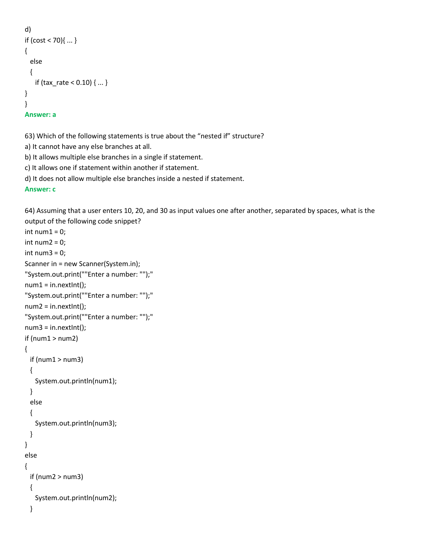```
d) 
if (cost < 70)\{... \}{ 
   else 
   { 
     if (tax_rate < 0.10) { ... }
}
}
Answer: a
```
63) Which of the following statements is true about the "nested if" structure?

a) It cannot have any else branches at all.

b) It allows multiple else branches in a single if statement.

c) It allows one if statement within another if statement.

d) It does not allow multiple else branches inside a nested if statement.

# **Answer: c**

64) Assuming that a user enters 10, 20, and 30 as input values one after another, separated by spaces, what is the output of the following code snippet?

```
int num1 = 0;
int num2 = 0;
int num3 = 0;
Scanner in = new Scanner(System.in);
"System.out.print(""Enter a number: "");"
num1 = in.nextInt();"System.out.print(""Enter a number: "");"
num2 = in.nextInt();"System.out.print(""Enter a number: "");"
num3 = in.nextInt();if(num1 > num2){ 
 if(num1 > num3) { 
    System.out.println(num1); 
  } 
  else 
  { 
    System.out.println(num3); 
  } 
} 
else 
{ 
 if(num2 > num3) { 
    System.out.println(num2);
  }
```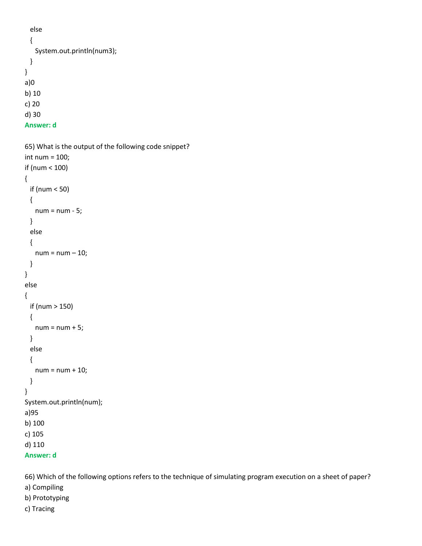```
 else 
   { 
    System.out.println(num3);
   } 
}
a)0
b) 10
c) 20
d) 30
```

```
Answer: d
```

```
65) What is the output of the following code snippet?
int num = 100; 
if (num < 100) 
{ 
   if (num < 50) 
   { 
    num = num - 5; } 
   else 
   { 
   num = num - 10; } 
} 
else 
{ 
   if (num > 150) 
   { 
    num = num + 5; } 
   else 
   { 
     num = num + 10; 
   } 
} 
System.out.println(num);
a)95
b) 100
c) 105
d) 110
Answer: d
```
66) Which of the following options refers to the technique of simulating program execution on a sheet of paper? a) Compiling b) Prototyping

```
c) Tracing
```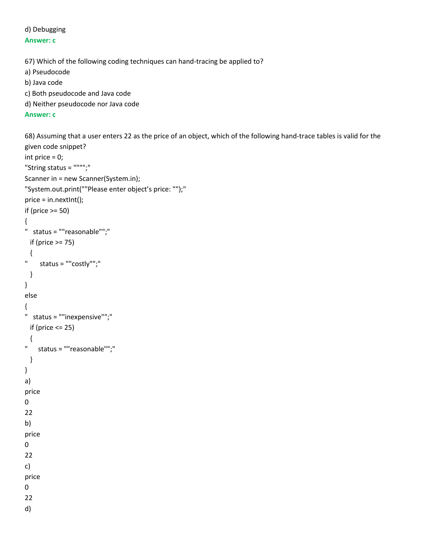### d) Debugging **Answer: c**

```
67) Which of the following coding techniques can hand-tracing be applied to?
a) Pseudocode
```
b) Java code

c) Both pseudocode and Java code

d) Neither pseudocode nor Java code

**Answer: c**

68) Assuming that a user enters 22 as the price of an object, which of the following hand-trace tables is valid for the given code snippet?

```
int price = 0;
"String status = """";"
Scanner in = new Scanner(System.in);
"System.out.print(""Please enter object's price: "");"
price = in.nextInt();
if (price >= 50)
{ 
" status = ""reasonable"";"
  if (price >= 75) 
  {
" status = ""costly"";"
  }
}
else
{
" status = ""inexpensive"";"
 if (price <= 25)
  {
" status = ""reasonable"";"
  }
}
a) 
price
0
22
b) 
price
0
22
c) 
price
0
22
d)
```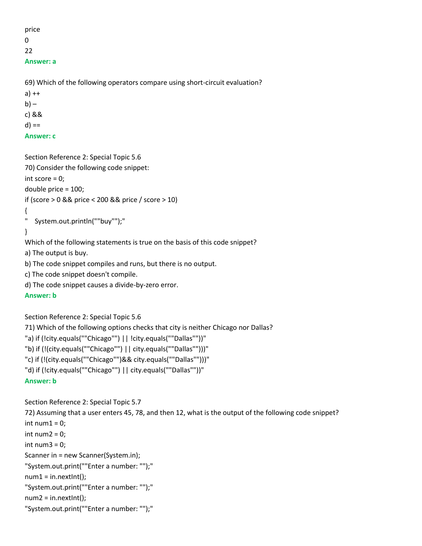```
price
0
22
Answer: a
```
69) Which of the following operators compare using short-circuit evaluation?

a) ++  $b$ ) – c) &&  $d) ==$ **Answer: c**

```
Section Reference 2: Special Topic 5.6
70) Consider the following code snippet:
int score = 0;
double price = 100;
if (score > 0 && price < 200 && price / score > 10) 
{
" System.out.println(""buy"");"
}
Which of the following statements is true on the basis of this code snippet?
```
a) The output is buy.

b) The code snippet compiles and runs, but there is no output.

c) The code snippet doesn't compile.

```
d) The code snippet causes a divide-by-zero error.
```

```
Answer: b
```
Section Reference 2: Special Topic 5.6

71) Which of the following options checks that city is neither Chicago nor Dallas?

```
"a) if (!city.equals(""Chicago"") || !city.equals(""Dallas""))"
```

```
"b) if (!(city.equals(""Chicago"") || city.equals(""Dallas"")))"
```

```
"c) if (!(city.equals(""Chicago"")&& city.equals(""Dallas"")))"
```

```
"d) if (!city.equals(""Chicago"") || city.equals(""Dallas""))"
```

```
Answer: b
```
Section Reference 2: Special Topic 5.7

```
72) Assuming that a user enters 45, 78, and then 12, what is the output of the following code snippet?
int num1 = 0;
int num2 = 0;
int num3 = 0;
Scanner in = new Scanner(System.in);
"System.out.print(""Enter a number: "");"
num1 = in.nextInt();"System.out.print(""Enter a number: "");"
num2 = in.nextInt();"System.out.print(""Enter a number: "");"
```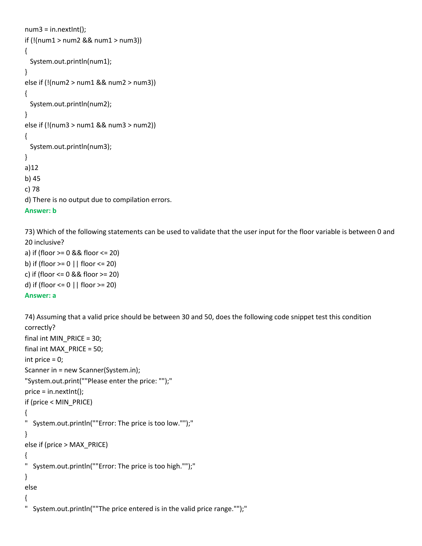```
num3 = in.nextInt();if (!(num1 > num2 && num1 > num3))
{ 
  System.out.println(num1);
} 
else if (!(num2 > num1 && num2 > num3))
{ 
  System.out.println(num2);
}
else if (!(num3 > num1 && num3 > num2))
{ 
  System.out.println(num3);
}
a)12
b) 45
c) 78
d) There is no output due to compilation errors.
Answer: b
```
73) Which of the following statements can be used to validate that the user input for the floor variable is between 0 and 20 inclusive?

```
a) if (floor >= 0 && floor <= 20)
b) if (floor >= 0 || floor <= 20)
c) if (floor <= 0 && floor >= 20)
d) if (floor <= 0 || floor >= 20)
Answer: a
```

```
74) Assuming that a valid price should be between 30 and 50, does the following code snippet test this condition 
correctly?
final int MIN_PRICE = 30; 
final int MAX_PRICE = 50; 
int price = 0; 
Scanner in = new Scanner(System.in);
"System.out.print(""Please enter the price: "");"
price = in.nextInt();
if (price < MIN_PRICE)
{ 
" System.out.println(""Error: The price is too low."");"
} 
else if (price > MAX_PRICE) 
{ 
" System.out.println(""Error: The price is too high."");"
} 
else
{ 
  System.out.println(""The price entered is in the valid price range."");"
```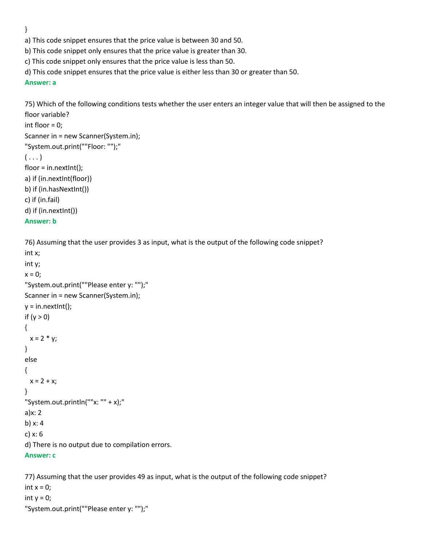}

a) This code snippet ensures that the price value is between 30 and 50.

b) This code snippet only ensures that the price value is greater than 30.

c) This code snippet only ensures that the price value is less than 50.

d) This code snippet ensures that the price value is either less than 30 or greater than 50.

#### **Answer: a**

75) Which of the following conditions tests whether the user enters an integer value that will then be assigned to the floor variable?

```
int floor = 0;
```

```
Scanner in = new Scanner(System.in);
"System.out.print(""Floor: "");"
( \ldots )floor = in.nextInt();
a) if (in.nextInt(floor))
b) if (in.hasNextInt())
c) if (in.fail)
```
d) if (in.nextInt())

```
Answer: b
```
76) Assuming that the user provides 3 as input, what is the output of the following code snippet?

```
int x;
int y;
x = 0;
"System.out.print(""Please enter y: "");"
Scanner in = new Scanner(System.in);
y = in.nextInt();if (y > 0){
 x = 2 * y;}
else 
{ 
 x = 2 + x;
}
"System.out.println(""x: "" + x);"
a)x: 2
b) x: 4
c) x: 6
d) There is no output due to compilation errors.
Answer: c
```
77) Assuming that the user provides 49 as input, what is the output of the following code snippet? int  $x = 0$ ; int  $y = 0$ ; "System.out.print(""Please enter y: "");"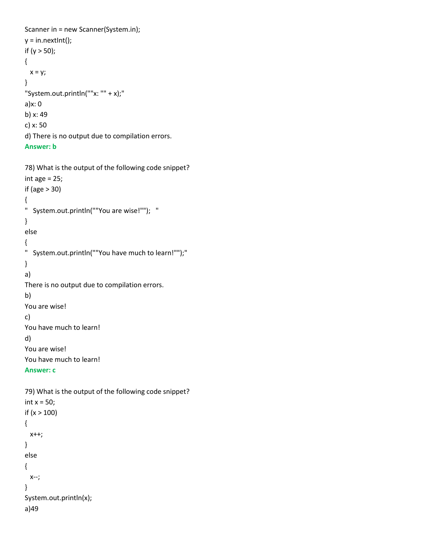```
Scanner in = new Scanner(System.in);
y = in.nextInt();if (y > 50);
{
 x = y;}
"System.out.println(""x: "" + x);"
a)x: 0
b) x: 49
c) x: 50
d) There is no output due to compilation errors.
Answer: b
```

```
78) What is the output of the following code snippet?
int age = 25;
if (age > 30) 
{ 
" System.out.println(""You are wise!""); "
} 
else 
{ 
" System.out.println(""You have much to learn!"");"
} 
a)
There is no output due to compilation errors.
b) 
You are wise!
c) 
You have much to learn!
d) 
You are wise!
You have much to learn!
```
#### **Answer: c**

```
79) What is the output of the following code snippet?
int x = 50;
if (x > 100) 
{ 
  x++; 
} 
else 
{ 
  x--; 
} 
System.out.println(x);
a)49
```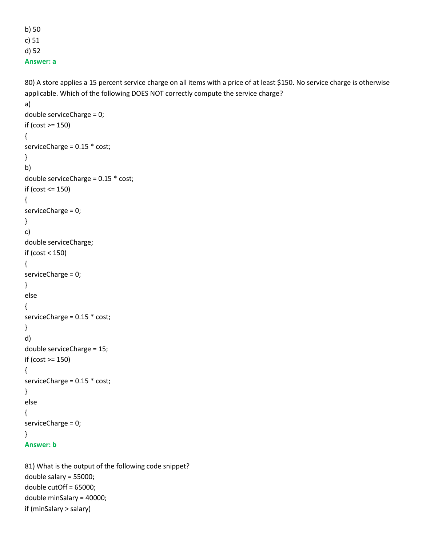b) 50 c) 51 d) 52 **Answer: a**

80) A store applies a 15 percent service charge on all items with a price of at least \$150. No service charge is otherwise applicable. Which of the following DOES NOT correctly compute the service charge?

```
a) 
double serviceCharge = 0; 
if (cost >= 150) 
{ 
serviceCharge = 0.15 * cost; 
}
b) 
double serviceCharge = 0.15 * cost; 
if (cost <= 150) 
{ 
serviceCharge = 0; 
}
c) 
double serviceCharge; 
if (cost < 150) 
{ 
serviceCharge = 0; 
} 
else 
{ 
serviceCharge = 0.15 * cost;
}
d) 
double serviceCharge = 15; 
if (cost >= 150) 
{
serviceCharge = 0.15 * cost; 
}
else 
{
serviceCharge = 0;
}
Answer: b
```
81) What is the output of the following code snippet? double salary = 55000; double cutOff = 65000; double minSalary = 40000; if (minSalary > salary)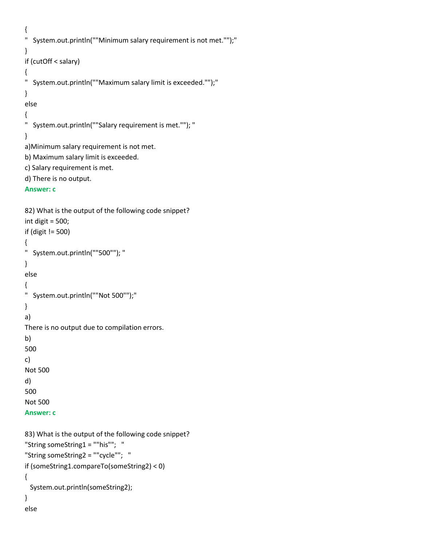```
{ 
" System.out.println(""Minimum salary requirement is not met."");"
} 
if (cutOff < salary) 
{ 
" System.out.println(""Maximum salary limit is exceeded."");"
} 
else 
{ 
" System.out.println(""Salary requirement is met.""); "
}
a)Minimum salary requirement is not met.
b) Maximum salary limit is exceeded.
c) Salary requirement is met.
d) There is no output.
```

```
Answer: c
```

```
82) What is the output of the following code snippet?
int digit = 500;
if (digit != 500) 
{ 
" System.out.println(""500""); "
} 
else 
{ 
" System.out.println(""Not 500"");"
}
a)
There is no output due to compilation errors.
b) 
500
c) 
Not 500
d) 
500
Not 500
Answer: c
```

```
83) What is the output of the following code snippet?
"String someString1 = ""his""; "
"String someString2 = ""cycle""; "
if (someString1.compareTo(someString2) < 0)
{ 
  System.out.println(someString2);
} 
else
```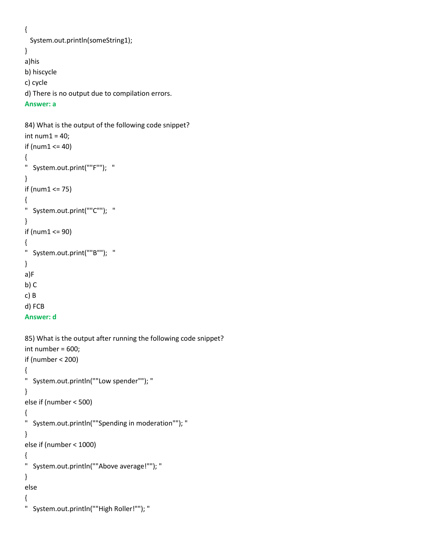```
{
```

```
 System.out.println(someString1); 
}
a)his
b) hiscycle
c) cycle
d) There is no output due to compilation errors.
```
#### **Answer: a**

```
84) What is the output of the following code snippet?
int num1 = 40;
if (num1 <= 40) 
{ 
" System.out.print(""F""); "
} 
if (num1 <= 75) 
{ 
" System.out.print(""C""); "
}
if (num1 <= 90)
{ 
" System.out.print(""B""); "
}
a)F
b) C
c) B
d) FCB
```
#### **Answer: d**

```
85) What is the output after running the following code snippet?
int number = 600;
if (number < 200) 
{ 
" System.out.println(""Low spender""); "
}
else if (number < 500) 
{
" System.out.println(""Spending in moderation""); "
}
else if (number < 1000) 
{ 
" System.out.println(""Above average!""); "
}
else 
{ 
" System.out.println(""High Roller!""); "
```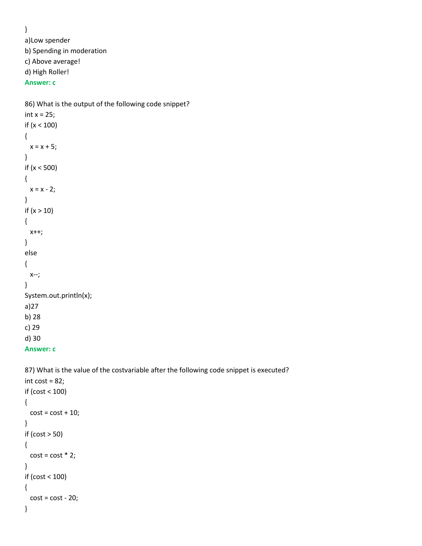} a)Low spender b) Spending in moderation c) Above average! d) High Roller! **Answer: c**

```
86) What is the output of the following code snippet?
int x = 25;
if (x < 100) 
{ 
  x = x + 5;}
if (x < 500) 
{ 
  x = x - 2;}
if (x > 10) 
{ 
   x++; 
}
else 
{ 
   x--; 
}
System.out.println(x);
a)27
b) 28
c) 29
d) 30
Answer: c
```
87) What is the value of the costvariable after the following code snippet is executed?

```
int cost = 82;
if (cost < 100) 
{ 
  cost = cost + 10;}
if (cost > 50) 
{ 
  cost = cost * 2;}
if (cost < 100) 
{ 
  cost = cost - 20;}
```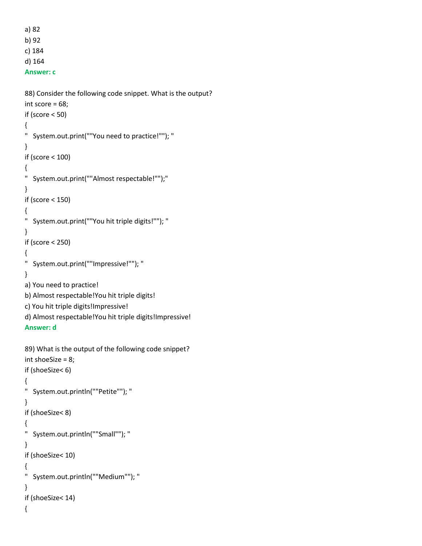```
a) 82
b) 92
c) 184
d) 164
Answer: c
```

```
88) Consider the following code snippet. What is the output?
int score = 68;
if (score < 50) 
{ 
" System.out.print(""You need to practice!""); "
}
if (score < 100) 
{ 
" System.out.print(""Almost respectable!"");"
}
if (score < 150) 
{ 
" System.out.print(""You hit triple digits!""); "
}
if (score < 250) 
{ 
" System.out.print(""Impressive!""); "
}
a) You need to practice!
b) Almost respectable!You hit triple digits!
c) You hit triple digits!Impressive!
d) Almost respectable!You hit triple digits!Impressive!
Answer: d
89) What is the output of the following code snippet?
int shoeSize = 8;
if (shoeSize< 6) 
{ 
" System.out.println(""Petite""); "
}
if (shoeSize< 8) 
{ 
" System.out.println(""Small""); "
}
if (shoeSize< 10) 
{ 
" System.out.println(""Medium""); "
}
if (shoeSize< 14)
```
{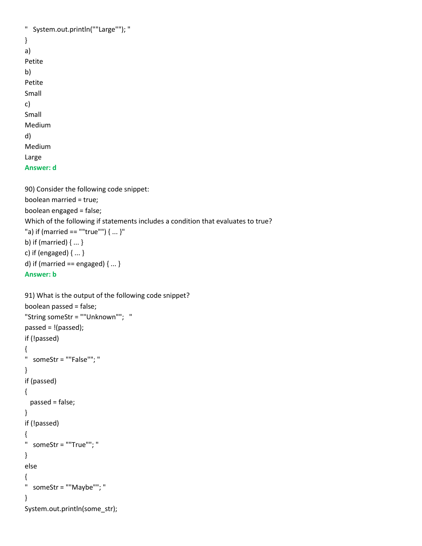```
" System.out.println(""Large""); "
}
a) 
Petite
b) 
Petite
Small
c) 
Small
Medium
d) 
Medium
Large
Answer: d
90) Consider the following code snippet:
```

```
boolean married = true;
boolean engaged = false;
Which of the following if statements includes a condition that evaluates to true?
"a) if (married == ""true"") { ... }"
b) if (married) { ... }
c) if (engaged) { ... }
d) if (married == engaged) \{ \dots \}
```

```
Answer: b
```

```
91) What is the output of the following code snippet?
boolean passed = false; 
"String someStr = ""Unknown""; "
passed = !(passed); 
if (!passed) 
{ 
" someStr = ""False""; "
} 
if (passed) 
{ 
  passed = false; 
} 
if (!passed) 
{ 
" someStr = ""True""; "
} 
else 
{ 
" someStr = ""Maybe""; "
} 
System.out.println(some_str);
```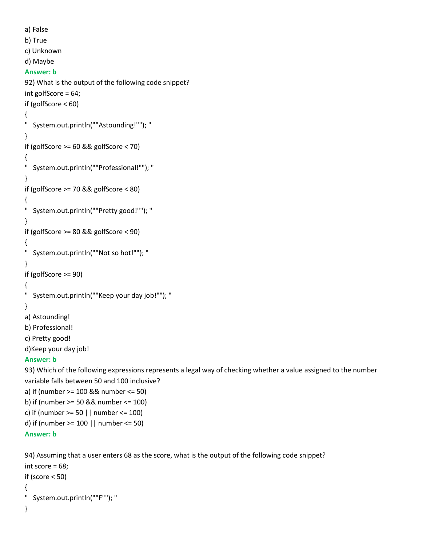```
a) False
b) True
c) Unknown
d) Maybe
Answer: b
92) What is the output of the following code snippet?
int golfScore = 64;
if (golfScore < 60)
{ 
" System.out.println(""Astounding!""); "
} 
if (golfScore >= 60 && golfScore < 70) 
{ 
" System.out.println(""Professional!""); "
} 
if (golfScore >= 70 && golfScore < 80) 
{ 
" System.out.println(""Pretty good!""); "
} 
if (golfScore >= 80 && golfScore < 90) 
{ 
" System.out.println(""Not so hot!""); "
} 
if (golfScore >= 90) 
{ 
" System.out.println(""Keep your day job!""); "
} 
a) Astounding!
b) Professional!
c) Pretty good!
d)Keep your day job!
Answer: b
93) Which of the following expressions represents a legal way of checking whether a value assigned to the number 
variable falls between 50 and 100 inclusive?
a) if (number >= 100 && number <= 50)
```

```
b) if (number >= 50 && number <= 100)
c) if (number >= 50 || number <= 100)
d) if (number >= 100 || number <= 50)
```

```
Answer: b
```
94) Assuming that a user enters 68 as the score, what is the output of the following code snippet?

```
int score = 68;
if (score < 50) 
{ 
" System.out.println(""F""); "
}
```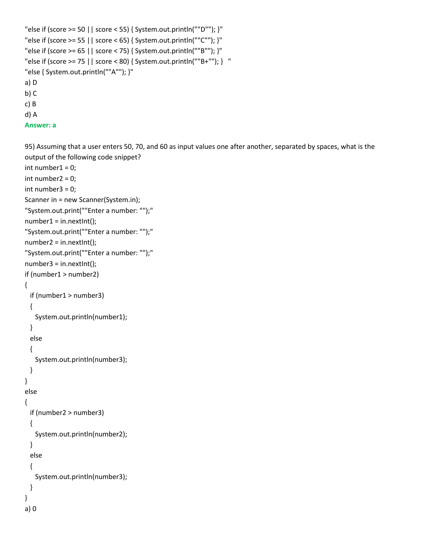```
"else if (score >= 50 || score < 55) { System.out.println(""D""); }"
"else if (score >= 55 | | score < 65) { System.out.println(""C""); }"
"else if (score >= 65 || score < 75) { System.out.println(""B""); }"
"else if (score >= 75 || score < 80) { System.out.println(""B+""); } "
"else { System.out.println(""A""); }"
a) D
b) C
c) B
d) A
```

```
Answer: a
```
95) Assuming that a user enters 50, 70, and 60 as input values one after another, separated by spaces, what is the output of the following code snippet? int number $1 = 0$ ;

```
int number2 = 0;
int number3 = 0;
Scanner in = new Scanner(System.in);
"System.out.print(""Enter a number: "");"
number1 = in.nextInt();"System.out.print(""Enter a number: "");"
number2 = in.nextInt();
"System.out.print(""Enter a number: "");"
number3 = in.nextInt();
if (number1 > number2) 
{ 
  if (number1 > number3) 
  { 
    System.out.println(number1); 
  } 
  else 
  { 
    System.out.println(number3); 
  } 
} 
else 
{ 
  if (number2 > number3) 
  { 
    System.out.println(number2); 
  } 
  else 
  { 
    System.out.println(number3); 
  } 
}
a) 0
```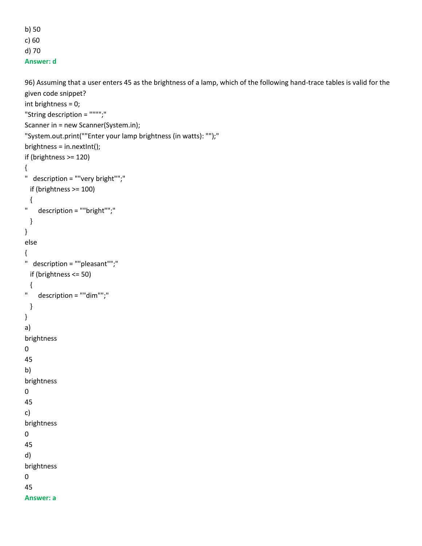b) 50 c) 60 d) 70

**Answer: d**

```
96) Assuming that a user enters 45 as the brightness of a lamp, which of the following hand-trace tables is valid for the 
given code snippet?
int brightness = 0;
"String description = """";"
Scanner in = new Scanner(System.in);
"System.out.print(""Enter your lamp brightness (in watts): "");"
brightness = in.nextInt();
if (brightness >= 120)
{
" description = ""very bright"";"
  if (brightness >= 100)
  {
" description = ""bright"";"
  }
}
else
{
" description = ""pleasant"";"
  if (brightness <= 50)
  {
" description = ""dim"";"
  }
}
a) 
brightness
0
45
b) 
brightness
0
45
c) 
brightness
0
45
d) 
brightness
0
45
Answer: a
```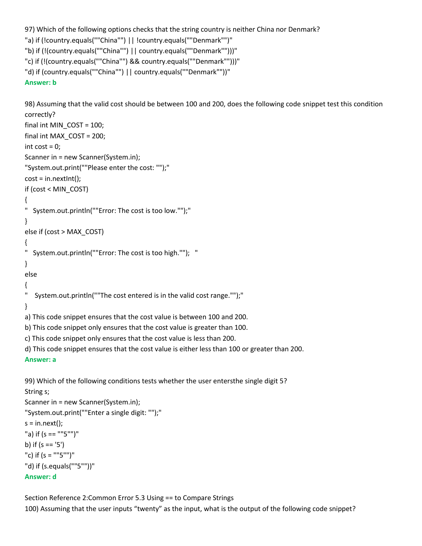```
97) Which of the following options checks that the string country is neither China nor Denmark?
```

```
"a) if (!country.equals(""China"") || !country.equals(""Denmark"")"
```

```
"b) if (!(country.equals(""China"") || country.equals(""Denmark"")))"
```

```
"c) if (!(country.equals(""China"") && country.equals(""Denmark"")))"
```

```
"d) if (country.equals(""China"") || country.equals(""Denmark""))"
```
# **Answer: b**

98) Assuming that the valid cost should be between 100 and 200, does the following code snippet test this condition correctly?

```
final int MIN_COST = 100;
final int MAX_COST = 200; 
int cost = 0;
Scanner in = new Scanner(System.in);
"System.out.print(""Please enter the cost: "");"
cost = in.nextInt();if (cost < MIN_COST) 
{ 
" System.out.println(""Error: The cost is too low."");"
} 
else if (cost > MAX_COST) 
{ 
" System.out.println(""Error: The cost is too high.""); "
} 
else 
{ 
" System.out.println(""The cost entered is in the valid cost range."");"
}
a) This code snippet ensures that the cost value is between 100 and 200.
b) This code snippet only ensures that the cost value is greater than 100.
c) This code snippet only ensures that the cost value is less than 200.
d) This code snippet ensures that the cost value is either less than 100 or greater than 200.
```
# **Answer: a**

99) Which of the following conditions tests whether the user entersthe single digit 5? String s; Scanner in = new Scanner(System.in); "System.out.print(""Enter a single digit: "");"  $s = in.next()$ ; "a) if (s == ""5"")" b) if  $(s == '5')$ "c) if (s = ""5"")" "d) if (s.equals(""5""))" **Answer: d**

Section Reference 2:Common Error 5.3 Using == to Compare Strings 100) Assuming that the user inputs "twenty" as the input, what is the output of the following code snippet?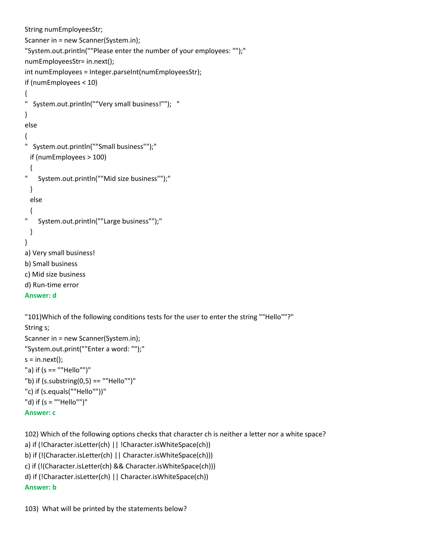```
String numEmployeesStr;
Scanner in = new Scanner(System.in);
"System.out.println(""Please enter the number of your employees: "");"
numEmployeesStr= in.next();
int numEmployees = Integer.parseInt(numEmployeesStr);
if (numEmployees < 10)
{
" System.out.println(""Very small business!""); "
}
else
{
" System.out.println(""Small business"");"
  if (numEmployees > 100)
  {
" System.out.println(""Mid size business"");"
  }
  else
  {
" System.out.println(""Large business"");"
  }
}
a) Very small business!
b) Small business
c) Mid size business
d) Run-time error
Answer: d
"101)Which of the following conditions tests for the user to enter the string ""Hello""?"
String s;
Scanner in = new Scanner(System.in);
"System.out.print(""Enter a word: "");"
s = in.next();
"a) if (s == ""Hello"")"
"b) if (s.substring(0,5) == "Hello"")"c) if (s.equals(""Hello""))"
"d) if (s = ""Hello"")"
```

```
Answer: c
```
102) Which of the following options checks that character ch is neither a letter nor a white space?

```
a) if (!Character.isLetter(ch) || !Character.isWhiteSpace(ch))
```

```
b) if (!(Character.isLetter(ch) || Character.isWhiteSpace(ch)))
```

```
c) if (!(Character.isLetter(ch) && Character.isWhiteSpace(ch)))
```

```
d) if (!Character.isLetter(ch) || Character.isWhiteSpace(ch))
```
# **Answer: b**

103) What will be printed by the statements below?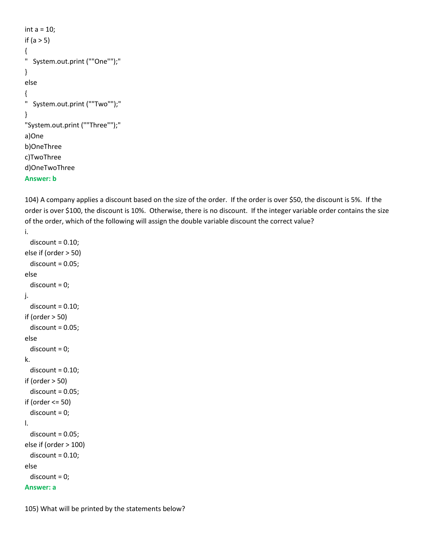```
int a = 10;
if (a > 5){
" System.out.print (""One"");"
}
else
{
" System.out.print (""Two"");"
}
"System.out.print (""Three"");"
a)One
b)OneThree
c)TwoThree
d)OneTwoThree
Answer: b
```
104) A company applies a discount based on the size of the order. If the order is over \$50, the discount is 5%. If the order is over \$100, the discount is 10%. Otherwise, there is no discount. If the integer variable order contains the size of the order, which of the following will assign the double variable discount the correct value?

```
i.
  discount = 0.10;else if (order > 50)
  discount = 0.05;else
   discount = 0;
j.
  discount = 0.10;if (order > 50)
  discount = 0.05;
else
   discount = 0;
k.
  discount = 0.10;if (order > 50)
  discount = 0.05;if (order <= 50)
   discount = 0;
l.
  discount = 0.05;else if (order > 100)
  discount = 0.10;else
   discount = 0;
Answer: a
```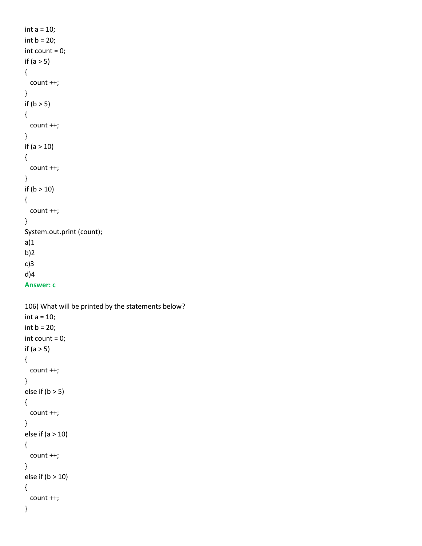```
int a = 10;
int b = 20;
int count = 0;
if (a > 5){
  count ++;
}
if (b > 5){
  count ++;
}
if (a > 10)
{
  count ++;
}
if (b > 10)
{
  count ++;
}
System.out.print (count);
a)1
b)2
c)3
d)4
```

```
Answer: c
```

```
106) What will be printed by the statements below?
int a = 10;
int b = 20;
int count = 0;
if (a > 5){
  count ++;
}
else if (b > 5){
  count ++;
}
else if (a > 10){
  count ++;
}
else if (b > 10)
{
  count ++;
}
```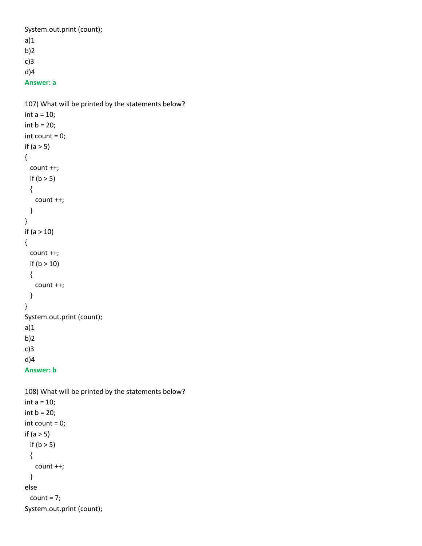System.out.print (count); a)1 b)2 c)3 d)4 **Answer: a**

```
107) What will be printed by the statements below?
int a = 10;
int b = 20;
int count = 0;
if (a > 5){
  count ++;
 if (b > 5) {
    count ++;
  }
}
if (a > 10)
{
  count ++;
  if (b > 10)
  {
    count ++;
  }
}
System.out.print (count);
a)1
b)2
c)3
d)4
```

```
Answer: b
```

```
108) What will be printed by the statements below?
int a = 10;
int b = 20;
int count = 0;
if (a > 5)if (b > 5) {
    count ++;
  }
else 
 count = 7;System.out.print (count);
```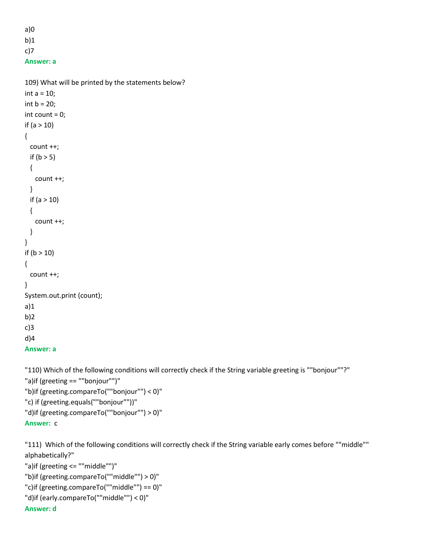```
a)0
b)1c)7
```

```
Answer: a
```

```
109) What will be printed by the statements below?
int a = 10;
int b = 20;
int count = 0;
if (a > 10)
{
  count ++;
 if (b > 5) {
    count ++;
  }
  if (a > 10)
  {
    count ++;
  }
}
if (b > 10){
  count ++;
}
System.out.print (count);
a)1
b)2
c)3
d)4
Answer: a
```
"110) Which of the following conditions will correctly check if the String variable greeting is ""bonjour""?" "a)if (greeting == ""bonjour"")" "b)if (greeting.compareTo(""bonjour"") < 0)" "c) if (greeting.equals(""bonjour""))" "d)if (greeting.compareTo(""bonjour"") > 0)" **Answer:** c

"111) Which of the following conditions will correctly check if the String variable early comes before ""middle"" alphabetically?"

```
"a)if (greeting <= ""middle"")"
"b)if (greeting.compareTo(""middle"") > 0)"
"c)if (greeting.compareTo(""middle"") == 0)"
"d)if (early.compareTo(""middle"") < 0)"
Answer: d
```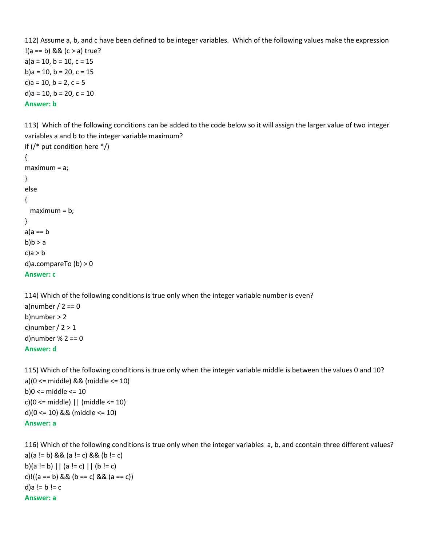112) Assume a, b, and c have been defined to be integer variables. Which of the following values make the expression  $!(a == b)$  &&  $(c > a)$  true?  $a)$ a = 10, b = 10, c = 15 b)a = 10, b = 20, c = 15  $c$ )a = 10, b = 2, c = 5 d)a = 10, b = 20, c = 10 **Answer: b**

113) Which of the following conditions can be added to the code below so it will assign the larger value of two integer variables a and b to the integer variable maximum?

```
if (/* put condition here */)
{
maximum = a;
}
else
{
  maximum = b;
}
a)a == bb)b > ac)a > b
d)a.compareTo (b) > 0
Answer: c
```
114) Which of the following conditions is true only when the integer variable number is even? a)number  $/ 2 == 0$ b)number > 2 c)number  $/2 > 1$ d)number % 2 == 0 **Answer: d**

115) Which of the following conditions is true only when the integer variable middle is between the values 0 and 10? a)(0 <= middle) && (middle <= 10) b)0 <= middle <= 10  $c$ )(0 <= middle) || (middle <= 10) d)(0 <= 10) && (middle <= 10) **Answer: a**

116) Which of the following conditions is true only when the integer variables a, b, and ccontain three different values? a)(a != b) && (a != c) && (b != c) b)(a != b) || (a != c) || (b != c) c)!((a == b) && (b == c) && (a == c)) d)a !=  $b$  !=  $c$ **Answer: a**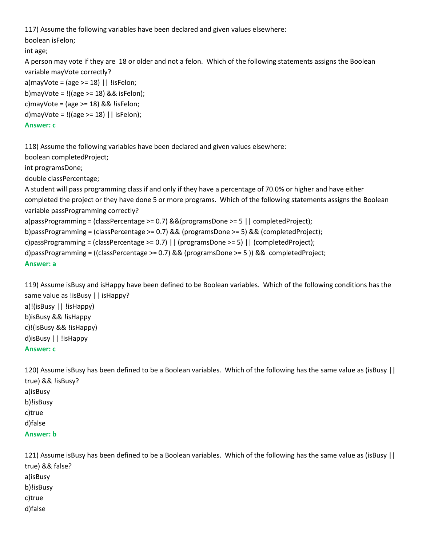117) Assume the following variables have been declared and given values elsewhere:

boolean isFelon;

#### int age;

A person may vote if they are 18 or older and not a felon. Which of the following statements assigns the Boolean variable mayVote correctly?

```
a)mayVote = (age >= 18) || !isFelon;
```
b)mayVote = !((age >= 18) && isFelon);

c)mayVote =  $\text{(age} \geq 18)$  && !isFelon;

d)mayVote =  $!$  ((age >= 18) | | isFelon);

# **Answer: c**

118) Assume the following variables have been declared and given values elsewhere:

boolean completedProject;

int programsDone;

double classPercentage;

A student will pass programming class if and only if they have a percentage of 70.0% or higher and have either completed the project or they have done 5 or more programs. Which of the following statements assigns the Boolean variable passProgramming correctly?

a)passProgramming = (classPercentage >= 0.7) &&(programsDone >= 5 || completedProject);

b)passProgramming = (classPercentage >= 0.7) && (programsDone >= 5) && (completedProject);

c)passProgramming = (classPercentage >= 0.7) || (programsDone >= 5) || (completedProject);

d)passProgramming = ((classPercentage >= 0.7) && (programsDone >= 5 )) && completedProject;

```
Answer: a
```
119) Assume isBusy and isHappy have been defined to be Boolean variables. Which of the following conditions has the same value as !isBusy || isHappy? a)!(isBusy || !isHappy) b)isBusy && !isHappy

c)!(isBusy && !isHappy) d)isBusy || !isHappy

#### **Answer: c**

120) Assume isBusy has been defined to be a Boolean variables. Which of the following has the same value as (isBusy || true) && !isBusy? a)isBusy b)!isBusy c)true d)false **Answer: b**

121) Assume isBusy has been defined to be a Boolean variables. Which of the following has the same value as (isBusy || true) && false? a)isBusy b)!isBusy c)true d)false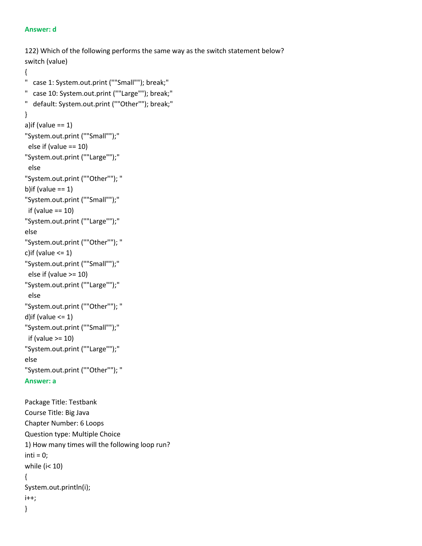#### **Answer: d**

```
122) Which of the following performs the same way as the switch statement below?
switch (value) 
{
" case 1: System.out.print (""Small""); break;"
" case 10: System.out.print (""Large""); break;"
" default: System.out.print (""Other""); break;"
}
a)if (value == 1)
"System.out.print (""Small"");"
  else if (value == 10)
"System.out.print (""Large"");"
  else
"System.out.print (""Other""); "
b)if (value == 1)"System.out.print (""Small"");"
 if (value == 10)
"System.out.print (""Large"");"
else
"System.out.print (""Other""); "
c)if (value \leq 1)
"System.out.print (""Small"");"
  else if (value >= 10)
"System.out.print (""Large"");"
  else
"System.out.print (""Other""); "
d)if (value <= 1)
"System.out.print (""Small"");"
 if (value >= 10)
"System.out.print (""Large"");"
else
"System.out.print (""Other""); "
Answer: a
Package Title: Testbank
Course Title: Big Java
Chapter Number: 6 Loops
Question type: Multiple Choice
1) How many times will the following loop run?
inti = 0;while (i< 10)
{
System.out.println(i);
i++;
}
```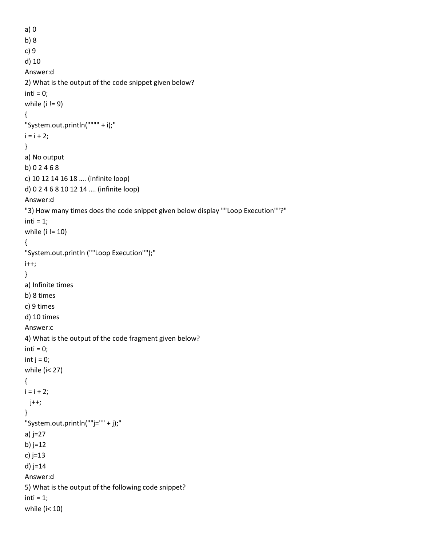```
a) 0
b) 8
c) 9
d) 10
Answer:d
2) What is the output of the code snippet given below?
inti = 0;while (i != 9)
{
"System.out.println("""" + i);"
i = i + 2;}
a) No output
b) 0 2 4 6 8
c) 10 12 14 16 18 …. (infinite loop)
d) 0 2 4 6 8 10 12 14 …. (infinite loop)
Answer:d
"3) How many times does the code snippet given below display ""Loop Execution""?"
inti = 1;while (i != 10)
{
"System.out.println (""Loop Execution"");"
i++;
}
a) Infinite times
b) 8 times
c) 9 times
d) 10 times
Answer:c
4) What is the output of the code fragment given below?
inti = 0;int j = 0;
while (i< 27)
{
i = i + 2; j++;
}
"System.out.println(""j="" + j);"
a) j=27
b) j=12
c) j=13
d) j=14
Answer:d
5) What is the output of the following code snippet?
inti = 1;while (i< 10)
```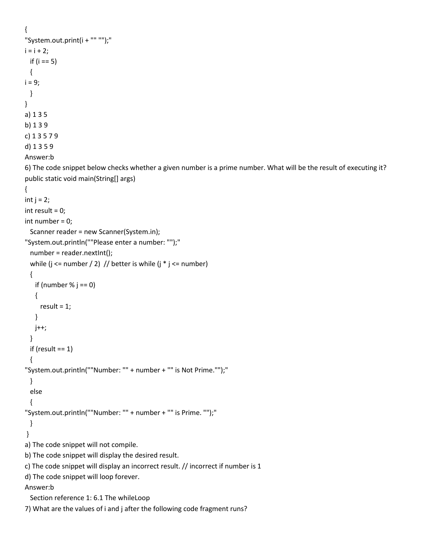```
{
"System.out.print(i + "" "");"
i = i + 2; if (i == 5)
  {
i = 9; }
}
a) 1 3 5
b) 1 3 9
c) 1 3 5 7 9
d) 1 3 5 9
Answer:b
6) The code snippet below checks whether a given number is a prime number. What will be the result of executing it?
public static void main(String[] args) 
{
int j = 2;
int result = 0;
int number = 0;
  Scanner reader = new Scanner(System.in);
"System.out.println(""Please enter a number: "");"
  number = reader.nextInt();
 while (j <= number / 2) // better is while (j * j <= number)
  {
   if (number % j == 0)
    {
     result = 1;
    }
    j++;
  }
 if (result == 1)
  {
"System.out.println(""Number: "" + number + "" is Not Prime."");"
  }
  else
  {
"System.out.println(""Number: "" + number + "" is Prime. "");"
  }
}
a) The code snippet will not compile.
b) The code snippet will display the desired result.
c) The code snippet will display an incorrect result. // incorrect if number is 1
d) The code snippet will loop forever.
Answer:b
  Section reference 1: 6.1 The whileLoop
7) What are the values of i and j after the following code fragment runs?
```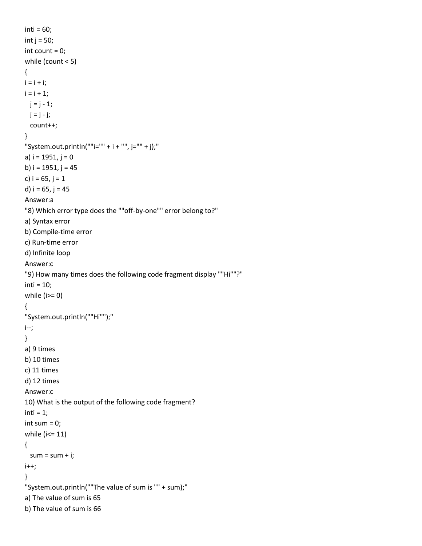```
inti = 60;int j = 50;
int count = 0;
while (count < 5)
{
i = i + i;i = i + 1;j = j - 1;j = j - j; count++;
}
"System.out.println(""i="" + i + "", j="" + j);"
a) i = 1951, j = 0b) i = 1951, j = 45c) i = 65, j = 1d) i = 65, j = 45Answer:a
"8) Which error type does the ""off-by-one"" error belong to?"
a) Syntax error
b) Compile-time error
c) Run-time error
d) Infinite loop
Answer:c
"9) How many times does the following code fragment display ""Hi""?"
inti = 10;while (i)=0)
{
"System.out.println(""Hi"");"
i--;
}
a) 9 times
b) 10 times
c) 11 times
d) 12 times
Answer:c
10) What is the output of the following code fragment?
inti = 1;int sum = 0;
while (i<= 11)
{
 sum = sum + i;i++;}
"System.out.println(""The value of sum is "" + sum);"
a) The value of sum is 65
b) The value of sum is 66
```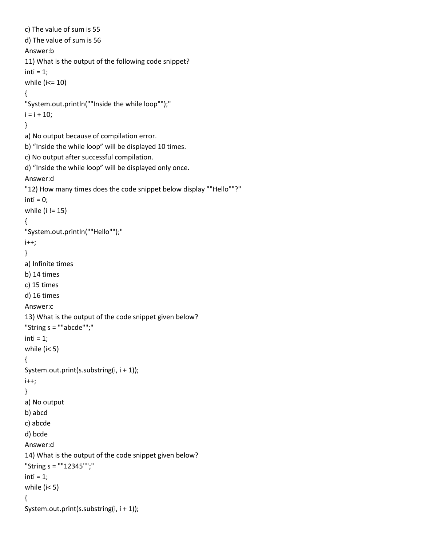```
c) The value of sum is 55
d) The value of sum is 56
Answer:b
11) What is the output of the following code snippet?
inti = 1;while (i \le 10)
{
"System.out.println(""Inside the while loop"");"
i = i + 10;
}
a) No output because of compilation error.
b) "Inside the while loop" will be displayed 10 times.
c) No output after successful compilation.
d) "Inside the while loop" will be displayed only once.
Answer:d
"12) How many times does the code snippet below display ""Hello""?"
inti = 0;
while (i != 15)
{
"System.out.println(""Hello"");"
i++;
}
a) Infinite times
b) 14 times
c) 15 times
d) 16 times
Answer:c
13) What is the output of the code snippet given below?
"String s = ""abcde"";"
inti = 1;while (i< 5)
{
System.out.print(s.substring(i, i + 1));
i++;
}
a) No output
b) abcd
c) abcde
d) bcde
Answer:d
14) What is the output of the code snippet given below?
"String s = ""12345"";"
inti = 1;while (i< 5)
{
System.out.print(s.substring(i, i + 1));
```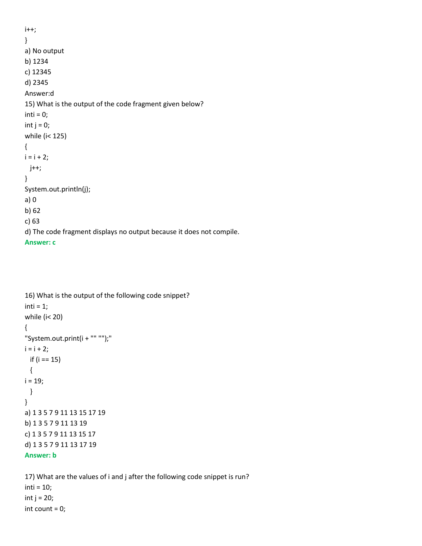```
i++;}
a) No output
b) 1234
c) 12345
d) 2345
Answer:d
15) What is the output of the code fragment given below?
inti = 0;
int j = 0;
while (i< 125)
{
i = i + 2; j++;
}
System.out.println(j);
a) 0
b) 62
c) 63
d) The code fragment displays no output because it does not compile.
Answer: c
```

```
16) What is the output of the following code snippet?
inti = 1;while (i< 20)
{
"System.out.print(i + "" "");"
i = i + 2; if (i == 15)
  {
i = 19; }
}
a) 1 3 5 7 9 11 13 15 17 19
b) 1 3 5 7 9 11 13 19
c) 1 3 5 7 9 11 13 15 17
d) 1 3 5 7 9 11 13 17 19
Answer: b
```
17) What are the values of i and j after the following code snippet is run?  $inti = 10;$ int  $j = 20$ ; int count = 0;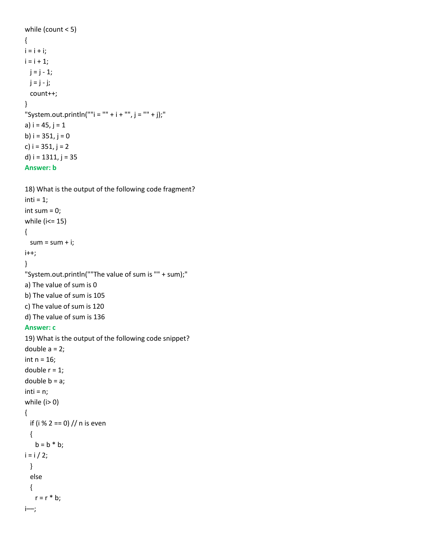```
while (count < 5)
{
i = i + i;i = i + 1;j = j - 1;j = j - j; count++;
}
"System.out.println(""i ="" + i +"", j ="" + j);"
a) i = 45, j = 1b) i = 351, j = 0c) i = 351, j = 2d) i = 1311, j = 35Answer: b
18) What is the output of the following code fragment?
```

```
inti = 1;int sum = 0;
while (i<= 15)
{
 sum = sum + i;i++;}
"System.out.println(""The value of sum is "" + sum);"
a) The value of sum is 0
b) The value of sum is 105
c) The value of sum is 120
d) The value of sum is 136
Answer: c
19) What is the output of the following code snippet?
double a = 2;
int n = 16;
double r = 1;
double b = a;
inti = n;while (i> 0)
{
  if (i % 2 == 0) // n is even
  {
   b = b * b;i = i / 2; }
  else
  {
   r = r * b;
i––;
```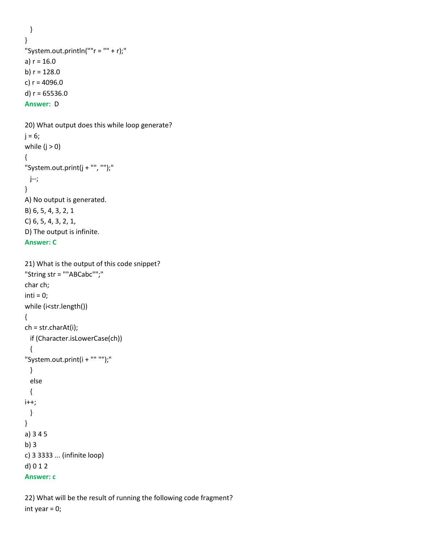```
 }
}
"System.out.println(""r = " + r);"
a) r = 16.0b) r = 128.0c) r = 4096.0d) r = 65536.0Answer: D
```

```
20) What output does this while loop generate?
j = 6;while (i > 0){
"System.out.print(j + "", "");"
  j--;
}
A) No output is generated.
B) 6, 5, 4, 3, 2, 1
C) 6, 5, 4, 3, 2, 1, 
D) The output is infinite.
Answer: C
```

```
21) What is the output of this code snippet?
"String str = ""ABCabc"";"
char ch;
inti = 0;while (i<str.length())
{
ch = str.charAt(i);
  if (Character.isLowerCase(ch)) 
  {
"System.out.print(i + "" "");"
  }
  else 
  {
i++; }
}
a) 3 4 5
b) 3
c) 3 3333 ... (infinite loop)
d) 0 1 2
Answer: c
```

```
22) What will be the result of running the following code fragment?
int year = 0;
```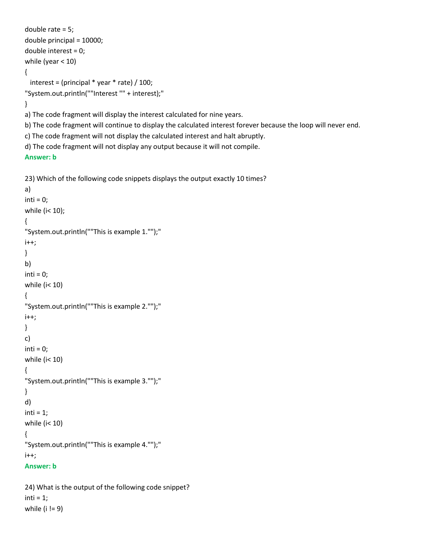```
double rate = 5;
double principal = 10000;
double interest = 0;
while (year < 10)
{
  interest = (principal * year * rate) / 100;
"System.out.println(""Interest "" + interest);"
}
a) The code fragment will display the interest calculated for nine years.
b) The code fragment will continue to display the calculated interest forever because the loop will never end.
c) The code fragment will not display the calculated interest and halt abruptly.
d) The code fragment will not display any output because it will not compile.
Answer: b
23) Which of the following code snippets displays the output exactly 10 times?
a) 
inti = 0;while (i< 10);
{
"System.out.println(""This is example 1."");"
i++;
}
b)
inti = 0;
while (i< 10)
{
"System.out.println(""This is example 2."");"
i++;
}
c)
inti = 0;while (i< 10)
{
"System.out.println(""This is example 3."");"
}
d) 
inti = 1;while (i< 10)
{
"System.out.println(""This is example 4."");"
i++;Answer: b
24) What is the output of the following code snippet?
```
 $inti = 1;$ while (i != 9)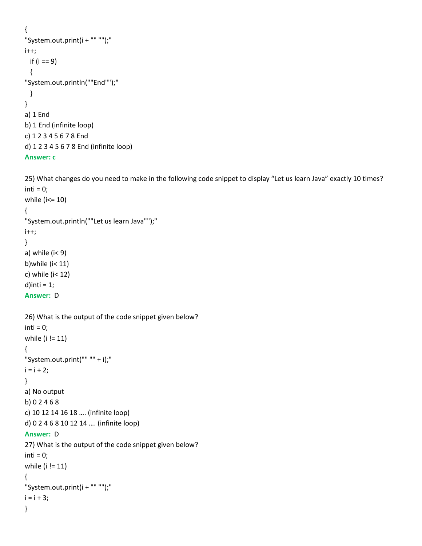```
{
"System.out.print(i + "" "");"
i++;
  if (i == 9)
  {
"System.out.println(""End"");"
  }
}
a) 1 End
b) 1 End (infinite loop)
c) 1 2 3 4 5 6 7 8 End
d) 1 2 3 4 5 6 7 8 End (infinite loop)
Answer: c
```

```
25) What changes do you need to make in the following code snippet to display "Let us learn Java" exactly 10 times?
inti = 0;while (i<= 10)
{
"System.out.println(""Let us learn Java"");"
i++;
}
a) while (i < 9)b)while (i< 11)
c) while (i< 12)
d)inti = 1;
Answer: D
26) What is the output of the code snippet given below?
inti = 0;
while (i != 11)
{
"System.out.print("" "" + i);"
i = i + 2;}
a) No output
b) 0 2 4 6 8
c) 10 12 14 16 18 …. (infinite loop)
d) 0 2 4 6 8 10 12 14 …. (infinite loop)
```
# **Answer:** D

```
27) What is the output of the code snippet given below?
inti = 0;while (i != 11)
{
"System.out.print(i + "" "");"
i = i + 3;}
```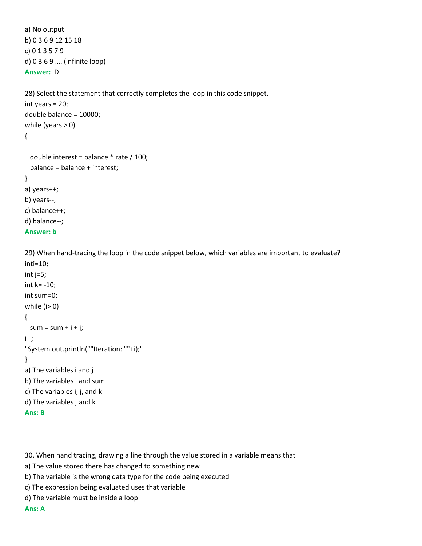```
a) No output
b) 0 3 6 9 12 15 18
c) 0 1 3 5 7 9
d) 0 3 6 9 …. (infinite loop)
Answer: D
```

```
28) Select the statement that correctly completes the loop in this code snippet.
int years = 20;
double balance = 10000;
while (years > 0)
{
```

```
 double interest = balance * rate / 100;
  balance = balance + interest;
}
a) years++;
b) years--;
c) balance++;
d) balance--;
```

```
Answer: b
```
 $\overline{\phantom{a}}$ 

29) When hand-tracing the loop in the code snippet below, which variables are important to evaluate? inti=10;

```
int j=5;
int k= -10;
int sum=0;
while (i> 0)
{
 sum = sum + i + j;i--;
"System.out.println(""Iteration: ""+i);"
}
a) The variables i and j
b) The variables i and sum
c) The variables i, j, and k
d) The variables j and k
Ans: B
```
30. When hand tracing, drawing a line through the value stored in a variable means that

- a) The value stored there has changed to something new
- b) The variable is the wrong data type for the code being executed
- c) The expression being evaluated uses that variable
- d) The variable must be inside a loop

**Ans: A**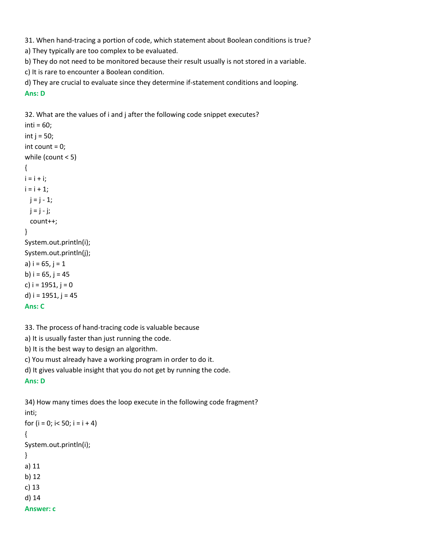31. When hand-tracing a portion of code, which statement about Boolean conditions is true?

a) They typically are too complex to be evaluated.

b) They do not need to be monitored because their result usually is not stored in a variable.

c) It is rare to encounter a Boolean condition.

d) They are crucial to evaluate since they determine if-statement conditions and looping. **Ans: D**

32. What are the values of i and j after the following code snippet executes?  $inti = 60;$ int  $j = 50$ ; int count  $= 0$ ; while (count < 5) {  $i = i + i;$  $i = i + 1;$  $j = j - 1;$  $j = j - j;$ 

```
 count++;
```

```
}
```
System.out.println(i); System.out.println(j);

```
a) i = 65, j = 1b) i = 65, j = 45c) i = 1951, j = 0d) i = 1951, j = 45Ans: C
```
33. The process of hand-tracing code is valuable because

a) It is usually faster than just running the code.

b) It is the best way to design an algorithm.

c) You must already have a working program in order to do it.

d) It gives valuable insight that you do not get by running the code.

# **Ans: D**

34) How many times does the loop execute in the following code fragment?

```
inti;
for (i = 0; i < 50; i = i + 4){
System.out.println(i);
}
a) 11
b) 12
c) 13
d) 14
Answer: c
```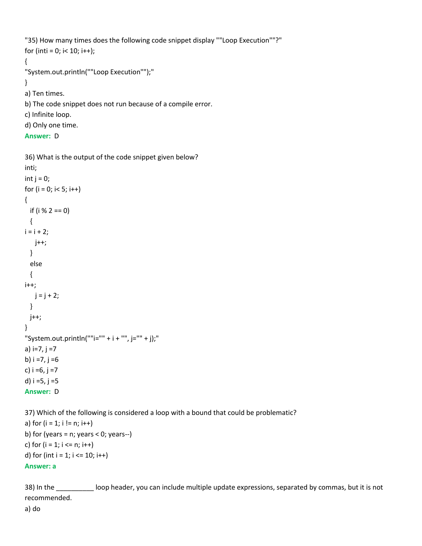```
"35) How many times does the following code snippet display ""Loop Execution""?"
for (inti = 0; i < 10; i++);
{
"System.out.println(""Loop Execution"");"
}
a) Ten times.
b) The code snippet does not run because of a compile error.
c) Infinite loop.
d) Only one time.
```

```
Answer: D
```

```
36) What is the output of the code snippet given below?
inti;
int j = 0;
for (i = 0; i < 5; i++){
  if (i % 2 == 0)
  {
i = i + 2; j++;
  }
  else
  {
i++;
   j = j + 2; }
  j++;
}
"System.out.println(""i="" + i + "", j="" + j);"
a) i=7, j =7
b) i = 7, j = 6c) i = 6, j = 7d) i = 5, j = 5Answer: D
```
37) Which of the following is considered a loop with a bound that could be problematic?

```
a) for (i = 1; i != n; i++)b) for (years = n; years < 0; years--)
c) for (i = 1; i \le n; i++)d) for (int i = 1; i \le 10; i++)Answer: a
```
38) In the \_\_\_\_\_\_\_\_\_\_ loop header, you can include multiple update expressions, separated by commas, but it is not recommended. a) do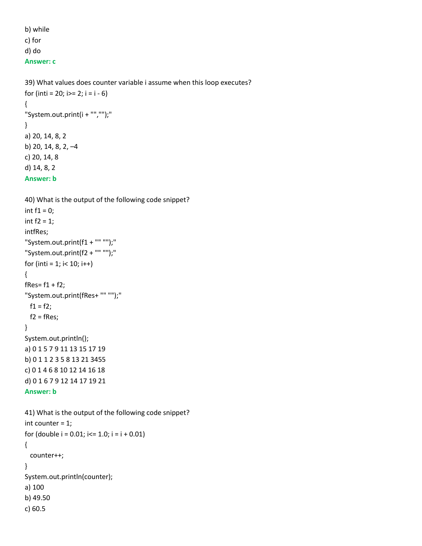b) while c) for d) do **Answer: c**

c) 60.5

```
39) What values does counter variable i assume when this loop executes?
for (inti = 20; i>= 2; i = i - 6)
{
"System.out.print(i + "","");"
}
a) 20, 14, 8, 2
b) 20, 14, 8, 2, –4
c) 20, 14, 8
d) 14, 8, 2
Answer: b
```

```
40) What is the output of the following code snippet?
int f1 = 0;
int f2 = 1;
intfRes;
"System.out.print(f1 + "" "");"
"System.out.print(f2 + "" "");"
for (inti = 1; i< 10; i++)
{
fRes = f1 + f2;"System.out.print(fRes+ "" "");"
 f1 = f2;f2 = fRes;}
System.out.println();
a) 0 1 5 7 9 11 13 15 17 19
b) 0 1 1 2 3 5 8 13 21 3455
c) 0 1 4 6 8 10 12 14 16 18
d) 0 1 6 7 9 12 14 17 19 21
Answer: b
41) What is the output of the following code snippet?
int counter = 1;
for (double i = 0.01; i = 1.0; i = i + 0.01)
{
  counter++;
}
System.out.println(counter);
a) 100
b) 49.50
```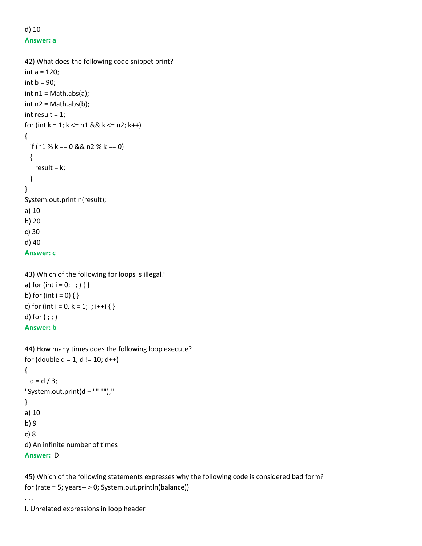# d) 10 **Answer: a**

```
42) What does the following code snippet print?
int a = 120;
int b = 90;
int n1 = Math.abs(a);int n2 = Math.abs(b);int result = 1;
for (int k = 1; k \le n1 && k \le n2; k++)
{
 if (n1 % k == 0 && n2 % k == 0)
  {
   result = k; }
}
System.out.println(result);
a) 10
b) 20
c) 30
d) 40
Answer: c
43) Which of the following for loops is illegal?
a) for (int i = 0;; ; ) { }
b) for (int i = 0) { }
c) for (int i = 0, k = 1; ; i++) { }
d) for ( ; ; )Answer: b
```

```
44) How many times does the following loop execute?
for (double d = 1; d != 10; d++)
{
 d = d / 3;
"System.out.print(d + "" "");"
}
a) 10
b) 9
c) 8
d) An infinite number of times
Answer: D
```
45) Which of the following statements expresses why the following code is considered bad form? for (rate = 5; years-- > 0; System.out.println(balance))

I. Unrelated expressions in loop header

. . .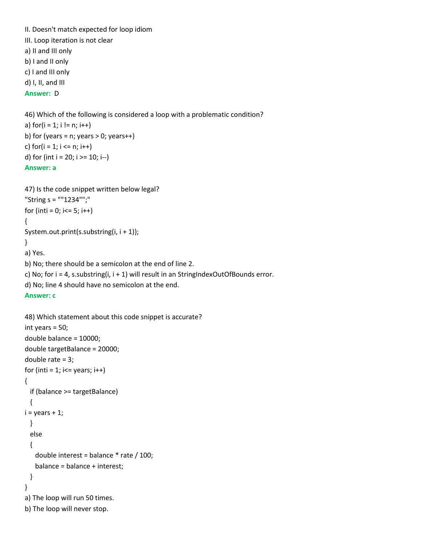```
II. Doesn't match expected for loop idiom
III. Loop iteration is not clear
a) II and III only
b) I and II only
c) I and III only
d) I, II, and III
Answer: D
46) Which of the following is considered a loop with a problematic condition?
a) for(i = 1; i != n; i++)b) for (years = n; years > 0; years ++)
c) for(i = 1; i \le n; i++)d) for (int i = 20; i >= 10; i-jAnswer: a
47) Is the code snippet written below legal?
"String s = ""1234"";"
for (inti = 0; i \le 5; i++)
{
System.out.print(s.substring(i, i + 1));
}
a) Yes.
b) No; there should be a semicolon at the end of line 2.
c) No; for i = 4, s.substring(i, i + 1) will result in an StringIndexOutOfBounds error.
d) No; line 4 should have no semicolon at the end.
Answer: c
48) Which statement about this code snippet is accurate?
int years = 50;
double balance = 10000;
double targetBalance = 20000;
double rate = 3;
for (inti = 1; i\le years; i++)
{
  if (balance >= targetBalance)
  {
i = years + 1;
  } 
  else
  {
    double interest = balance * rate / 100;
    balance = balance + interest;
  }
}
a) The loop will run 50 times.
b) The loop will never stop.
```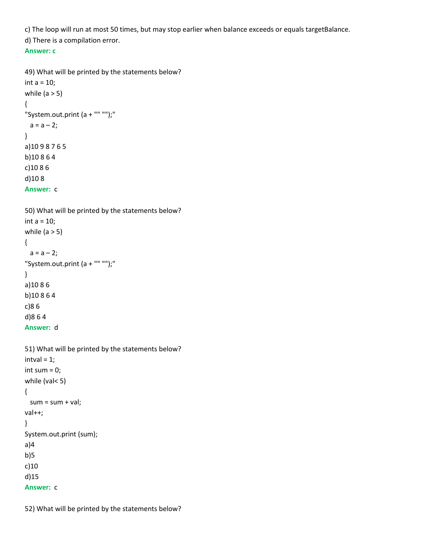c) The loop will run at most 50 times, but may stop earlier when balance exceeds or equals targetBalance.

d) There is a compilation error.

# **Answer: c**

```
49) What will be printed by the statements below?
int a = 10;
while (a > 5){
"System.out.print (a + "" "");"
 a = a - 2;}
a)10 9 8 7 6 5
b)10 8 6 4
c)10 8 6
d)10 8
Answer: c
50) What will be printed by the statements below?
int a = 10;
while (a > 5){
 a = a - 2;"System.out.print (a + "" "");"
}
a)10 8 6 
b)10 8 6 4
c)8 6
d)8 6 4
Answer: d
51) What will be printed by the statements below?
intval = 1;int sum = 0;
while (val< 5)
{
 sum = sum + val;val++;
}
System.out.print (sum);
a)4
b)5
c)10
d)15
Answer: c
```
52) What will be printed by the statements below?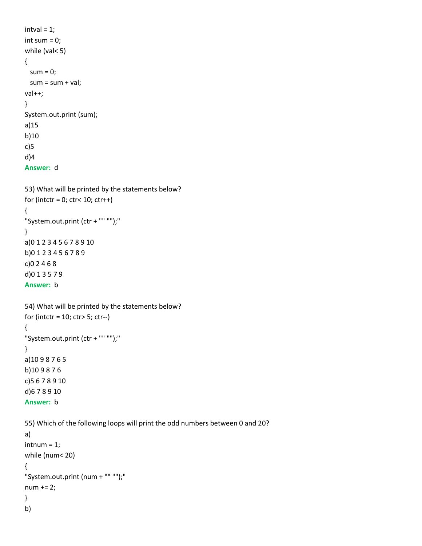```
intval = 1;int sum = 0;
while (val< 5)
{
 sum = 0;sum = sum + val;val++;
}
System.out.print (sum);
a)15
b)10
c)5
d)4
Answer: d
```

```
53) What will be printed by the statements below?
for (intctr = 0; ctr< 10; ctr++)
{
"System.out.print (ctr + "" "");"
}
a)0 1 2 3 4 5 6 7 8 9 10
b)0 1 2 3 4 5 6 7 8 9 
c)0 2 4 6 8
d)0 1 3 5 7 9 
Answer: b
54) What will be printed by the statements below?
for (intctr = 10; ctr> 5; ctr--)
{
"System.out.print (ctr + "" "");"
}
a)10 9 8 7 6 5
b)10 9 8 7 6 
c)5 6 7 8 9 10
d)6 7 8 9 10
Answer: b
55) Which of the following loops will print the odd numbers between 0 and 20?
a)
intnum = 1;while (num< 20) 
{
"System.out.print (num + "" "");"
num += 2;
}
b)
```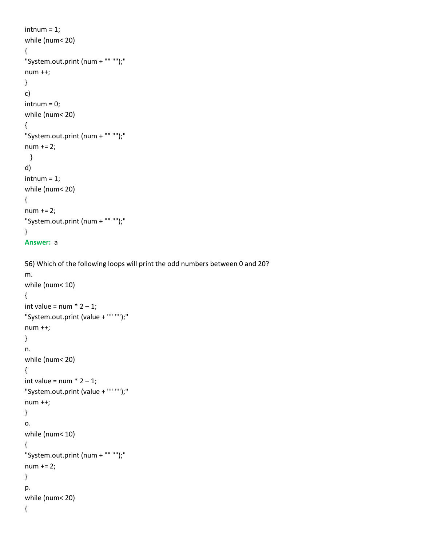```
intnum = 1;while (num< 20) 
{
"System.out.print (num + "" "");"
num ++;
}
c)
intnum = 0;while (num< 20) 
{
"System.out.print (num + "" "");"
num += 2;
  }
d)
intnum = 1;while (num< 20) 
{
num += 2;
"System.out.print (num + "" "");"
}
Answer: a
```

```
56) Which of the following loops will print the odd numbers between 0 and 20?
m.
```

```
while (num< 10)
{
int value = num * 2 - 1;
"System.out.print (value + "" "");"
num ++;
}
n.
while (num< 20) 
{
int value = num * 2 - 1;
"System.out.print (value + "" "");"
num ++;
}
o.
while (num< 10) 
{
"System.out.print (num + "" "");"
num += 2;
}
p.
while (num< 20) 
{
```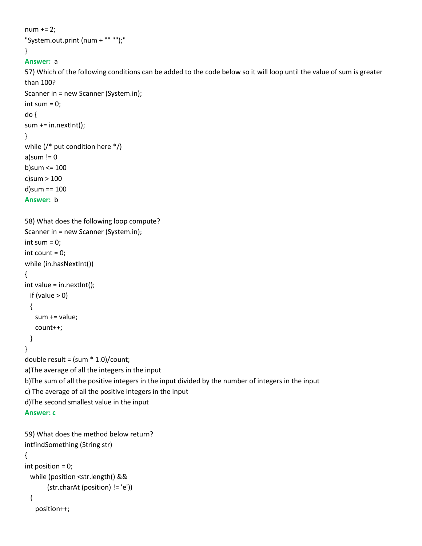```
num += 2;"System.out.print (num + "" "");"
}
Answer: a
57) Which of the following conditions can be added to the code below so it will loop until the value of sum is greater 
than 100?
Scanner in = new Scanner (System.in);
int sum = 0;
do {
sum += in.nextInt();}
while (/* put condition here */)
a)sum != 0
b)sum <= 100
c)sum > 100
d)sum == 100
Answer: b
58) What does the following loop compute?
Scanner in = new Scanner (System.in);
int sum = 0;
int count = 0;
while (in.hasNextInt())
{
int value = in.nextInt();
 if (value > 0)
  {
    sum += value;
    count++;
  }
}
double result = (sum * 1.0)/count;
a)The average of all the integers in the input
b)The sum of all the positive integers in the input divided by the number of integers in the input
c) The average of all the positive integers in the input
d)The second smallest value in the input
Answer: c
59) What does the method below return?
intfindSomething (String str) 
{
int position = 0;
  while (position <str.length() &&
        (str.charAt (position) != 'e'))
  {
    position++;
```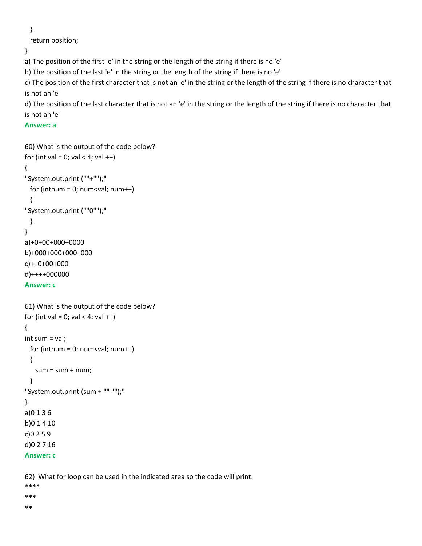}

return position;

}

a) The position of the first 'e' in the string or the length of the string if there is no 'e'

b) The position of the last 'e' in the string or the length of the string if there is no 'e'

c) The position of the first character that is not an 'e' in the string or the length of the string if there is no character that is not an 'e'

d) The position of the last character that is not an 'e' in the string or the length of the string if there is no character that is not an 'e'

# **Answer: a**

```
60) What is the output of the code below?
for (int val = 0; val < 4; val ++)
{
"System.out.print (""+"");"
 for (intnum = 0; num<val; num++)
  {
"System.out.print (""0"");"
  }
}
a)+0+00+000+0000
b)+000+000+000+000
c)++0+00+000
d)++++000000
Answer: c
61) What is the output of the code below?
for (int val = 0; val < 4; val ++)
{
int sum = val;
 for (intnum = 0; num<val; num++)
  {
   sum = sum + num; }
"System.out.print (sum + "" "");"
}
a)0 1 3 6
```
b)0 1 4 10 c)0 2 5 9 d)0 2 7 16

**Answer: c**

62) What for loop can be used in the indicated area so the code will print:

\*\*\*\* \*\*\*

\*\*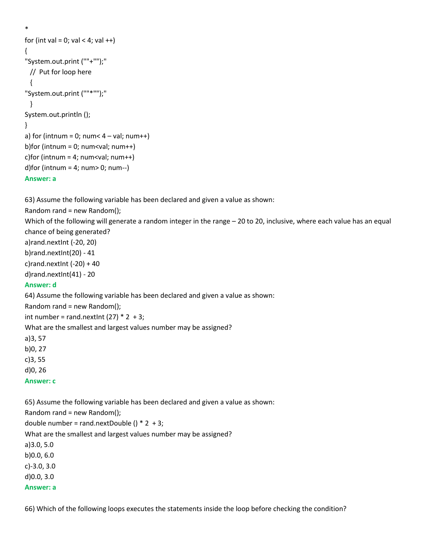```
*
for (int val = 0; val < 4; val ++)
{
"System.out.print (""+"");"
  // Put for loop here
  {
"System.out.print (""*"");"
  }
System.out.println ();
}
a) for (intnum = 0; num< 4 - val; num++)
b)for (intnum = 0; num<val; num++)
c) for (intnum = 4; num < val; num + +)
d)for (intnum = 4; num> 0; num-)
```
# **Answer: a**

63) Assume the following variable has been declared and given a value as shown:

Random rand = new Random();

Which of the following will generate a random integer in the range – 20 to 20, inclusive, where each value has an equal chance of being generated?

a)rand.nextInt (-20, 20)

b)rand.nextInt(20) - 41

c) rand.nextlnt  $(-20) + 40$ 

d)rand.nextInt(41) - 20

# **Answer: d**

64) Assume the following variable has been declared and given a value as shown:

Random rand = new Random();

int number = rand.nextlnt  $(27) * 2 + 3$ ;

What are the smallest and largest values number may be assigned?

a)3, 57

b)0, 27

c)3, 55

d)0, 26

**Answer: c**

65) Assume the following variable has been declared and given a value as shown:

Random rand = new Random(); double number = rand.nextDouble  $() * 2 + 3;$ What are the smallest and largest values number may be assigned? a)3.0, 5.0 b)0.0, 6.0 c)-3.0, 3.0 d)0.0, 3.0 **Answer: a**

66) Which of the following loops executes the statements inside the loop before checking the condition?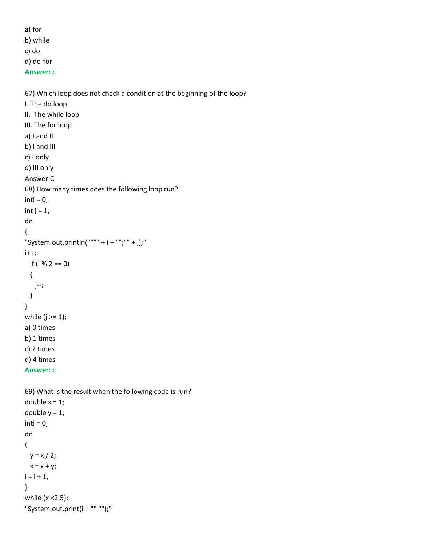a) for b) while

c) do

d) do-for

**Answer: c**

67) Which loop does not check a condition at the beginning of the loop?

```
I. The do loop
II. The while loop
III. The for loop
a) I and II
b) I and III
c) I only
d) III only
Answer:C
68) How many times does the following loop run?
inti = 0;int j = 1;
do
{
"System.out.println("""" + i + "";"" + j);"
i++;
   if (i % 2 == 0)
   {
    j--;
   }
}
while (j \geq 1);
a) 0 times
b) 1 times
c) 2 times
d) 4 times
Answer: c
```

```
69) What is the result when the following code is run?
double x = 1;
double y = 1;
inti = 0;do
{
 y = x / 2;x = x + y;i = i + 1;}
while (x <2.5);
"System.out.print(i + "" "");"
```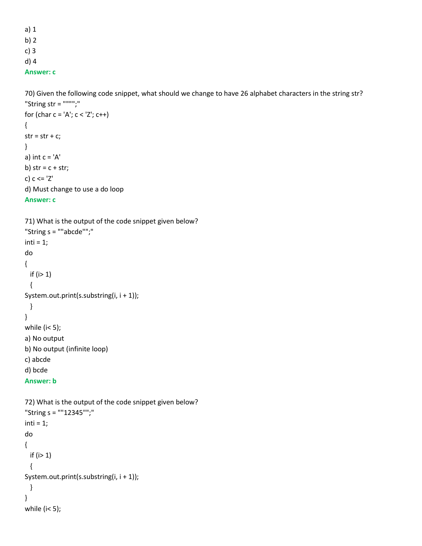a) 1 b) 2 c) 3 d) 4 **Answer: c**

70) Given the following code snippet, what should we change to have 26 alphabet characters in the string str? "String str = """";"

```
for (char c = 'A'; c < 'Z'; c++){
str = str + c;}
a) int c = 'A'b) str = c + str;
c) c <= 'Z'
d) Must change to use a do loop
Answer: c
```

```
71) What is the output of the code snippet given below?
"String s = ""abcde"";"
inti = 1;do
{
 if (i>1) {
System.out.print(s.substring(i, i + 1));
  }
}
while (i< 5);
a) No output
b) No output (infinite loop)
c) abcde
d) bcde
Answer: b
72) What is the output of the code snippet given below?
"String s = ""12345"";"
inti = 1;
```

```
do
{
 if (i>1) {
System.out.print(s.substring(i, i + 1));
  }
}
while (i< 5);
```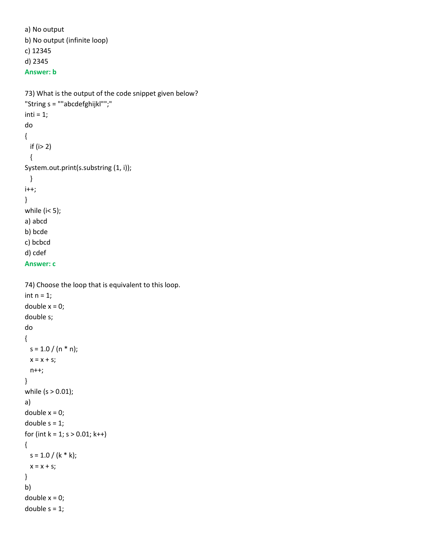```
a) No output
b) No output (infinite loop)
c) 12345
d) 2345
Answer: b
```

```
73) What is the output of the code snippet given below?
"String s = ""abcdefghijkl"";"
inti = 1;
do
{
 if (i> 2) {
System.out.print(s.substring (1, i));
  }
i++;
}
while (i< 5);
a) abcd
b) bcde
c) bcbcd
d) cdef
Answer: c
```

```
74) Choose the loop that is equivalent to this loop.
int n = 1;
double x = 0;
double s;
do
{
 s = 1.0 / (n * n);x = x + s;
  n++;
}
while (s > 0.01);
a) 
double x = 0;
double s = 1;
for (int k = 1; s > 0.01; k++)
{
 s = 1.0 / (k * k);x = x + s;
}
b) 
double x = 0;
double s = 1;
```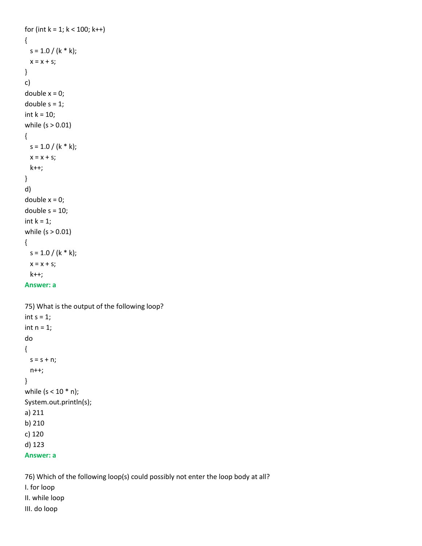```
for (int k = 1; k < 100; k++)
{
 s = 1.0 / (k * k);x = x + s;
}
c) 
double x = 0;
double s = 1;
int k = 10;
while (s > 0.01){
 s = 1.0 / (k * k);x = x + s;
   k++; 
}
d) 
double x = 0;
double s = 10;
int k = 1;
while (s > 0.01) 
{
 s = 1.0 / (k * k);x = x + s;
   k++;
Answer: a
```

```
75) What is the output of the following loop?
int s = 1;
int n = 1;
do
{
 s = s + n; n++;
}
while (s < 10 * n);
System.out.println(s);
a) 211
b) 210
c) 120
d) 123
Answer: a
```
76) Which of the following loop(s) could possibly not enter the loop body at all? I. for loop II. while loop III. do loop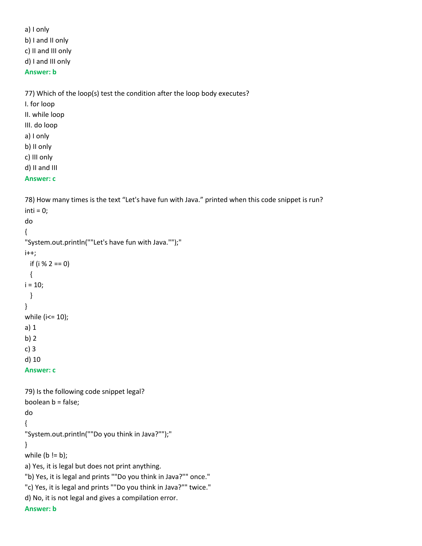a) I only b) I and II only c) II and III only d) I and III only **Answer: b**

77) Which of the loop(s) test the condition after the loop body executes?

I. for loop

II. while loop

III. do loop

a) I only

b) II only

c) III only

d) II and III

# **Answer: c**

78) How many times is the text "Let's have fun with Java." printed when this code snippet is run?  $inti = 0;$ do { "System.out.println(""Let's have fun with Java."");" i++; if (i % 2 == 0) {  $i = 10$ ; } } while (i<= 10); a) 1 b) 2 c) 3 d) 10 **Answer: c** 79) Is the following code snippet legal? boolean b = false; do { "System.out.println(""Do you think in Java?"");" } while  $(b != b)$ ; a) Yes, it is legal but does not print anything. "b) Yes, it is legal and prints ""Do you think in Java?"" once." "c) Yes, it is legal and prints ""Do you think in Java?"" twice." d) No, it is not legal and gives a compilation error. **Answer: b**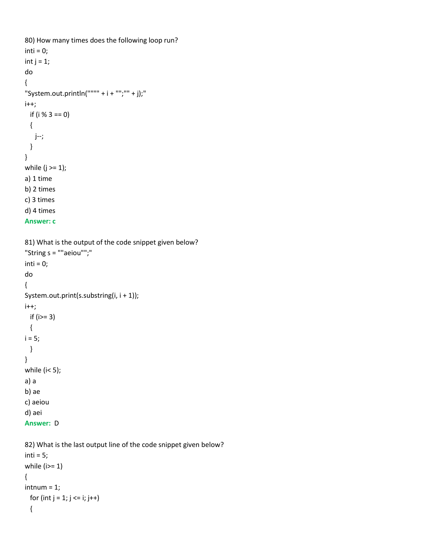```
80) How many times does the following loop run?
inti = 0;int j = 1;
do
{
"System.out.println("""" + i + "";"" + j);"
i++; if (i % 3 == 0)
  {
    j--;
  }
}
while (j \geq 1);
a) 1 time
b) 2 times
c) 3 times
d) 4 times
Answer: c
81) What is the output of the code snippet given below?
"String s = ""aeiou"";"
inti = 0;do
{
System.out.print(s.substring(i, i + 1));
i++;
  if (i>= 3)
  {
i = 5;
  }
}
while (i< 5);
a) a
b) ae
c) aeiou
d) aei
Answer: D
```

```
82) What is the last output line of the code snippet given below?
inti = 5;
while (i)=1)
{
intnum = 1;for (int j = 1; j \le i; j++) {
```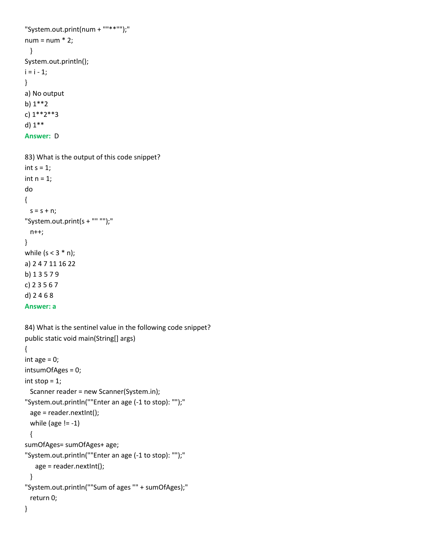```
"System.out.print(num + ""**"");"
num = num * 2; }
System.out.println();
i = i - 1;}
a) No output
b) 1**2
c) 1**2**3
d) 1**
Answer: D
83) What is the output of this code snippet?
int s = 1;
int n = 1;
do
{
 s = s + n;"System.out.print(s + "" "");"
  n++;
}
while (s < 3 * n);
a) 2 4 7 11 16 22
b) 1 3 5 7 9
c) 2 3 5 6 7
d) 2 4 6 8
Answer: a
84) What is the sentinel value in the following code snippet?
public static void main(String[] args) 
{
int age = 0;
intsumOfAges = 0;
int stop = 1;
  Scanner reader = new Scanner(System.in);
"System.out.println(""Enter an age (-1 to stop): "");"
  age = reader.nextInt();
 while (age != -1)
  {
sumOfAges= sumOfAges+ age;
"System.out.println(""Enter an age (-1 to stop): "");"
    age = reader.nextInt();
  }
"System.out.println(""Sum of ages "" + sumOfAges);"
  return 0;
}
```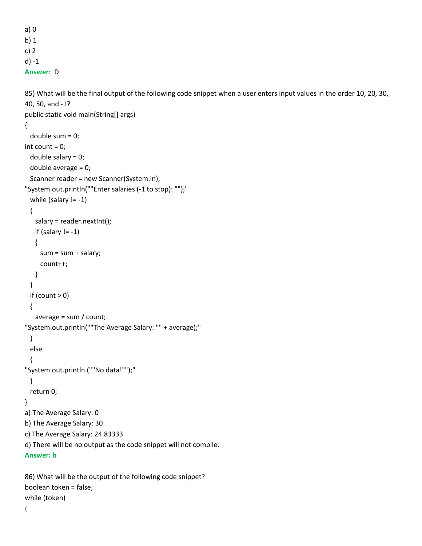```
a) 0
b) 1
c) 2
d) -1
Answer: D
```

```
85) What will be the final output of the following code snippet when a user enters input values in the order 10, 20, 30, 
40, 50, and -1?
public static void main(String[] args) 
{
  double sum = 0;
int count = 0;
  double salary = 0;
  double average = 0;
  Scanner reader = new Scanner(System.in);
"System.out.println(""Enter salaries (-1 to stop): "");"
 while (salary != -1)
  {
    salary = reader.nextInt();
   if (salary != -1)
    {
     sum = sum + salary; count++;
    }
  }
 if (count > 0)
  {
    average = sum / count;
"System.out.println(""The Average Salary: "" + average);"
  }
  else
  {
"System.out.println (""No data!"");"
  }
  return 0;
}
a) The Average Salary: 0
b) The Average Salary: 30
c) The Average Salary: 24.83333
d) There will be no output as the code snippet will not compile.
Answer: b
```

```
86) What will be the output of the following code snippet?
boolean token = false;
while (token)
{
```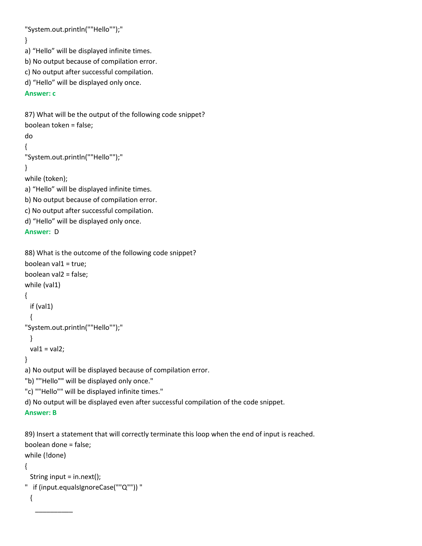"System.out.println(""Hello"");"

}

a) "Hello" will be displayed infinite times.

b) No output because of compilation error.

c) No output after successful compilation.

```
d) "Hello" will be displayed only once.
```
# **Answer: c**

87) What will be the output of the following code snippet? boolean token = false;

do

```
{
```

```
"System.out.println(""Hello"");"
```
# }

while (token);

a) "Hello" will be displayed infinite times.

b) No output because of compilation error.

c) No output after successful compilation.

d) "Hello" will be displayed only once.

# **Answer:** D

```
88) What is the outcome of the following code snippet?
boolean val1 = true:
boolean val2 = false;
while (val1)
{
  if (val1)
  {
"System.out.println(""Hello"");"
  }
 val1 = val2;}
a) No output will be displayed because of compilation error.
"b) ""Hello"" will be displayed only once."
"c) ""Hello"" will be displayed infinite times."
d) No output will be displayed even after successful compilation of the code snippet.
```
# **Answer: B**

 $\overline{\phantom{a}}$   $\overline{\phantom{a}}$   $\overline{\phantom{a}}$   $\overline{\phantom{a}}$   $\overline{\phantom{a}}$   $\overline{\phantom{a}}$   $\overline{\phantom{a}}$   $\overline{\phantom{a}}$   $\overline{\phantom{a}}$   $\overline{\phantom{a}}$   $\overline{\phantom{a}}$   $\overline{\phantom{a}}$   $\overline{\phantom{a}}$   $\overline{\phantom{a}}$   $\overline{\phantom{a}}$   $\overline{\phantom{a}}$   $\overline{\phantom{a}}$   $\overline{\phantom{a}}$   $\overline{\$ 

89) Insert a statement that will correctly terminate this loop when the end of input is reached. boolean done = false;

```
while (!done)
{
  String input = in.next();
" if (input.equalsIgnoreCase(""Q"")) "
  {
```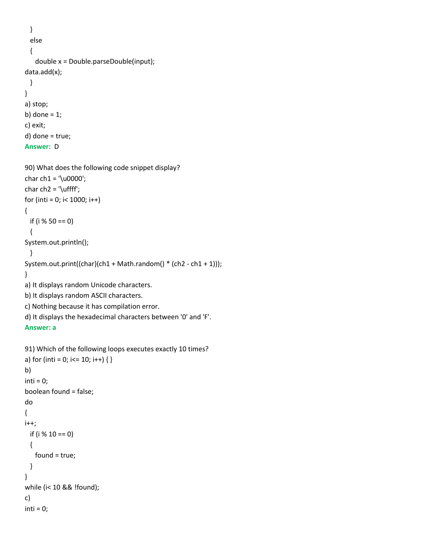```
 } 
   else
  {
    double x = Double.parseDouble(input);
data.add(x);
  }
}
a) stop;
b) done = 1;
c) exit;
d) done = true;
```

```
Answer: D
```

```
90) What does the following code snippet display?
char ch1 = '\u0000';
char ch2 = \lceil \text{uffff'} \rceilfor (inti = 0; i < 1000; i++)
{
  if (i % 50 == 0) 
  {
System.out.println();
  }
System.out.print((char)(ch1 + Math.random() * (ch2 - ch1 + 1)));
}
a) It displays random Unicode characters.
b) It displays random ASCII characters.
c) Nothing because it has compilation error.
d) It displays the hexadecimal characters between '0' and 'F'.
Answer: a
91) Which of the following loops executes exactly 10 times?
a) for (inti = 0; i <= 10; i ++) { }
```

```
b) 
inti = 0;boolean found = false;
do 
{
i++;
  if (i % 10 == 0)
  {
    found = true;
  }
} 
while (i< 10 && !found);
c) 
inti = 0;
```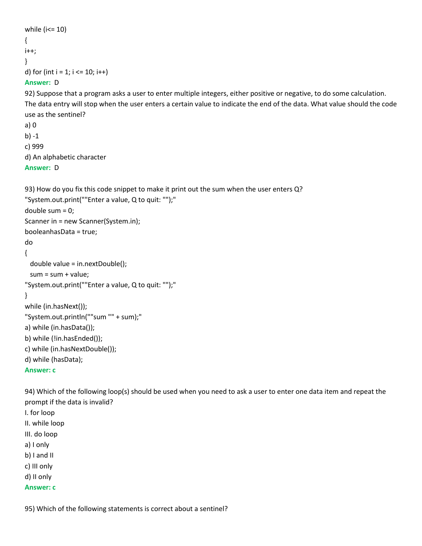```
while (i<= 10) 
{
i++;
}
d) for (int i = 1; i \le 10; i++)
```
# **Answer:** D

92) Suppose that a program asks a user to enter multiple integers, either positive or negative, to do some calculation. The data entry will stop when the user enters a certain value to indicate the end of the data. What value should the code use as the sentinel?

```
a) 0
b) -1
c) 999
d) An alphabetic character
Answer: D
```
93) How do you fix this code snippet to make it print out the sum when the user enters Q? "System.out.print(""Enter a value, Q to quit: "");"

double sum = 0;

Scanner in = new Scanner(System.in);

booleanhasData = true;

do

```
{
```
double value = in.nextDouble();

```
 sum = sum + value;
```

```
"System.out.print(""Enter a value, Q to quit: "");"
```
# }

```
while (in.hasNext());
"System.out.println(""sum "" + sum);"
a) while (in.hasData());
b) while (!in.hasEnded());
```
c) while (in.hasNextDouble());

```
d) while (hasData);
```
**Answer: c**

94) Which of the following loop(s) should be used when you need to ask a user to enter one data item and repeat the prompt if the data is invalid?

I. for loop II. while loop III. do loop a) I only b) I and II c) III only d) II only **Answer: c**

95) Which of the following statements is correct about a sentinel?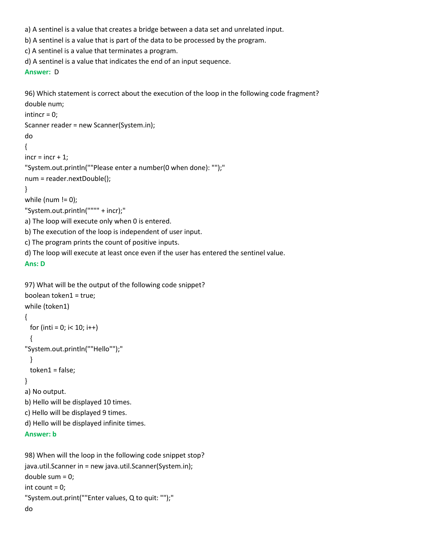a) A sentinel is a value that creates a bridge between a data set and unrelated input.

b) A sentinel is a value that is part of the data to be processed by the program.

c) A sentinel is a value that terminates a program.

d) A sentinel is a value that indicates the end of an input sequence.

```
Answer: D
```
96) Which statement is correct about the execution of the loop in the following code fragment?

```
double num;
intincr = 0;
Scanner reader = new Scanner(System.in);
do
{
incr = incr + 1;"System.out.println(""Please enter a number(0 when done): "");"
num = reader.nextDouble();
}
while (num != 0);
"System.out.println("""" + incr);"
a) The loop will execute only when 0 is entered.
b) The execution of the loop is independent of user input.
c) The program prints the count of positive inputs.
```
d) The loop will execute at least once even if the user has entered the sentinel value.

```
Ans: D
```

```
97) What will be the output of the following code snippet?
boolean token1 = true;
while (token1)
{
 for (inti = 0; i < 10; i++)
  {
"System.out.println(""Hello"");"
  }
  token1 = false;
}
a) No output.
b) Hello will be displayed 10 times.
c) Hello will be displayed 9 times.
d) Hello will be displayed infinite times.
Answer: b
98) When will the loop in the following code snippet stop?
java.util.Scanner in = new java.util.Scanner(System.in);
```

```
double sum = 0;
int count = 0;
"System.out.print(""Enter values, Q to quit: "");"
do
```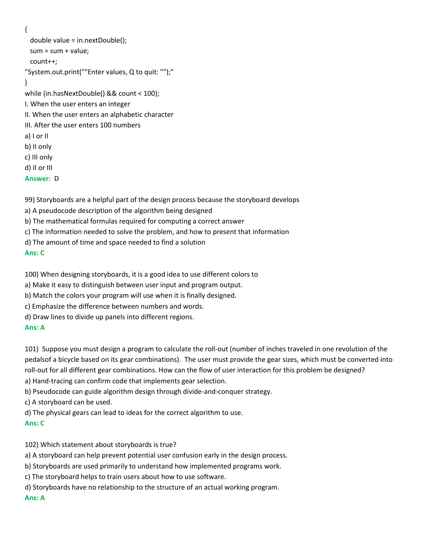{

```
 double value = in.nextDouble();
 sum = sum + value;
  count++;
"System.out.print(""Enter values, Q to quit: "");"
}
while (in.hasNextDouble() && count < 100);
I. When the user enters an integer
II. When the user enters an alphabetic character
III. After the user enters 100 numbers
a) I or II
b) II only
c) III only
d) II or III
Answer: D
```
99) Storyboards are a helpful part of the design process because the storyboard develops

- a) A pseudocode description of the algorithm being designed
- b) The mathematical formulas required for computing a correct answer
- c) The information needed to solve the problem, and how to present that information
- d) The amount of time and space needed to find a solution

# **Ans: C**

100) When designing storyboards, it is a good idea to use different colors to

- a) Make it easy to distinguish between user input and program output.
- b) Match the colors your program will use when it is finally designed.
- c) Emphasize the difference between numbers and words.
- d) Draw lines to divide up panels into different regions.

# **Ans: A**

101) Suppose you must design a program to calculate the roll-out (number of inches traveled in one revolution of the pedalsof a bicycle based on its gear combinations). The user must provide the gear sizes, which must be converted into roll-out for all different gear combinations. How can the flow of user interaction for this problem be designed? a) Hand-tracing can confirm code that implements gear selection.

- b) Pseudocode can guide algorithm design through divide-and-conquer strategy.
- c) A storyboard can be used.
- d) The physical gears can lead to ideas for the correct algorithm to use.

# **Ans: C**

102) Which statement about storyboards is true?

- a) A storyboard can help prevent potential user confusion early in the design process.
- b) Storyboards are used primarily to understand how implemented programs work.
- c) The storyboard helps to train users about how to use software.
- d) Storyboards have no relationship to the structure of an actual working program.

# **Ans: A**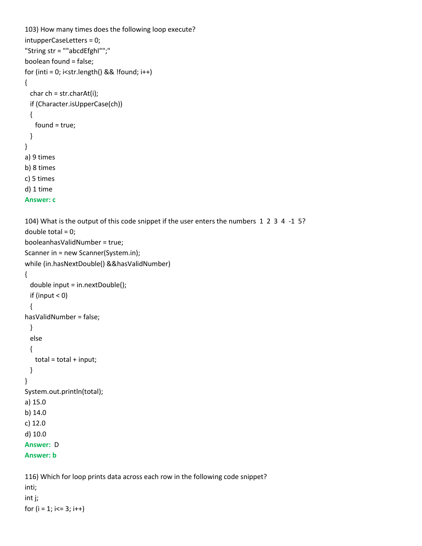```
103) How many times does the following loop execute?
intupperCaseLetters = 0; 
"String str = ""abcdEfghI"";"
boolean found = false;
for (inti = 0; i<str.length() && !found; i++)
{
  char ch = str.charAt(i);
  if (Character.isUpperCase(ch))
  {
    found = true;
  }
}
a) 9 times
b) 8 times
c) 5 times
d) 1 time
Answer: c
104) What is the output of this code snippet if the user enters the numbers 1 2 3 4 -1 5?
double total = 0;
booleanhasValidNumber = true;
Scanner in = new Scanner(System.in);
while (in.hasNextDouble() &&hasValidNumber)
{ 
  double input = in.nextDouble();
 if (input < 0)
  {
hasValidNumber = false;
  } 
  else
  {
   total = total + input; }
}
System.out.println(total);
a) 15.0
b) 14.0
c) 12.0
d) 10.0
Answer: D
Answer: b
116) Which for loop prints data across each row in the following code snippet?
inti;
```
int j;

for  $(i = 1; i < = 3; i++)$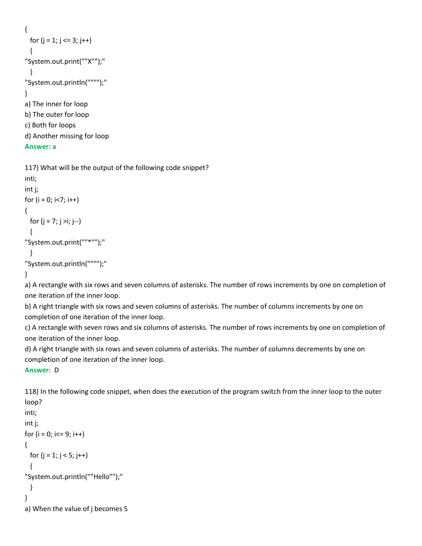```
{
 for (i = 1; j <= 3; j++) {
"System.out.print(""X"");"
  }
"System.out.println("""");"
}
a) The inner for loop
b) The outer for loop
c) Both for loops
d) Another missing for loop
```
# **Answer: a**

```
117) What will be the output of the following code snippet?
inti;
int j;
for (i = 0; i < 7; i++){
 for (i = 7; j > i; j++) {
"System.out.print(""*"");"
  }
"System.out.println("""");"
}
```
a) A rectangle with six rows and seven columns of asterisks. The number of rows increments by one on completion of one iteration of the inner loop.

b) A right triangle with six rows and seven columns of asterisks. The number of columns increments by one on completion of one iteration of the inner loop.

c) A rectangle with seven rows and six columns of asterisks. The number of rows increments by one on completion of one iteration of the inner loop.

d) A right triangle with six rows and seven columns of asterisks. The number of columns decrements by one on completion of one iteration of the inner loop.

# **Answer:** D

118) In the following code snippet, when does the execution of the program switch from the inner loop to the outer loop?

```
inti;
int j;
for (i = 0; i<=9; i++){
 for (i = 1; j < 5; j++) {
"System.out.println(""Hello"");"
  }
}
a) When the value of j becomes 5
```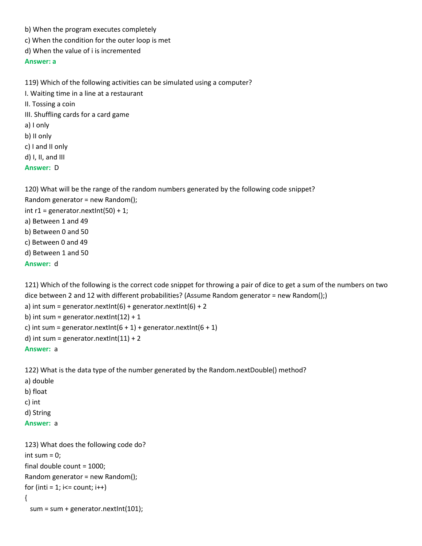- b) When the program executes completely
- c) When the condition for the outer loop is met
- d) When the value of i is incremented

### **Answer: a**

119) Which of the following activities can be simulated using a computer? I. Waiting time in a line at a restaurant II. Tossing a coin III. Shuffling cards for a card game a) I only b) II only c) I and II only d) I, II, and III **Answer:** D

120) What will be the range of the random numbers generated by the following code snippet? Random generator = new Random(); int  $r1$  = generator.nextlnt(50) + 1; a) Between 1 and 49 b) Between 0 and 50 c) Between 0 and 49 d) Between 1 and 50 **Answer:** d

121) Which of the following is the correct code snippet for throwing a pair of dice to get a sum of the numbers on two dice between 2 and 12 with different probabilities? (Assume Random generator = new Random();) a) int sum = generator.nextlnt(6) + generator.nextlnt(6) + 2 b) int sum = generator.nextlnt( $12$ ) + 1 c) int sum = generator.nextlnt $(6 + 1)$  + generator.nextlnt $(6 + 1)$ d) int sum = generator.nextlnt $(11) + 2$ **Answer:** a

122) What is the data type of the number generated by the Random.nextDouble() method? a) double b) float c) int d) String

**Answer:** a

```
123) What does the following code do?
int sum = 0;
final double count = 1000;
Random generator = new Random();
for (inti = 1; i\le count; i++)
{
 sum = sum + generator.nextlnt(101);
```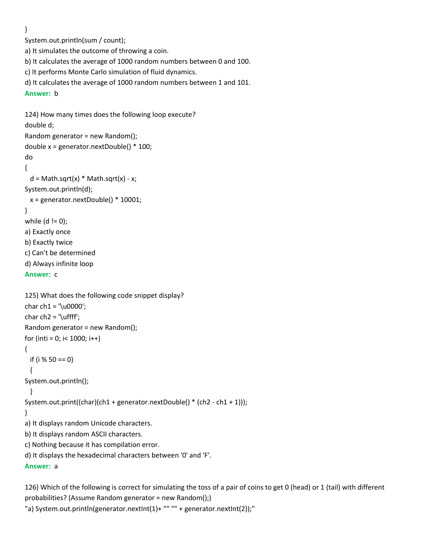}

System.out.println(sum / count);

a) It simulates the outcome of throwing a coin.

b) It calculates the average of 1000 random numbers between 0 and 100.

c) It performs Monte Carlo simulation of fluid dynamics.

```
d) It calculates the average of 1000 random numbers between 1 and 101.
```
**Answer:** b

```
124) How many times does the following loop execute?
double d;
Random generator = new Random();
double x = generator.nextDouble() * 100;
```

```
do
{
```

```
d = Math.sqrt(x) * Math.sqrt(x) - x;System.out.println(d);
```

```
 x = generator.nextDouble() * 10001;
```

```
}
```

```
while (d != 0);
```
a) Exactly once

```
b) Exactly twice
```

```
c) Can't be determined
```
d) Always infinite loop

```
Answer: c
```

```
125) What does the following code snippet display?
char ch1 = 'u0000';char ch2 = \lvert \text{uffff'} \rvertRandom generator = new Random();
for (inti = 0; i < 1000; i++)
{
  if (i % 50 == 0) 
  {
System.out.println();
  }
System.out.print((char)(ch1 + generator.nextDouble() * (ch2 - ch1 + 1)));
}
a) It displays random Unicode characters.
b) It displays random ASCII characters.
c) Nothing because it has compilation error.
d) It displays the hexadecimal characters between '0' and 'F'.
Answer: a
```
126) Which of the following is correct for simulating the toss of a pair of coins to get 0 (head) or 1 (tail) with different probabilities? (Assume Random generator = new Random();)

"a) System.out.println(generator.nextInt(1)+ "" "" + generator.nextInt(2));"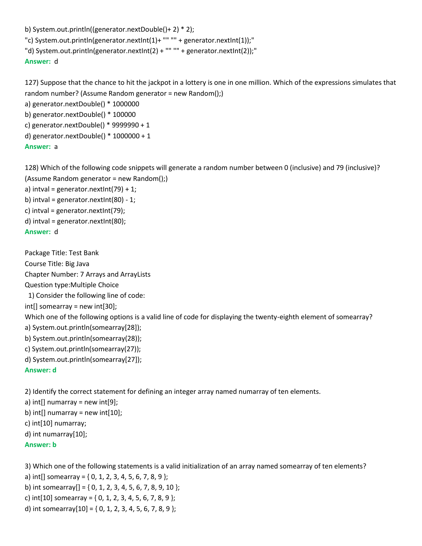b) System.out.println((generator.nextDouble()+ 2) \* 2);

"c) System.out.println(generator.nextInt(1)+ "" "" + generator.nextInt(1));"

"d) System.out.println(generator.nextInt(2) + "" "" + generator.nextInt(2));"

## **Answer:** d

127) Suppose that the chance to hit the jackpot in a lottery is one in one million. Which of the expressions simulates that random number? (Assume Random generator = new Random();)

a) generator.nextDouble() \* 1000000 b) generator.nextDouble() \* 100000 c) generator.nextDouble() \* 9999990 + 1 d) generator.nextDouble() \* 1000000 + 1 **Answer:** a

128) Which of the following code snippets will generate a random number between 0 (inclusive) and 79 (inclusive)? (Assume Random generator = new Random();)

a) intval = generator.nextlnt(79) + 1;

b) intval = generator.nextlnt $(80)$  - 1;

c) intval = generator.nextInt(79);

d) intval = generator.nextInt(80);

# **Answer:** d

Package Title: Test Bank Course Title: Big Java Chapter Number: 7 Arrays and ArrayLists Question type:Multiple Choice 1) Consider the following line of code: int[] somearray = new int[30]; Which one of the following options is a valid line of code for displaying the twenty-eighth element of somearray? a) System.out.println(somearray[28]); b) System.out.println(somearray(28)); c) System.out.println(somearray(27)); d) System.out.println(somearray[27]); **Answer: d**

2) Identify the correct statement for defining an integer array named numarray of ten elements.

```
a) int[] numarray = new int[9];
```
b) int[] numarray = new int $[10]$ ;

c) int[10] numarray;

d) int numarray[10];

**Answer: b**

3) Which one of the following statements is a valid initialization of an array named somearray of ten elements?

a) int[] somearray =  $\{0, 1, 2, 3, 4, 5, 6, 7, 8, 9\}$ ;

b) int somearray  $[]=\{0, 1, 2, 3, 4, 5, 6, 7, 8, 9, 10\}$ ;

c) int[10] somearray = { 0, 1, 2, 3, 4, 5, 6, 7, 8, 9 };

d) int somearray[10] = { 0, 1, 2, 3, 4, 5, 6, 7, 8, 9 };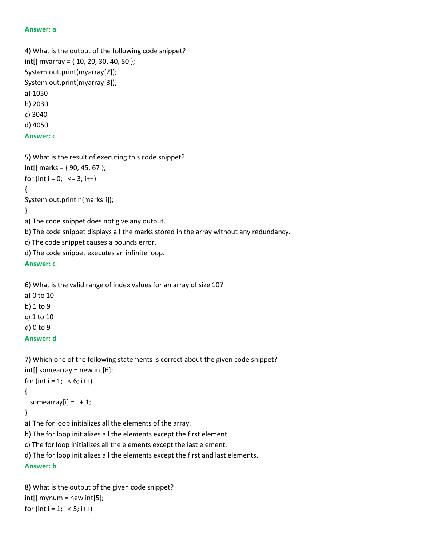#### **Answer: a**

4) What is the output of the following code snippet?  $int[]$  myarray = { 10, 20, 30, 40, 50 }; System.out.print(myarray[2]); System.out.print(myarray[3]); a) 1050 b) 2030 c) 3040 d) 4050 **Answer: c**

```
5) What is the result of executing this code snippet?
int[] marks = {90, 45, 67 };
for (int i = 0; i \le 3; i++)
{
System.out.println(marks[i]);
}
a) The code snippet does not give any output.
```
b) The code snippet displays all the marks stored in the array without any redundancy.

c) The code snippet causes a bounds error.

d) The code snippet executes an infinite loop.

**Answer: c**

6) What is the valid range of index values for an array of size 10?

- a) 0 to 10
- b) 1 to 9

c) 1 to 10

d) 0 to 9

```
Answer: d
```

```
7) Which one of the following statements is correct about the given code snippet?
int[] somearray = new int[6];
for (int i = 1; i < 6; i++)
{
 somearray[i] = i + 1;
}
a) The for loop initializes all the elements of the array.
```
b) The for loop initializes all the elements except the first element.

c) The for loop initializes all the elements except the last element.

d) The for loop initializes all the elements except the first and last elements.

**Answer: b**

8) What is the output of the given code snippet?  $int[]$  mynum = new  $int[5]$ ; for (int  $i = 1$ ;  $i < 5$ ;  $i++$ )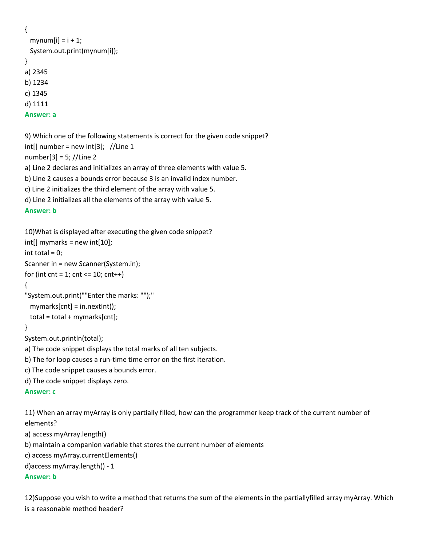```
{
 mynum[i] = i + 1;
  System.out.print(mynum[i]);
}
a) 2345
b) 1234
c) 1345
d) 1111
Answer: a
```
9) Which one of the following statements is correct for the given code snippet?  $int[]$  number = new  $int[3]$ ; //Line 1

number[3] = 5; //Line 2

a) Line 2 declares and initializes an array of three elements with value 5.

b) Line 2 causes a bounds error because 3 is an invalid index number.

c) Line 2 initializes the third element of the array with value 5.

d) Line 2 initializes all the elements of the array with value 5.

# **Answer: b**

```
10)What is displayed after executing the given code snippet?
```

```
int[] mymarks = new int[10];
```

```
int total = 0;
```

```
Scanner in = new Scanner(System.in);
```

```
for (int cnt = 1; cnt <= 10; cnt++)
```

```
{
```

```
"System.out.print(""Enter the marks: "");"
  mymarks[cnt] = in.nextInt();
```

```
 total = total + mymarks[cnt];
```

```
}
```

```
System.out.println(total);
```

```
a) The code snippet displays the total marks of all ten subjects.
```
b) The for loop causes a run-time time error on the first iteration.

c) The code snippet causes a bounds error.

```
d) The code snippet displays zero.
```
# **Answer: c**

11) When an array myArray is only partially filled, how can the programmer keep track of the current number of elements?

a) access myArray.length()

b) maintain a companion variable that stores the current number of elements

c) access myArray.currentElements()

d)access myArray.length() - 1

# **Answer: b**

12)Suppose you wish to write a method that returns the sum of the elements in the partiallyfilled array myArray. Which is a reasonable method header?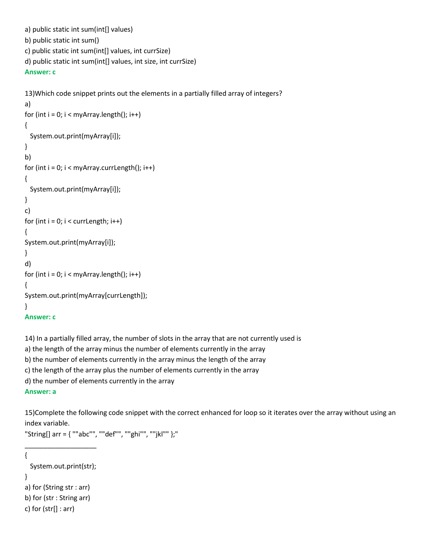```
a) public static int sum(int[] values)
b) public static int sum()
c) public static int sum(int[] values, int currSize)
d) public static int sum(int[] values, int size, int currSize)
Answer: c
```

```
13)Which code snippet prints out the elements in a partially filled array of integers?
a) 
for (int i = 0; i < \text{myArray.length}); i++){
   System.out.print(myArray[i]);
}
b) 
for (int i = 0; i < myArray.currLength(); i++)
{
   System.out.print(myArray[i]);
}
c) 
for (int i = 0; i < currLength; i++)
{
System.out.print(myArray[i]);
}
d) 
for (int i = 0; i < myArray.length(); i++)
{
System.out.print(myArray[currLength]);
}
Answer: c
```
14) In a partially filled array, the number of slots in the array that are not currently used is

a) the length of the array minus the number of elements currently in the array

b) the number of elements currently in the array minus the length of the array

c) the length of the array plus the number of elements currently in the array

d) the number of elements currently in the array

```
Answer: a
```
15)Complete the following code snippet with the correct enhanced for loop so it iterates over the array without using an index variable.

"String[] arr = { ""abc"", ""def"", ""ghi"", ""jkl"" };"

{

```
 System.out.print(str);
```
\_\_\_\_\_\_\_\_\_\_\_\_\_\_\_\_\_\_\_

}

a) for (String str : arr)

b) for (str : String arr)

c) for  $(str[] : arr)$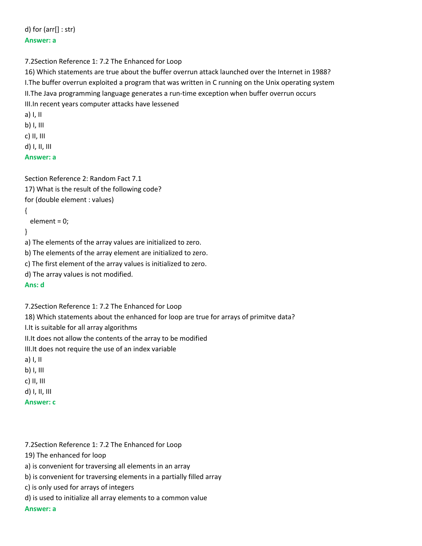d) for (arr[] : str) **Answer: a**

# 7.2Section Reference 1: 7.2 The Enhanced for Loop

16) Which statements are true about the buffer overrun attack launched over the Internet in 1988? I.The buffer overrun exploited a program that was written in C running on the Unix operating system II.The Java programming language generates a run-time exception when buffer overrun occurs III.In recent years computer attacks have lessened a) I, II b) I, III

- c) II, III
- d) I, II, III

# **Answer: a**

```
Section Reference 2: Random Fact 7.1
17) What is the result of the following code?
for (double element : values)
{
  element = 0;
}
a) The elements of the array values are initialized to zero.
b) The elements of the array element are initialized to zero.
c) The first element of the array values is initialized to zero.
d) The array values is not modified.
Ans: d
```
7.2Section Reference 1: 7.2 The Enhanced for Loop

18) Which statements about the enhanced for loop are true for arrays of primitve data?

I.It is suitable for all array algorithms

II.It does not allow the contents of the array to be modified

III.It does not require the use of an index variable

- a) I, II
- b) I, III
- c) II, III
- d) I, II, III
- **Answer: c**

7.2Section Reference 1: 7.2 The Enhanced for Loop

19) The enhanced for loop

a) is convenient for traversing all elements in an array

b) is convenient for traversing elements in a partially filled array

c) is only used for arrays of integers

d) is used to initialize all array elements to a common value

**Answer: a**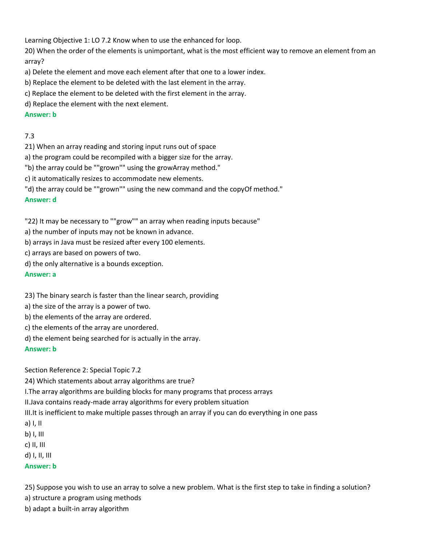Learning Objective 1: LO 7.2 Know when to use the enhanced for loop.

20) When the order of the elements is unimportant, what is the most efficient way to remove an element from an array?

a) Delete the element and move each element after that one to a lower index.

- b) Replace the element to be deleted with the last element in the array.
- c) Replace the element to be deleted with the first element in the array.
- d) Replace the element with the next element.

# **Answer: b**

# 7.3

- 21) When an array reading and storing input runs out of space
- a) the program could be recompiled with a bigger size for the array.
- "b) the array could be ""grown"" using the growArray method."
- c) it automatically resizes to accommodate new elements.
- "d) the array could be ""grown"" using the new command and the copyOf method."

# **Answer: d**

"22) It may be necessary to ""grow"" an array when reading inputs because"

- a) the number of inputs may not be known in advance.
- b) arrays in Java must be resized after every 100 elements.
- c) arrays are based on powers of two.
- d) the only alternative is a bounds exception.

# **Answer: a**

23) The binary search is faster than the linear search, providing

- a) the size of the array is a power of two.
- b) the elements of the array are ordered.
- c) the elements of the array are unordered.
- d) the element being searched for is actually in the array.

# **Answer: b**

Section Reference 2: Special Topic 7.2

24) Which statements about array algorithms are true?

I.The array algorithms are building blocks for many programs that process arrays

II.Java contains ready-made array algorithms for every problem situation

III.It is inefficient to make multiple passes through an array if you can do everything in one pass

- a) I, II
- b) I, III
- c) II, III
- d) I, II, III

# **Answer: b**

25) Suppose you wish to use an array to solve a new problem. What is the first step to take in finding a solution?

a) structure a program using methods

b) adapt a built-in array algorithm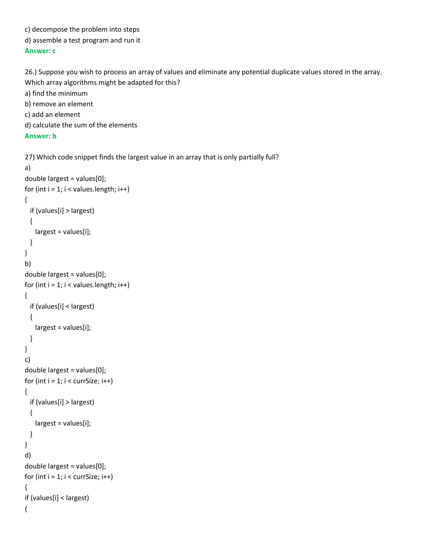- c) decompose the problem into steps
- d) assemble a test program and run it

# **Answer: c**

26.) Suppose you wish to process an array of values and eliminate any potential duplicate values stored in the array. Which array algorithms might be adapted for this? a) find the minimum

- b) remove an element
- c) add an element
- d) calculate the sum of the elements

# **Answer: b**

{

```
27) Which code snippet finds the largest value in an array that is only partially full?
a) 
double largest = values[0]; 
for (int i = 1; i < values.length; i++)
{
   if (values[i] > largest) 
  {
    largest = values[i];
  }
}
b) 
double largest = values[0]; 
for (int i = 1; i < values.length; i++)
{
  if (values[i] < largest) 
  {
     largest = values[i];
  }
}
c) 
double largest = values[0]; 
for (int i = 1; i < currSize; i++)
{
   if (values[i] > largest) 
  {
     largest = values[i];
  }
}
d)
double largest = values[0]; 
for (int i = 1; i < currSize; i++)
{
if (values[i] < largest)
```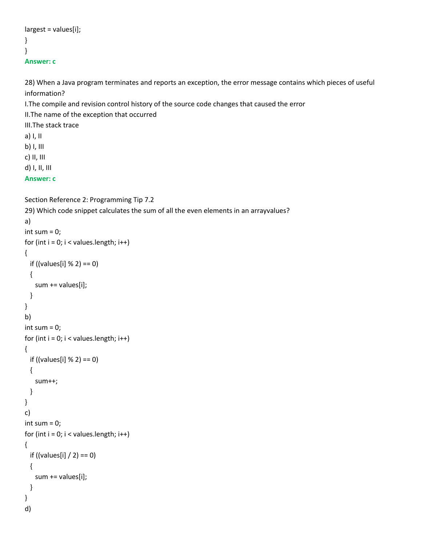```
largest = values[i];
}
}
Answer: c
```
28) When a Java program terminates and reports an exception, the error message contains which pieces of useful information?

I.The compile and revision control history of the source code changes that caused the error

II.The name of the exception that occurred

III.The stack trace

a) I, II b) I, III c) II, III

d) I, II, III

# **Answer: c**

```
Section Reference 2: Programming Tip 7.2
29) Which code snippet calculates the sum of all the even elements in an arrayvalues?
a)
int sum = 0;
for (int i = 0; i < values.length; i++)
{
  if ((values[i] % 2) == 0) 
  {
    sum += values[i];
  }
}
b)
int sum = 0;
for (int i = 0; i < values.length; i++)
{
  if ((values[i] % 2) == 0) 
  {
    sum++; 
  }
}
c)
int sum = 0;
for (int i = 0; i < values. length; i++)
{
 if ((values[i] / 2) == 0)
  {
    sum += values[i];
  }
}
d)
```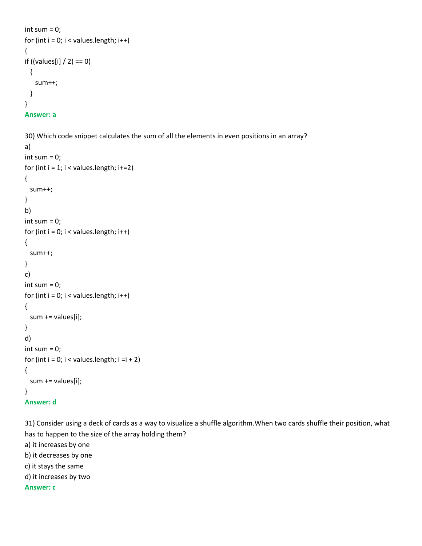```
int sum = 0;
for (int i = 0; i < values.length; i++)
{
if ((values[i] / 2) == 0)
  {
    sum++;
  }
}
Answer: a
```

```
30) Which code snippet calculates the sum of all the elements in even positions in an array?
```

```
a)
int sum = 0;
for (int i = 1; i < values. length; i+=2)
{
  sum++;
}
b)
int sum = 0;
for (int i = 0; i < values.length; i++)
{
  sum++;
}
c)
int sum = 0;
for (int i = 0; i < values.length; i++)
{
  sum += values[i];
}
d)
int sum = 0;
for (int i = 0; i < values.length; i = i + 2)
{
  sum += values[i];
}
Answer: d
```
31) Consider using a deck of cards as a way to visualize a shuffle algorithm.When two cards shuffle their position, what has to happen to the size of the array holding them?

a) it increases by one

b) it decreases by one

c) it stays the same

d) it increases by two

**Answer: c**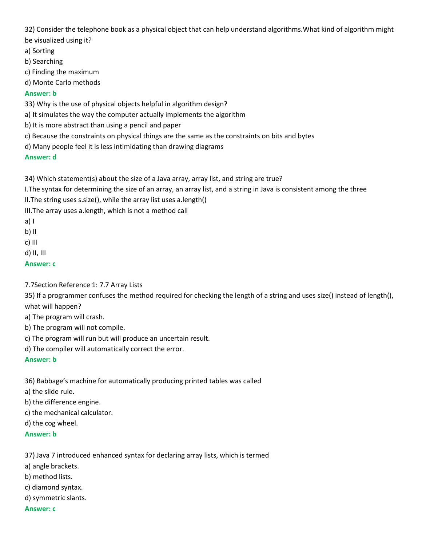32) Consider the telephone book as a physical object that can help understand algorithms.What kind of algorithm might be visualized using it?

a) Sorting

b) Searching

c) Finding the maximum

d) Monte Carlo methods

## **Answer: b**

33) Why is the use of physical objects helpful in algorithm design?

a) It simulates the way the computer actually implements the algorithm

- b) It is more abstract than using a pencil and paper
- c) Because the constraints on physical things are the same as the constraints on bits and bytes
- d) Many people feel it is less intimidating than drawing diagrams

# **Answer: d**

34) Which statement(s) about the size of a Java array, array list, and string are true?

I.The syntax for determining the size of an array, an array list, and a string in Java is consistent among the three II.The string uses s.size(), while the array list uses a.length()

III.The array uses a.length, which is not a method call

a) I

b) II

c) III

d) II, III

**Answer: c**

7.7Section Reference 1: 7.7 Array Lists

35) If a programmer confuses the method required for checking the length of a string and uses size() instead of length(), what will happen?

a) The program will crash.

b) The program will not compile.

c) The program will run but will produce an uncertain result.

d) The compiler will automatically correct the error.

**Answer: b**

36) Babbage's machine for automatically producing printed tables was called

a) the slide rule.

b) the difference engine.

c) the mechanical calculator.

d) the cog wheel.

**Answer: b**

37) Java 7 introduced enhanced syntax for declaring array lists, which is termed

a) angle brackets.

b) method lists.

c) diamond syntax.

d) symmetric slants.

**Answer: c**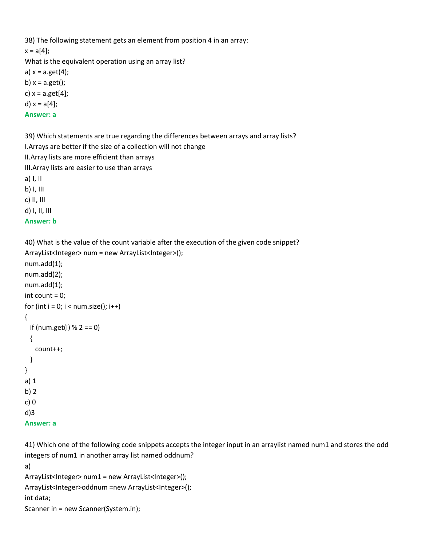38) The following statement gets an element from position 4 in an array:  $x = a[4]$ ; What is the equivalent operation using an array list? a)  $x = a.get(4);$ b)  $x = a.get()$ ; c)  $x = a.get[4]$ ; d) x = a[4]; **Answer: a** 39) Which statements are true regarding the differences between arrays and array lists?

I.Arrays are better if the size of a collection will not change II.Array lists are more efficient than arrays III.Array lists are easier to use than arrays a) I, II b) I, III c) II, III d) I, II, III **Answer: b**

40) What is the value of the count variable after the execution of the given code snippet? ArrayList<Integer> num = new ArrayList<Integer>(); num.add(1); num.add(2); num.add(1); int count = 0; for (int  $i = 0$ ;  $i <$  num.size();  $i++$ ) { if (num.get(i)  $% 2 == 0$ ) { count++; } } a) 1 b) 2 c) 0 d)3

```
Answer: a
```
41) Which one of the following code snippets accepts the integer input in an arraylist named num1 and stores the odd integers of num1 in another array list named oddnum?

```
a)
ArrayList<Integer> num1 = new ArrayList<Integer>();
ArrayList<Integer>oddnum =new ArrayList<Integer>();
int data;
Scanner in = new Scanner(System.in);
```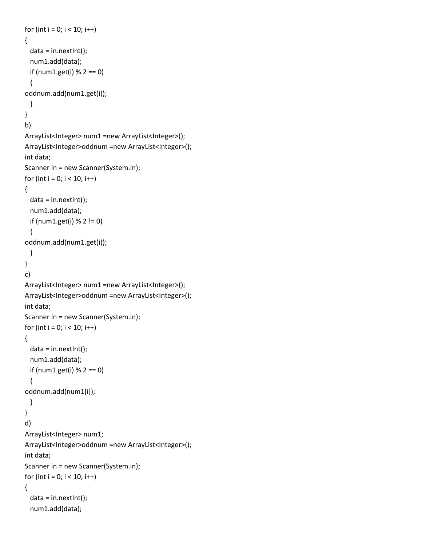```
for (int i = 0; i < 10; i++){
 data = in.nextInt();
  num1.add(data);
  if (num1.get(i) % 2 == 0)
  {
oddnum.add(num1.get(i));
  }
}
b)
ArrayList<Integer> num1 =new ArrayList<Integer>();
ArrayList<Integer>oddnum =new ArrayList<Integer>();
int data;
Scanner in = new Scanner(System.in);
for (int i = 0; i < 10; i++)
{
  data = in.nextInt();
  num1.add(data);
 if (num1.get(i) % 2 != 0)
  {
oddnum.add(num1.get(i));
  }
}
c)
ArrayList<Integer> num1 =new ArrayList<Integer>();
ArrayList<Integer>oddnum =new ArrayList<Integer>();
int data;
Scanner in = new Scanner(System.in);
for (int i = 0; i < 10; i++)
{
  data = in.nextInt();
  num1.add(data);
  if (num1.get(i) % 2 == 0)
  {
oddnum.add(num1[i]);
  }
}
d)
ArrayList<Integer> num1;
ArrayList<Integer>oddnum =new ArrayList<Integer>();
int data;
Scanner in = new Scanner(System.in);
for (int i = 0; i < 10; i++){
 data = in.nextInt(); num1.add(data);
```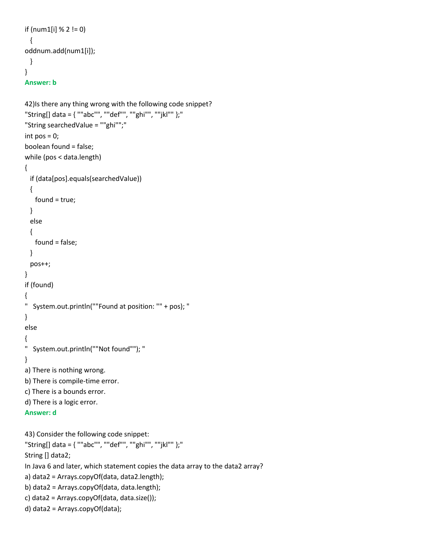```
if (num1[i] % 2 != 0)
  {
oddnum.add(num1[i]);
  }
}
```

```
Answer: b
```

```
42)Is there any thing wrong with the following code snippet?
"String[] data = { ""abc"", ""def"", ""ghi"", ""jkl"" };"
"String searchedValue = ""ghi"";"
int pos = 0;
boolean found = false;
while (pos < data.length)
{
  if (data[pos].equals(searchedValue))
  {
    found = true;
  }
  else
  { 
    found = false;
  }
  pos++;
}
if (found) 
{ 
" System.out.println(""Found at position: "" + pos); "
}
else 
{ 
" System.out.println(""Not found""); "
}
a) There is nothing wrong.
b) There is compile-time error.
c) There is a bounds error.
d) There is a logic error.
Answer: d
43) Consider the following code snippet:
"String[] data = { ""abc"", ""def"", ""ghi"", ""jkl"" };"
String [] data2;
In Java 6 and later, which statement copies the data array to the data2 array?
a) data2 = Arrays.copyOf(data, data2.length);
b) data2 = Arrays.copyOf(data, data.length);
c) data2 = Arrays.copyOf(data, data.size());
```

```
d) data2 = Arrays.copyOf(data);
```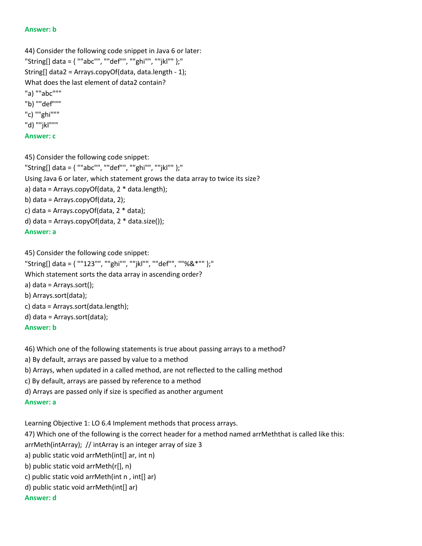#### **Answer: b**

44) Consider the following code snippet in Java 6 or later: "String[] data = { ""abc"", ""def"", ""ghi"", ""jkl"" };" String[] data2 = Arrays.copyOf(data, data.length - 1); What does the last element of data2 contain? "a) ""abc""" "b) ""def""" "c) ""ghi""" "d) ""jkl""" **Answer: c**

# 45) Consider the following code snippet: "String[] data = { ""abc"", ""def"", ""ghi"", ""jkl"" };" Using Java 6 or later, which statement grows the data array to twice its size? a) data = Arrays.copyOf(data, 2 \* data.length); b) data = Arrays.copyOf(data, 2); c) data = Arrays.copyOf(data,  $2 *$  data); d) data = Arrays.copyOf(data,  $2 *$  data.size()); **Answer: a**

45) Consider the following code snippet:

```
"String[] data = { ""123"", ""ghi"", ""jkl"", ""def"", ""%&*"" };"
Which statement sorts the data array in ascending order?
a) data = Arrays.sort();
b) Arrays.sort(data);
c) data = Arrays.sort(data.length);
d) data = Arrays.sort(data);
Answer: b
```
46) Which one of the following statements is true about passing arrays to a method?

a) By default, arrays are passed by value to a method

b) Arrays, when updated in a called method, are not reflected to the calling method

c) By default, arrays are passed by reference to a method

d) Arrays are passed only if size is specified as another argument

#### **Answer: a**

Learning Objective 1: LO 6.4 Implement methods that process arrays.

47) Which one of the following is the correct header for a method named arrMeththat is called like this:

arrMeth(intArray); // intArray is an integer array of size 3

```
a) public static void arrMeth(int[] ar, int n)
```
b) public static void arrMeth(r[], n)

- c) public static void arrMeth(int n , int[] ar)
- d) public static void arrMeth(int[] ar)

**Answer: d**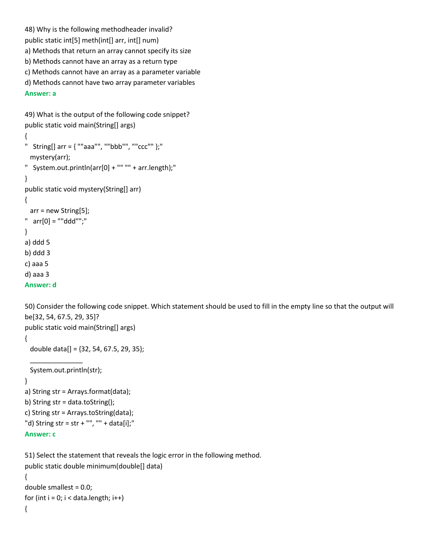48) Why is the following methodheader invalid? public static int[5] meth(int[] arr, int[] num) a) Methods that return an array cannot specify its size b) Methods cannot have an array as a return type c) Methods cannot have an array as a parameter variable d) Methods cannot have two array parameter variables **Answer: a**

```
49) What is the output of the following code snippet?
public static void main(String[] args)
```

```
{
" String[] \ar{f} = \{ ""aaa"", ""bbb"", ""ccc"" };"
  mystery(arr);
" System.out.println(arr[0] + "" "" + arr.length);"
}
public static void mystery(String[] arr) 
{
  arr = new String[5];
" arr[0] = ""ddd"";"
} 
a) ddd 5
b) ddd 3
c) aaa 5
d) aaa 3
```

```
Answer: d
```
50) Consider the following code snippet. Which statement should be used to fill in the empty line so that the output will be[32, 54, 67.5, 29, 35]? public static void main(String[] args)

```
{
  double data[] = {32, 54, 67.5, 29, 35};
 ______________
  System.out.println(str);
}
a) String str = Arrays.format(data);
b) String str = data.toString();
c) String str = Arrays.toString(data);
"d) String str = str + "", "" + data[i];"
Answer: c
```
51) Select the statement that reveals the logic error in the following method. public static double minimum(double[] data)

```
{
double smallest = 0.0;
for (int i = 0; i < data.length; i++)
{
```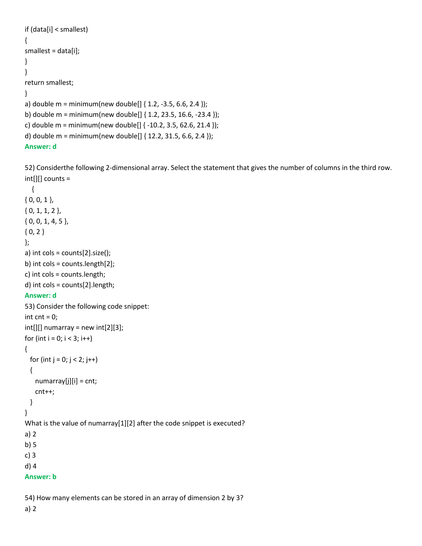```
if (data[i] < smallest)
{
smallest = data[i];
}
}
return smallest;
}
a) double m = minimum(new double[] \{ 1.2, -3.5, 6.6, 2.4 \});
b) double m = minimum(new double[] { 1.2, 23.5, 16.6, -23.4 });
c) double m = minimum(new double[] \{-10.2, 3.5, 62.6, 21.4\});
d) double m = minimum(new double[] \{ 12.2, 31.5, 6.6, 2.4 \});
Answer: d
```
52) Considerthe following 2-dimensional array. Select the statement that gives the number of columns in the third row. int[][] counts =

```
 {
{ 0, 0, 1 },
{ 0, 1, 1, 2 },
{ 0, 0, 1, 4, 5 },
{ 0, 2 }};
a) int cols = counts[2].size();
b) int cols = counts.length[2];
c) int cols = counts.length;
d) int cols = counts[2].length;
Answer: d
53) Consider the following code snippet:
int cnt = 0;
int[]] numarray = new int[2][3];
for (int i = 0; i < 3; i++)
{
 for (int j = 0; j < 2; j++) {
    numarray[j][i] = cnt;
    cnt++;
  }
}
What is the value of numarray[1][2] after the code snippet is executed?
a) 2
b) 5
c) 3
d) 4
Answer: b
```
54) How many elements can be stored in an array of dimension 2 by 3?

a) 2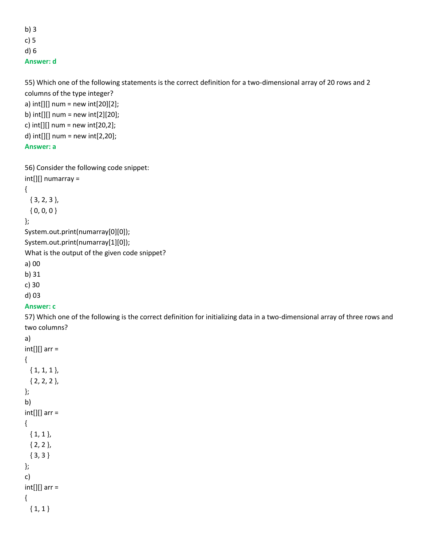b) 3 c) 5 d) 6

**Answer: d**

```
55) Which one of the following statements is the correct definition for a two-dimensional array of 20 rows and 2 
columns of the type integer?
a) int[[] num = new int[20][2];
b) int[[] num = new int[2][20];
c) int[][] num = new int[20,2];
d) int[][] num = new int[2,20];
Answer: a
56) Consider the following code snippet:
int[][] numarray = 
{
  { 3, 2, 3 },
 {0, 0, 0}};
System.out.print(numarray[0][0]);
System.out.print(numarray[1][0]);
What is the output of the given code snippet?
```
a) 00

b) 31

c) 30

d) 03

**Answer: c**

57) Which one of the following is the correct definition for initializing data in a two-dimensional array of three rows and two columns?

```
a)
int[][] arr =
{
  { 1, 1, 1 },
  { 2, 2, 2 },
};
b)
int[][] arr =
{
 {1, 1} { 2, 2 },
  { 3, 3 }
};
c)
int[][] arr =
{
 {1, 1}
```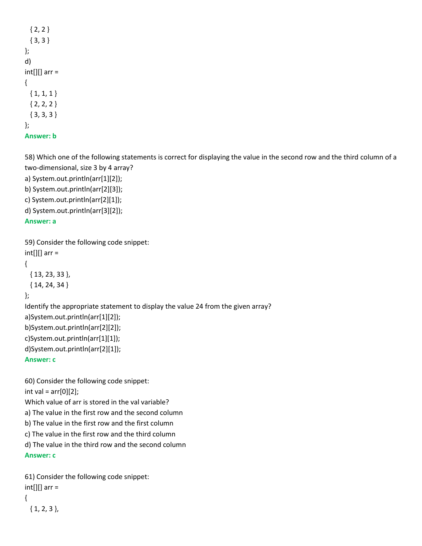```
{2, 2} { 3, 3 }
};
d)
int[][] arr =
{
 {1, 1, 1} { 2, 2, 2 }
  { 3, 3, 3 }
};
Answer: b
```
58) Which one of the following statements is correct for displaying the value in the second row and the third column of a two-dimensional, size 3 by 4 array?

a) System.out.println(arr[1][2]); b) System.out.println(arr[2][3]); c) System.out.println(arr[2][1]);

d) System.out.println(arr[3][2]);

## **Answer: a**

```
59) Consider the following code snippet:
int[][] arr =
{
  { 13, 23, 33 },
  { 14, 24, 34 }
};
Identify the appropriate statement to display the value 24 from the given array?
a)System.out.println(arr[1][2]);
b)System.out.println(arr[2][2]);
c)System.out.println(arr[1][1]);
d)System.out.println(arr[2][1]);
Answer: c
```
60) Consider the following code snippet: int val =  $arr[0][2]$ ; Which value of arr is stored in the val variable? a) The value in the first row and the second column b) The value in the first row and the first column c) The value in the first row and the third column d) The value in the third row and the second column **Answer: c**

```
61) Consider the following code snippet:
int[][] arr =
{
  { 1, 2, 3 },
```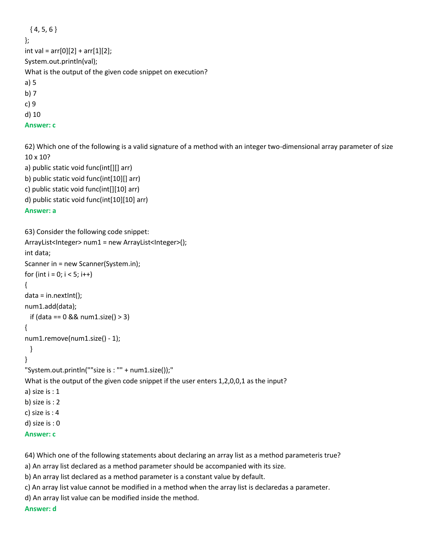```
{4, 5, 6}};
int val = arr[0][2] + arr[1][2];
System.out.println(val);
What is the output of the given code snippet on execution?
a) 5
b) 7
c) 9
d) 10
Answer: c
```
62) Which one of the following is a valid signature of a method with an integer two-dimensional array parameter of size 10 x 10?

```
a) public static void func(int[][] arr)
b) public static void func(int[10][] arr)
c) public static void func(int[][10] arr)
d) public static void func(int[10][10] arr)
```
#### **Answer: a**

```
63) Consider the following code snippet:
ArrayList<Integer> num1 = new ArrayList<Integer>();
int data;
Scanner in = new Scanner(System.in);
for (int i = 0; i < 5; i++){
data = in.nextInt();num1.add(data);
  if (data == 0 && num1.size() > 3)
{
num1.remove(num1.size() - 1);
  }
}
"System.out.println(""size is : "" + num1.size());"
What is the output of the given code snippet if the user enters 1,2,0,0,1 as the input?
a) size is : 1
b) size is : 2
c) size is : 4
d) size is : 0
Answer: c
```
64) Which one of the following statements about declaring an array list as a method parameteris true?

a) An array list declared as a method parameter should be accompanied with its size.

b) An array list declared as a method parameter is a constant value by default.

c) An array list value cannot be modified in a method when the array list is declaredas a parameter.

d) An array list value can be modified inside the method.

**Answer: d**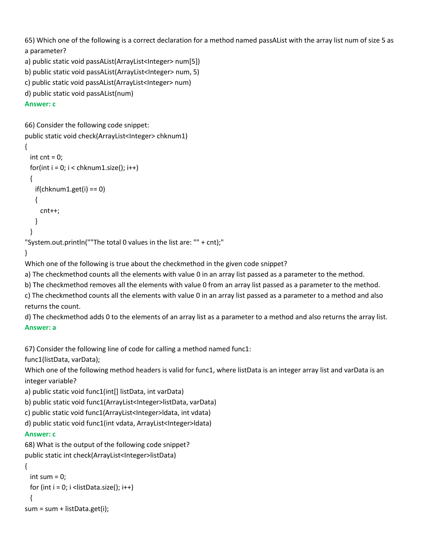65) Which one of the following is a correct declaration for a method named passAList with the array list num of size 5 as a parameter?

```
a) public static void passAList(ArrayList<Integer> num[5])
```

```
b) public static void passAList(ArrayList<Integer> num, 5)
```

```
c) public static void passAList(ArrayList<Integer> num)
```

```
d) public static void passAList(num)
```
## **Answer: c**

```
66) Consider the following code snippet:
```

```
public static void check(ArrayList<Integer> chknum1)
```

```
{
 int cnt = 0;
 for(int i = 0; i < chknum1.size(); i++)
  {
   if(chknum1.get(i) == 0) {
      cnt++;
    }
  }
```

```
"System.out.println(""The total 0 values in the list are: "" + cnt);"
```

```
}
```
Which one of the following is true about the checkmethod in the given code snippet?

a) The checkmethod counts all the elements with value 0 in an array list passed as a parameter to the method.

b) The checkmethod removes all the elements with value 0 from an array list passed as a parameter to the method.

c) The checkmethod counts all the elements with value 0 in an array list passed as a parameter to a method and also returns the count.

d) The checkmethod adds 0 to the elements of an array list as a parameter to a method and also returns the array list. **Answer: a**

67) Consider the following line of code for calling a method named func1:

func1(listData, varData);

Which one of the following method headers is valid for func1, where listData is an integer array list and varData is an integer variable?

```
a) public static void func1(int[] listData, int varData)
```
b) public static void func1(ArrayList<Integer>listData, varData)

c) public static void func1(ArrayList<Integer>ldata, int vdata)

d) public static void func1(int vdata, ArrayList<Integer>ldata)

# **Answer: c**

68) What is the output of the following code snippet? public static int check(ArrayList<Integer>listData)

```
{
 int sum = 0;
 for (int i = 0; i <listData.size(); i++)
  {
sum = sum + listData.get(i);
```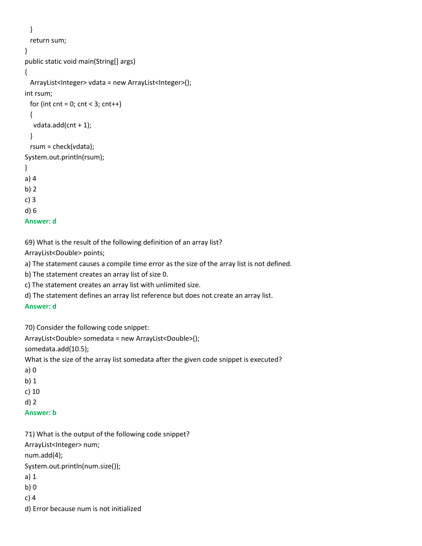```
 }
  return sum;
}
public static void main(String[] args)
{
 ArrayList<Integer> vdata = new ArrayList<Integer>();
int rsum;
 for (int cnt = 0; cnt < 3; cnt++)
  {
  vdata.add(cnt + 1);
  }
  rsum = check(vdata);
System.out.println(rsum);
}
a) 4
b) 2
c) 3
d) 6
```

```
Answer: d
```
69) What is the result of the following definition of an array list?

ArrayList<Double> points;

a) The statement causes a compile time error as the size of the array list is not defined.

b) The statement creates an array list of size 0.

c) The statement creates an array list with unlimited size.

d) The statement defines an array list reference but does not create an array list.

### **Answer: d**

70) Consider the following code snippet:

ArrayList<Double> somedata = new ArrayList<Double>();

somedata.add(10.5);

What is the size of the array list somedata after the given code snippet is executed?

```
a) 0
```
b) 1

c) 10

d) 2

### **Answer: b**

71) What is the output of the following code snippet?

ArrayList<Integer> num;

num.add(4);

System.out.println(num.size());

- a) 1
- b) 0
- c) 4
- d) Error because num is not initialized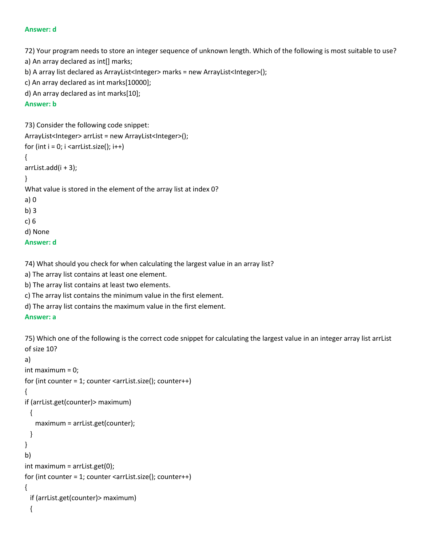#### **Answer: d**

72) Your program needs to store an integer sequence of unknown length. Which of the following is most suitable to use?

a) An array declared as int[] marks;

b) A array list declared as ArrayList<Integer> marks = new ArrayList<Integer>();

c) An array declared as int marks[10000];

d) An array declared as int marks[10];

### **Answer: b**

```
73) Consider the following code snippet:
ArrayList<Integer> arrList = new ArrayList<Integer>();
for (int i = 0; i < arrList.size(); i++)
{
arrlist.add(i + 3);}
What value is stored in the element of the array list at index 0?
a) 0
b) 3
c) 6
d) None
Answer: d
```
74) What should you check for when calculating the largest value in an array list?

a) The array list contains at least one element.

b) The array list contains at least two elements.

c) The array list contains the minimum value in the first element.

d) The array list contains the maximum value in the first element.

## **Answer: a**

75) Which one of the following is the correct code snippet for calculating the largest value in an integer array list arrList of size 10?

```
a) 
int maximum = 0;
for (int counter = 1; counter <arrList.size(); counter++)
{
if (arrList.get(counter)> maximum)
  {
    maximum = arrList.get(counter);
  }
}
b) 
int maximum = arrList.get(0);
for (int counter = 1; counter <arrList.size(); counter++)
{
  if (arrList.get(counter)> maximum)
  {
```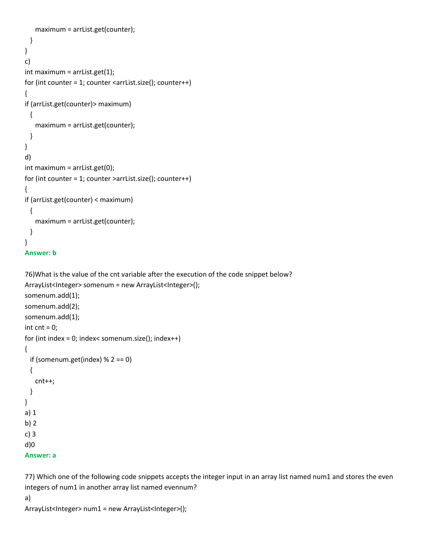```
 maximum = arrList.get(counter);
  }
}
c) 
int maximum = arrList.get(1);for (int counter = 1; counter <arrList.size(); counter++)
{
if (arrList.get(counter)> maximum)
  {
    maximum = arrList.get(counter);
  }
}
d) 
int maximum = arrList.get(0);
for (int counter = 1; counter >arrList.size(); counter++)
{
if (arrList.get(counter) < maximum)
  {
    maximum = arrList.get(counter);
  }
}
```

```
Answer: b
```

```
76)What is the value of the cnt variable after the execution of the code snippet below?
ArrayList<Integer> somenum = new ArrayList<Integer>();
somenum.add(1);
somenum.add(2);
somenum.add(1);
int cnt = 0;
for (int index = 0; index< somenum.size(); index++)
{
 if (somenum.get(index) % 2 == 0)
  {
    cnt++;
  }
}
a) 1
b) 2
c) 3
d)0
Answer: a
```
77) Which one of the following code snippets accepts the integer input in an array list named num1 and stores the even integers of num1 in another array list named evennum?

```
a)
```

```
ArrayList<Integer> num1 = new ArrayList<Integer>();
```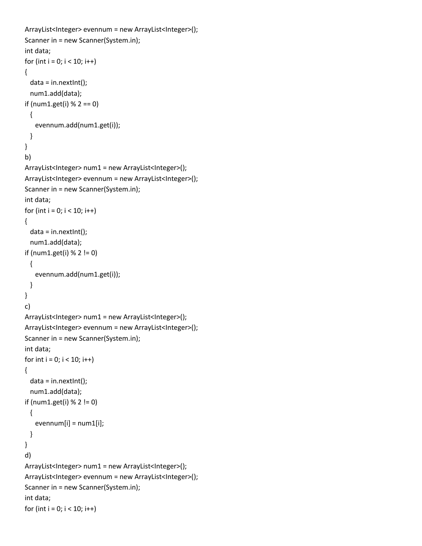```
ArrayList<Integer> evennum = new ArrayList<Integer>();
Scanner in = new Scanner(System.in);
int data;
for (int i = 0; i < 10; i++){
 data = in.nextInt();
  num1.add(data);
if (num1.get(i) % 2 == 0)
  {
    evennum.add(num1.get(i));
  }
}
b) 
ArrayList<Integer> num1 = new ArrayList<Integer>();
ArrayList<Integer> evennum = new ArrayList<Integer>();
Scanner in = new Scanner(System.in);
int data;
for (int i = 0; i < 10; i++){
  data = in.nextInt();
  num1.add(data);
if (num1.get(i) % 2 != 0)
  {
    evennum.add(num1.get(i));
  }
}
c) 
ArrayList<Integer> num1 = new ArrayList<Integer>();
ArrayList<Integer> evennum = new ArrayList<Integer>();
Scanner in = new Scanner(System.in);
int data;
for int i = 0; i < 10; i++){
  data = in.nextInt();
  num1.add(data);
if (num1.get(i) % 2 != 0)
  {
   evennum[i] = num1[i]; }
}
d) 
ArrayList<Integer> num1 = new ArrayList<Integer>();
ArrayList<Integer> evennum = new ArrayList<Integer>();
Scanner in = new Scanner(System.in);
int data;
for (int i = 0; i < 10; i++)
```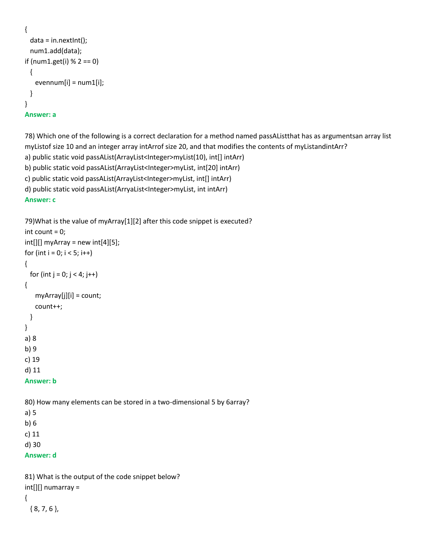```
{
  data = in.nextInt();
  num1.add(data);
if (num1.get(i) % 2 == 0)
  {
   evennum[i] = num1[i]; }
}
Answer: a
```
78) Which one of the following is a correct declaration for a method named passAListthat has as argumentsan array list myListof size 10 and an integer array intArrof size 20, and that modifies the contents of myListandintArr? a) public static void passAList(ArrayList<Integer>myList(10), int[] intArr)

b) public static void passAList(ArrayList<Integer>myList, int[20] intArr)

c) public static void passAList(ArrayList<Integer>myList, int[] intArr)

```
d) public static void passAList(ArryaList<Integer>myList, int intArr)
```
### **Answer: c**

```
79)What is the value of myArray[1][2] after this code snippet is executed?
int count = 0;
int[]] myArray = new int[4][5];
for (int i = 0; i < 5; i++){
 for (int j = 0; j < 4; j++){
    myArray[j][i] = count;
    count++;
  }
}
a) 8
b) 9
c) 19
d) 11
Answer: b
80) How many elements can be stored in a two-dimensional 5 by 6array?
a) 5
b) 6
c) 11
```
d) 30

**Answer: d**

```
81) What is the output of the code snippet below?
int[][] numarray = 
{
  { 8, 7, 6 },
```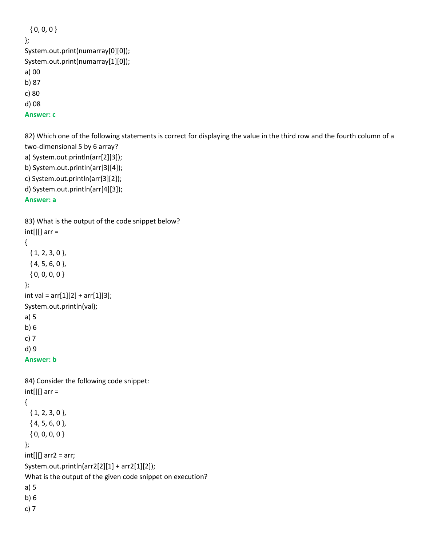```
 { 0, 0, 0 }
};
System.out.print(numarray[0][0]);
System.out.print(numarray[1][0]);
a) 00
b) 87
c) 80
d) 08
```
**Answer: c**

82) Which one of the following statements is correct for displaying the value in the third row and the fourth column of a two-dimensional 5 by 6 array?

a) System.out.println(arr[2][3]);

b) System.out.println(arr[3][4]);

c) System.out.println(arr[3][2]);

```
d) System.out.println(arr[4][3]);
```
**Answer: a**

```
83) What is the output of the code snippet below?
int[][] arr =
{
  { 1, 2, 3, 0 },
  { 4, 5, 6, 0 },
  { 0, 0, 0, 0 }
};
int val = arr[1][2] + arr[1][3];System.out.println(val);
a) 5
b) 6
c) 7
d) 9
```
**Answer: b**

```
84) Consider the following code snippet:
int[][] arr =
{
  { 1, 2, 3, 0 },
  { 4, 5, 6, 0 },
  { 0, 0, 0, 0 }
};
int[][] arr2 = arr;
System.out.println(arr2[2][1] + arr2[1][2]);
What is the output of the given code snippet on execution?
a) 5
b) 6
c) 7
```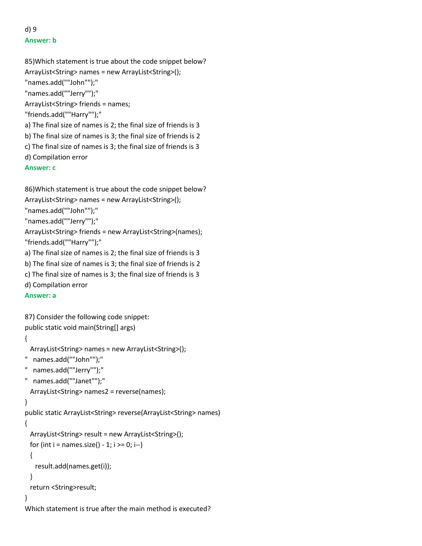# d) 9 **Answer: b**

```
85)Which statement is true about the code snippet below?
ArrayList<String> names = new ArrayList<String>();
"names.add(""John"");"
"names.add(""Jerry"");"
ArrayList<String> friends = names;
"friends.add(""Harry"");"
a) The final size of names is 2; the final size of friends is 3
b) The final size of names is 3; the final size of friends is 2
c) The final size of names is 3; the final size of friends is 3
d) Compilation error
Answer: c
```

```
86)Which statement is true about the code snippet below?
ArrayList<String> names = new ArrayList<String>();
"names.add(""John"");"
"names.add(""Jerry"");"
ArrayList<String> friends = new ArrayList<String>(names);
"friends.add(""Harry"");"
a) The final size of names is 2; the final size of friends is 3
b) The final size of names is 3; the final size of friends is 2
c) The final size of names is 3; the final size of friends is 3
d) Compilation error
```
### **Answer: a**

87) Consider the following code snippet: public static void main(String[] args)

```
{
```

```
 ArrayList<String> names = new ArrayList<String>();
```

```
" names.add(""John"");"
```

```
" names.add(""Jerry"");"
```

```
" names.add(""Janet"");"
```
ArrayList<String> names2 = reverse(names);

```
}
```
public static ArrayList<String> reverse(ArrayList<String> names)

```
{
```
ArrayList<String> result = new ArrayList<String>();

```
for (int i = names.size() - 1; i >= 0; i--)
```

```
 {
```
result.add(names.get(i));

```
 }
```
return <String>result;

# }

Which statement is true after the main method is executed?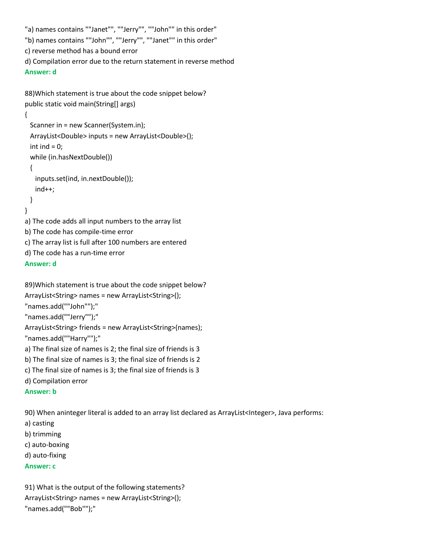```
"a) names contains ""Janet"", ""Jerry"", ""John"" in this order"
"b) names contains ""John"", ""Jerry"", ""Janet"" in this order"
c) reverse method has a bound error
d) Compilation error due to the return statement in reverse method
Answer: d
88)Which statement is true about the code snippet below?
public static void main(String[] args) 
{
  Scanner in = new Scanner(System.in);
  ArrayList<Double> inputs = new ArrayList<Double>();
 int ind = 0;
  while (in.hasNextDouble())
  {
    inputs.set(ind, in.nextDouble());
    ind++;
  }
```

```
}
```
a) The code adds all input numbers to the array list

b) The code has compile-time error

c) The array list is full after 100 numbers are entered

d) The code has a run-time error

#### **Answer: d**

```
89)Which statement is true about the code snippet below?
ArrayList<String> names = new ArrayList<String>();
"names.add(""John"");"
"names.add(""Jerry"");"
ArrayList<String> friends = new ArrayList<String>(names);
"names.add(""Harry"");"
a) The final size of names is 2; the final size of friends is 3
b) The final size of names is 3; the final size of friends is 2
c) The final size of names is 3; the final size of friends is 3
d) Compilation error
```
#### **Answer: b**

90) When aninteger literal is added to an array list declared as ArrayList<Integer>, Java performs:

- a) casting
- b) trimming
- c) auto-boxing
- d) auto-fixing

### **Answer: c**

91) What is the output of the following statements? ArrayList<String> names = new ArrayList<String>(); "names.add(""Bob"");"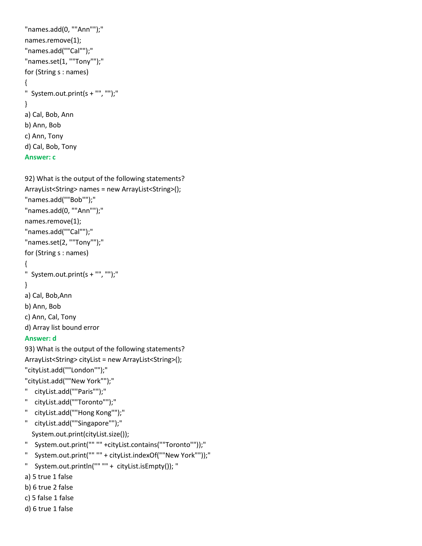```
"names.add(0, ""Ann"");"
names.remove(1);
"names.add(""Cal"");"
"names.set(1, ""Tony"");"
for (String s : names) 
{
" System.out.print(s + "", "");"
}
a) Cal, Bob, Ann
b) Ann, Bob
c) Ann, Tony
d) Cal, Bob, Tony
Answer: c
```

```
92) What is the output of the following statements?
ArrayList<String> names = new ArrayList<String>();
"names.add(""Bob"");"
"names.add(0, ""Ann"");"
names.remove(1);
"names.add(""Cal"");"
"names.set(2, ""Tony"");"
for (String s : names) 
{
" System.out.print(s + "", "");"
}
a) Cal, Bob,Ann
b) Ann, Bob
```
# c) Ann, Cal, Tony

```
d) Array list bound error
```
# **Answer: d**

93) What is the output of the following statements? ArrayList<String> cityList = new ArrayList<String>(); "cityList.add(""London"");" "cityList.add(""New York"");"

- " cityList.add(""Paris"");"
- " cityList.add(""Toronto"");"
- " cityList.add(""Hong Kong"");"
- " cityList.add(""Singapore"");" System.out.print(cityList.size());
- " System.out.print("" "" +cityList.contains(""Toronto""));"
- " System.out.print("" "" + cityList.indexOf(""New York""));"
- " System.out.println("" "" + cityList.isEmpty()); "
- a) 5 true 1 false
- b) 6 true 2 false
- c) 5 false 1 false
- d) 6 true 1 false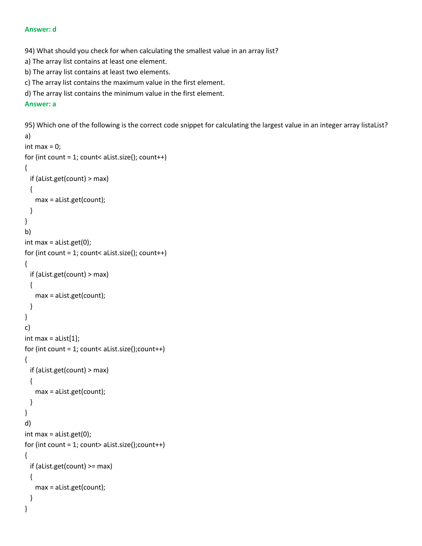#### **Answer: d**

94) What should you check for when calculating the smallest value in an array list?

- a) The array list contains at least one element.
- b) The array list contains at least two elements.
- c) The array list contains the maximum value in the first element.
- d) The array list contains the minimum value in the first element.

## **Answer: a**

95) Which one of the following is the correct code snippet for calculating the largest value in an integer array listaList?

```
a)
int max = 0;
for (int count = 1; count< aList.size(); count++)
{
   if (aList.get(count) > max)
  {
     max = aList.get(count);
  }
}
b)
int max = aList.get(0);
for (int count = 1; count< aList.size(); count++)
{
  if (aList.get(count) > max)
  {
    max = aList.get(count);
  }
}
c)
int max = alist[1];
for (int count = 1; count< aList.size();count++)
{
  if (aList.get(count) > max)
  {
    max = aList.get(count);
  }
}
d)
int max = aList.get(0);for (int count = 1; count> aList.size(); count++)
{
   if (aList.get(count) >= max)
  {
     max = aList.get(count);
  }
}
```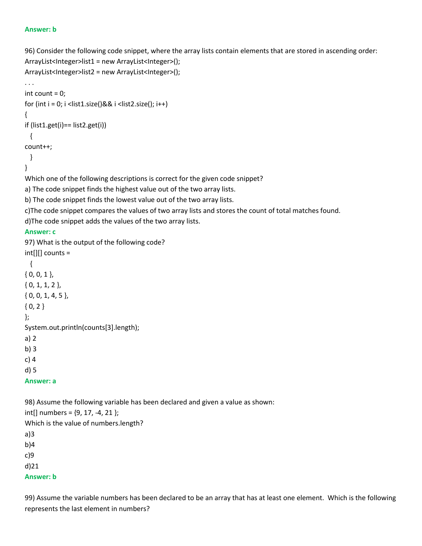#### **Answer: b**

96) Consider the following code snippet, where the array lists contain elements that are stored in ascending order: ArrayList<Integer>list1 = new ArrayList<Integer>(); ArrayList<Integer>list2 = new ArrayList<Integer>();

```
. . .
int count = 0;
for (int i = 0; i <list1.size()&& i <list2.size(); i++)
{
if (list1.get(i)== list2.get(i))
  {
count++;
  }
}
Which one of the following descriptions is correct for the given code snippet?
a) The code snippet finds the highest value out of the two array lists.
b) The code snippet finds the lowest value out of the two array lists.
c)The code snippet compares the values of two array lists and stores the count of total matches found.
d)The code snippet adds the values of the two array lists.
```
### **Answer: c**

97) What is the output of the following code? int[][] counts = { { 0, 0, 1 }, { 0, 1, 1, 2 }, { 0, 0, 1, 4, 5 },  ${0, 2}$ }; System.out.println(counts[3].length); a) 2 b) 3

c) 4

d) 5

**Answer: a**

98) Assume the following variable has been declared and given a value as shown:

 $int[]$  numbers =  $\{9, 17, -4, 21\}$ ; Which is the value of numbers.length? a)3 b)4 c)9

d)21

**Answer: b**

99) Assume the variable numbers has been declared to be an array that has at least one element. Which is the following represents the last element in numbers?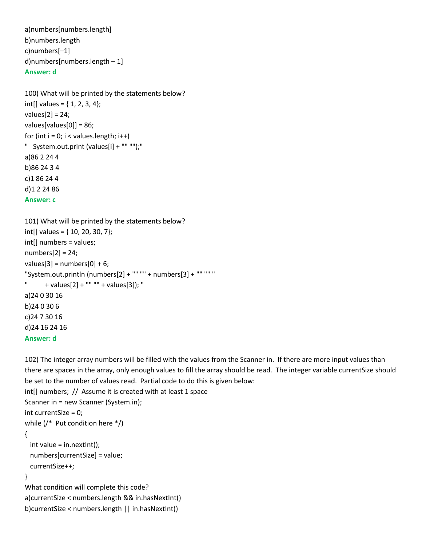```
a)numbers[numbers.length]
b)numbers.length 
c)numbers[–1]
d)numbers[numbers.length – 1]
Answer: d
```

```
100) What will be printed by the statements below?
int[] values = \{1, 2, 3, 4\};values[2] = 24;
values[values[0]] = 86;
for (int i = 0; i < values.length; i++)
" System.out.print (values[i] + "" "");"
a)86 2 24 4 
b)86 24 3 4 
c)1 86 24 4
d)1 2 24 86
Answer: c
```

```
101) What will be printed by the statements below?
int[] values = { 10, 20, 30, 7};
int[] numbers = values;
numbers[2] = 24;values[3] = numbers[0] + 6;
"System.out.println (numbers[2] + "" "" + numbers[3] + "" "" "
      " + values[2] + "" "" + values[3]); "
a)24 0 30 16
b)24 0 30 6
c)24 7 30 16
d)24 16 24 16
Answer: d
```

```
102) The integer array numbers will be filled with the values from the Scanner in. If there are more input values than 
there are spaces in the array, only enough values to fill the array should be read. The integer variable currentSize should 
be set to the number of values read. Partial code to do this is given below:
```

```
int[] numbers; // Assume it is created with at least 1 space
Scanner in = new Scanner (System.in);
int currentSize = 0;
while (/* Put condition here */)
{
 int value = in.nextInt();
  numbers[currentSize] = value;
  currentSize++;
}
What condition will complete this code?
a)currentSize < numbers.length && in.hasNextInt()
```

```
b)currentSize < numbers.length || in.hasNextInt()
```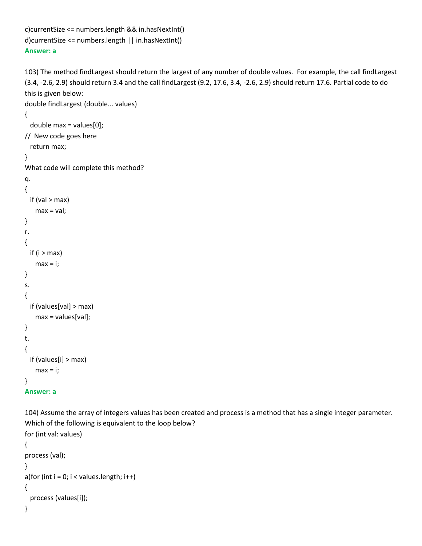```
c)currentSize <= numbers.length && in.hasNextInt() 
d)currentSize <= numbers.length || in.hasNextInt() 
Answer: a
```
103) The method findLargest should return the largest of any number of double values. For example, the call findLargest (3.4, -2.6, 2.9) should return 3.4 and the call findLargest (9.2, 17.6, 3.4, -2.6, 2.9) should return 17.6. Partial code to do this is given below:

```
double findLargest (double... values)
```

```
{
```

```
 double max = values[0];
```

```
// New code goes here
```

```
 return max;
```

```
}
```
What code will complete this method?

```
q.
{
 if (val > max)
    max = val;} 
r.
{
 if (i > max)max = i;
} 
s.
{
  if (values[val] > max)
    max = values[val];
} 
t.
{
  if (values[i] > max)
    max = i;}
```

```
Answer: a
```
104) Assume the array of integers values has been created and process is a method that has a single integer parameter. Which of the following is equivalent to the loop below? for (int val: values) {

```
process (val);
} 
a) for (int i = 0; i < values. length; i++)
{
   process (values[i]);
```

```
}
```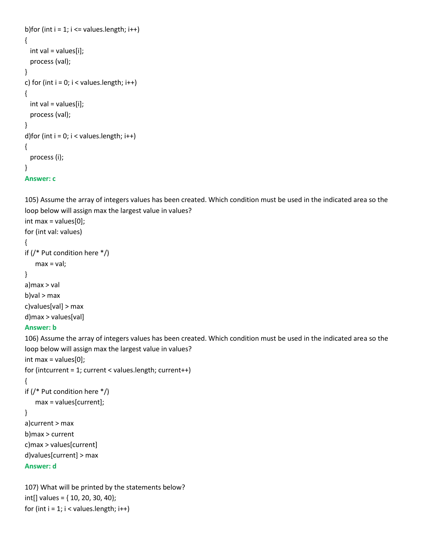```
b)for (int i = 1; i \le values. length; i++)
{
  int val = values[i];
   process (val);
} 
c) for (int i = 0; i < values.length; i++)
{
  int val = values[i];
   process (val);
} 
d)for (int i = 0; i < values.length; i++)
{
   process (i);
} 
Answer: c
```
105) Assume the array of integers values has been created. Which condition must be used in the indicated area so the loop below will assign max the largest value in values?

```
int max = values[0];
for (int val: values)
{
if (/* Put condition here */)
   max = val;} 
a)max > val 
b)val > max 
c)values[val] > max
```
# d)max > values[val]

# **Answer: b**

106) Assume the array of integers values has been created. Which condition must be used in the indicated area so the loop below will assign max the largest value in values?

```
int max = values[0];
for (intcurrent = 1; current < values.length; current++)
{
```

```
if (/* Put condition here */)
```

```
 max = values[current];
```
# }

```
a)current > max 
b)max > current
c)max > values[current] 
d)values[current] > max
```
## **Answer: d**

107) What will be printed by the statements below? int[] values = { 10, 20, 30, 40}; for (int  $i = 1$ ;  $i <$  values. length;  $i++$ )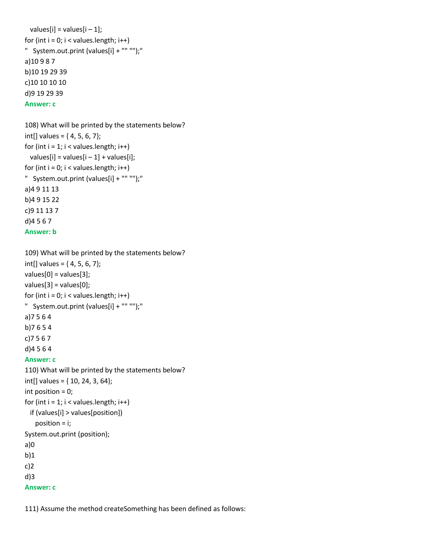```
values[i] = values[i -1];
for (int i = 0; i < values. length; i++)
" System.out.print (values[i] + "" "");"
a)10 9 8 7 
b)10 19 29 39
c)10 10 10 10 
d)9 19 29 39
Answer: c
```

```
108) What will be printed by the statements below?
int[] values = \{4, 5, 6, 7\};for (int i = 1; i < values. length; i++)values[i] = values[i - 1] + values[i];
for (int i = 0; i < values.length; i++)
" System.out.print (values[i] + "" "");"
a)4 9 11 13 
b)4 9 15 22 
c)9 11 13 7
d)4 5 6 7
Answer: b
```

```
109) What will be printed by the statements below?
int[] values = \{4, 5, 6, 7\};values[0] = values[3];
values[3] = values[0];
for (int i = 0; i < values.length; i++)
" System.out.print (values[i] + "" "");"
a)7 5 6 4 
b)7 6 5 4
c)7 5 6 7 
d)4 5 6 4
Answer: c
110) What will be printed by the statements below?
int[] values = { 10, 24, 3, 64};
int position = 0;
for (int i = 1; i < values. length; i++)
  if (values[i] > values[position])
    position = i;
System.out.print (position);
a)0 
b)1
c)2
d)3
Answer: c
```
111) Assume the method createSomething has been defined as follows: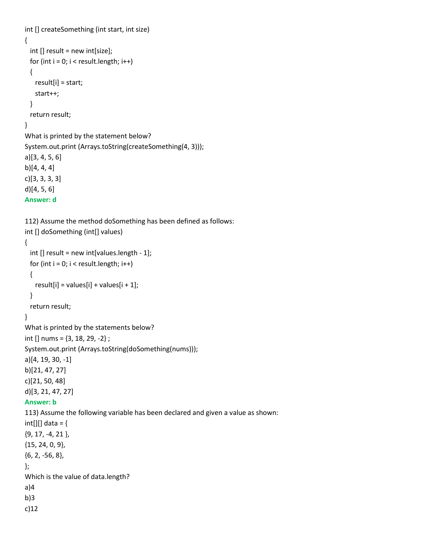```
int [] createSomething (int start, int size) 
{
  int [] result = new int[size];
 for (int i = 0; i < result.length; i++)
  {
    result[i] = start;
    start++;
  }
  return result;
}
What is printed by the statement below?
System.out.print (Arrays.toString(createSomething(4, 3)));
a)[3, 4, 5, 6] 
b)[4, 4, 4]
c)[3, 3, 3, 3]
d)[4, 5, 6] 
Answer: d
112) Assume the method doSomething has been defined as follows:
int [] doSomething (int[] values) 
{
  int [] result = new int[values.length - 1];
 for (int i = 0; i < result.length; i++)
  {
   result[i] = values[i] + values[i + 1]; }
  return result;
}
What is printed by the statements below?
int [] nums = \{3, 18, 29, -2\};
System.out.print (Arrays.toString(doSomething(nums)));
a)[4, 19, 30, -1] 
b)[21, 47, 27]
c)[21, 50, 48]
d)[3, 21, 47, 27]
Answer: b
113) Assume the following variable has been declared and given a value as shown:
int[][] data = {
{9, 17, -4, 21 },
{15, 24, 0, 9},
{6, 2, -56, 8},
};
Which is the value of data.length?
a)4
b)3
c)12
```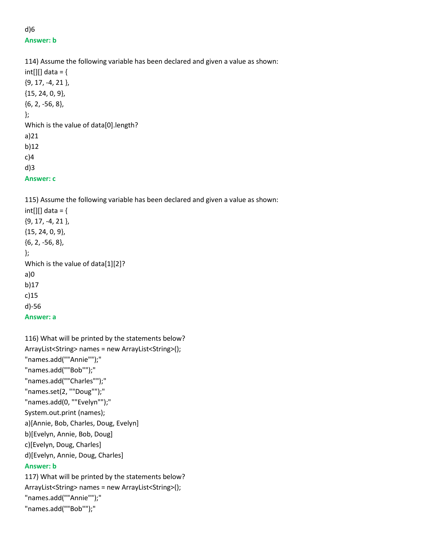# d)6 **Answer: b**

114) Assume the following variable has been declared and given a value as shown:  $int[$ ][] data = { {9, 17, -4, 21 }, {15, 24, 0, 9}, {6, 2, -56, 8}, }; Which is the value of data[0].length? a)21 b)12 c)4 d)3

**Answer: c**

115) Assume the following variable has been declared and given a value as shown:  $int[$ ][] data = { {9, 17, -4, 21 }, {15, 24, 0, 9}, {6, 2, -56, 8}, }; Which is the value of data[1][2]? a)0 b)17 c)15 d)-56 **Answer: a**

```
116) What will be printed by the statements below?
ArrayList<String> names = new ArrayList<String>();
"names.add(""Annie"");"
"names.add(""Bob"");"
"names.add(""Charles"");"
"names.set(2, ""Doug"");"
"names.add(0, ""Evelyn"");"
System.out.print (names);
a)[Annie, Bob, Charles, Doug, Evelyn]
b)[Evelyn, Annie, Bob, Doug] 
c)[Evelyn, Doug, Charles]
d)[Evelyn, Annie, Doug, Charles]
Answer: b
117) What will be printed by the statements below?
ArrayList<String> names = new ArrayList<String>();
"names.add(""Annie"");"
"names.add(""Bob"");"
```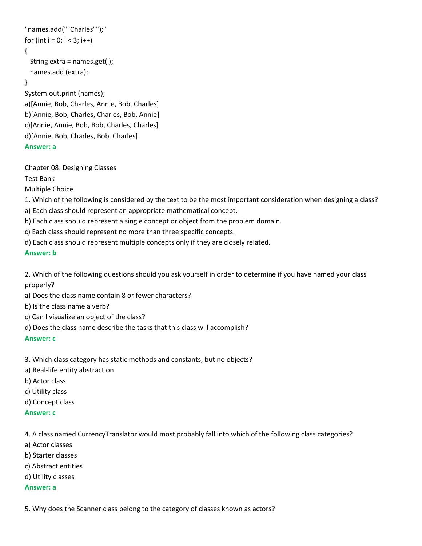```
"names.add(""Charles"");"
for (int i = 0; i < 3; i++)
{
  String extra = names.get(i);
  names.add (extra);
}
System.out.print (names);
a)[Annie, Bob, Charles, Annie, Bob, Charles] 
b)[Annie, Bob, Charles, Charles, Bob, Annie] 
c)[Annie, Annie, Bob, Bob, Charles, Charles] 
d)[Annie, Bob, Charles, Bob, Charles]
```

```
Answer: a
```
Chapter 08: Designing Classes

Test Bank

Multiple Choice

1. Which of the following is considered by the text to be the most important consideration when designing a class?

a) Each class should represent an appropriate mathematical concept.

b) Each class should represent a single concept or object from the problem domain.

c) Each class should represent no more than three specific concepts.

d) Each class should represent multiple concepts only if they are closely related.

### **Answer: b**

2. Which of the following questions should you ask yourself in order to determine if you have named your class properly?

a) Does the class name contain 8 or fewer characters?

b) Is the class name a verb?

c) Can I visualize an object of the class?

d) Does the class name describe the tasks that this class will accomplish?

**Answer: c**

3. Which class category has static methods and constants, but no objects?

a) Real-life entity abstraction

b) Actor class

c) Utility class

d) Concept class

#### **Answer: c**

4. A class named CurrencyTranslator would most probably fall into which of the following class categories?

- a) Actor classes
- b) Starter classes
- c) Abstract entities
- d) Utility classes

**Answer: a**

5. Why does the Scanner class belong to the category of classes known as actors?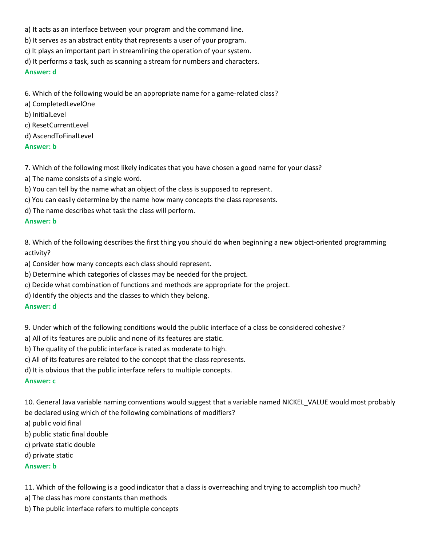- a) It acts as an interface between your program and the command line.
- b) It serves as an abstract entity that represents a user of your program.
- c) It plays an important part in streamlining the operation of your system.
- d) It performs a task, such as scanning a stream for numbers and characters.

#### **Answer: d**

6. Which of the following would be an appropriate name for a game-related class?

- a) CompletedLevelOne
- b) InitialLevel
- c) ResetCurrentLevel
- d) AscendToFinalLevel

### **Answer: b**

7. Which of the following most likely indicates that you have chosen a good name for your class?

- a) The name consists of a single word.
- b) You can tell by the name what an object of the class is supposed to represent.
- c) You can easily determine by the name how many concepts the class represents.
- d) The name describes what task the class will perform.

## **Answer: b**

8. Which of the following describes the first thing you should do when beginning a new object-oriented programming activity?

a) Consider how many concepts each class should represent.

- b) Determine which categories of classes may be needed for the project.
- c) Decide what combination of functions and methods are appropriate for the project.
- d) Identify the objects and the classes to which they belong.

### **Answer: d**

9. Under which of the following conditions would the public interface of a class be considered cohesive?

- a) All of its features are public and none of its features are static.
- b) The quality of the public interface is rated as moderate to high.
- c) All of its features are related to the concept that the class represents.
- d) It is obvious that the public interface refers to multiple concepts.

### **Answer: c**

10. General Java variable naming conventions would suggest that a variable named NICKEL VALUE would most probably be declared using which of the following combinations of modifiers?

- a) public void final
- b) public static final double
- c) private static double
- d) private static

### **Answer: b**

11. Which of the following is a good indicator that a class is overreaching and trying to accomplish too much?

- a) The class has more constants than methods
- b) The public interface refers to multiple concepts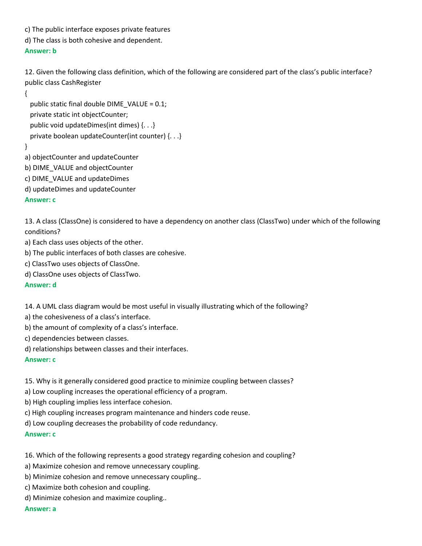c) The public interface exposes private features

d) The class is both cohesive and dependent.

## **Answer: b**

12. Given the following class definition, which of the following are considered part of the class's public interface? public class CashRegister

{

 public static final double DIME\_VALUE = 0.1; private static int objectCounter; public void updateDimes(int dimes) {. . .} private boolean updateCounter(int counter) {. . .}

}

a) objectCounter and updateCounter

b) DIME\_VALUE and objectCounter

c) DIME\_VALUE and updateDimes

d) updateDimes and updateCounter

## **Answer: c**

13. A class (ClassOne) is considered to have a dependency on another class (ClassTwo) under which of the following conditions?

a) Each class uses objects of the other.

b) The public interfaces of both classes are cohesive.

c) ClassTwo uses objects of ClassOne.

d) ClassOne uses objects of ClassTwo.

**Answer: d**

14. A UML class diagram would be most useful in visually illustrating which of the following?

a) the cohesiveness of a class's interface.

b) the amount of complexity of a class's interface.

c) dependencies between classes.

d) relationships between classes and their interfaces.

**Answer: c**

15. Why is it generally considered good practice to minimize coupling between classes?

a) Low coupling increases the operational efficiency of a program.

b) High coupling implies less interface cohesion.

c) High coupling increases program maintenance and hinders code reuse.

d) Low coupling decreases the probability of code redundancy.

**Answer: c**

16. Which of the following represents a good strategy regarding cohesion and coupling?

a) Maximize cohesion and remove unnecessary coupling.

b) Minimize cohesion and remove unnecessary coupling..

c) Maximize both cohesion and coupling.

d) Minimize cohesion and maximize coupling..

**Answer: a**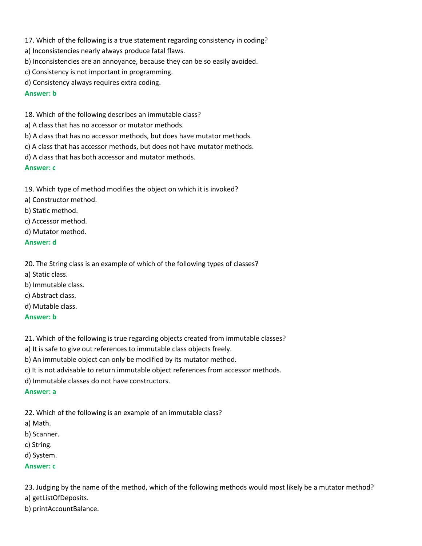- 17. Which of the following is a true statement regarding consistency in coding?
- a) Inconsistencies nearly always produce fatal flaws.
- b) Inconsistencies are an annoyance, because they can be so easily avoided.
- c) Consistency is not important in programming.
- d) Consistency always requires extra coding.

## **Answer: b**

- 18. Which of the following describes an immutable class?
- a) A class that has no accessor or mutator methods.
- b) A class that has no accessor methods, but does have mutator methods.
- c) A class that has accessor methods, but does not have mutator methods.
- d) A class that has both accessor and mutator methods.

## **Answer: c**

19. Which type of method modifies the object on which it is invoked?

- a) Constructor method.
- b) Static method.
- c) Accessor method.
- d) Mutator method.

**Answer: d**

20. The String class is an example of which of the following types of classes?

- a) Static class.
- b) Immutable class.
- c) Abstract class.
- d) Mutable class.

### **Answer: b**

21. Which of the following is true regarding objects created from immutable classes?

a) It is safe to give out references to immutable class objects freely.

b) An immutable object can only be modified by its mutator method.

- c) It is not advisable to return immutable object references from accessor methods.
- d) Immutable classes do not have constructors.

### **Answer: a**

22. Which of the following is an example of an immutable class?

- a) Math.
- b) Scanner.
- c) String.
- d) System.

## **Answer: c**

23. Judging by the name of the method, which of the following methods would most likely be a mutator method? a) getListOfDeposits.

b) printAccountBalance.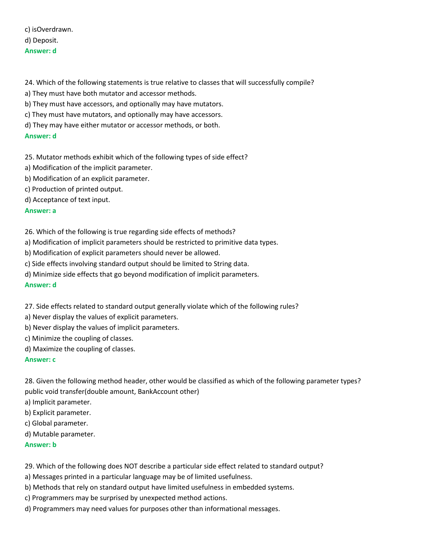# c) isOverdrawn. d) Deposit. **Answer: d**

24. Which of the following statements is true relative to classes that will successfully compile?

- a) They must have both mutator and accessor methods.
- b) They must have accessors, and optionally may have mutators.
- c) They must have mutators, and optionally may have accessors.
- d) They may have either mutator or accessor methods, or both.

### **Answer: d**

- 25. Mutator methods exhibit which of the following types of side effect?
- a) Modification of the implicit parameter.
- b) Modification of an explicit parameter.
- c) Production of printed output.
- d) Acceptance of text input.

### **Answer: a**

## 26. Which of the following is true regarding side effects of methods?

- a) Modification of implicit parameters should be restricted to primitive data types.
- b) Modification of explicit parameters should never be allowed.
- c) Side effects involving standard output should be limited to String data.
- d) Minimize side effects that go beyond modification of implicit parameters.

### **Answer: d**

- 27. Side effects related to standard output generally violate which of the following rules?
- a) Never display the values of explicit parameters.
- b) Never display the values of implicit parameters.
- c) Minimize the coupling of classes.
- d) Maximize the coupling of classes.

### **Answer: c**

28. Given the following method header, other would be classified as which of the following parameter types? public void transfer(double amount, BankAccount other)

- a) Implicit parameter.
- b) Explicit parameter.
- c) Global parameter.
- d) Mutable parameter.

### **Answer: b**

## 29. Which of the following does NOT describe a particular side effect related to standard output?

- a) Messages printed in a particular language may be of limited usefulness.
- b) Methods that rely on standard output have limited usefulness in embedded systems.
- c) Programmers may be surprised by unexpected method actions.
- d) Programmers may need values for purposes other than informational messages.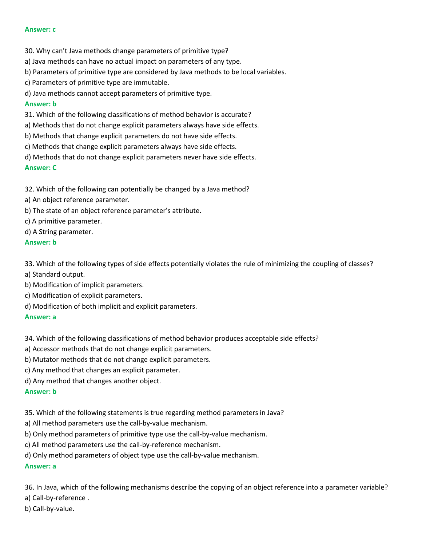#### **Answer: c**

- 30. Why can't Java methods change parameters of primitive type?
- a) Java methods can have no actual impact on parameters of any type.
- b) Parameters of primitive type are considered by Java methods to be local variables.
- c) Parameters of primitive type are immutable.
- d) Java methods cannot accept parameters of primitive type.

#### **Answer: b**

- 31. Which of the following classifications of method behavior is accurate?
- a) Methods that do not change explicit parameters always have side effects.
- b) Methods that change explicit parameters do not have side effects.
- c) Methods that change explicit parameters always have side effects.
- d) Methods that do not change explicit parameters never have side effects.

#### **Answer: C**

32. Which of the following can potentially be changed by a Java method?

- a) An object reference parameter.
- b) The state of an object reference parameter's attribute.
- c) A primitive parameter.
- d) A String parameter.

#### **Answer: b**

33. Which of the following types of side effects potentially violates the rule of minimizing the coupling of classes? a) Standard output.

- b) Modification of implicit parameters.
- c) Modification of explicit parameters.
- d) Modification of both implicit and explicit parameters.

#### **Answer: a**

34. Which of the following classifications of method behavior produces acceptable side effects?

- a) Accessor methods that do not change explicit parameters.
- b) Mutator methods that do not change explicit parameters.
- c) Any method that changes an explicit parameter.
- d) Any method that changes another object.

#### **Answer: b**

- 35. Which of the following statements is true regarding method parameters in Java?
- a) All method parameters use the call-by-value mechanism.
- b) Only method parameters of primitive type use the call-by-value mechanism.
- c) All method parameters use the call-by-reference mechanism.
- d) Only method parameters of object type use the call-by-value mechanism.

## **Answer: a**

36. In Java, which of the following mechanisms describe the copying of an object reference into a parameter variable?

- a) Call-by-reference .
- b) Call-by-value.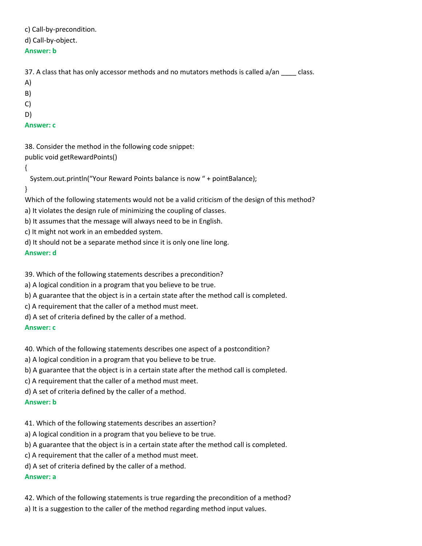c) Call-by-precondition.

d) Call-by-object.

## **Answer: b**

37. A class that has only accessor methods and no mutators methods is called a/an \_\_\_\_ class.

- A)
- B)
- C)
- D)

# **Answer: c**

38. Consider the method in the following code snippet: public void getRewardPoints()

{

System.out.println("Your Reward Points balance is now " + pointBalance);

# }

Which of the following statements would not be a valid criticism of the design of this method?

a) It violates the design rule of minimizing the coupling of classes.

b) It assumes that the message will always need to be in English.

c) It might not work in an embedded system.

d) It should not be a separate method since it is only one line long.

**Answer: d**

39. Which of the following statements describes a precondition?

a) A logical condition in a program that you believe to be true.

b) A guarantee that the object is in a certain state after the method call is completed.

c) A requirement that the caller of a method must meet.

d) A set of criteria defined by the caller of a method.

# **Answer: c**

40. Which of the following statements describes one aspect of a postcondition?

a) A logical condition in a program that you believe to be true.

b) A guarantee that the object is in a certain state after the method call is completed.

c) A requirement that the caller of a method must meet.

d) A set of criteria defined by the caller of a method.

**Answer: b**

41. Which of the following statements describes an assertion?

a) A logical condition in a program that you believe to be true.

b) A guarantee that the object is in a certain state after the method call is completed.

c) A requirement that the caller of a method must meet.

d) A set of criteria defined by the caller of a method.

# **Answer: a**

42. Which of the following statements is true regarding the precondition of a method? a) It is a suggestion to the caller of the method regarding method input values.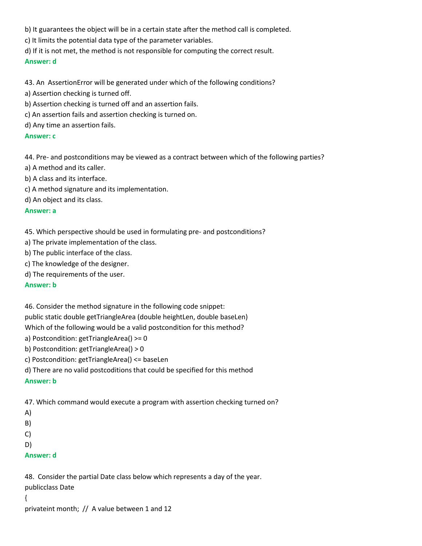b) It guarantees the object will be in a certain state after the method call is completed.

- c) It limits the potential data type of the parameter variables.
- d) If it is not met, the method is not responsible for computing the correct result.

#### **Answer: d**

43. An AssertionError will be generated under which of the following conditions?

- a) Assertion checking is turned off.
- b) Assertion checking is turned off and an assertion fails.
- c) An assertion fails and assertion checking is turned on.

d) Any time an assertion fails.

#### **Answer: c**

44. Pre- and postconditions may be viewed as a contract between which of the following parties?

- a) A method and its caller.
- b) A class and its interface.
- c) A method signature and its implementation.

d) An object and its class.

#### **Answer: a**

45. Which perspective should be used in formulating pre- and postconditions?

- a) The private implementation of the class.
- b) The public interface of the class.
- c) The knowledge of the designer.
- d) The requirements of the user.

#### **Answer: b**

46. Consider the method signature in the following code snippet: public static double getTriangleArea (double heightLen, double baseLen) Which of the following would be a valid postcondition for this method?

- a) Postcondition: getTriangleArea() >= 0
- b) Postcondition: getTriangleArea() > 0
- c) Postcondition: getTriangleArea() <= baseLen
- d) There are no valid postcoditions that could be specified for this method

#### **Answer: b**

47. Which command would execute a program with assertion checking turned on?

- A)
- B)
- C)

```
D)
```
**Answer: d**

48. Consider the partial Date class below which represents a day of the year. publicclass Date { privateint month; // A value between 1 and 12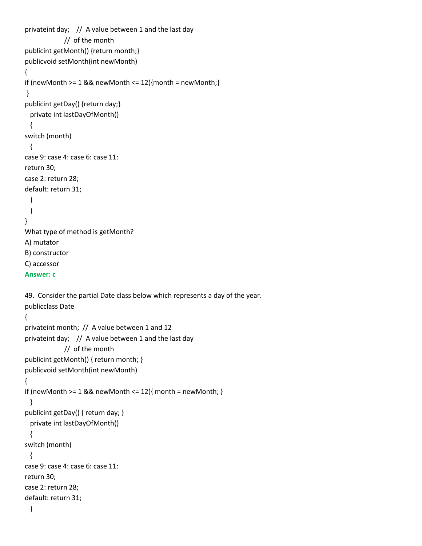```
privateint day; // A value between 1 and the last day 
             // of the month
publicint getMonth() {return month;}
publicvoid setMonth(int newMonth) 
{
if (newMonth >= 1 && newMonth <= 12){month = newMonth;}
}
publicint getDay() {return day;}
  private int lastDayOfMonth() 
  {
switch (month)
  {
case 9: case 4: case 6: case 11:
return 30;
case 2: return 28;
default: return 31;
  }
  }
}
What type of method is getMonth?
A) mutator
B) constructor
C) accessor
Answer: c
49. Consider the partial Date class below which represents a day of the year.
publicclass Date 
{
privateint month; // A value between 1 and 12
privateint day; // A value between 1 and the last day 
             // of the month
publicint getMonth() { return month; }
publicvoid setMonth(int newMonth) 
{
if (newMonth >= 1 && newMonth <= 12}{ month = newMonth; }
  }
publicint getDay() { return day; }
  private int lastDayOfMonth() 
  {
switch (month)
  {
case 9: case 4: case 6: case 11:
return 30;
case 2: return 28;
default: return 31;
  }
```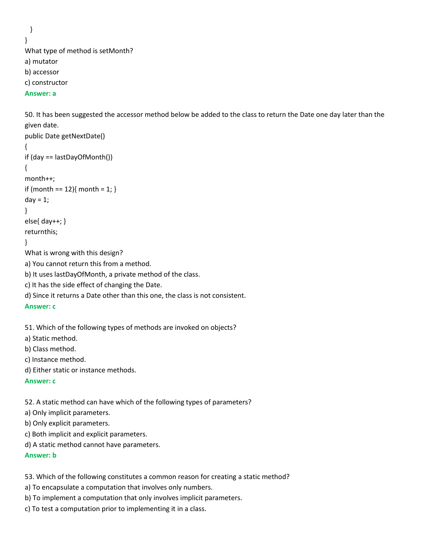```
 }
}
What type of method is setMonth?
a) mutator
b) accessor
c) constructor
```
#### **Answer: a**

50. It has been suggested the accessor method below be added to the class to return the Date one day later than the given date.

```
public Date getNextDate() 
{
if (day == lastDayOfMonth())
{
month++;
if (month == 12){ month = 1; }
day = 1;}
else{ day++; }
returnthis;
}
What is wrong with this design?
a) You cannot return this from a method.
b) It uses lastDayOfMonth, a private method of the class.
c) It has the side effect of changing the Date.
d) Since it returns a Date other than this one, the class is not consistent.
Answer: c
```

```
51. Which of the following types of methods are invoked on objects?
a) Static method.
```
b) Class method.

- c) Instance method.
- d) Either static or instance methods.

#### **Answer: c**

52. A static method can have which of the following types of parameters?

a) Only implicit parameters.

b) Only explicit parameters.

- c) Both implicit and explicit parameters.
- d) A static method cannot have parameters.

#### **Answer: b**

53. Which of the following constitutes a common reason for creating a static method?

a) To encapsulate a computation that involves only numbers.

b) To implement a computation that only involves implicit parameters.

c) To test a computation prior to implementing it in a class.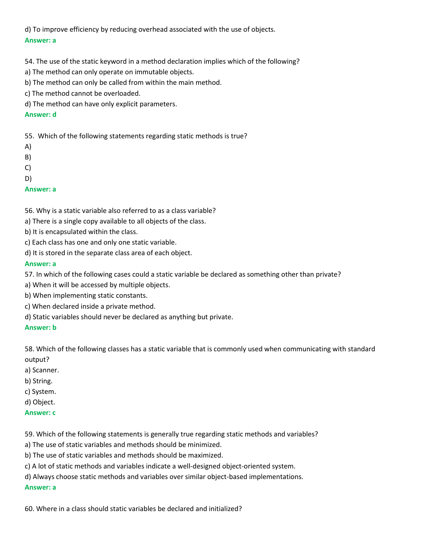d) To improve efficiency by reducing overhead associated with the use of objects. **Answer: a**

54. The use of the static keyword in a method declaration implies which of the following?

- a) The method can only operate on immutable objects.
- b) The method can only be called from within the main method.
- c) The method cannot be overloaded.
- d) The method can have only explicit parameters.

## **Answer: d**

55. Which of the following statements regarding static methods is true?

- A)
- B)
- C)
- D)

# **Answer: a**

56. Why is a static variable also referred to as a class variable?

- a) There is a single copy available to all objects of the class.
- b) It is encapsulated within the class.
- c) Each class has one and only one static variable.
- d) It is stored in the separate class area of each object.

# **Answer: a**

- 57. In which of the following cases could a static variable be declared as something other than private?
- a) When it will be accessed by multiple objects.
- b) When implementing static constants.
- c) When declared inside a private method.
- d) Static variables should never be declared as anything but private.

**Answer: b**

58. Which of the following classes has a static variable that is commonly used when communicating with standard output?

- a) Scanner.
- b) String.
- c) System.
- d) Object.

#### **Answer: c**

59. Which of the following statements is generally true regarding static methods and variables?

a) The use of static variables and methods should be minimized.

b) The use of static variables and methods should be maximized.

c) A lot of static methods and variables indicate a well-designed object-oriented system.

d) Always choose static methods and variables over similar object-based implementations.

# **Answer: a**

60. Where in a class should static variables be declared and initialized?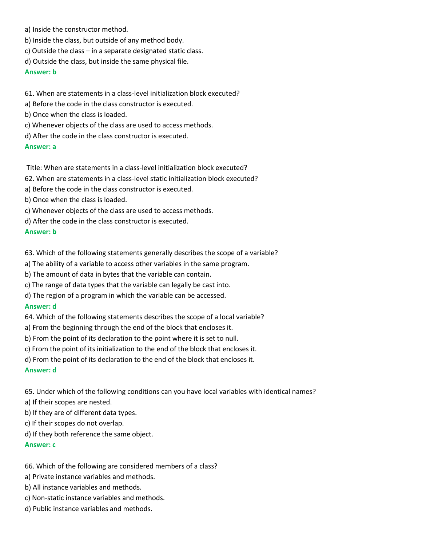- a) Inside the constructor method.
- b) Inside the class, but outside of any method body.
- c) Outside the class in a separate designated static class.
- d) Outside the class, but inside the same physical file.

**Answer: b**

# 61. When are statements in a class-level initialization block executed?

- a) Before the code in the class constructor is executed.
- b) Once when the class is loaded.
- c) Whenever objects of the class are used to access methods.
- d) After the code in the class constructor is executed.

# **Answer: a**

Title: When are statements in a class-level initialization block executed?

- 62. When are statements in a class-level static initialization block executed?
- a) Before the code in the class constructor is executed.
- b) Once when the class is loaded.
- c) Whenever objects of the class are used to access methods.
- d) After the code in the class constructor is executed.

### **Answer: b**

- 63. Which of the following statements generally describes the scope of a variable?
- a) The ability of a variable to access other variables in the same program.
- b) The amount of data in bytes that the variable can contain.
- c) The range of data types that the variable can legally be cast into.
- d) The region of a program in which the variable can be accessed.

# **Answer: d**

- 64. Which of the following statements describes the scope of a local variable?
- a) From the beginning through the end of the block that encloses it.
- b) From the point of its declaration to the point where it is set to null.
- c) From the point of its initialization to the end of the block that encloses it.
- d) From the point of its declaration to the end of the block that encloses it.

# **Answer: d**

65. Under which of the following conditions can you have local variables with identical names?

- a) If their scopes are nested.
- b) If they are of different data types.
- c) If their scopes do not overlap.
- d) If they both reference the same object.

# **Answer: c**

# 66. Which of the following are considered members of a class?

- a) Private instance variables and methods.
- b) All instance variables and methods.
- c) Non-static instance variables and methods.
- d) Public instance variables and methods.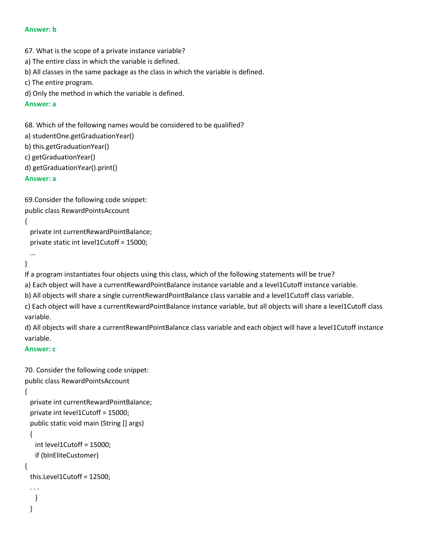#### **Answer: b**

67. What is the scope of a private instance variable?

a) The entire class in which the variable is defined.

b) All classes in the same package as the class in which the variable is defined.

```
c) The entire program.
```
d) Only the method in which the variable is defined.

# **Answer: a**

68. Which of the following names would be considered to be qualified?

```
a) studentOne.getGraduationYear()
```
b) this.getGraduationYear()

- c) getGraduationYear()
- d) getGraduationYear().print()

# **Answer: a**

69.Consider the following code snippet: public class RewardPointsAccount

#### {

 private int currentRewardPointBalance; private static int level1Cutoff = 15000;

```
}
```
...

If a program instantiates four objects using this class, which of the following statements will be true?

a) Each object will have a currentRewardPointBalance instance variable and a level1Cutoff instance variable.

b) All objects will share a single currentRewardPointBalance class variable and a level1Cutoff class variable.

c) Each object will have a currentRewardPointBalance instance variable, but all objects will share a level1Cutoff class variable.

d) All objects will share a currentRewardPointBalance class variable and each object will have a level1Cutoff instance variable.

#### **Answer: c**

```
70. Consider the following code snippet:
public class RewardPointsAccount
```
#### {

}

```
 private int currentRewardPointBalance;
  private int level1Cutoff = 15000;
  public static void main (String [] args)
  {
    int level1Cutoff = 15000;
    if (blnEliteCustomer)
{
  this.Level1Cutoff = 12500;
  . . .
    }
```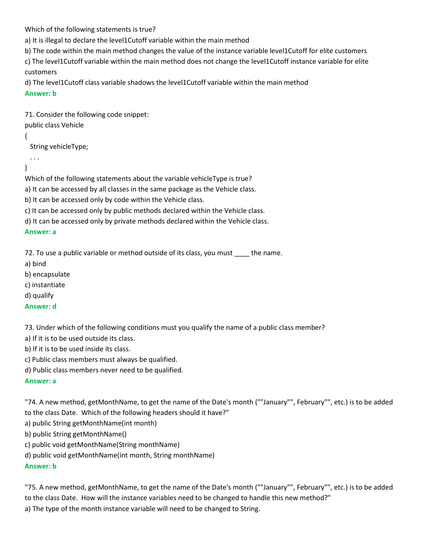Which of the following statements is true?

a) It is illegal to declare the level1Cutoff variable within the main method

b) The code within the main method changes the value of the instance variable level1Cutoff for elite customers

c) The level1Cutoff variable within the main method does not change the level1Cutoff instance variable for elite customers

d) The level1Cutoff class variable shadows the level1Cutoff variable within the main method

**Answer: b**

71. Consider the following code snippet: public class Vehicle

{

String vehicleType;

}

. . .

Which of the following statements about the variable vehicleType is true?

a) It can be accessed by all classes in the same package as the Vehicle class.

b) It can be accessed only by code within the Vehicle class.

c) It can be accessed only by public methods declared within the Vehicle class.

d) It can be accessed only by private methods declared within the Vehicle class.

**Answer: a**

72. To use a public variable or method outside of its class, you must \_\_\_\_ the name.

a) bind

b) encapsulate

c) instantiate

d) qualify

**Answer: d**

73. Under which of the following conditions must you qualify the name of a public class member?

a) If it is to be used outside its class.

b) If it is to be used inside its class.

c) Public class members must always be qualified.

d) Public class members never need to be qualified.

# **Answer: a**

"74. A new method, getMonthName, to get the name of the Date's month (""January"", February"", etc.) is to be added to the class Date. Which of the following headers should it have?"

a) public String getMonthName(int month)

b) public String getMonthName()

c) public void getMonthName(String monthName)

d) public void getMonthName(int month, String monthName)

# **Answer: b**

"75. A new method, getMonthName, to get the name of the Date's month (""January"", February"", etc.) is to be added to the class Date. How will the instance variables need to be changed to handle this new method?" a) The type of the month instance variable will need to be changed to String.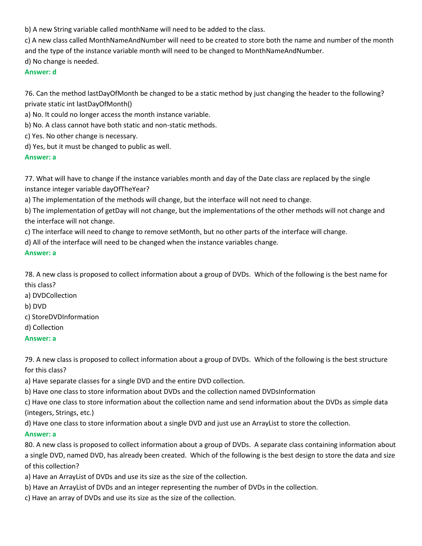b) A new String variable called monthName will need to be added to the class.

c) A new class called MonthNameAndNumber will need to be created to store both the name and number of the month and the type of the instance variable month will need to be changed to MonthNameAndNumber.

d) No change is needed.

## **Answer: d**

76. Can the method lastDayOfMonth be changed to be a static method by just changing the header to the following? private static int lastDayOfMonth()

a) No. It could no longer access the month instance variable.

b) No. A class cannot have both static and non-static methods.

c) Yes. No other change is necessary.

d) Yes, but it must be changed to public as well.

# **Answer: a**

77. What will have to change if the instance variables month and day of the Date class are replaced by the single instance integer variable dayOfTheYear?

a) The implementation of the methods will change, but the interface will not need to change.

b) The implementation of getDay will not change, but the implementations of the other methods will not change and the interface will not change.

c) The interface will need to change to remove setMonth, but no other parts of the interface will change.

d) All of the interface will need to be changed when the instance variables change.

### **Answer: a**

78. A new class is proposed to collect information about a group of DVDs. Which of the following is the best name for this class?

a) DVDCollection

b) DVD

c) StoreDVDInformation

d) Collection

# **Answer: a**

79. A new class is proposed to collect information about a group of DVDs. Which of the following is the best structure for this class?

a) Have separate classes for a single DVD and the entire DVD collection.

b) Have one class to store information about DVDs and the collection named DVDsInformation

c) Have one class to store information about the collection name and send information about the DVDs as simple data (integers, Strings, etc.)

d) Have one class to store information about a single DVD and just use an ArrayList to store the collection.

# **Answer: a**

80. A new class is proposed to collect information about a group of DVDs. A separate class containing information about a single DVD, named DVD, has already been created. Which of the following is the best design to store the data and size of this collection?

a) Have an ArrayList of DVDs and use its size as the size of the collection.

b) Have an ArrayList of DVDs and an integer representing the number of DVDs in the collection.

c) Have an array of DVDs and use its size as the size of the collection.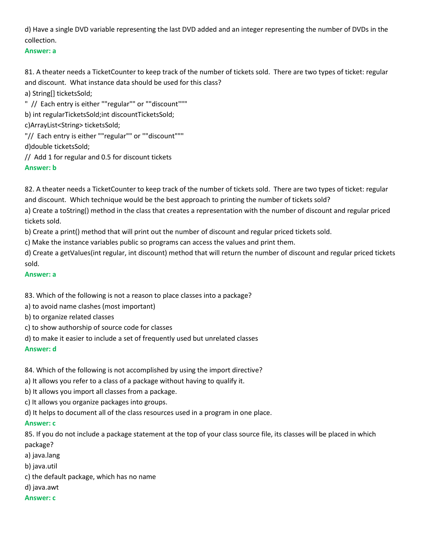d) Have a single DVD variable representing the last DVD added and an integer representing the number of DVDs in the collection.

#### **Answer: a**

81. A theater needs a TicketCounter to keep track of the number of tickets sold. There are two types of ticket: regular and discount. What instance data should be used for this class?

a) String[] ticketsSold;

" // Each entry is either ""regular"" or ""discount"""

b) int regularTicketsSold;int discountTicketsSold;

c)ArrayList<String> ticketsSold;

"// Each entry is either ""regular"" or ""discount"""

d)double ticketsSold;

// Add 1 for regular and 0.5 for discount tickets

# **Answer: b**

82. A theater needs a TicketCounter to keep track of the number of tickets sold. There are two types of ticket: regular and discount. Which technique would be the best approach to printing the number of tickets sold?

a) Create a toString() method in the class that creates a representation with the number of discount and regular priced tickets sold.

b) Create a print() method that will print out the number of discount and regular priced tickets sold.

c) Make the instance variables public so programs can access the values and print them.

d) Create a getValues(int regular, int discount) method that will return the number of discount and regular priced tickets sold.

## **Answer: a**

83. Which of the following is not a reason to place classes into a package?

a) to avoid name clashes (most important)

- b) to organize related classes
- c) to show authorship of source code for classes

d) to make it easier to include a set of frequently used but unrelated classes

**Answer: d**

84. Which of the following is not accomplished by using the import directive?

a) It allows you refer to a class of a package without having to qualify it.

b) It allows you import all classes from a package.

c) It allows you organize packages into groups.

d) It helps to document all of the class resources used in a program in one place.

# **Answer: c**

85. If you do not include a package statement at the top of your class source file, its classes will be placed in which package?

a) java.lang

b) java.util

c) the default package, which has no name

# d) java.awt

#### **Answer: c**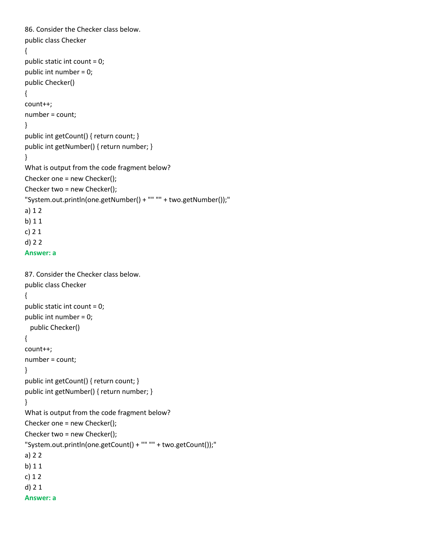```
86. Consider the Checker class below.
public class Checker 
{
public static int count = 0;
public int number = 0;
public Checker()
{
count++;
number = count;
}
public int getCount() { return count; }
public int getNumber() { return number; }
}
What is output from the code fragment below?
Checker one = new Checker();
Checker two = new Checker();
"System.out.println(one.getNumber() + "" "" + two.getNumber());"
a) 1 2
b) 1 1 
c) 2 1
d) 2 2
Answer: a
87. Consider the Checker class below.
public class Checker 
{
public static int count = 0;
public int number = 0;
  public Checker()
{
count++;
number = count;
}
public int getCount() { return count; }
public int getNumber() { return number; }
}
What is output from the code fragment below?
Checker one = new Checker();
Checker two = new Checker();
"System.out.println(one.getCount() + "" "" + two.getCount());"
a) 2 2
b) 1 1 
c) 1 2 
d) 2 1
```

```
Answer: a
```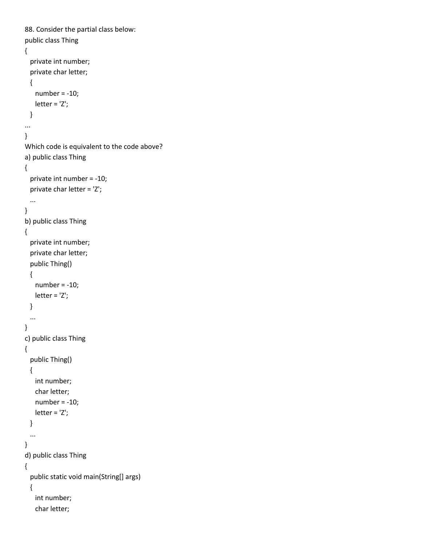```
88. Consider the partial class below:
public class Thing 
{
  private int number;
  private char letter;
  {
    number = -10;
    letter = 'Z';
  }
...
}
Which code is equivalent to the code above?
a) public class Thing 
{
  private int number = -10;
  private char letter = 'Z';
  ...
}
b) public class Thing 
{
  private int number;
  private char letter;
  public Thing()
  {
   number = -10; letter = 'Z';
  }
  ...
}
c) public class Thing 
{
   public Thing() 
  {
    int number;
    char letter;
   number = -10; letter = 'Z';
  }
  ...
}
d) public class Thing 
{
   public static void main(String[] args)
  {
    int number;
    char letter;
```